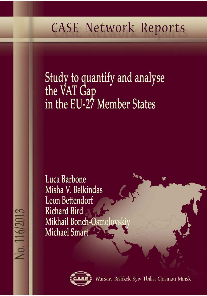# **CASE Network Reports**

Study to quantify and analyse<br>the VAT Gap in the EU-27 Member States

Luca Barbone Misha V. Belkindas Leon Bettendorf **Richard Bird** Mikhail Bonch-Osmolovski Michael Smart



Warsaw Bishkek Kyiv Tbilisi Chisinau Minsk

No. 116/2013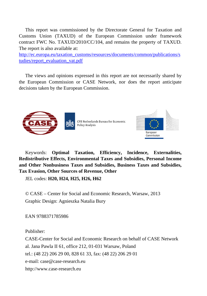This report was commissioned by the Directorate General for Taxation and Customs Union (TAXUD) of the European Commission under framework contract FWC No. TAXUD/2010/CC/104, and remains the property of TAXUD. The report is also available at:

http://ec.europa.eu/taxation\_customs/resources/documents/common/publications/s tudies/report\_evaluation\_vat.pdf

The views and opinions expressed in this report are not necessarily shared by the European Commission or CASE Network, nor does the report anticipate decisions taken by the European Commission.





Keywords: **Optimal Taxation, Efficiency, Incidence, Externalities, Redistributive Effects, Environmental Taxes and Subsidies, Personal Income and Other Nonbusiness Taxes and Subsidies, Business Taxes and Subsidies, Tax Evasion, Other Sources of Revenue, Other** 

JEL codes: **H20, H24, H25, H26, H62**

© CASE – Center for Social and Economic Research, Warsaw, 2013 Graphic Design: Agnieszka Natalia Bury

EAN 9788371785986

Publisher:

CASE-Center for Social and Economic Research on behalf of CASE Network al. Jana Pawla II 61, office 212, 01-031 Warsaw, Poland tel.: (48 22) 206 29 00, 828 61 33, fax: (48 22) 206 29 01 e-mail: case@case-research.eu http://www.case-research.eu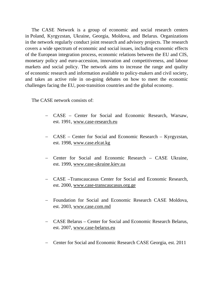The CASE Network is a group of economic and social research centers in Poland, Kyrgyzstan, Ukraine, Georgia, Moldova, and Belarus. Organizations in the network regularly conduct joint research and advisory projects. The research covers a wide spectrum of economic and social issues, including economic effects of the European integration process, economic relations between the EU and CIS, monetary policy and euro-accession, innovation and competitiveness, and labour markets and social policy. The network aims to increase the range and quality of economic research and information available to policy-makers and civil society, and takes an active role in on-going debates on how to meet the economic challenges facing the EU, post-transition countries and the global economy.

The CASE network consists of:

- CASE Center for Social and Economic Research, Warsaw, est. 1991, www.case-research.eu
- CASE Center for Social and Economic Research Kyrgyzstan, est. 1998, www.case.elcat.kg
- Center for Social and Economic Research CASE Ukraine, est. 1999, www.case-ukraine.kiev.ua
- CASE –Transcaucasus Center for Social and Economic Research, est. 2000, www.case-transcaucasus.org.ge
- Foundation for Social and Economic Research CASE Moldova, est. 2003, www.case.com.md
- CASE Belarus Center for Social and Economic Research Belarus, est. 2007, www.case-belarus.eu
- Center for Social and Economic Research CASE Georgia, est. 2011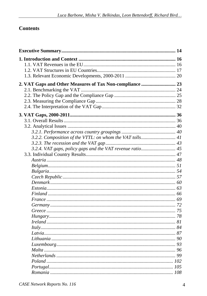# **Contents**

| 2. VAT Gaps and Other Measures of Tax Non-compliance  23                      |  |
|-------------------------------------------------------------------------------|--|
|                                                                               |  |
|                                                                               |  |
|                                                                               |  |
|                                                                               |  |
|                                                                               |  |
|                                                                               |  |
|                                                                               |  |
|                                                                               |  |
| 3.2.2. Composition of the VTTL: on whom the VAT tolls 41                      |  |
|                                                                               |  |
| 3.2.4. VAT gaps, policy gaps and the VAT revenue ratio 45                     |  |
|                                                                               |  |
|                                                                               |  |
|                                                                               |  |
|                                                                               |  |
|                                                                               |  |
|                                                                               |  |
|                                                                               |  |
|                                                                               |  |
|                                                                               |  |
|                                                                               |  |
|                                                                               |  |
|                                                                               |  |
|                                                                               |  |
| $It always, in terms are not consistent with the following equations: A. 84.$ |  |
|                                                                               |  |
|                                                                               |  |
|                                                                               |  |
|                                                                               |  |
|                                                                               |  |
|                                                                               |  |
|                                                                               |  |
|                                                                               |  |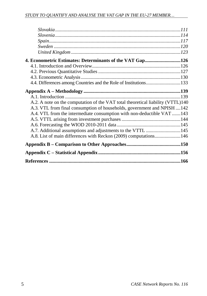| 4. Econometric Estimates: Determinants of the VAT Gap126                        |  |
|---------------------------------------------------------------------------------|--|
|                                                                                 |  |
|                                                                                 |  |
|                                                                                 |  |
| 4.4. Differences among Countries and the Role of Institutions133                |  |
|                                                                                 |  |
|                                                                                 |  |
| A.2. A note on the computation of the VAT total theoretical liability (VTTL)140 |  |
| A.3. VTL from final consumption of households, government and NPISH  142        |  |
| A.4. VTL from the intermediate consumption with non-deductible VAT 143          |  |
|                                                                                 |  |
|                                                                                 |  |
| A.7. Additional assumptions and adjustments to the VTTL 145                     |  |
| A.8. List of main differences with Reckon (2009) computations146                |  |
|                                                                                 |  |
|                                                                                 |  |
|                                                                                 |  |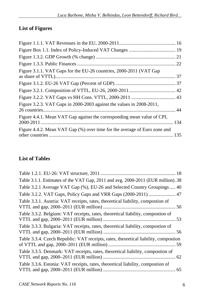# **List of Figures**

| Figure 3.1.1. VAT Gaps for the EU-26 countries, 2000-2011 (VAT Gap        |  |
|---------------------------------------------------------------------------|--|
|                                                                           |  |
|                                                                           |  |
|                                                                           |  |
| Figure 3.2.3. VAT Gaps in 2000-2003 against the values in 2008-2011,      |  |
| Figure 4.4.1. Mean VAT Gap against the corresponding mean value of CPI,   |  |
| Figure 4.4.2. Mean VAT Gap (%) over time for the average of Euro zone and |  |

# **List of Tables**

| Table 3.1.1. Estimates of the VAT Gap, 2011 and avg. 2000-2011 (EUR million). 38    |  |
|-------------------------------------------------------------------------------------|--|
| Table 3.2.1 Average VAT Gap (%), EU-26 and Selected Country Groupings  40           |  |
|                                                                                     |  |
| Table 3.3.1. Austria: VAT receipts, rates, theoretical liability, compostion of     |  |
| Table 3.3.2. Belgium: VAT receipts, rates, theoretical liability, compostion of     |  |
| Table 3.3.3. Bulgaria: VAT receipts, rates, theoretical liability, compostion of    |  |
| Table 3.3.4. Czech Republic: VAT receipts, rates, theoretical liability, compostion |  |
| Table 3.3.5. Denmark: VAT receipts, rates, theoretical liability, compostion of     |  |
| Table 3.3.6. Estonia: VAT receipts, rates, theoretical liability, compostion of     |  |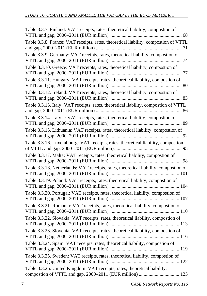| Table 3.3.7. Finland: VAT receipts, rates, theoretical liability, compostion of      |
|--------------------------------------------------------------------------------------|
| Table 3.3.8. France: VAT receipts, rates, theoretical liability, compostion of VTTL  |
| Table 3.3.9. Germany: VAT receipts, rates, theoretical liability, compostion of      |
| Table 3.3.10. Greece: VAT receipts, rates, theoretical liability, compostion of      |
| Table 3.3.11. Hungary: VAT receipts, rates, theoretical liability, compostion of     |
| Table 3.3.12. Ireland: VAT receipts, rates, theoretical liability, compostion of     |
| Table 3.3.13. Italy: VAT receipts, rates, theoretical liability, compostion of VTTL  |
| Table 3.3.14. Latvia: VAT receipts, rates, theoretical liability, compostion of      |
| Table 3.3.15. Lithuania: VAT receipts, rates, theoretical liability, compostion of   |
| Table 3.3.16. Luxembourg: VAT receipts, rates, theoretical liability, compostion     |
| Table 3.3.17. Malta: VAT receipts, rates, theoretical liability, compostion of       |
| Table 3.3.18. Netherlands: VAT receipts, rates, theoretical liability, compostion of |
| Table 3.3.19. Poland: VAT receipts, rates, theoretical liability, compostion of      |
| Table 3.3.20. Portugal: VAT receipts, rates, theoretical liability, compostion of    |
| Table 3.3.21. Romania: VAT receipts, rates, theoretical liability, compostion of     |
| Table 3.3.22. Slovakia: VAT receipts, rates, theoretical liability, compostion of    |
| Table 3.3.23. Slovenia: VAT receipts, rates, theoretical liability, compostion of    |
| Table 3.3.24. Spain: VAT receipts, rates, theoretical liability, compostion of       |
| Table 3.3.25. Sweden: VAT receipts, rates, theoretical liability, compostion of      |
| Table 3.3.26. United Kingdom: VAT receipts, rates, theoretical liability,            |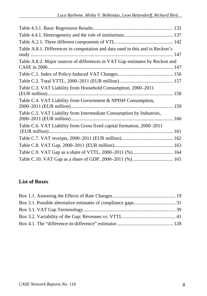| Table A.8.1. Differences in computation and data used in this and in Reckon's |
|-------------------------------------------------------------------------------|
|                                                                               |
| Table A.8.2. Major sources of differences in VAT Gap estimates by Reckon and  |
|                                                                               |
|                                                                               |
|                                                                               |
| Table C.3. VAT Liability from Household Consumption, 2000-2011                |
|                                                                               |
| Table C.4. VAT Liability from Government & NPISH Consumption,                 |
|                                                                               |
| Table C.5. VAT Liability from Intermediate Consumption by Industries,         |
|                                                                               |
| Table C.6. VAT Liability from Gross fixed capital formation, 2000–2011        |
|                                                                               |
|                                                                               |
|                                                                               |
| Table C.9. VAT Gap as a share of VTTL, 2000-2011 (%) 164                      |
|                                                                               |

# **List of Boxes**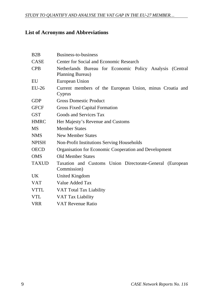# **List of Acronyms and Abbreviations**

| B2B          | Business-to-business                                                         |  |  |  |  |  |  |  |
|--------------|------------------------------------------------------------------------------|--|--|--|--|--|--|--|
| CASE         | Center for Social and Economic Research                                      |  |  |  |  |  |  |  |
| <b>CPB</b>   | Netherlands Bureau for Economic Policy Analysis (Central<br>Planning Bureau) |  |  |  |  |  |  |  |
| EU           | European Union                                                               |  |  |  |  |  |  |  |
| $EU-26$      | Current members of the European Union, minus Croatia and<br>Cyprus           |  |  |  |  |  |  |  |
| <b>GDP</b>   | <b>Gross Domestic Product</b>                                                |  |  |  |  |  |  |  |
| <b>GFCF</b>  | <b>Gross Fixed Capital Formation</b>                                         |  |  |  |  |  |  |  |
| <b>GST</b>   | Goods and Services Tax                                                       |  |  |  |  |  |  |  |
| <b>HMRC</b>  | Her Majesty's Revenue and Customs                                            |  |  |  |  |  |  |  |
| <b>MS</b>    | <b>Member States</b>                                                         |  |  |  |  |  |  |  |
| <b>NMS</b>   | <b>New Member States</b>                                                     |  |  |  |  |  |  |  |
| <b>NPISH</b> | Non-Profit Institutions Serving Households                                   |  |  |  |  |  |  |  |
| <b>OECD</b>  | Organisation for Economic Cooperation and Development                        |  |  |  |  |  |  |  |
| <b>OMS</b>   | <b>Old Member States</b>                                                     |  |  |  |  |  |  |  |
| <b>TAXUD</b> | Taxation and Customs Union Directorate-General (European<br>Commission)      |  |  |  |  |  |  |  |
| UK.          | United Kingdom                                                               |  |  |  |  |  |  |  |
| <b>VAT</b>   | Value Added Tax                                                              |  |  |  |  |  |  |  |
| <b>VTTL</b>  | VAT Total Tax Liability                                                      |  |  |  |  |  |  |  |
| <b>VTL</b>   | VAT Tax Liability                                                            |  |  |  |  |  |  |  |
| <b>VRR</b>   | <b>VAT Revenue Ratio</b>                                                     |  |  |  |  |  |  |  |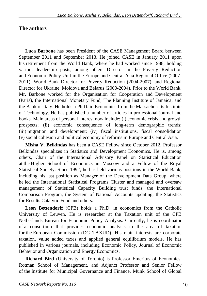### **The authors**

**Luca Barbone** has been President of the CASE Management Board between September 2011 and September 2013. He joined CASE in January 2011 upon his retirement from the World Bank, where he had worked since 1988, holding various leadership posts, among others Director in the Poverty Reduction and Economic Policy Unit in the Europe and Central Asia Regional Office (2007- 2011), World Bank Director for Poverty Reduction (2004-2007), and Regional Director for Ukraine, Moldova and Belarus (2000-2004). Prior to the World Bank, Mr. Barbone worked for the Organisation for Cooperation and Development (Paris), the International Monetary Fund, The Planning Institute of Jamaica, and the Bank of Italy. He holds a Ph.D. in Economics from the Massachusetts Institute of Technology. He has published a number of articles in professional journal and books. Main areas of personal interest now include: (i) economic crisis and growth prospects; (ii) economic consequence of long-term demographic trends; (iii) migration and development; (iv) fiscal institutions, fiscal consolidation (v) social cohesion and political economy of reforms in Europe and Central Asia.

**Misha V. Belkindas** has been a CASE Fellow since October 2012. Professor Belkindas specializes in Statistics and Development Economics. He is, among others, Chair of the International Advisory Panel on Statistical Education at the Higher School of Economics in Moscow and a Fellow of the Royal Statistical Society. Since 1992, he has held various positions in the World Bank, including his last position as Manager of the Development Data Group, where he led the International Statistical Programs Cluster and managed and oversaw management of Statistical Capacity Building trust funds, the International Comparison Program, the System of National Accounts updating, the Statistics for Results Catalytic Fund and others.

**Leon Bettendorff** (CPB) holds a Ph.D. in economics from the Catholic University of Leuven. He is researcher at the Taxation unit of the CPB Netherlands Bureau for Economic Policy Analysis. Currently, he is coordinator of a consortium that provides economic analysis in the area of taxation for the European Commission (DG TAXUD). His main interests are corporate taxation, value added taxes and applied general equilibrium models. He has published in various journals, including Economic Policy, Journal of Economic Behavior and Organization and Energy Economics.

**Richard Bird** (University of Toronto) is Professor Emeritus of Economics, Rotman School of Management, and Adjunct Professor and Senior Fellow of the Institute for Municipal Governance and Finance, Munk School of Global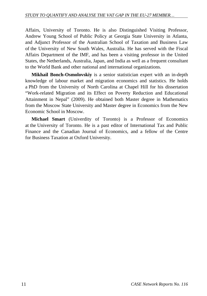Affairs, University of Toronto. He is also Distinguished Visiting Professor, Andrew Young School of Public Policy at Georgia State University in Atlanta, and Adjunct Professor of the Australian School of Taxation and Business Law of the University of New South Wales, Australia. He has served with the Fiscal Affairs Department of the IMF, and has been a visiting professor in the United States, the Netherlands, Australia, Japan, and India as well as a frequent consultant to the World Bank and other national and international organizations.

**Mikhail Bonch-Osmolovskiy** is a senior statistician expert with an in-depth knowledge of labour market and migration economics and statistics. He holds a PhD from the University of North Carolina at Chapel Hill for his dissertation "Work-related Migration and its Effect on Poverty Reduction and Educational Attainment in Nepal" (2009). He obtained both Master degree in Mathematics from the Moscow State University and Master degree in Economics from the New Economic School in Moscow.

**Michael Smart** (University of Toronto) is a Professor of Economics at the University of Toronto. He is a past editor of International Tax and Public Finance and the Canadian Journal of Economics, and a fellow of the Centre for Business Taxation at Oxford University.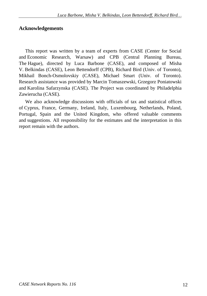#### **Acknowledgements**

This report was written by a team of experts from CASE (Center for Social and Economic Research, Warsaw) and CPB (Central Planning Bureau, The Hague), directed by Luca Barbone (CASE), and composed of Misha V. Belkindas (CASE), Leon Bettendorff (CPB), Richard Bird (Univ. of Toronto), Mikhail Bonch-Osmolovskiy (CASE), Michael Smart (Univ. of Toronto). Research assistance was provided by Marcin Tomaszewski, Grzegorz Poniatowski and Karolina Safarzynska (CASE). The Project was coordinated by Philadelphia Zawierucha (CASE).

We also acknowledge discussions with officials of tax and statistical offices of Cyprus, France, Germany, Ireland, Italy, Luxembourg, Netherlands, Poland, Portugal, Spain and the United Kingdom, who offered valuable comments and suggestions. All responsibility for the estimates and the interpretation in this report remain with the authors.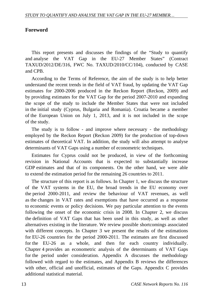#### **Foreword**

This report presents and discusses the findings of the "Study to quantify and analyse the VAT Gap in the EU-27 Member States" (Contract TAXUD/2012/DE/316, FWC No. TAXUD/2010/CC/104), conducted by CASE and CPB.

According to the Terms of Reference, the aim of the study is to help better understand the recent trends in the field of VAT fraud, by updating the VAT Gap estimates for 2000-2006 produced in the Reckon Report (Reckon, 2009) and by providing estimates for the VAT Gap for the period 2007-2010 and expanding the scope of the study to include the Member States that were not included in the initial study (Cyprus, Bulgaria and Romania). Croatia became a member of the European Union on July 1, 2013, and it is not included in the scope of the study.

The study is to follow - and improve where necessary - the methodology employed by the Reckon Report (Reckon 2009) for the production of top-down estimates of theoretical VAT. In addition, the study will also attempt to analyse determinants of VAT Gaps using a number of econometric techniques.

Estimates for Cyprus could not be produced, in view of the forthcoming revision in National Accounts that is expected to substantially increase GDP estimates and that of its components. On the other hand, we were able to extend the estimation period for the remaining 26 countries to 2011.

The structure of this report is as follows. In Chapter 1, we discuss the structure of the VAT systems in the EU, the broad trends in the EU economy over the period 2000-2011, and review the behaviour of VAT revenues, as well as the changes in VAT rates and exemptions that have occurred as a response to economic events or policy decisions. We pay particular attention to the events following the onset of the economic crisis in 2008. In Chapter 2, we discuss the definition of VAT Gaps that has been used in this study, as well as other alternatives existing in the literature. We review possible shortcomings associated with different concepts. In Chapter 3 we present the results of the estimations for EU-26 countries for the period 2000-2011. The estimates are first discussed for the EU-26 as a whole, and then for each country individually. Chapter 4 provides an econometric analysis of the determinants of VAT Gaps for the period under consideration. Appendix A discusses the methodology followed with regard to the estimates, and Appendix B reviews the differences with other, official and unofficial, estimates of the Gaps. Appendix C provides additional statistical material.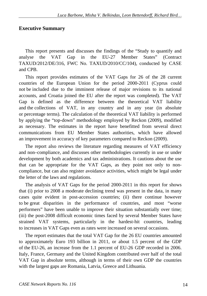#### **Executive Summary**

This report presents and discusses the findings of the "Study to quantify and analyse the VAT Gap in the EU-27 Member States" (Contract TAXUD/2012/DE/316, FWC No. TAXUD/2010/CC/104), conducted by CASE and CPB.

This report provides estimates of the VAT Gaps for 26 of the 28 current countries of the European Union for the period 2000-2011 (Cyprus could not be included due to the imminent release of major revisions to its national accounts, and Croatia joined the EU after the report was completed). The VAT Gap is defined as the difference between the theoretical VAT liability and the collections of VAT, in any country and in any year (in absolute or percentage terms). The calculation of the theoretical VAT liability is performed by applying the "top-down" methodology employed by Reckon (2009), modified as necessary. The estimates in the report have benefitted from several direct communications from EU Member States authorities, which have allowed an improvement in accuracy of key parameters compared to Reckon (2009).

The report also reviews the literature regarding measures of VAT efficiency and non–compliance, and discusses other methodologies currently in use or under development by both academics and tax administrations. It cautions about the use that can be appropriate for the VAT Gaps, as they point not only to noncompliance, but can also register avoidance activities, which might be legal under the letter of the laws and regulations.

The analysis of VAT Gaps for the period 2000-2011 in this report shows that (i) prior to 2008 a moderate declining trend was present in the data, in many cases quite evident in post-accession countries; (ii) there continue however to be great disparities in the performance of countries, and most "worse performers" have been unable to improve their situation substantially over time; (iii) the post-2008 difficult economic times faced by several Member States have strained VAT systems, particularly in the hardest-hit countries, leading to increases in VAT Gaps even as rates were increased on several occasions.

The report estimates that the total VAT Gap for the 26 EU countries amounted to approximately Euro 193 billion in 2011, or about 1.5 percent of the GDP of the EU-26, an increase from the 1.1 percent of EU-26 GDP recorded in 2006. Italy, France, Germany and the United Kingdom contributed over half of the total VAT Gap in absolute terms, although in terms of their own GDP the countries with the largest gaps are Romania, Latvia, Greece and Lithuania.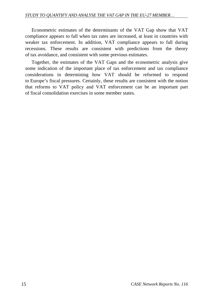Econometric estimates of the determinants of the VAT Gap show that VAT compliance appears to fall when tax rates are increased, at least in countries with weaker tax enforcement. In addition, VAT compliance appears to fall during recessions. These results are consistent with predictions from the theory of tax avoidance, and consistent with some previous estimates.

Together, the estimates of the VAT Gaps and the econometric analysis give some indication of the important place of tax enforcement and tax compliance considerations in determining how VAT should be reformed to respond to Europe's fiscal pressures. Certainly, these results are consistent with the notion that reforms to VAT policy and VAT enforcement can be an important part of fiscal consolidation exercises in some member states.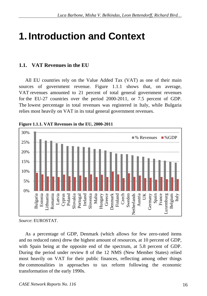# **1. Introduction and Context**

### **1.1. VAT Revenues in the EU**

All EU countries rely on the Value Added Tax (VAT) as one of their main sources of government revenue. Figure 1.1.1 shows that, on average, VAT revenues amounted to 21 percent of total general government revenues for the EU-27 countries over the period 2000-2011, or 7.5 percent of GDP. The lowest percentage in total revenues was registered in Italy, while Bulgaria relies most heavily on VAT in its total general government revenues.





*Source*: EUROSTAT.

As a percentage of GDP, Denmark (which allows for few zero-rated items and no reduced rates) drew the highest amount of resources, at 10 percent of GDP, with Spain being at the opposite end of the spectrum, at 5.8 percent of GDP. During the period under review 8 of the 12 NMS (New Member States) relied most heavily on VAT for their public finances, reflecting among other things the commonalities in approaches to tax reform following the economic transformation of the early 1990s.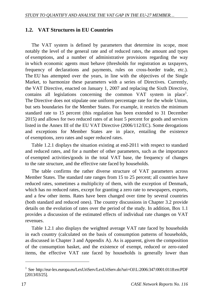#### **1.2. VAT Structures in EU Countries**

The VAT system is defined by parameters that determine its scope, most notably the level of the general rate and of reduced rates, the amount and types of exemptions, and a number of administrative provisions regarding the way in which economic agents must behave (thresholds for registration as taxpayers, frequency of declarations and payments, rules on cross-border trade, etc.). The EU has attempted over the years, in line with the objectives of the Single Market, to harmonize these parameters with a series of Directives. Currently, the VAT Directive, enacted on January 1, 2007 and replacing the Sixth Directive, contains all legislations concerning the common VAT system in place<sup>1</sup>. The Directive does not stipulate one uniform percentage rate for the whole Union, but sets boundaries for the Member States. For example, it restricts the minimum standard rate to 15 percent (this regulation has been extended to 31 December 2015) and allows for two reduced rates of at least 5 percent for goods and services listed in the Annex III of the EU VAT Directive (2006/112/EC). Some derogations and exceptions for Member States are in place, entailing the existence of exemptions, zero rates and super reduced rates.

Table 1.2.1 displays the situation existing at end-2011 with respect to standard and reduced rates, and for a number of other parameters, such as the importance of exempted activities/goods in the total VAT base, the frequency of changes to the rate structure, and the effective rate faced by households.

The table confirms the rather diverse structure of VAT parameters across Member States. The standard rate ranges from 15 to 25 percent; all countries have reduced rates, sometimes a multiplicity of them, with the exception of Denmark, which has no reduced rates, except for granting a zero rate to newspapers, exports, and a few other items. Rates have been changed over time by several countries (both standard and reduced ones). The country discussions in Chapter 3.2 provide details on the evolution of rates over the period of the study. In addition, Box 1.1 provides a discussion of the estimated effects of individual rate changes on VAT revenues.

Table 1.2.1 also displays the weighted average VAT rate faced by households in each country (calculated on the basis of consumption patterns of households, as discussed in Chapter 3 and Appendix A). As is apparent, given the composition of the consumption basket, and the existence of exempt, reduced or zero-rated items, the effective VAT rate faced by households is generally lower than

<sup>1</sup> See http://eur-lex.europa.eu/LexUriServ/LexUriServ.do?uri=OJ:L:2006:347:0001:0118:en:PDF [2013/03/25].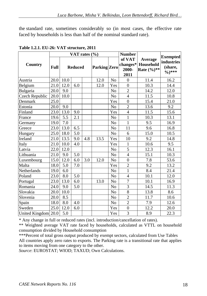the standard rate, sometimes considerably so (in most cases, the effective rate faced by households is less than half of the nominal standard rate).

|                     |                        |      | VAT rates (%)       |     |                                     | <b>Number</b>                                   |                                                       |      |      |
|---------------------|------------------------|------|---------------------|-----|-------------------------------------|-------------------------------------------------|-------------------------------------------------------|------|------|
| Country             | Full<br><b>Reduced</b> |      | <b>Parking Zero</b> |     | of VAT<br>changes*<br>2000-<br>2011 | Average<br>Household<br>Rate $(\frac{6}{6})$ ** | <b>Exempted</b><br>industries<br>(share,<br>$\%$ )*** |      |      |
| Austria             | 20.0                   | 10.0 |                     |     | 12.0                                | No                                              | $\mathbf{0}$                                          | 11.4 | 16.2 |
| Belgium             | 21.0                   | 12.0 | 6.0                 |     | 12.0                                | Yes                                             | $\mathbf{0}$                                          | 10.3 | 14.4 |
| Bulgaria            | 20.0                   | 9.0  |                     |     |                                     | N <sub>o</sub>                                  | $\overline{2}$                                        | 14.2 | 12.0 |
| Czech Republic      | 20.0                   | 10.0 |                     |     |                                     | N <sub>o</sub>                                  | $\overline{4}$                                        | 11.5 | 10.8 |
| Denmark             | 25.0                   |      |                     |     |                                     | Yes                                             | $\boldsymbol{0}$                                      | 15.4 | 21.0 |
| Estonia             | 20.0                   | 9.0  |                     |     |                                     | N <sub>o</sub>                                  | $\overline{2}$                                        | 13.6 | 9.2  |
| Finland             | 23.0                   | 13.0 | 9.0                 |     |                                     | Yes                                             | $\overline{4}$                                        | 11.5 | 15.6 |
| France              | 19.6                   | 5.5  | 2.1                 |     |                                     | No                                              | $\mathbf{1}$                                          | 10.3 | 13.1 |
| Germany             | 19.0                   | 7.0  |                     |     |                                     | N <sub>o</sub>                                  | $\mathbf{1}$                                          | 9.5  | 16.9 |
| Greece              | 23.0                   | 13.0 | 6.5                 |     |                                     | No                                              | 11                                                    | 9.6  | 16.8 |
| Hungary             | 25.0                   | 18.0 | 5.0                 |     |                                     | N <sub>o</sub>                                  | 6                                                     | 15.0 | 10.5 |
| Ireland             | 21.0                   | 13.5 | 9.0                 | 4.8 | 13.5                                | Yes                                             | 10                                                    | 9.2  | 14.8 |
| Italy               | 21.0                   | 10.0 | 4.0                 |     |                                     | Yes                                             | $\mathbf{1}$                                          | 10.6 | 9.5  |
| Latvia              | 22.0                   | 12.0 |                     |     |                                     | N <sub>o</sub>                                  | $\overline{5}$                                        | 12.3 | 16.1 |
| Lithuania           | 21.0                   | 9.0  | 5.0                 |     |                                     | No                                              | $\overline{4}$                                        | 15.1 | 10.3 |
| Luxembourg          | 15.0                   | 12.0 | 6.0                 | 3.0 | 12.0                                | N <sub>o</sub>                                  | $\overline{0}$                                        | 7.8  | 53.6 |
| Malta               | 18.0                   | 5.0  | 7.0                 |     |                                     | Yes                                             | $\overline{2}$                                        | 9.2  | 13.2 |
| Netherlands         | 19.0                   | 6.0  |                     |     |                                     | No                                              | $\mathbf{1}$                                          | 8.4  | 21.4 |
| Poland              | 23.0                   | 8.0  | 5.0                 |     |                                     | N <sub>0</sub>                                  | $\overline{4}$                                        | 10.1 | 12.0 |
| Portugal            | 23.0                   | 13.0 | 6.0                 |     | 13.0                                | N <sub>o</sub>                                  | $\overline{7}$                                        | 10.1 | 16.9 |
| Romania             | 24.0                   | 9.0  | 5.0                 |     |                                     | N <sub>o</sub>                                  | $\overline{3}$                                        | 14.5 | 11.3 |
| Slovakia            | 20.0                   | 10.0 |                     |     |                                     | No                                              | 8                                                     | 13.8 | 8.6  |
| Slovenia            | 20.0                   | 8.5  |                     |     |                                     | N <sub>o</sub>                                  | $\overline{c}$                                        | 11.7 | 10.6 |
| Spain               | 18.0                   | 8.0  | 4.0                 |     |                                     | N <sub>0</sub>                                  | $\overline{2}$                                        | 7.9  | 12.6 |
| Sweden              | 25.0                   | 12.0 | 6.0                 |     |                                     | Yes                                             | $\overline{0}$                                        | 12.2 | 20.0 |
| United Kingdom 20.0 |                        | 5.0  |                     |     |                                     | Yes                                             | $\overline{3}$                                        | 8.9  | 22.3 |

**Table 1.2.1. EU-26: VAT structure, 2011** 

\* Any change in full or reduced rates (incl. introduction/cancellation of rates).

\*\* Weighted average VAT rate faced by households, calculated as VTTL on household consumption divided by Household consumption

\*\*\*Percent of total gross output produced by exempt sectors, calculated from Use Tables All countries apply zero rates to exports. The Parking rate is a transitional rate that applies to items moving from one category to the other.

*Source*: EUROSTAT; WIOD; TAXUD; Own Calculations.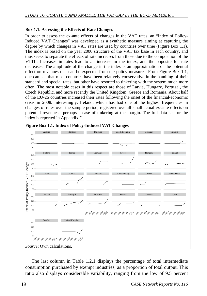#### **Box 1.1. Assessing the Effects of Rate Changes**

In order to assess the ex-ante effects of changes in the VAT rates, an "Index of Policy-Induced VAT Changes" was developed as a synthetic measure aiming at capturing the degree by which changes in VAT rates are used by countries over time (Figure Box 1.1). The index is based on the year 2000 structure of the VAT tax base in each country, and thus seeks to separate the effects of rate increases from those due to the composition of the VTTL. Increases in rates lead to an increase in the index, and the opposite for rate decreases. The amplitude of the change in the index is an approximation of the potential effect on revenues that can be expected from the policy measures. From Figure Box 1.1, one can see that most countries have been relatively conservative in the handling of their standard and special rates, but other have resorted to tinkering with the system much more often. The most notable cases in this respect are those of Latvia, Hungary, Portugal, the Czech Republic, and more recently the United Kingdom, Greece and Romania. About half of the EU-26 countries increased their rates following the onset of the financial-economic crisis in 2008. Interestingly, Ireland, which has had one of the highest frequencies in changes of rates over the sample period, registered overall small actual ex-ante effects on potential revenues—perhaps a case of tinkering at the margin. The full data set for the index is reported in Appendix C.



**Figure Box 1.1. Index of Policy-Induced VAT Changes** 

The last column in Table 1.2.1 displays the percentage of total intermediate consumption purchased by exempt industries, as a proportion of total output. This ratio also displays considerable variability, ranging from the low of 9.5 percent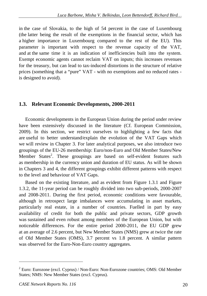in the case of Slovakia, to the high of 54 percent in the case of Luxembourg (the latter being the result of the exemptions in the financial sector, which has a higher importance in Luxembourg compared to the rest of the EU). This parameter is important with respect to the revenue capacity of the VAT, and at the same time it is an indication of inefficiencies built into the system. Exempt economic agents cannot reclaim VAT on inputs; this increases revenues for the treasury, but can lead to tax-induced distortions in the structure of relative prices (something that a "pure" VAT - with no exemptions and no reduced rates is designed to avoid).

#### **1.3. Relevant Economic Developments, 2000-2011**

Economic developments in the European Union during the period under review have been extensively discussed in the literature (Cf. European Commission, 2009). In this section, we restrict ourselves to highlighting a few facts that are useful to better understand/explain the evolution of the VAT Gaps which we will review in Chapter 3. For later analytical purposes, we also introduce two groupings of the EU-26 membership: Euro/non-Euro and Old Member States/New Member States<sup>2</sup>. These groupings are based on self-evident features such as membership in the currency union and duration of EU status. As will be shown in Chapters 3 and 4, the different groupings exhibit different patterns with respect to the level and behaviour of VAT Gaps.

Based on the existing literature, and as evident from Figure 1.3.1 and Figure 1.3.2, the 11-year period can be roughly divided into two sub-periods, 2000-2007 and 2008-2011. During the first period, economic conditions were favourable, although in retrospect large imbalances were accumulating in asset markets, particularly real estate, in a number of countries. Fuelled in part by easy availability of credit for both the public and private sectors, GDP growth was sustained and even robust among members of the European Union, but with noticeable differences. For the entire period 2000-2011, the EU GDP grew at an average of 2.6 percent, but New Member States (NMS) grew at twice the rate of Old Member States (OMS), 3.7 percent vs 1.8 percent. A similar pattern was observed for the Euro-Non-Euro country aggregates.

 $2^{2}$  Euro: Eurozone (excl. Cyprus) / Non-Euro: Non-Eurozone countries; OMS: Old Member States; NMS: New Member States (excl. Cyprus).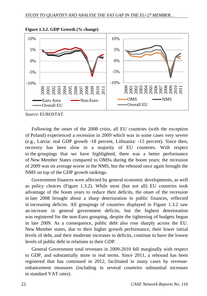

**Figure 1.3.2. GDP Growth (% change)** 

*Source*: EUROSTAT.

Following the onset of the 2008 crisis, all EU countries (with the exception of Poland) experienced a recession in 2009 which was in some cases very severe (e.g., Latvia: real GDP growth -18 percent, Lithuania: -15 percent). Since then, recovery has been slow in a majority of EU countries. With respect to the groupings that we have highlighted, there was a better performance of New Member States compared to OMSs during the boom years; the recession of 2009 was on average worse in the NMS, but the rebound once again brought the NMS on top of the GDP growth rankings.

Government finances were affected by general economic developments, as well as policy choices (Figure 1.3.2). While most (but not all) EU countries took advantage of the boom years to reduce their deficits, the onset of the recession in late 2008 brought about a sharp deterioration in public finances, reflected in increasing deficits. All groupings of countries displayed in Figure 1.3.2 saw an increase in general government deficits, but the highest deterioration was registered for the non-Euro grouping, despite the tightening of budgets begun in late 2009. As a consequence, public debt also rose sharply across the EU. New Member states, due to their higher growth performance, their lower initial levels of debt, and their moderate increases in deficits, continue to have the lowest levels of public debt in relations to their GDP.

General Government total revenues in 2009-2010 fell marginally with respect to GDP, and substantially more in real terms. Since 2011, a rebound has been registered that has continued in 2012, facilitated in many cases by revenueenhancement measures (including in several countries substantial increases in standard VAT rates).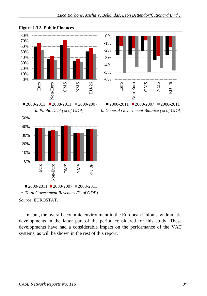

**Figure 1.3.3. Public Finances** 

In sum, the overall economic environment in the European Union saw dramatic developments in the latter part of the period considered for this study. These developments have had a considerable impact on the performance of the VAT systems, as will be shown in the rest of this report.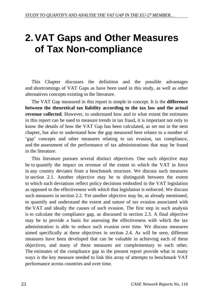# **2. VAT Gaps and Other Measures of Tax Non-compliance**

This Chapter discusses the definition and the possible advantages and shortcomings of VAT Gaps as have been used in this study, as well as other alternatives concepts existing in the literature.

The VAT Gap measured in this report is simple in concept. It is the **difference between the theoretical tax liability according to the tax law and the actual revenue collected**. However, to understand how and to what extent the estimates in this report can be used to measure trends in tax fraud, it is important not only to know the details of how the VAT Gap has been calculated, as set out in the next chapter, but also to understand how the gap measured here relates to a number of 'gap' concepts and other measures relating to tax evasion, tax compliance, and the assessment of the performance of tax administrations that may be found in the literature.

This literature pursues several distinct objectives. One such objective may be to quantify the impact on revenue of the extent to which the VAT in force in any country deviates from a benchmark structure. We discuss such measures in section 2.1. Another objective may be to distinguish between the extent to which such deviations reflect policy decisions embodied in the VAT legislation as opposed to the effectiveness with which that legislation is enforced. We discuss such measures in section 2.2. Yet another objective may be, as already mentioned, to quantify and understand the extent and nature of tax evasion associated with the VAT and ideally the causes of such evasion. The first step in such analysis is to calculate the compliance gap, as discussed in section 2.3. A final objective may be to provide a basis for assessing the effectiveness with which the tax administration is able to reduce such evasion over time. We discuss measures aimed specifically at these objectives in section 2.4. As will be seen, different measures have been developed that can be valuable in achieving each of these objectives, and many of these measures are complementary to each other. The estimates of the compliance gap in the present report provide what in many ways is the key measure needed to link this array of attempts to benchmark VAT performance across countries and over time.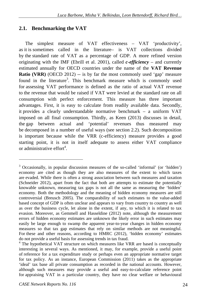# **2.1. Benchmarking the VAT**

The simplest measure of VAT effectiveness – VAT 'productivity', as it is sometimes called in the literature– is VAT collections divided by the standard rate of VAT as a percentage of GDP. A more refined version originating with the IMF (Ebrill et al. 2001), called *c-efficiency* – and currently estimated annually for OECD countries under the name of the **VAT Revenue Ratio (VRR)** (OECD 2012) -- is by far the most commonly used 'gap' measure found in the literature<sup>3</sup>. This benchmark measure which is commonly used for assessing VAT performance is defined as the ratio of actual VAT revenue to the revenue that would be raised if VAT were levied at the standard rate on all consumption with perfect enforcement. This measure has three important advantages. First, it is easy to calculate from readily available data. Secondly, it provides a clearly understandable normative benchmark – a uniform VAT imposed on all final consumption. Thirdly, as Keen (2013) discusses in detail, the gap between actual and 'potential' revenues thus measured may be decomposed in a number of useful ways (see section 2.2). Such decomposition is important because while the VRR (c-efficiency) measure provides a good starting point, it is not in itself adequate to assess either VAT compliance or administrative effort<sup>4</sup>.

<sup>&</sup>lt;sup>3</sup> Occasionally, in popular discussion measures of the so-called 'informal' (or 'hidden') economy are cited as though they are also measures of the extent to which taxes are evaded. While there is often a strong association between such measures and taxation (Schneider 2012), apart from the fact that both are attempts to estimate the potentially knowable unknown, measuring tax gaps is not all the same as measuring the 'hidden' economy. Both the methodology and the meaning of hidden economy measures are still controversial (Breusch 2005). The comparability of such estimates to the value-added based concept of GDP is often unclear and appears to vary from country to country as well as over the business cycle, let alone in the extent, if any, to which it is related to tax evasion. Moreover, as Gemmell and Hasseldine (2012) note, although the measurement errors of hidden economy estimates are unknown the likely error in such estimates may easily be large enough to swamp the apparent year-to-year changes in hidden economy measures so that tax gap estimates that rely on similar methods are not meaningful. For these and other reasons, according to HMRC (2012), 'hidden economy' estimates do not provide a useful basis for assessing trends in tax fraud.

<sup>&</sup>lt;sup>4</sup> The hypothetical VAT structure on which measures like VRR are based is conceptually interesting in several ways. As mentioned, it may, for example, provide a useful point of reference for a tax expenditure study or perhaps even an appropriate normative target for tax policy. As an instance, European Commission (2011) takes as the appropriate 'ideal' tax base all private consumption as recorded in the national accounts. However, although such measures may provide a useful and easy-to-calculate reference point for appraising VAT in a particular country, they have no clear welfare or behavioural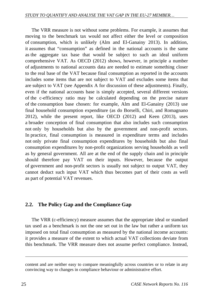The VRR measure is not without some problems. For example, it assumes that moving to the benchmark tax would not affect either the level or composition of consumption, which is unlikely (Alm and El-Ganainy 2013). In addition, it assumes that "consumption" as defined in the national accounts is the same as the aggregate tax base that would be subject to such an ideal uniform comprehensive VAT. As OECD (2012) shows, however, in principle a number of adjustments to national accounts data are needed to estimate something closer to the real base of the VAT because final consumption as reported in the accounts includes some items that are not subject to VAT and excludes some items that are subject to VAT (see Appendix A for discussion of these adjustments). Finally, even if the national accounts base is simply accepted, several different versions of the c-efficiency ratio may be calculated depending on the precise nature of the consumption base chosen: for example, Alm and El-Ganainy (2013) use final household consumption expenditure (as do Borselli, Chiri, and Romagnano 2012), while the present report, like OECD (2012) and Keen (2013), uses a broader conception of final consumption that also includes such consumption not only by households but also by the government and non-profit sectors. In practice, final consumption is measured in expenditure terms and includes not only private final consumption expenditures by households but also final consumption expenditures by non-profit organizations serving households as well as by general government. All are at the end of the supply chain and in principle should therefore pay VAT on their inputs. However, because the output of government and non-profit sectors is usually not subject to output VAT, they cannot deduct such input VAT which thus becomes part of their costs as well as part of potential VAT revenues.

### **2.2. The Policy Gap and the Compliance Gap**

The VRR (c-efficiency) measure assumes that the appropriate ideal or standard tax used as a benchmark is not the one set out in the law but rather a uniform tax imposed on total final consumption as measured by the national income accounts: it provides a measure of the extent to which actual VAT collections deviate from this benchmark. The VRR measure does not assume perfect compliance. Instead,

content and are neither easy to compare meaningfully across countries or to relate in any convincing way to changes in compliance behaviour or administrative effort.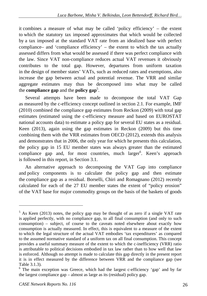it combines a measure of what may be called 'policy efficiency' – the extent to which the statutory tax imposed approximates that which would be collected by a tax imposed at the standard VAT rate from an idealized base with perfect compliance– and 'compliance efficiency' – the extent to which the tax actually assessed differs from what would be assessed if there was perfect compliance with the law. Since VAT non-compliance reduces actual VAT revenues it obviously contributes to the total gap. However, departures from uniform taxation in the design of member states' VATs, such as reduced rates and exemptions, also increase the gap between actual and potential revenue. The VRR and similar aggregate estimates may thus be decomposed into what may be called the **compliance gap** and the **policy gap**<sup>5</sup> .

Several attempts have been made to decompose the total VAT Gap as measured by the c-efficiency concept outlined in section 2.1. For example, IMF (2010) combined the compliance gap estimates from Reckon (2009) with total gap estimates (estimated using the c-efficiency measure and based on EUROSTAT national accounts data) to estimate a policy gap for several EU states as a residual. Keen (2013), again using the gap estimates in Reckon (2009) but this time combining them with the VRR estimates from OECD (2012), extends this analysis and demonstrates that in 2006, the only year for which he presents this calculation, the policy gap in 15 EU member states was always greater than the estimated compliance gap and, for most countries, much larger<sup>6</sup>. Keen's approach is followed in this report, in Section 3.1.

An alternative approach to decomposing the VAT Gap into compliance and policy components is to calculate the policy gap and then estimate the compliance gap as a residual. Borselli, Chiri and Romagnano (2012) recently calculated for each of the 27 EU member states the extent of "policy erosion" of the VAT base for major commodity groups on the basis of the baskets of goods

 $5$  As Keen (2013) notes, the policy gap may be thought of as zero if a single VAT rate is applied perfectly, with no compliance gap, to all final consumption (and only to such consumption) – subject, of course to the caveats noted elsewhere about exactly how consumption is actually measured. In effect, this is equivalent to a measure of the extent to which the legal structure of the actual VAT embodies 'tax expenditures' as compared to the assumed normative standard of a uniform tax on all final consumption. This concept provides a useful summary measure of the extent to which the c-inefficiency (VRR) ratio is attributable to political decisions embodied in tax law rather than to how well that law is enforced. Although no attempt is made to calculate this gap directly in the present report it is in effect measured by the difference between VRR and the compliance gap (see Table 3.1.3).

<sup>&</sup>lt;sup>6</sup> The main exception was Greece, which had the largest c-efficiency 'gap' and by far the largest compliance gap – almost as large as its (residual) policy gap.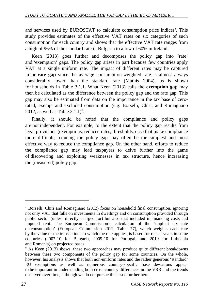and services used by EUROSTAT to calculate consumption price indices7. This study provides estimates of the effective VAT rates on six categories of such consumption for each country and shows that the effective VAT rate ranges from a high of 96% of the standard rate in Bulgaria to a low of 60% in Ireland.

Keen (2013) goes further and decomposes the policy gap into 'rate' and 'exemption' gaps. The policy gap arises in part because few countries apply VAT at a single uniform rate. The impact of different rates may be captured in the **rate gap** since the average consumption-weighted rate is almost always considerably lower than the standard rate (Mathis 2004), as is shown for households in Table 3.1.1. What Keen (2013) calls the **exemption gap** may then be calculated as the difference between the policy gap and the rate gap. This gap may also be estimated from data on the importance in the tax base of zerorated, exempt and excluded consumption (e.g. Borselli, Chiri, and Romagnano 2012, as well as Table  $3.1.1$ <sup>8</sup>.

Finally, it should be noted that the compliance and policy gaps are not independent. For example, to the extent that the policy gap results from legal provisions (exemptions, reduced rates, thresholds, etc.) that make compliance more difficult, reducing the policy gap may often be the simplest and most effective way to reduce the compliance gap. On the other hand, efforts to reduce the compliance gap may lead taxpayers to delve further into the game of discovering and exploiting weaknesses in tax structure, hence increasing the (measured) policy gap.

 $<sup>7</sup>$  Borselli, Chiri and Romagnano (2012) focus on household final consumption, ignoring</sup> not only VAT that falls on investments in dwellings and on consumption provided through public sector (unless directly charged for) but also that included in financing costs and imputed rent. The European Commission's calculation of the 'implicit tax rate on consumption' (European Commission 2012, Table 77), which weights each rate by the value of the transactions to which the rate applies, is based for recent years in some countries (2007-10 for Bulgaria, 2009-10 for Portugal, and 2010 for Lithuania and Romania) on projected bases.

<sup>&</sup>lt;sup>8</sup> As Keen (2013) shows, these two approaches may produce quite different breakdowns between these two components of the policy gap for some countries. On the whole, however, his analysis shows that both non-uniform rates and the rather generous 'standard' EU exemptions as well as numerous country-specific base deviations appear to be important in understanding both cross-country differences in the VRR and the trends observed over time, although we do not pursue this issue further here.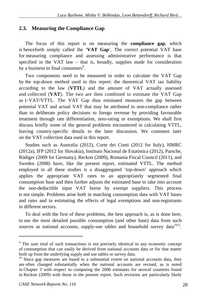## **2.3. Measuring the Compliance Gap**

The focus of this report is on measuring the **compliance gap**, which is henceforth simply called the '**VAT Gap**'. The correct potential VAT base for measuring compliance and assessing administrative performance is that specified in the VAT law – that is, broadly, supplies made for consideration by a business to final consumers<sup>9</sup>.

Two components need to be measured in order to calculate the VAT Gap by the top-down method used in this report: the theoretical VAT tax liability according to the law (**VTTL**) and the amount of VAT actually assessed and collected (**VAT**). The two are then combined to estimate the VAT Gap as 1-VAT/VTTL. The VAT Gap thus estimated measures the gap between potential VAT and actual VAT that may be attributed to non-compliance rather than to deliberate policy decisions to forego revenue by providing favourable treatment through rate differentiation, zero-rating or exemptions. We shall first discuss briefly some of the general problems encountered in calculating VTTL, leaving country-specific details to the later discussion. We comment later on the VAT collection data used in this report.

Studies such as Australia (2012), Corte dei Conti (2012 for Italy), HMRC (2012a), IFP (2012 for Slovakia), Instituto Nacional de Estatística (2012), Parsche, Rüdiger (2009 for Germany), Reckon (2009), Romania Fiscal Council (2011), and Sweden (2008) have, like the present report, estimated VTTL. The method employed in all these studies is a disaggregated 'top-down' approach which applies the appropriate VAT rates to an appropriately segmented final consumption base and then further adjusts the estimated base to take into account the non-deductible input VAT borne by exempt suppliers. This process is not simple. Problems arise both in matching consumption data with VAT bases and rates and in estimating the effects of legal exemptions and non-registrants in different sectors.

To deal with the first of these problems, the best approach is, as is done here, to use the most detailed possible consumption (and other base) data from such sources as national accounts, supply-use tables and household survey data<sup>1011</sup>.

<sup>&</sup>lt;sup>9</sup> The sum total of such transactions is not precisely identical to any economic concept of consumption that can easily be derived from national accounts data or for that matter built up from the underlying supply and use tables or survey data.

<sup>&</sup>lt;sup>10</sup> Since gap measures are based to a substantial extent on national accounts data, they are often changed substantially when the national accounts are revised, as is noted in Chapter 3 with respect to comparing the 2006 estimates for several countries found in Reckon (2009) with those in the present report. Such revisions are particularly likely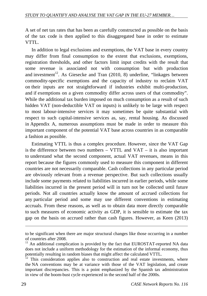A set of net tax rates that has been as carefully constructed as possible on the basis of the tax code is then applied to this disaggregated base in order to estimate VTTL.

In addition to legal exclusions and exemptions, the VAT base in every country may differ from final consumption to the extent that exclusions, exemptions, registration thresholds, and other factors limit input credits with the result that some revenue is associated not with consumption but with production and investment<sup>12</sup>. As Giesecke and Tran  $(2010, 8)$  underline, "linkages between commodity-specific exemptions and the capacity of industry to reclaim VAT on their inputs are not straightforward if industries exhibit multi-production, and if exemptions on a given commodity differ across users of that commodity". While the additional tax burden imposed on much consumption as a result of such hidden VAT (non-deductible VAT on inputs) is unlikely to be large with respect to most labour-intensive services it may sometimes be quite substantial with respect to such capital-intensive services as, say, rental housing. As discussed in Appendix A, numerous assumptions must be made in order to measure this important component of the potential VAT base across countries in as comparable a fashion as possible.

Estimating VTTL is thus a complex procedure. However, since the VAT Gap is the difference between two numbers – VTTL and VAT – it is also important to understand what the second component, actual VAT revenues, means in this report because the figures commonly used to measure this component in different countries are not necessarily comparable. Cash collections in any particular period are obviously relevant from a revenue perspective. But such collections usually include some payments related to liabilities incurred in earlier periods, while some liabilities incurred in the present period will in turn not be collected until future periods. Not all countries actually know the amount of accrued collections for any particular period and some may use different conventions in estimating accruals. From these reasons, as well as to obtain data more directly comparable to such measures of economic activity as GDP, it is sensible to estimate the tax gap on the basis on accrued rather than cash figures. However, as Keen (2013)

to be significant when there are major structural changes like those occurring in a number of countries after 2008.

 $11$  An additional complication is provided by the fact that EUROSTAT-reported NA data does not include a uniform methodology for the estimation of the informal economy, thus potentially resulting in random biases that might affect the calculated VTTL.<br><sup>12</sup> This consideration applies also to construction and real estate investments, where

the NA conventions may be at variance with those of the VAT legislation, and create important discrepancies. This is a point emphasized by the Spanish tax administration in view of the boom-bust cycle experienced in the second half of the 2000s.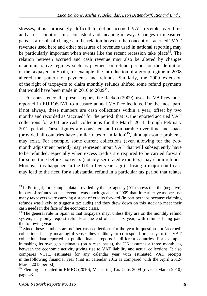stresses, it is surprisingly difficult to define accrued VAT receipts over time and across countries in a consistent and meaningful way. Changes in measured gaps as a result of changes in the relation between the concept of 'accrued' VAT revenues used here and other measures of revenues used in national reporting may be particularly important when events like the recent recession take place<sup>13</sup>. The relation between accrued and cash revenue may also be altered by changes in administrative regimes such as payment or refund periods or the definition of the taxpayer. In Spain, for example, the introduction of a group regime in 2008 altered the pattern of payments and refunds. Similarly, the 2009 extension of the right of taxpayers to claim monthly refunds shifted some refund payments that would have been made in 2010 to  $2009^{14}$ .

For consistency, the present report, like Reckon (2009), uses the VAT revenues reported in EUROSTAT to measure annual VAT collections. For the most part, if not always, these numbers are cash collections within a year, offset by two months and recorded as 'accrued' for the period: that is, the reported accrued VAT collections for 2011 are cash collections for the March 2011 through February 2012 period. These figures are consistent and comparable over time and space (provided all countries have similar rates of inflation)<sup>15</sup>, although some problems may exist. For example, some current collections (even allowing for the twomonth adjustment period) may represent input VAT that will subsequently have to be refunded, especially when excess credits are required to be carried forward for some time before taxpayers (notably zero-rated exporters) may claim refunds. Moreover (as happened in the UK a few years ago)<sup>16</sup> losing a major court case may lead to the need for a substantial refund in a particular tax period that relates

 $<sup>13</sup>$  In Portugal, for example, data provided by the tax agency (AT) shows that the (negative)</sup> impact of refunds on net revenue was much greater in 2009 than in earlier years because many taxpayers were carrying a stock of credits forward (in part perhaps because claiming refunds was likely to trigger a tax audit) and they drew down on this stock to meet their cash needs in the face of the economic crisis.

 $14$  The general rule in Spain is that taxpayers may, unless they are on the monthly refund system, may only request refunds at the end of each tax year, with refunds being paid the following year.

<sup>&</sup>lt;sup>15</sup> Since these numbers are neither cash collections for the year in question nor 'accrued' collections in any meaningful sense, they unlikely to correspond precisely to the VAT collection data reported in public finance reports in different countries. For example, in making its own gap estimates (on a cash basis), the UK assumes a three month lag between the economic activity giving rise to VAT liability and actual collections. It also compares VTTL estimates for any calendar year with estimated VAT receipts in the following financial year (that is, calendar 2012 is compared with the April 2012- March 2013 period).

<sup>&</sup>lt;sup>16</sup> Fleming case cited in HMRC (2010), Measuring Tax Gaps 2009 (revised March 2010) page 43.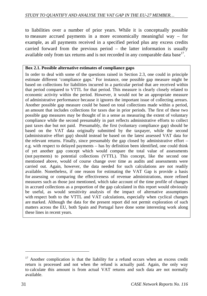to liabilities over a number of prior years. While it is conceptually possible to measure accrued payments in a more economically meaningful way – for example, as all payments received in a specified period plus any excess credits carried forward from the previous period – the latter information is usually available only from tax returns and is not recorded in any comparable data base<sup>17</sup>.

#### **Box 2.1. Possible alternative estimates of compliance gaps**

In order to deal with some of the questions raised in Section 2.3, one could in principle estimate different 'compliance gaps.' For instance, one possible gap measure might be based on collections for liabilities incurred in a particular period that are received within that period compared to VTTL for that period. This measure is clearly closely related to economic activity within the period. However, it would not be an appropriate measure of administrative performance because it ignores the important issue of collecting arrears. Another possible gap measure could be based on total collections made within a period, an amount that includes collections for taxes due in prior periods. The first of these two possible gap measures may be thought of in a sense as measuring the extent of voluntary compliance while the second presumably in part reflects administrative efforts to collect past taxes due but not paid. Presumably, the first (voluntary compliance gap) should be based on the VAT data originally submitted by the taxpayer, while the second (administrative effort gap) should instead be based on the latest assessed VAT data for the relevant returns. Finally, since presumably the gap closed by administrative effort – e.g. with respect to delayed payments – has by definition been identified, one could think of yet another gap concept which would compare the total value of assessments (not payments) to potential collections (VTTL). This concept, like the second one mentioned above, would of course change over time as audits and assessments were carried out. Again, however, the data needed for such calculations are not readily available. Nonetheless, if one reason for estimating the VAT Gap is provide a basis for assessing or comparing the effectiveness of revenue administrations, more refined measures such as those just mentioned, which take account of the time profile of changes in accrued collections as a proportion of the gap calculated in this report would obviously be useful, as would sensitivity analysis of the impact of alternative assumptions with respect both to the VTTL and VAT calculations, especially when cyclical changes are marked. Although the data for the present report did not permit exploration of such matters across the EU, both Spain and Portugal have done some interesting work along these lines in recent years.

 $17$  Another complication is that the liability for a refund occurs when an excess credit return is processed and not when the refund is actually paid. Again, the only way to calculate this amount is from actual VAT returns and such data are not normally available.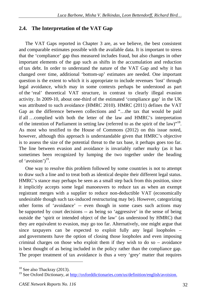# **2.4. The Interpretation of the VAT Gap**

The VAT Gaps reported in Chapter 3 are, as we believe, the best consistent and comparable estimates possible with the available data. It is important to stress that the 'compliance' gap thus measured includes fraud, but also changes in other important elements of the gap such as shifts in the accumulation and reduction of tax debt. In order to understand the nature of the VAT Gap and why it has changed over time, additional 'bottom-up' estimates are needed. One important question is the extent to which it is appropriate to include revenues 'lost' through legal avoidance, which may in some contexts perhaps be understood as part of the 'real' theoretical VAT structure, in contrast to clearly illegal evasion activity. In 2009-10, about one-third of the estimated 'compliance gap' in the UK was attributed to such avoidance (HMRC 2010). HMRC (2011) defines the VAT Gap as the difference between collections and "…the tax that would be paid if all …complied with both the letter of the law and HMRC's interpretation of the intention of Parliament in setting law (referred to as the spirit of the law)"18. As most who testified to the House of Commons (2012) on this issue noted, however, although this approach is understandable given that HMRC's objective is to assess the size of the potential threat to the tax base, it perhaps goes too far. The line between evasion and avoidance is invariably rather murky (as it has sometimes been recognized by lumping the two together under the heading of 'avoision' $)^{19}$ .

One way to resolve this problem followed by some countries is not to attempt to draw such a line and to treat both as identical despite their different legal status. HMRC's stance may perhaps be seen as a small step back from this position, since it implicitly accepts some legal manoeuvers to reduce tax as when an exempt registrant merges with a supplier to reduce non-deductible VAT (economically undesirable though such tax-induced restructuring may be). However, categorizing other forms of 'avoidance' -- even though in some cases such actions may be supported by court decisions -- as being so 'aggressive' in the sense of being outside the 'spirit or intended object of the law' (as understood by HMRC) that they are equivalent to evasion, may go too far. Alternatively, one might argue that since taxpayers can be expected to exploit fully any legal loopholes – and governments have the option of closing those loopholes and even imposing criminal charges on those who exploit them if they wish to do so – avoidance is best thought of as being included in the policy rather than the compliance gap. The proper treatment of tax avoidance is thus a very 'grey' matter that requires

<sup>&</sup>lt;sup>18</sup> See also Thackray (2013).

<sup>&</sup>lt;sup>19</sup> See Oxford Dictionary, at http://ox<u>forddictionaries.com/us/definition/english/avoision.</u>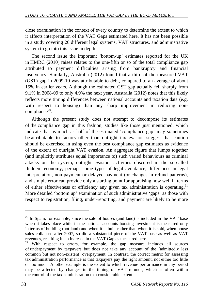close examination in the context of every country to determine the extent to which it affects interpretation of the VAT Gaps estimated here. It has not been possible in a study covering 26 different legal systems, VAT structures, and administrative system to go into this issue in depth.

The second issue the important 'bottom-up' estimates reported for the UK in HMRC (2010) raises relates to the one-fifth or so of the total compliance gap attributed to payment difficulties arising from bankruptcy and financial insolvency. Similarly, Australia (2012) found that a third of the measured VAT (GST) gap in 2009-10 was attributable to debt, compared to an average of about 15% in earlier years. Although the estimated GST gap actually fell sharply from 9.1% in 2008-09 to only 4.9% the next year, Australia (2012) notes that this likely reflects more timing differences between national accounts and taxation data (e.g. with respect to housing) than any sharp improvement in reducing noncompliance $20$ .

Although the present study does not attempt to decompose its estimates of the compliance gap in this fashion, studies like those just mentioned, which indicate that as much as half of the estimated 'compliance gap' may sometimes be attributable to factors other than outright tax evasion suggest that caution should be exercised in using even the best compliance gap estimates as evidence of the extent of outright VAT evasion. An aggregate figure that lumps together (and implicitly attributes equal importance to) such varied behaviours as criminal attacks on the system, outright evasion, activities obscured in the so-called 'hidden' economy, perhaps some types of legal avoidance, differences in legal interpretation, non-payment or delayed payment (or changes in refund patterns), and simple error can provide only a starting point for appraising how well in terms of either effectiveness or efficiency any given tax administration is operating.<sup>21</sup> More detailed 'bottom up' examination of such administrative 'gaps' as those with respect to registration, filing, under-reporting, and payment are likely to be more

 $20$  In Spain, for example, since the sale of houses (and land) is included in the VAT base when it takes place while in the national accounts housing investment is measured only in terms of building (not land) and when it is built rather than when it is sold, when house sales collapsed after 2007, so did a substantial piece of the VAT base as well as VAT revenues, resulting in an increase in the VAT Gap as measured here.

With respect to errors, for example, the gap measure includes all sources of underpayment by taxpayers but does not take any account of the (admittedly less common but not non-existent) overpayment. In contrast, the correct metric for assessing tax administration performance is that taxpayers pay the right amount, not either too little or too much. Another example is the extent to which revenue performance in any period may be affected by changes in the timing of VAT refunds, which is often within the control of the tax administration to a considerable extent.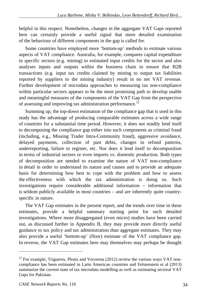helpful in this respect. Nonetheless, changes in the aggregate VAT Gaps reported here can certainly provide a useful signal that more detailed examination of the behaviour of different components in the gap is called for.

Some countries have employed more 'bottom-up' methods to estimate various aspects of VAT compliance. Australia, for example, compares capital expenditure in specific sectors (e.g. mining) to estimated input credits for the sector and also analyses inputs and outputs within the business chain to ensure that B2B transactions (e.g. input tax credits claimed by mining to output tax liabilities reported by suppliers to the mining industry) result in no net VAT revenue. Further development of microdata approaches to measuring tax non-compliance within particular sectors appears to be the most promising path to develop usable and meaningful measures of the components of the VAT Gap from the perspective of assessing and improving tax administration performance.<sup>22</sup>

Summing up, the top-down estimation of the compliance gap that is used in this study has the advantage of producing comparable estimates across a wide range of countries for a substantial time period. However, it does not readily lend itself to decomposing the compliance gap either into such components as criminal fraud (including, e.g., Missing Trader Intra-Community fraud), aggressive avoidance, delayed payments, collection of past debts, changes in refund patterns, underreporting, failure to register, etc. Nor does it lend itself to decomposition in terms of industrial sectors or even imports vs. domestic production. Both types of decomposition are needed to examine the nature of VAT non-compliance in detail in order to understand its nature and causes and to provide an adequate basis for determining how best to cope with the problem and how to assess the effectiveness with which the tax administration is doing so. Such investigations require considerable additional information – information that is seldom publicly available in most countries – and are inherently quite countryspecific in nature.

The VAT Gap estimates in the present report, and the trends over time in these estimates, provide a helpful summary starting point for such detailed investigations. Where more disaggregated (even micro) studies have been carried out, as discussed further in Appendix B, they may provide more directly useful guidance to tax policy and tax administration than aggregate estimates. They may also provide a useful 'bottom-up' (floor) estimate of the VAT compliance gap. In reverse, the VAT Gap estimates here may themselves may perhaps be thought

 $22$  For example, Trigueros, Pleaiz and Vecorena (2012) review the various ways VAT noncompliance has been estimated in Latin American countries and Felstenstein et al (2013) summarize the current state of tax microdata modelling as well as estimating sectoral VAT Gaps for Pakistan.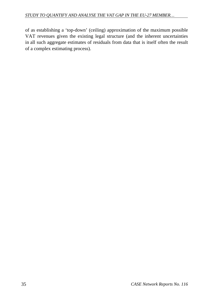of as establishing a 'top-down' (ceiling) approximation of the maximum possible VAT revenues given the existing legal structure (and the inherent uncertainties in all such aggregate estimates of residuals from data that is itself often the result of a complex estimating process).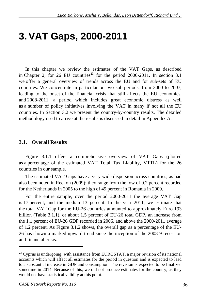# **3. VAT Gaps, 2000-2011**

In this chapter we review the estimates of the VAT Gaps, as described in Chapter 2, for 26 EU countries<sup>23</sup> for the period 2000-2011. In section 3.1 we offer a general overview of trends across the EU and for sub-sets of EU countries. We concentrate in particular on two sub-periods, from 2000 to 2007, leading to the onset of the financial crisis that still affects the EU economies, and 2008-2011, a period which includes great economic distress as well as a number of policy initiatives involving the VAT in many if not all the EU countries. In Section 3.2 we present the country-by-country results. The detailed methodology used to arrive at the results is discussed in detail in Appendix A.

#### **3.1. Overall Results**

Figure 3.1.1 offers a comprehensive overview of VAT Gaps (plotted as a percentage of the estimated VAT Total Tax Liability, VTTL) for the 26 countries in our sample.

The estimated VAT Gaps have a very wide dispersion across countries, as had also been noted in Reckon (2009): they range from the low of 0.2 percent recorded for the Netherlands in 2005 to the high of 49 percent in Romania in 2009.

For the entire sample, over the period 2000-2011 the average VAT Gap is 17 percent, and the median 13 percent. In the year 2011, we estimate that the total VAT Gap for the EU-26 countries amounted to approximately Euro 193 billion (Table 3.1.1), or about 1.5 percent of EU-26 total GDP, an increase from the 1.1 percent of EU-26 GDP recorded in 2006, and above the 2000-2011 average of 1.2 percent. As Figure 3.1.2 shows, the overall gap as a percentage of the EU-26 has shown a marked upward trend since the inception of the 2008-9 recession and financial crisis.

 $^{23}$  Cyprus is undergoing, with assistance from EUROSTAT, a major revision of its national accounts which will affect all estimates for the period in question and is expected to lead to a substantial increase in GDP and consumption. The revision is expected to be finalized sometime in 2014. Because of this, we did not produce estimates for the country, as they would not have statistical validity at this point.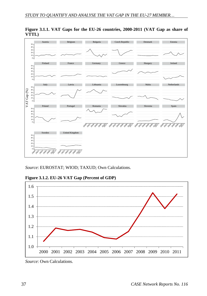

**Figure 3.1.1. VAT Gaps for the EU-26 countries, 2000-2011 (VAT Gap as share of VTTL)** 

*Source*: EUROSTAT; WIOD; TAXUD; Own Calculations.





*Source*: Own Calculations.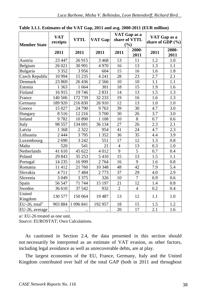| <b>Member State</b>          | <b>VAT</b><br>receipts | <b>VTTL</b>          | <b>VAT Gap</b>     |                | VAT Gap as a<br>share of VTTL                                                                                                                                                                                                                                                                              | VAT Gap as a<br>share of GDP $(\% )$ |     |  |
|------------------------------|------------------------|----------------------|--------------------|----------------|------------------------------------------------------------------------------------------------------------------------------------------------------------------------------------------------------------------------------------------------------------------------------------------------------------|--------------------------------------|-----|--|
|                              | 2011                   | 2011                 | 2011               | 2011           | (%)<br>2000-<br>2011<br>2011<br>1.2<br>11<br>13<br>1.3<br>16<br>1.6<br>23<br>2.7<br>10<br>1.1<br>15<br>1.9<br>13<br>1.5<br>16<br>1.6<br>13<br>1.0<br>30<br>4.7<br>3.7<br>26<br>8<br>0.7<br>26<br>2.3<br>24<br>4.7<br>35<br>4.4<br>1.3<br>12<br>13<br>0.3<br>5<br>0.7<br>13<br>1.5<br>9<br>1.6<br>42<br>7.9 | 2000-<br>2011                        |     |  |
| Austria                      | 23 447                 | 26 915               | 3468               | 13             |                                                                                                                                                                                                                                                                                                            |                                      | 1.0 |  |
| Belgium                      | 26 021                 | 30 991               | 4970               | 16             |                                                                                                                                                                                                                                                                                                            |                                      | 1.1 |  |
| Bulgaria                     | 3 3 5 2                | 3956                 | 604                | 15             |                                                                                                                                                                                                                                                                                                            |                                      | 1.8 |  |
| Czech Republic               | 10 9 94                | 15 2 35              | 4 2 4 1            | 28             |                                                                                                                                                                                                                                                                                                            |                                      | 2.1 |  |
| Denmark                      | 23 869                 | 26 4 36              | 2566               | 10             |                                                                                                                                                                                                                                                                                                            |                                      | 1.1 |  |
| Estonia                      | 1363                   | 1 6 6 4              | 301                | 18             |                                                                                                                                                                                                                                                                                                            |                                      | 1.6 |  |
| Finland                      | 16915                  | 19746                | 2831               | 14             |                                                                                                                                                                                                                                                                                                            |                                      | 1.3 |  |
| France                       | 140 506                | 172739               | 32 233             | 19             |                                                                                                                                                                                                                                                                                                            |                                      | 1.3 |  |
| Germany                      | 189 920                | 216 830              | 26 910             | 12             |                                                                                                                                                                                                                                                                                                            |                                      | 1.0 |  |
| Greece                       | 15 027                 | 24 790               | 9763               | 39             |                                                                                                                                                                                                                                                                                                            |                                      | 3.0 |  |
| Hungary                      | 8516                   | 12 216               | 3700               | 30             |                                                                                                                                                                                                                                                                                                            |                                      | 3.0 |  |
| Ireland                      | 9782                   | 10 890               | 1 1 0 8            | 10             |                                                                                                                                                                                                                                                                                                            |                                      | 0.6 |  |
| Italy                        | 98 557                 | 134 691              | 36 134             | 27             |                                                                                                                                                                                                                                                                                                            |                                      | 2.1 |  |
| Latvia                       | $\overline{1}368$      | 2 3 2 2              | 954                | 41             |                                                                                                                                                                                                                                                                                                            |                                      | 2.3 |  |
| Lithuania                    | 2 4 4 4                | 3795                 | 1 3 5 2            | 36             |                                                                                                                                                                                                                                                                                                            |                                      | 3.9 |  |
| Luxembourg                   | 2690                   | 3 2 4 2              | 551                | 17             |                                                                                                                                                                                                                                                                                                            |                                      | 0.8 |  |
| Malta                        | 520                    | 541                  | 21                 | 4              |                                                                                                                                                                                                                                                                                                            |                                      | 1.0 |  |
| Netherlands                  | 41 610                 | 45 622               | 4 0 1 2            | 9              |                                                                                                                                                                                                                                                                                                            |                                      | 0.4 |  |
| Poland                       | 29 843                 | 35 25 3              | 5 4 1 0            | 15             |                                                                                                                                                                                                                                                                                                            |                                      | 1.1 |  |
| Portugal                     | 14 2 35                | 16 9 99              | 2764               | 16             |                                                                                                                                                                                                                                                                                                            |                                      | 0.8 |  |
| Romania                      | 11 412                 | 21 760               | 10 348             | 48             |                                                                                                                                                                                                                                                                                                            |                                      | 5.4 |  |
| Slovakia                     | 4711                   | 7484                 | 2 7 7 3            | 37             | 29                                                                                                                                                                                                                                                                                                         | 4.0                                  | 2.9 |  |
| Slovenia                     | 3 0 4 9                | 3 3 7 5              | 326                | 10             | $\overline{7}$                                                                                                                                                                                                                                                                                             | 0.9                                  | 0.6 |  |
| Spain                        | 56 547                 | 744<br>71            | $\frac{1}{15}$ 197 | 21             | 12                                                                                                                                                                                                                                                                                                         | 1.4                                  | 0.8 |  |
| Sweden                       | 36 610                 | 37 542               | 932                | $\overline{2}$ | $\overline{4}$                                                                                                                                                                                                                                                                                             | 0.2                                  | 0.4 |  |
| United<br>Kingdom            | 130 577                | 150 064              | 19 487             | 13             | 12                                                                                                                                                                                                                                                                                                         | 1.1                                  | 1.0 |  |
| $EU-26$ , total <sup>a</sup> | 903 884                | 1 096 841            | 192 957            | 18             | 15                                                                                                                                                                                                                                                                                                         | 1.5                                  | 1.2 |  |
| EU-26, average               | $\ddotsc$              | $\ddot{\phantom{0}}$ | $\ddotsc$          | 20             | 17                                                                                                                                                                                                                                                                                                         | 2.1                                  | 1.6 |  |

**Table 3.1.1. Estimates of the VAT Gap, 2011 and avg. 2000-2011 (EUR million)** 

a/: EU-26 treated as one unit.

*Source*: EUROSTAT; Own Calculations.

As cautioned in Section 2.4, the data presented in this section should not necessarily be interpreted as an estimate of VAT evasion, as other factors, including legal avoidance as well as unrecoverable debts, are at play.

The largest economies of the EU, France, Germany, Italy and the United Kingdom contributed over half of the total GAP (both in 2011 and throughout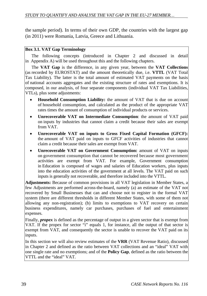the sample period). In terms of their own GDP, the countries with the largest gap (in 2011) were Romania, Latvia, Greece and Lithuania.

#### **Box 3.1. VAT Gap Terminology**

The following concepts (introduced in Chapter 2 and discussed in detail in Appendix A) will be used throughout this and the following chapters.

The **VAT Gap** is the difference, in any given year, between the **VAT Collections** (as recorded by EUROSTAT) and the amount theoretically due, i.e. **VTTL** (VAT Total Tax Liability). The latter is the total amount of estimated VAT payments on the basis of national accounts aggregates and the existing structure of rates and exemptions. It is composed, in our analysis, of four separate components (individual VAT Tax Liabilities, VTLs), plus some adjustments:

- **Household Consumption Liability:** the amount of VAT that is due on account of household consumption, and calculated as the product of the appropriate VAT rates times the amount of consumption of individual products or services.
- **Unrecoverable VAT on Intermediate Consumption**: the amount of VAT paid on inputs by industries that cannot claim a credit because their sales are exempt from VAT.
- **Unrecoverable VAT on inputs to Gross Fixed Capital Formation (GFCF):** the amount of VAT paid on inputs to GFCF activities of industries that cannot claim a credit because their sales are exempt from VAT.
- **Unrecoverable VAT on Government Consumption:** amount of VAT on inputs on government consumption that cannot be recovered because most government activities are exempt from VAT. For example, Government consumption in Education is composed of wages and salaries of Education workers, plus inputs into the education activities of the government at all levels. The VAT paid on such inputs is generally not recoverable, and therefore included into the VTTL.

**Adjustments:** Because of common provisions in all VAT legislation in Member States, a few Adjustments are performed across-the-board, namely (a) an estimate of the VAT not recovered by Small Businesses that can and choose not to register in the formal VAT system (there are different thresholds in different Member States, with some of them not allowing any non-registration); (b) limits to exemptions to VAT recovery on certain business expenditures, namely car purchases, purchases of fuel and entertainment expenses.

Finally, *propex* is defined as the percentage of output in a given sector that is exempt from VAT. If the propex for sector "i" equals 1, for instance, all the output of that sector is exempt from VAT, and consequently the sector is unable to recover the VAT paid on its inputs.

In this section we will also review estimates of the **VRR** (VAT Revenue Ratio), discussed in Chapter 2 and defined as the ratio between VAT collections and an "ideal" VAT with one single rate and no exemptions; and of the **Policy Gap**, defined as the ratio between the VTTL and the "ideal" VAT.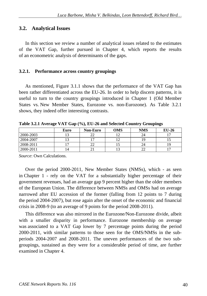## **3.2. Analytical Issues**

In this section we review a number of analytical issues related to the estimates of the VAT Gap, further pursued in Chapter 4, which reports the results of an econometric analysis of determinants of the gaps.

### **3.2.1. Performance across country groupings**

As mentioned, Figure 3.1.1 shows that the performance of the VAT Gap has been rather differentiated across the EU-26. In order to help discern patterns, it is useful to turn to the country groupings introduced in Chapter 1 (Old Member States vs. New Member States, Eurozone vs. non-Eurozone). As Table 3.2.1 shows, they indeed offer interesting contrasts.

|           | Euro       | <b>Non-Euro</b> | <b>OMS</b> | <b>NMS</b> | <b>EU-26</b> |
|-----------|------------|-----------------|------------|------------|--------------|
| 2000-2003 | $\sqrt{2}$ | <u>__</u>       |            | 24         |              |
| 2004-2007 |            | $\overline{ }$  |            | 10         |              |
| 2008-2011 |            | ∠∠              |            | 24         |              |
| 2000-2011 | 14         |                 |            |            |              |

**Table 3.2.1 Average VAT Gap (%), EU-26 and Selected Country Groupings** 

*Source*: Own Calculations.

Over the period 2000-2011, New Member States (NMSs), which - as seen in Chapter 1 - rely on the VAT for a substantially higher percentage of their government revenues, had an average gap 9 percent higher than the older members of the European Union. The difference between NMSs and OMSs had on average narrowed after EU accession of the former (falling from 12 points to 7 during the period 2004-2007), but rose again after the onset of the economic and financial crisis in 2008-9 (to an average of 9 points for the period 2008-2011).

This difference was also mirrored in the Eurozone/Non-Eurozone divide, albeit with a smaller disparity in performance. Eurozone membership on average was associated to a VAT Gap lower by 7 percentage points during the period 2000-2011, with similar patterns to those seen for the OMS/NMSs in the subperiods 2004-2007 and 2008-2011. The uneven performances of the two subgroupings, sustained as they were for a considerable period of time, are further examined in Chapter 4.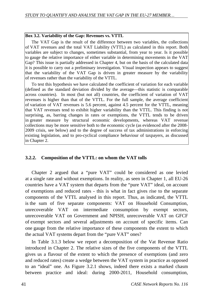#### **Box 3.2. Variability of the Gap: Revenues vs. VTTL**

The VAT Gap is the result of the difference between two variables, the collections of VAT revenues and the total VAT Liability (VTTL) as calculated in this report. Both variables are subject to changes, sometimes substantial, from year to year. Is it possible to gauge the relative importance of either variable in determining movements in the VAT Gap? This issue is partially addressed in Chapter 4, but on the basis of the calculated data it is possible to carry out a preliminary investigation. Visual inspection appears to suggest that the variability of the VAT Gap is driven in greater measure by the variability of revenues rather than the variability of the VTTL.

To test this hypothesis we have calculated the coefficient of variation for each variable (defined as the standard deviation divided by the average—this statistic is comparable across countries). In most (but not all) countries, the coefficient of variation of VAT revenues is higher than that of the VTTL. For the full sample, the average coefficient of variation of VAT revenues is 5.6 percent, against 4.5 percent for the VTTL, meaning that VAT revenues tend to exhibit higher variability than the VTTL. This finding is not surprising, as, barring changes in rates or exemptions, the VTTL tends to be driven in greater measure by structural economic developments, whereas VAT revenue collections may be more sensitive both to the economic cycle (as evidenced after the 2008- 2009 crisis, see below) and to the degree of success of tax administrations in enforcing existing legislation, and to pro-cyclical compliance behaviour of taxpayers, as discussed in Chapter 2.

#### **3.2.2. Composition of the VTTL: on whom the VAT tolls**

Chapter 2 argued that a "pure VAT" could be considered as one levied at a single rate and without exemptions. In reality, as seen in Chapter 1, all EU-26 countries have a VAT system that departs from the "pure VAT" ideal, on account of exemptions and reduced rates - this is what in fact gives rise to the separate components of the VTTL analysed in this report. Thus, as indicated, the VTTL is the sum of five separate components: VAT on Household Consumption, unrecoverable VAT on intermediate consumption by exempt sectors, unrecoverable VAT on Government and NPISH, unrecoverable VAT on GFCF of exempt sectors and several adjustments on account of specific items. Can one gauge from the relative importance of these components the extent to which the actual VAT systems depart from the "pure VAT" ones?

In Table 3.1.3 below we report a decomposition of the Vat Revenue Ratio introduced in Chapter 2. The relative sizes of the five components of the VTTL gives us a flavour of the extent to which the presence of exemptions (and zero and reduced rates) create a wedge between the VAT system in practice as opposed to an "ideal" one. As Figure 3.2.1 shows, indeed there exists a marked chasm between practice and ideal: during 2000-2011, Household consumption,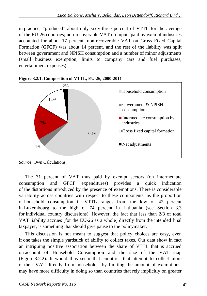in practice, "produced" about only sixty-three percent of VTTL for the average of the EU-26 countries; non-recoverable VAT on inputs paid by exempt industries accounted for about 17 percent, non-recoverable VAT on Gross Fixed Capital Formation (GFCF) was about 14 percent, and the rest of the liability was split between government and NPISH consumption and a number of minor adjustments (small business exemption, limits to company cars and fuel purchases, entertainment expenses).



**Figure 3.2.1. Composition of VTTL, EU-26, 2000-2011** 

*Source*: Own Calculations.

The 31 percent of VAT thus paid by exempt sectors (on intermediate consumption and GFCF expenditures) provides a quick indication of the distortions introduced by the presence of exemptions. There is considerable variability across countries with respect to these components, as the proportion of household consumption in VTTL ranges from the low of 42 percent in Luxembourg to the high of 74 percent in Lithuania (see Section 3.3 for individual country discussions). However, the fact that less than 2/3 of total VAT liability accrues (for the EU-26 as a whole) directly from the intended final taxpayer, is something that should give pause to the policymaker.

This discussion is not meant to suggest that policy choices are easy, even if one takes the simple yardstick of ability to collect taxes. Our data show in fact an intriguing positive association between the share of VTTL that is accrued on account of Household Consumption and the size of the VAT Gap (Figure 3.2.2). It would thus seem that countries that attempt to collect more of their VAT directly from households, by limiting the amount of exemptions, may have more difficulty in doing so than countries that rely implicitly on greater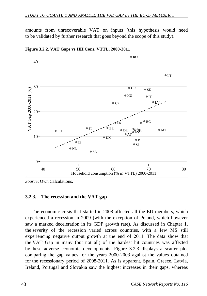amounts from unrecoverable VAT on inputs (this hypothesis would need to be validated by further research that goes beyond the scope of this study).



**Figure 3.2.2. VAT Gaps vs HH Cons. VTTL, 2000-2011** 

*Source*: Own Calculations.

#### **3.2.3. The recession and the VAT gap**

The economic crisis that started in 2008 affected all the EU members, which experienced a recession in 2009 (with the exception of Poland, which however saw a marked deceleration in its GDP growth rate). As discussed in Chapter 1, the severity of the recession varied across countries, with a few MS still experiencing negative output growth at the end of 2011. The data show that the VAT Gap in many (but not all) of the hardest hit countries was affected by these adverse economic developments. Figure 3.2.3 displays a scatter plot comparing the gap values for the years 2000-2003 against the values obtained for the recessionary period of 2008-2011. As is apparent, Spain, Greece, Latvia, Ireland, Portugal and Slovakia saw the highest increases in their gaps, whereas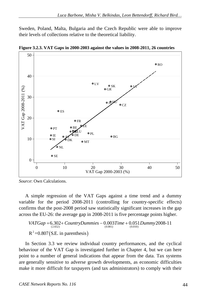Sweden, Poland, Malta, Bulgaria and the Czech Republic were able to improve their levels of collections relative to the theoretical liability.



**Figure 3.2.3. VAT Gaps in 2000-2003 against the values in 2008-2011, 26 countries** 

*Source*: Own Calculations.

A simple regression of the VAT Gaps against a time trend and a dummy variable for the period 2008-2011 (controlling for country-specific effects) confirms that the post-2008 period saw statistically significant increases in the gap across the EU-26: the average gap in 2008-2011 is five percentage points higher.

$$
VATGap = 6.302 + CountryDummies - 0.003Time + 0.051Dumpy 2008-11
$$
  
\n
$$
R^2 = 0.807 (S.E. in parentheses)
$$

In Section 3.3 we review individual country performances, and the cyclical behaviour of the VAT Gap is investigated further in Chapter 4, but we can here point to a number of general indications that appear from the data. Tax systems are generally sensitive to adverse growth developments, as economic difficulties make it more difficult for taxpayers (and tax administrators) to comply with their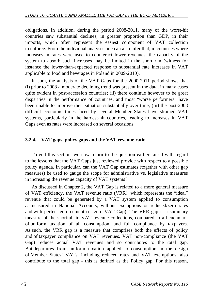obligations. In addition, during the period 2008-2011, many of the worst-hit countries saw substantial declines, in greater proportion than GDP, in their imports, which often represent the easiest component of VAT collection to enforce. From the individual analyses one can also infer that, in countries where increases in rates were used to counteract lower revenues, the capacity of the system to absorb such increases may be limited in the short run (witness for instance the lower-than-expected response to substantial rate increases in VAT applicable to food and beverages in Poland in 2009-2010).

In sum, the analysis of the VAT Gaps for the 2000-2011 period shows that (i) prior to 2008 a moderate declining trend was present in the data, in many cases quite evident in post-accession countries; (ii) there continue however to be great disparities in the performance of countries, and most "worse performers" have been unable to improve their situation substantially over time; (iii) the post-2008 difficult economic times faced by several Member States have strained VAT systems, particularly in the hardest-hit countries, leading to increases in VAT Gaps even as rates were increased on several occasions.

### **3.2.4. VAT gaps, policy gaps and the VAT revenue ratio**

To end this section, we now return to the question earlier raised with regard to the lessons that the VAT Gaps just reviewed provide with respect to a possible policy agenda. In particular, can the VAT Gap estimates (together with other gap measures) be used to gauge the scope for administrative vs. legislative measures in increasing the revenue capacity of VAT systems?

As discussed in Chapter 2, the VAT Gap is related to a more general measure of VAT efficiency, the VAT revenue ratio (VRR), which represents the "ideal" revenue that could be generated by a VAT system applied to consumption as measured in National Accounts, without exemptions or reduced/zero rates and with perfect enforcement (or zero VAT Gap). The VRR gap is a summary measure of the shortfall in VAT revenue collections, compared to a benchmark of uniform taxation of all consumption, and full compliance by taxpayers. As such, the VRR gap is a measure that comprises both the effects of policy and of taxpayer compliance on VAT revenues. VAT non-compliance (the VAT Gap) reduces actual VAT revenues and so contributes to the total gap. But departures from uniform taxation applied to consumption in the design of Member States' VATs, including reduced rates and VAT exemptions, also contribute to the total gap - this is defined as the Policy gap. For this reason,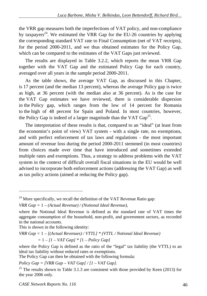the VRR gap measures both the imperfections of VAT policy, and non-compliance by taxpayers<sup>24</sup>. We estimated the VRR Gap for the EU-26 countries by applying the corresponding standard VAT rate to Final Consumption (net of VAT receipts), for the period 2000-2011, and we thus obtained estimates for the Policy Gap, which can be compared to the estimates of the VAT Gaps just reviewed.

The results are displayed in Table 3.2.2, which reports the mean VRR Gap together with the VAT Gap and the estimated Policy Gap for each country, averaged over all years in the sample period 2000-2011.

As the table shows, the average VAT Gap, as discussed in this Chapter, is 17 percent (and the median 13 percent), whereas the average Policy gap is twice as high, at 36 percent (with the median also at 36 percent). As is the case for the VAT Gap estimates we have reviewed, there is considerable dispersion in the Policy gap, which ranges from the low of 14 percent for Romania to the high of 48 percent for Spain and Poland. In most countries, however, the Policy Gap is indeed of a larger magnitude than the VAT Gap<sup>25</sup>.

The interpretation of these results is that, compared to an "ideal" (at least from the economist's point of view) VAT system - with a single rate, no exemptions, and with perfect enforcement of tax laws and regulations - the most important amount of revenue loss during the period 2000-2011 stemmed (in most countries) from choices made over time that have introduced and sometimes extended multiple rates and exemptions. Thus, a strategy to address problems with the VAT system in the context of difficult overall fiscal situations in the EU would be well advised to incorporate both enforcement actions (addressing the VAT Gap) as well as tax policy actions (aimed at reducing the Policy gap).

 $\overline{a}$ 

$$
= 1 - [1 - VAT Gap] * [1 - Policy Gap]
$$

The Policy Gap can then be obtained with the following formula:

*Policy Gap = [VRR Gap – VAT Gap] / [1 – VAT Gap].* 

 $24$  More specifically, we recall the definition of the VAT Revenue Ratio gap:

*VRR Gap =* 1 *– (Actual Revenue) / (Notional Ideal Revenue)*,

where the Notional Ideal Revenue is defined as the standard rate of VAT times the aggregate consumption of the household, non-profit, and government sectors, as recorded in the national accounts.

This is shown in the following identity:

*VRR Gap =* 1 *– [(Actual Revenues) / VTTL] \* (VTTL / Notional Ideal Revenue)* 

where the Policy Gap is defined as the ratio of the "legal" tax liability (the VTTL) to an ideal tax liability without reduced rates or exemptions.

 $25$  The results shown in Table 3.1.3 are consistent with those provided by Keen (2013) for the year 2006 only.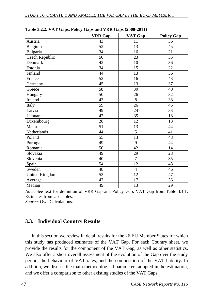|                       | <b>VRR</b> Gap  | VAT Gap        | <b>Policy Gap</b> |
|-----------------------|-----------------|----------------|-------------------|
| Austria               | 43              | 11             | 36                |
| Belgium               | 52              | 13             | 45                |
| Bulgaria              | 34              | 16             | 21                |
| Czech Republic        | 50              | 23             | 35                |
| Denmark               | 42              | 10             | 36                |
| Estonia               | 34              | 15             | 22                |
| Finland               | 44              | 13             | 36                |
| France                | $\overline{52}$ | 16             | 43                |
| Germany               | 45              | 13             | 37                |
| Greece                | 58              | 30             | 40                |
| Hungary               | 50              | 26             | 32                |
| Ireland               | 43              | 8              | 38                |
| Italy                 | 59              | 26             | 45                |
| Latvia                | 49              | 24             | 33                |
| Lithuania             | 47              | 35             | 18                |
| Luxembourg            | 28              | 12             | 18                |
| Malta                 | 51              | 13             | 44                |
| Netherlands           | 44              | $\overline{5}$ | 41                |
| Poland                | 55              | 13             | 48                |
| Portugal              | 49              | 9              | 44                |
| Romania               | 50              | 42             | 14                |
| Slovakia              | 49              | 29             | 28                |
| Slovenia              | 40              | $\overline{7}$ | 35                |
| Spain                 | 54              | 12             | 48                |
| Sweden                | 48              | $\overline{4}$ | 46                |
| <b>United Kingdom</b> | 53              | 12             | 47                |
| Average               | 47              | 17             | 36                |
| Median                | 49              | 13             | $29\,$            |

**Table 3.2.2. VAT Gaps, Policy Gaps and VRR Gaps (2000-2011)** 

*Note*. See text for definition of VRR Gap and Policy Gap. VAT Gap from Table 3.1.1. Estimates from Use tables.

*Source*: Own Calculations.

# **3.3. Individual Country Results**

In this section we review in detail results for the 26 EU Member States for which this study has produced estimates of the VAT Gap. For each Country sheet, we provide the results for the component of the VAT Gap, as well as other statistics. We also offer a short overall assessment of the evolution of the Gap over the study period, the behaviour of VAT rates, and the composition of the VAT liability. In addition, we discuss the main methodological parameters adopted in the estimation, and we offer a comparison to other existing studies of the VAT Gaps.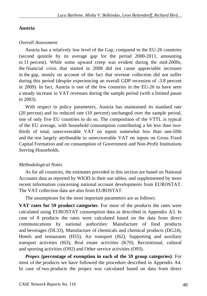### **Austria**

### *Overall Assessment*

Austria has a relatively low level of the Gap, compared to the EU-26 countries (second quintile by its average gap for the period 2000-2011, amounting to 11 percent). While some upward creep was evident during the mid-2000s, the financial crisis that started in 2008 did not cause appreciable increases in the gap, mostly on account of the fact that revenue collection did not suffer during this period (despite experiencing an overall GDP recession of -3.8 percent in 2009). In fact, Austria is one of the few countries in the EU-26 to have seen a steady increase in VAT revenues during the sample period (with a limited pause in 2003).

With respect to policy parameters, Austria has maintained its standard rate (20 percent) and its reduced rate (10 percent) unchanged over the sample period, one of only five EU countries to do so. The composition of the VTTL is typical of the EU average, with household consumption contributing a bit less than twothirds of total, unrecoverable VAT on inputs somewhat less than one-fifth and the rest largely attributable to unrecoverable VAT on inputs on Gross Fixed Capital Formation and on consumption of Government and Non-Profit Institutions Serving Households.

# *Methodological Notes*

As for all countries, the estimates provided in this section are based on National Accounts data as reported by WIOD in their use tables, and supplemented by more recent information concerning national account developments from EUROSTAT. The VAT collection data are also from EUROSTAT.

The assumptions for the most important parameters are as follows:

**VAT rates for 59 product categories**: For most of the products the rates were calculated using EUROSTAT consumption data as described in Appendix A3. In case of 8 products the rates were calculated based on the data from direct communications by national authorities: Manufacture of food products and beverages (DL33), Manufacture of chemicals and chemical products (DG24), Hotels and restaurants (H55), Air transport (I62), Supporting and auxiliary transport activities (I63); Real estate activities (K70), Recreational, cultural and sporting activities (O92) and Other service activities (O93).

*Propex* **(percentage of exemption in each of the 59 group categories)**: For most of the products we have followed the procedure described in Appendix A4. In case of two products the propex was calculated based on data from direct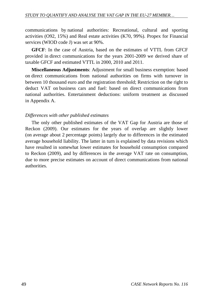communications by national authorities: Recreational, cultural and sporting activities (O92, 15%) and Real estate activities (K70, 99%). Propex for Financial services (WIOD code J) was set at 90%.

**GFCF**: In the case of Austria, based on the estimates of VTTL from GFCF provided in direct communications for the years 2001-2009 we derived share of taxable GFCF and estimated VTTL in 2000, 2010 and 2011.

**Miscellaneous Adjustments**: Adjustment for small business exemption: based on direct communications from national authorities on firms with turnover in between 10 thousand euro and the registration threshold; Restriction on the right to deduct VAT on business cars and fuel: based on direct communications from national authorities. Entertainment deductions: uniform treatment as discussed in Appendix A.

#### *Differences with other published estimates*

The only other published estimates of the VAT Gap for Austria are those of Reckon (2009). Our estimates for the years of overlap are slightly lower (on average about 2 percentage points) largely due to differences in the estimated average household liability. The latter in turn is explained by data revisions which have resulted in somewhat lower estimates for household consumption compared to Reckon (2009), and by differences in the average VAT rate on consumption, due to more precise estimates on account of direct communications from national authorities.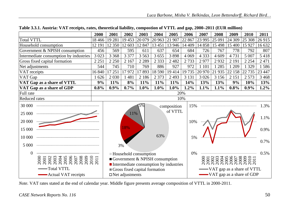|                                                        | 2000    | 2001    | 2002                   | 2003                                                                                                                                              | 2004    | 2005        | 2006    | 2007    | 2008    | 2009    | 2010                                                    | 2011    |
|--------------------------------------------------------|---------|---------|------------------------|---------------------------------------------------------------------------------------------------------------------------------------------------|---------|-------------|---------|---------|---------|---------|---------------------------------------------------------|---------|
| <b>Total VTTL</b>                                      | 18466   | 19 28 1 | 19 453                 | 20 079                                                                                                                                            | 20 963  | 21 907      | 22 867  | 23 9 95 | 25 091  | 24 309  | 25 308                                                  | 26 915  |
| Household consumption                                  | 12 191  | 12 350  | 12 603                 | 12 847                                                                                                                                            | 13 451  | 13 946      | 14 409  | 14 858  | 15 4 98 | 15 400  | 15 9 27                                                 | 16 632  |
| Government & NPISH consumption                         | 456     | 569     | 595                    | 611                                                                                                                                               | 637     | 654         | 684     | 726     | 767     | 778     | 792                                                     | 807     |
| Intermediate consumption by industries                 | 3 0 23  | 3 3 6 8 | 3 3 7 7                | 3563                                                                                                                                              | 3 6 5 5 | 3898        | 4 0 6 9 | 4 3 3 3 | 4 609   | 4731    | 5 0 0 7                                                 | 5418    |
| Gross fixed capital formation                          | 2 2 5 1 | 2 2 5 0 | 2 1 6 7                | 2 2 8 9                                                                                                                                           | 2 3 3 3 | 2 4 8 2     | 2 7 3 3 | 2977    | 2932    | 2 1 9 1 | 2 2 5 4                                                 | 2471    |
| Net adjustments                                        | 544     | 745     | 710                    | 769                                                                                                                                               | 886     | 927         | 972     | 1 1 0 1 | 1 2 8 5 | 1 209   | 1 3 2 9                                                 | 1586    |
| VAT receipts                                           | 16 840  | 17 251  | 17972                  | 17893                                                                                                                                             | 18 590  | 19414       | 19735   | 20 970  | 21 9 35 | 22 158  | 22 7 35                                                 | 23 447  |
| VAT Gap                                                | 1626    | 2 0 3 0 | 1481                   | 2 1 8 6                                                                                                                                           | 2 3 7 3 | 2 4 9 3     | 3 1 3 1 | 3 0 2 6 | 3 1 5 6 | 2 1 5 1 | 2573                                                    | 3 4 6 8 |
| VAT Gap as a share of VTTL                             | 9%      | 11%     | 8%                     | $11\%$                                                                                                                                            | 11%     | 11%         | 14%     | 13%     | 13%     | 9%      | 10%                                                     | 13%     |
| VAT Gap as a share of GDP                              | $0.8\%$ | $0.9\%$ | 0.7%                   | $1.0\%$                                                                                                                                           | 1.0%    | 1.0%        | 1.2%    | 1.1%    | 1.1%    | $0.8\%$ | $0.9\%$                                                 | 1.2%    |
| Full rate                                              |         | 20%     |                        |                                                                                                                                                   |         |             |         |         |         |         |                                                         |         |
| Reduced rates                                          |         | 10%     |                        |                                                                                                                                                   |         |             |         |         |         |         |                                                         |         |
| 30 000                                                 |         |         |                        | 5%                                                                                                                                                |         | composition | 15%     |         |         |         |                                                         | 1.3%    |
| 25 000                                                 |         |         | 11%                    |                                                                                                                                                   |         | of VTTL     |         |         |         |         |                                                         | 1.1%    |
| 20 000                                                 |         |         |                        |                                                                                                                                                   |         |             | 10%     |         |         |         |                                                         |         |
| 15 000                                                 |         |         | 18%                    |                                                                                                                                                   |         |             |         |         |         |         |                                                         | 0.9%    |
| 10 000                                                 |         |         |                        |                                                                                                                                                   | 63%     |             | 5%      |         |         |         |                                                         | 0.7%    |
| 5 0 0 0                                                |         | 3%      |                        |                                                                                                                                                   |         |             |         |         |         |         |                                                         |         |
| $\Omega$<br>2000<br>Total VTTL<br>-Actual VAT receipts |         |         | $\Box$ Net adjustments | Household consumption<br>Government & NPISH consumption<br>$\blacksquare$ Intermediate consumption by industries<br>Gross fixed capital formation |         |             | 0%      |         |         |         | WAT gap as a share of VTTL<br>VAT gap as a share of GDP | 0.5%    |

**Table 3.3.1. Austria: VAT receipts, rates, theoretical liability, compostion of VTTL and gap, 2000–2011 (EUR million)**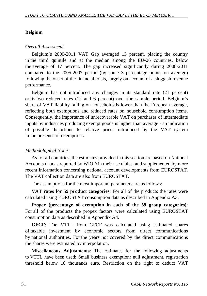### **Belgium**

#### *Overall Assessment*

Belgium's 2000-2011 VAT Gap averaged 13 percent, placing the country in the third quintile and at the median among the EU-26 countries, below the average of 17 percent. The gap increased significantly during 2008-2011 compared to the 2005-2007 period (by some 3 percentage points on average) following the onset of the financial crisis, largely on account of a sluggish revenue performance.

Belgium has not introduced any changes in its standard rate (21 percent) or its two reduced rates (12 and 6 percent) over the sample period. Belgium's share of VAT liability falling on households is lower than the European average, reflecting both exemptions and reduced rates on household consumption items. Consequently, the importance of unrecoverable VAT on purchases of intermediate inputs by industries producing exempt goods is higher than average - an indication of possible distortions to relative prices introduced by the VAT system in the presence of exemptions.

### *Methodological Notes*

As for all countries, the estimates provided in this section are based on National Accounts data as reported by WIOD in their use tables, and supplemented by more recent information concerning national account developments from EUROSTAT. The VAT collection data are also from EUROSTAT.

The assumptions for the most important parameters are as follows:

**VAT rates for 59 product categories**: For all of the products the rates were calculated using EUROSTAT consumption data as described in Appendix A3.

*Propex* **(percentage of exemption in each of the 59 group categories)**: For all of the products the propex factors were calculated using EUROSTAT consumption data as described in Appendix A4.

**GFCF**: The VTTL from GFCF was calculated using estimated shares of taxable investment by economic sectors from direct communications by national authorities. For the years not covered by the direct communications the shares were estimated by interpolation.

**Miscellaneous Adjustments**: The estimates for the following adjustments to VTTL have been used: Small business exemption: null adjustment, registration threshold below 10 thousands euro. Restriction on the right to deduct VAT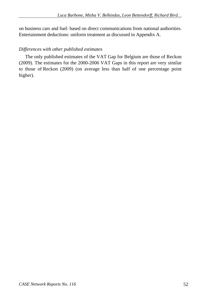on business cars and fuel: based on direct communications from national authorities. Entertainment deductions: uniform treatment as discussed in Appendix A.

## *Differences with other published estimates*

The only published estimates of the VAT Gap for Belgium are those of Reckon (2009). The estimates for the 2000-2006 VAT Gaps in this report are very similar to those of Reckon (2009) (on average less than half of one percentage point higher).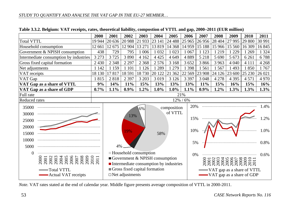|                                        | 2000                                                  | 2001                                 | 2002                   | 2003                          | 2004    | 2005        | 2006     | 2007    | 2008    | 2009    | 2010                       | 2011    |
|----------------------------------------|-------------------------------------------------------|--------------------------------------|------------------------|-------------------------------|---------|-------------|----------|---------|---------|---------|----------------------------|---------|
| <b>Total VTTL</b>                      | 19 9 44                                               | 20 636                               | 20 988                 | 21 933                        | 23 141  | 24 4 8 8    | 25 9 65  | 26 956  | 28 4 04 | 27 9 95 | 29 800                     | 30 991  |
| Household consumption                  | 12 661                                                | 12 675                               | 12 904                 | 13 27 1                       | 13819   | 14 3 68     | 14 9 59  | 15 188  | 15 9 66 | 15 560  | 16 309                     | 16845   |
| Government & NPISH consumption         | 438                                                   | 729                                  | 795                    | 1 0 0 6                       | 1 0 3 2 | 023         | 1 0 6 7  | 1 1 2 3 | 1 2 1 9 | 1 2 2 9 | 269                        | 1 3 2 4 |
| Intermediate consumption by industries | 3 2 7 3                                               | 3725                                 | 3890                   | 4 1 6 2                       | 4 4 2 5 | 4 6 4 9     | 4889     | 5 2 1 8 | 5 6 9 0 | 5 6 7 3 | 6 2 6 1                    | 6788    |
| Gross fixed capital formation          | 2 4 3 0                                               | 2 3 4 8                              | 2 2 9 7                | 2 3 6 8                       | 2576    | 3 1 6 8     | 3 6 5 2  | 3866    | 3 9 6 3 | 4 0 4 0 | 4 1 1 1                    | 4 2 6 8 |
| Net adjustments                        | 1 1 4 2                                               | 1 1 5 9                              | $1\;101$               | 1 1 2 6                       | 289     | 279         | 1 3 9 8  | 1561    | 1567    | 1 4 9 3 | 1850                       | 1767    |
| VAT receipts                           | 18 130                                                | 17817                                | 18591                  | 18730                         | 20 122  | 21 3 6 2    | 22 5 6 9 | 23 908  | 24 126  | 23 600  | 25 230                     | 26 021  |
| VAT Gap                                | 1815                                                  | 2818                                 | 2 3 9 7                | 3 2 0 3                       | 3019    | 3 1 2 6     | 3 3 9 7  | 3 0 48  | 4 2 7 8 | 4 3 9 5 | 4571                       | 4970    |
| VAT Gap as a share of VTTL             | 9%                                                    | 14%                                  | 11%                    | 15%                           | 13%     | 13%         | 13%      | 11%     | 15%     | 16%     | 15%                        | 16%     |
| VAT Gap as a share of GDP              | 0.7%                                                  | 1.1%                                 | 0.9%                   | $1.2\%$                       | $1.0\%$ | 1.0%        | 1.1%     | 0.9%    | 1.2%    | 1.3%    | 1.3%                       | 1.3%    |
| Full rate                              |                                                       |                                      |                        |                               |         |             | 21%      |         |         |         |                            |         |
| Reduced rates                          |                                                       | 12% / 6%                             |                        |                               |         |             |          |         |         |         |                            |         |
| 35000                                  |                                                       |                                      |                        | 6%                            |         | composition | 20%      |         |         |         |                            | 1.4%    |
| 30000                                  |                                                       |                                      | 13%                    |                               |         | of VTTL     |          |         |         |         |                            |         |
| 25000                                  |                                                       |                                      |                        |                               |         |             | 15%      |         |         |         |                            | 1.2%    |
| 20000                                  |                                                       |                                      |                        |                               |         |             |          |         |         |         |                            |         |
|                                        |                                                       |                                      | 19%                    |                               |         |             | 10%      |         |         |         |                            | 1.0%    |
| 15000                                  |                                                       |                                      |                        |                               | 58%     |             |          |         |         |         |                            |         |
| 10000                                  |                                                       |                                      |                        |                               |         |             | 5%       |         |         |         |                            | 0.8%    |
| 5000                                   |                                                       | 4%                                   |                        |                               |         |             |          |         |         |         |                            |         |
| 0                                      |                                                       |                                      |                        | □ Household consumption       |         |             |          |         |         |         |                            | 0.6%    |
|                                        |                                                       | 0%<br>Government & NPISH consumption |                        |                               |         |             |          |         |         |         |                            |         |
|                                        | $\blacksquare$ Intermediate consumption by industries |                                      |                        |                               |         |             |          |         |         |         |                            |         |
| -Total VTTL                            |                                                       |                                      |                        | Gross fixed capital formation |         |             |          |         |         |         | WAT gap as a share of VTTL |         |
| Actual VAT receipts                    |                                                       |                                      | $\Box$ Net adjustments |                               |         |             |          |         |         |         | -VAT gap as a share of GDP |         |
|                                        |                                                       |                                      |                        |                               |         |             |          |         |         |         |                            |         |

**Table 3.3.2. Belgium: VAT receipts, rates, theoretical liability, compostion of VTTL and gap, 2000–2011 (EUR million)**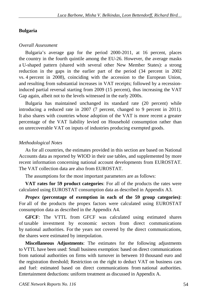# **Bulgaria**

### *Overall Assessment*

Bulgaria's average gap for the period 2000-2011, at 16 percent, places the country in the fourth quintile among the EU-26. However, the average masks a U-shaped pattern (shared with several other New Member States): a strong reduction in the gaps in the earlier part of the period (34 percent in 2002 vs. 4 percent in 2008), coinciding with the accession to the European Union, and resulting from substantial increases in VAT receipts; followed by a recessioninduced partial reversal starting from 2009 (15 percent), thus increasing the VAT Gap again, albeit not to the levels witnessed in the early 2000s.

Bulgaria has maintained unchanged its standard rate (20 percent) while introducing a reduced rate in 2007 (7 percent, changed to 9 percent in 2011). It also shares with countries whose adoption of the VAT is more recent a greater percentage of the VAT liability levied on Household consumption rather than on unrecoverable VAT on inputs of industries producing exempted goods.

## *Methodological Notes*

As for all countries, the estimates provided in this section are based on National Accounts data as reported by WIOD in their use tables, and supplemented by more recent information concerning national account developments from EUROSTAT. The VAT collection data are also from EUROSTAT.

The assumptions for the most important parameters are as follows:

**VAT rates for 59 product categories**: For all of the products the rates were calculated using EUROSTAT consumption data as described in Appendix A3.

*Propex* **(percentage of exemption in each of the 59 group categories)**: For all of the products the propex factors were calculated using EUROSTAT consumption data as described in the Appendix A4.

**GFCF**: The VTTL from GFCF was calculated using estimated shares of taxable investment by economic sectors from direct communications by national authorities. For the years not covered by the direct communications, the shares were estimated by interpolation.

**Miscellaneous Adjustments**: The estimates for the following adjustments to VTTL have been used: Small business exemption: based on direct communications from national authorities on firms with turnover in between 10 thousand euro and the registration threshold; Restriction on the right to deduct VAT on business cars and fuel: estimated based on direct communications from national authorities. Entertainment deductions: uniform treatment as discussed in Appendix A.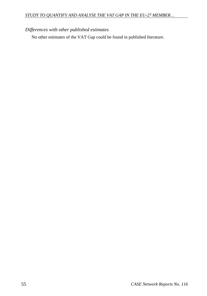## *Differences with other published estimates*

No other estimates of the VAT Gap could be found in published literature.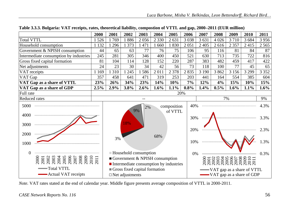|                                                                                                                                                                                                                                                                                                                                                                 | 2000                                   | 2001                                                                                                                                                                        | 2002 | 2003 | 2004    | 2005 | 2006   | 2007    | 2008    | 2009    | 2010                                                    | 2011    |
|-----------------------------------------------------------------------------------------------------------------------------------------------------------------------------------------------------------------------------------------------------------------------------------------------------------------------------------------------------------------|----------------------------------------|-----------------------------------------------------------------------------------------------------------------------------------------------------------------------------|------|------|---------|------|--------|---------|---------|---------|---------------------------------------------------------|---------|
| <b>Total VTTL</b>                                                                                                                                                                                                                                                                                                                                               | 1526                                   | 1769                                                                                                                                                                        | 1886 | 2056 | 2 3 3 0 | 2631 | 3 0 38 | 3 6 3 1 | 4 0 2 6 | 3710    | 3 6 8 4                                                 | 3956    |
| Household consumption                                                                                                                                                                                                                                                                                                                                           | 1 1 3 2                                | 296                                                                                                                                                                         | 373  | 471  | 660     | 830  | 2051   | 2 4 0 5 | 2616    | 2 3 5 7 | 2415                                                    | 2 5 6 5 |
| Government & NPISH consumption                                                                                                                                                                                                                                                                                                                                  | 44                                     | 65                                                                                                                                                                          | 63   | 77   | 76      | 75   | 106    | 95      | 116     | 81      | 84                                                      | 87      |
| Intermediate consumption by industries                                                                                                                                                                                                                                                                                                                          | 245                                    | 281                                                                                                                                                                         | 305  | 346  | 400     | 450  | 521    | 630     | 713     | 735     | 722                                                     | 816     |
| Gross fixed capital formation                                                                                                                                                                                                                                                                                                                                   | 81                                     | 104                                                                                                                                                                         | 114  | 128  | 152     | 220  | 287    | 383     | 482     | 459     | 417                                                     | 422     |
| Net adjustments                                                                                                                                                                                                                                                                                                                                                 | 24                                     | 23                                                                                                                                                                          | 30   | 34   | 42      | 56   | 73     | 118     | 100     | 77      | 45                                                      | 65      |
| VAT receipts                                                                                                                                                                                                                                                                                                                                                    | 169                                    | 1586<br>2 3 7 8<br>310<br>245<br>2011                                                                                                                                       |      |      |         |      |        | 3 1 9 0 | 3 8 6 2 | 3 1 5 6 | 3 2 9 9                                                 | 3 3 5 2 |
| VAT Gap                                                                                                                                                                                                                                                                                                                                                         | 471<br>319<br>253<br>357<br>458<br>641 |                                                                                                                                                                             |      |      |         |      |        | 441     | 164     | 554     | 385                                                     | 604     |
| VAT Gap as a share of VTTL                                                                                                                                                                                                                                                                                                                                      | 23%                                    | 26%                                                                                                                                                                         | 34%  | 23%  | 14%     | 10%  | 7%     | 12%     | 4%      | 15%     | 10%                                                     | 15%     |
| VAT Gap as a share of GDP                                                                                                                                                                                                                                                                                                                                       | 2.5%                                   | 2.9%                                                                                                                                                                        | 3.8% | 2.6% | 1.6%    | 1.1% | 0.8%   | 1.4%    | 0.5%    | 1.6%    | 1.1%                                                    | 1.6%    |
| Full rate                                                                                                                                                                                                                                                                                                                                                       | 20%<br>9%                              |                                                                                                                                                                             |      |      |         |      |        |         |         |         |                                                         |         |
| Reduced rates                                                                                                                                                                                                                                                                                                                                                   |                                        | 7%                                                                                                                                                                          |      |      |         |      |        |         |         |         |                                                         |         |
| 5000                                                                                                                                                                                                                                                                                                                                                            |                                        | 40%<br>4.3%<br>composition<br>2%<br>9%<br>of VTTL                                                                                                                           |      |      |         |      |        |         |         |         |                                                         |         |
| 4000                                                                                                                                                                                                                                                                                                                                                            |                                        |                                                                                                                                                                             | 18%  |      |         |      | 30%    |         |         |         |                                                         | 3.3%    |
| 3000<br>2000                                                                                                                                                                                                                                                                                                                                                    |                                        |                                                                                                                                                                             |      |      |         |      | 20%    |         |         |         |                                                         | 2.3%    |
| 1000                                                                                                                                                                                                                                                                                                                                                            |                                        | 3%                                                                                                                                                                          |      |      | 68%     |      | 10%    |         |         |         |                                                         |         |
| $\Omega$<br>$\begin{array}{l} 2000 \\ 2001 \\ 2002 \\ 2003 \\ 2004 \\ 2006 \\ 2008 \\ 2009 \\ 2009 \\ 2009 \\ 2000 \\ 2011 \\ 2011 \\ 2011 \\ 2011 \\ 2011 \\ 2011 \\ 2011 \\ 2011 \\ 2011 \\ 2011 \\ 2011 \\ 2012 \\ 2012 \\ 2013 \\ 2013 \\ 2014 \\ 2012 \\ 2013 \\ 2014 \\ 2014 \\ 2015 \\ 2016 \\ 2019 \\ 2019 \\ 20$<br>Total VTTL<br>-Actual VAT receipts |                                        | Household consumption<br>Government & NPISH consumption<br>$\blacksquare$ Intermediate consumption by industries<br>Gross fixed capital formation<br>$\Box$ Net adjustments |      |      |         |      |        |         |         |         | WAT gap as a share of VTTL<br>VAT gap as a share of GDP | 0.3%    |

**Table 3.3.3. Bulgaria: VAT receipts, rates, theoretical liability, compostion of VTTL and gap, 2000–2011 (EUR million)**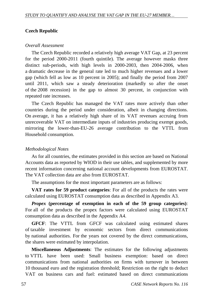### **Czech Republic**

#### *Overall Assessment*

The Czech Republic recorded a relatively high average VAT Gap, at 23 percent for the period 2000-2011 (fourth quintile). The average however masks three distinct sub-periods, with high levels in 2000-2003, then 2004-2006, when a dramatic decrease in the general rate led to much higher revenues and a lower gap (which fell as low as 10 percent in 2005); and finally the period from 2007 until 2011, which saw a steady deterioration (markedly so after the onset of the 2008 recession) in the gap to almost 30 percent, in conjunction with repeated rate increases.

The Czech Republic has managed the VAT rates more actively than other countries during the period under consideration, albeit in changing directions. On average, it has a relatively high share of its VAT revenues accruing from unrecoverable VAT on intermediate inputs of industries producing exempt goods, mirroring the lower-than-EU-26 average contribution to the VTTL from Household consumption.

#### *Methodological Notes*

As for all countries, the estimates provided in this section are based on National Accounts data as reported by WIOD in their use tables, and supplemented by more recent information concerning national account developments from EUROSTAT. The VAT collection data are also from EUROSTAT.

The assumptions for the most important parameters are as follows:

**VAT rates for 59 product categories**: For all of the products the rates were calculated using EUROSTAT consumption data as described in Appendix A3.

*Propex* **(percentage of exemption in each of the 59 group categories)**: For all of the products the propex factors were calculated using EUROSTAT consumption data as described in the Appendix A4.

**GFCF**: The VTTL from GFCF was calculated using estimated shares of taxable investment by economic sectors from direct communications by national authorities. For the years not covered by the direct communications, the shares were estimated by interpolation.

**Miscellaneous Adjustments**: The estimates for the following adjustments to VTTL have been used: Small business exemption: based on direct communications from national authorities on firms with turnover in between 10 thousand euro and the registration threshold; Restriction on the right to deduct VAT on business cars and fuel: estimated based on direct communications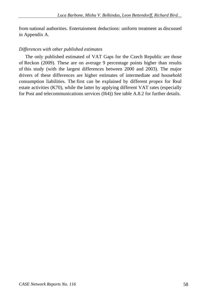from national authorities. Entertainment deductions: uniform treatment as discussed in Appendix A.

### *Differences with other published estimates*

The only published estimated of VAT Gaps for the Czech Republic are those of Reckon (2009). These are on average 9 percentage points higher than results of this study (with the largest differences between 2000 and 2003). The major drivers of these differences are higher estimates of intermediate and household consumption liabilities. The first can be explained by different *propex* for Real estate activities (K70), while the latter by applying different VAT rates (especially for Post and telecommunications services (I64)) See table A.8.2 for further details.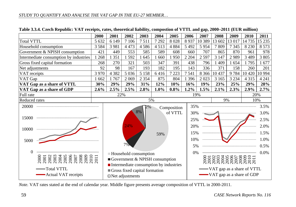|                                        | 2000    | 2001                                                                                   | 2002                           | 2003    | 2004    | 2005        | 2006                      | 2007                       | 2008                                                | 2009    | 2010    | 2011    |
|----------------------------------------|---------|----------------------------------------------------------------------------------------|--------------------------------|---------|---------|-------------|---------------------------|----------------------------|-----------------------------------------------------|---------|---------|---------|
| <b>Total VTTL</b>                      | 5 6 3 2 | 6 1 4 9                                                                                | 7 1 0 6                        | 7511    | 7 2 9 2 | 8028        | 8937                      | 10 3 8 9                   | 13 602                                              | 13 017  | 14735   | 15 2 35 |
| Household consumption                  | 3 5 8 4 | 3 9 8 1                                                                                | 4 4 7 3                        | 4586    | 4513    | 4 8 8 4     | 5 4 9 2                   | 5954                       | 7809                                                | 7 3 4 5 | 8 2 3 0 | 8 5 7 3 |
| Government & NPISH consumption         | 421     | 449                                                                                    | 553                            | 585     | 589     | 608         | 660                       | 707                        | 865                                                 | 870     | 961     | 978     |
| Intermediate consumption by industries | 268     | 351                                                                                    | 592                            | 645     | 660     | 1950        | 2 2 0 4                   | 2597                       | 3 1 4 7                                             | 2989    | 3 4 8 9 | 3 8 0 5 |
| Gross fixed capital formation          | 268     | 270                                                                                    | 321                            | 503     | 347     | 391         | 438                       | 796                        | 409                                                 | 1654    | 1795    | 677     |
| Net adjustments                        | 92      | 98                                                                                     | 167                            | 193     | 182     | 195         | 143                       | 336                        | 371                                                 | 158     | 260     | 201     |
| VAT receipts                           | 3 9 7 0 | 4 3 8 2                                                                                | 5 0 3 6                        | 5 1 5 8 | 6416    | 7 2 2 3     | 7541                      | 8 3 6 6                    | 10 437                                              | 9784    | 10 4 20 | 10 994  |
| VAT Gap                                | 662     | 1767                                                                                   | 2069                           | 2 3 5 4 | 875     | 804         | 1 3 9 6                   | 2023                       | 3 1 6 5                                             | 3 2 3 4 | 4 3 1 5 | 4 2 4 1 |
| VAT Gap as a share of VTTL             | 30%     | 29%                                                                                    | 29%                            | 31%     | 12%     | 10%         | 16%                       | 19%                        | 23%                                                 | 25%     | 29%     | 28%     |
| VAT Gap as a share of GDP              | 2.6%    | 2.5%                                                                                   | 2.5%                           | 2.8%    | 1.0%    | $0.8\%$     | 1.2%                      | 1.5%                       | 2.1%                                                | 2.3%    | 2.9%    | 2.7%    |
| Full rate                              |         | 22%                                                                                    |                                |         |         |             |                           | 19%                        |                                                     |         | 20%     |         |
| Reduced rates                          |         |                                                                                        |                                | 5%      |         |             |                           |                            | 9%                                                  |         |         | 10%     |
| 20000                                  |         |                                                                                        |                                | 2%      |         | Composition | 35%                       |                            |                                                     |         |         | 3.5%    |
|                                        |         |                                                                                        |                                | 8%      |         | of VTTL     | 30%                       |                            |                                                     |         |         | 3.0%    |
| 15000                                  |         |                                                                                        |                                |         |         |             | 25%                       |                            |                                                     |         |         | 2.5%    |
|                                        |         |                                                                                        | 24%                            |         |         |             |                           |                            |                                                     |         |         |         |
| 10000                                  |         |                                                                                        |                                |         |         |             | 20%                       |                            |                                                     |         |         | 2.0%    |
|                                        |         |                                                                                        |                                |         | 59%     |             | 15%                       |                            |                                                     |         |         | 1.5%    |
| 5000                                   |         |                                                                                        |                                |         |         |             | 10%                       |                            |                                                     |         |         | 1.0%    |
|                                        |         |                                                                                        | $7\%$                          |         |         |             | 5%                        |                            |                                                     |         |         | 0.5%    |
| 0                                      |         |                                                                                        | Household consumption          |         |         |             | 0%                        |                            |                                                     |         |         | 0.0%    |
| $\frac{1}{2000}$<br>2000               |         |                                                                                        |                                |         |         |             |                           |                            |                                                     |         |         |         |
|                                        |         |                                                                                        | Government & NPISH consumption |         |         |             |                           |                            | 05383490589001<br>00000000000011<br>000000000000000 |         |         |         |
| ——Total VTTL                           |         | $\blacksquare$ Intermediate consumption by industries<br>Gross fixed capital formation |                                |         |         |             |                           | WAT gap as a share of VTTL |                                                     |         |         |         |
| -Actual VAT receipts                   |         |                                                                                        |                                |         |         |             | WAT gap as a share of GDP |                            |                                                     |         |         |         |
|                                        |         |                                                                                        | $\Box$ Net adjustments         |         |         |             |                           |                            |                                                     |         |         |         |

**Table 3.3.4. Czech Republic: VAT receipts, rates, theoretical liability, compostion of VTTL and gap, 2000–2011 (EUR million)**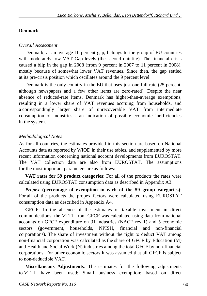## **Denmark**

### *Overall Assessment*

Denmark, at an average 10 percent gap, belongs to the group of EU countries with moderately low VAT Gap levels (the second quintile). The financial crisis caused a blip in the gap in 2008 (from 9 percent in 2007 to 11 percent in 2008), mostly because of somewhat lower VAT revenues. Since then, the gap settled at its pre-crisis position which oscillates around the 9 percent level.

Denmark is the only country in the EU that uses just one full rate (25 percent, although newspapers and a few other items are zero-rated). Despite the near absence of reduced-rate items, Denmark has higher-than-average exemptions, resulting in a lower share of VAT revenues accruing from households, and a correspondingly larger share of unrecoverable VAT from intermediate consumption of industries - an indication of possible economic inefficiencies in the system.

# *Methodological Notes*

As for all countries, the estimates provided in this section are based on National Accounts data as reported by WIOD in their use tables, and supplemented by more recent information concerning national account developments from EUROSTAT. The VAT collection data are also from EUROSTAT. The assumptions for the most important parameters are as follows:

**VAT rates for 59 product categories**: For all of the products the rates were calculated using EUROSTAT consumption data as described in Appendix A3.

*Propex* **(percentage of exemption in each of the 59 group categories)**: For all of the products the propex factors were calculated using EUROSTAT consumption data as described in Appendix A4.

**GFCF**: In the absence of the estimates of taxable investment in direct communications, the VTTL from GFCF was calculated using data from national accounts on GFCF expenditure on 31 industries (NACE rev 1) and 5 economic sectors (government, households, NPISH, financial and non-financial corporations). The share of investment without the right to deduct VAT among non-financial corporation was calculated as the share of GFCF by Education (M) and Health and Social Work (N) industries among the total GFCF by non-financial corporations. For other economic sectors it was assumed that all GFCF is subject to non-deductible VAT.

**Miscellaneous Adjustments**: The estimates for the following adjustments to VTTL have been used: Small business exemption: based on direct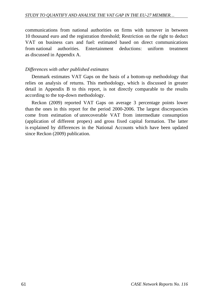communications from national authorities on firms with turnover in between 10 thousand euro and the registration threshold; Restriction on the right to deduct VAT on business cars and fuel: estimated based on direct communications from national authorities. Entertainment deductions: uniform treatment as discussed in Appendix A.

### *Differences with other published estimates*

Denmark estimates VAT Gaps on the basis of a bottom-up methodology that relies on analysis of returns. This methodology, which is discussed in greater detail in Appendix B to this report, is not directly comparable to the results according to the top-down methodology.

Reckon (2009) reported VAT Gaps on average 3 percentage points lower than the ones in this report for the period 2000-2006. The largest discrepancies come from estimation of unrecoverable VAT from intermediate consumption (application of different propex) and gross fixed capital formation. The latter is explained by differences in the National Accounts which have been updated since Reckon (2009) publication.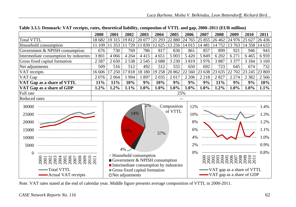|                                          | 2000    | 2001    | 2002                   | 2003                                                                                                                                              | 2004    | 2005        | 2006    | 2007     | 2008   | 2009                                                                                                                 | 2010        | 2011    |
|------------------------------------------|---------|---------|------------------------|---------------------------------------------------------------------------------------------------------------------------------------------------|---------|-------------|---------|----------|--------|----------------------------------------------------------------------------------------------------------------------|-------------|---------|
| <b>Total VTTL</b>                        | 18 682  | 19 3 15 | 19812                  | 20 077                                                                                                                                            | 21 29 3 | 22 880      | 24 7 65 | 25 855   | 26462  | 24 976                                                                                                               | 25 627      | 26 4 36 |
| Household consumption                    | 11 109  | 353     | 729<br>11              | 11 839                                                                                                                                            | 12 625  | 13 25 6     | 14 015  | 14 4 8 1 | 14752  | 13763                                                                                                                | 14 3 5 8    | 14 633  |
| Government & NPISH consumption           | 676     | 730     | 769                    | 786                                                                                                                                               | 817     | 836         | 861     | 857      | 899    | 921                                                                                                                  | 946         | 943     |
| Intermediate consumption by industries   | 3 8 0 1 | 4 0 6 6 | 4 2 6 4                | 4415                                                                                                                                              | 4651    | 5 0 0 3     | 5 4 2 0 | 5 8 4 9  | 6 202  | 6 2 7 1                                                                                                              | 6465        | 6959    |
| Gross fixed capital formation            | 2587    | 2650    | 2538                   | 2 5 4 5                                                                                                                                           | 2688    | 3 2 3 0     | 3819    | 3 9 7 6  | 3887   | 3 3 7 7                                                                                                              | 3 1 8 4     | 3 1 6 9 |
| Net adjustments                          | 509     | 516     | 512                    | 492                                                                                                                                               | 512     | 555         | 650     | 692      | 723    | 645                                                                                                                  | 674         | 732     |
| VAT receipts                             | 16 606  | 17 250  | 17818                  | 18 18 0                                                                                                                                           | 19 25 8 | 20 862      | 22 560  | 23 638   | 23 635 | 22 702                                                                                                               | 23 245      | 23 869  |
| VAT Gap                                  | 2076    | 2 0 6 4 | 994                    | 1897                                                                                                                                              | 2035    | 2017        | 2 2 0 6 | 2 2 1 8  | 2827   | 2 2 7 4                                                                                                              | 2 3 8 2     | 2566    |
| VAT Gap as a share of VTTL               | 11%     | 11%     | 10%                    | 9%                                                                                                                                                | 10%     | 9%          | 9%      | 9%       | 11%    | 9%                                                                                                                   | 9%          | 10%     |
| VAT Gap as a share of GDP                | 1.2%    | 1.2%    | 1.1%                   | 1.0%                                                                                                                                              | 1.0%    | $1.0\%$     | $1.0\%$ | 1.0%     | 1.2%   | 1.0%                                                                                                                 | 1.0%        | $1.1\%$ |
| Full rate                                |         | 25%     |                        |                                                                                                                                                   |         |             |         |          |        |                                                                                                                      |             |         |
| Reduced rates                            |         |         |                        |                                                                                                                                                   |         |             |         |          |        |                                                                                                                      |             |         |
| 30000                                    |         |         |                        | 2%                                                                                                                                                |         | Composition | 12%     |          |        |                                                                                                                      |             | 1.4%    |
| 25000                                    |         |         | 14%                    |                                                                                                                                                   |         | of VTTL     | 10%     |          |        |                                                                                                                      |             | 1.3%    |
| 20000                                    |         |         |                        |                                                                                                                                                   |         |             | 8%      |          |        |                                                                                                                      |             | 1.2%    |
| 15000                                    |         |         | 23%                    |                                                                                                                                                   | 57%     |             | 6%      |          |        |                                                                                                                      |             | 1.1%    |
| 10000                                    |         |         |                        |                                                                                                                                                   |         |             | 4%      |          |        |                                                                                                                      |             | 1.0%    |
| 5000                                     |         |         | 4%                     |                                                                                                                                                   |         |             | 2%      |          |        |                                                                                                                      |             | 0.9%    |
| 0<br>——Total VTTL<br>Actual VAT receipts |         |         | $\Box$ Net adjustments | Household consumption<br>Government & NPISH consumption<br>$\blacksquare$ Intermediate consumption by industries<br>Gross fixed capital formation |         |             | 0%      |          |        | រី ដូច ។<br>ខេត្តកំពង់ ខេត្តកំពង់<br>ដូច កំពង់ ខេត្តកំពង់<br>WAT gap as a share of VTTL<br>VAT gap as a share of GDP | ន្តិក្តីក្ត | 0.8%    |

**Table 3.3.5. Denmark: VAT receipts, rates, theoretical liability, compostion of VTTL and gap, 2000–2011 (EUR million)**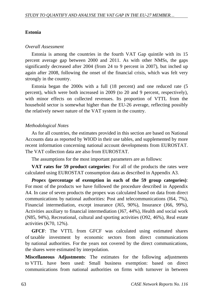### **Estonia**

### *Overall Assessment*

Estonia is among the countries in the fourth VAT Gap quintile with its 15 percent average gap between 2000 and 2011. As with other NMSs, the gaps significantly decreased after 2004 (from 24 to 9 percent in 2007), but inched up again after 2008, following the onset of the financial crisis, which was felt very strongly in the country.

Estonia began the 2000s with a full (18 percent) and one reduced rate (5 percent), which were both increased in 2009 (to 20 and 9 percent, respectively), with minor effects on collected revenues. Its proportion of VTTL from the household sector is somewhat higher than the EU-26 average, reflecting possibly the relatively newer nature of the VAT system in the country.

### *Methodological Notes*

As for all countries, the estimates provided in this section are based on National Accounts data as reported by WIOD in their use tables, and supplemented by more recent information concerning national account developments from EUROSTAT. The VAT collection data are also from EUROSTAT.

The assumptions for the most important parameters are as follows:

**VAT rates for 59 product categories**: For all of the products the rates were calculated using EUROSTAT consumption data as described in Appendix A3.

*Propex* **(percentage of exemption in each of the 59 group categories)**: For most of the products we have followed the procedure described in Appendix A4. In case of seven products the propex was calculated based on data from direct communications by national authorities: Post and telecommunications (I64, 7%), Financial intermediation, except insurance (J65, 90%), Insurance (J66, 99%), Activities auxiliary to financial intermediation (J67, 44%), Health and social work (N85, 94%), Recreational, cultural and sporting activities (O92, 46%), Real estate activities (K70, 12%).

**GFCF**: The VTTL from GFCF was calculated using estimated shares of taxable investment by economic sectors from direct communications by national authorities. For the years not covered by the direct communications, the shares were estimated by interpolation.

**Miscellaneous Adjustments**: The estimates for the following adjustments to VTTL have been used: Small business exemption: based on direct communications from national authorities on firms with turnover in between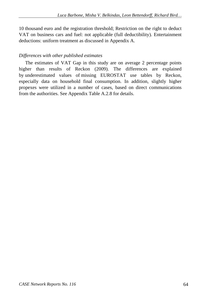10 thousand euro and the registration threshold; Restriction on the right to deduct VAT on business cars and fuel: not applicable (full deductibility). Entertainment deductions: uniform treatment as discussed in Appendix A.

## *Differences with other published estimates*

The estimates of VAT Gap in this study are on average 2 percentage points higher than results of Reckon (2009). The differences are explained by underestimated values of missing EUROSTAT use tables by Reckon, especially data on household final consumption. In addition, slightly higher propexes were utilized in a number of cases, based on direct communications from the authorities. See Appendix Table A.2.8 for details.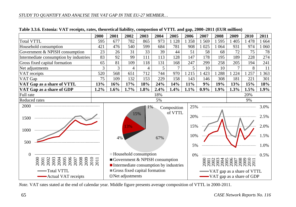|                                                                                                                                                                                                                                                                                                                       | 2000 | 2001                                   | 2002                                                  | 2003           | 2004 | 2005           | 2006                       | 2007 | 2008    | 2009                      | 2010  | 2011    |
|-----------------------------------------------------------------------------------------------------------------------------------------------------------------------------------------------------------------------------------------------------------------------------------------------------------------------|------|----------------------------------------|-------------------------------------------------------|----------------|------|----------------|----------------------------|------|---------|---------------------------|-------|---------|
| <b>Total VTTL</b>                                                                                                                                                                                                                                                                                                     | 595  | 677                                    | 782                                                   | 865            | 973  | 1 1 2 8        | 1 3 5 8                    | 569  | 1595    | 405                       | 1478  | 1 6 6 4 |
| Household consumption                                                                                                                                                                                                                                                                                                 | 421  | 476                                    | 540                                                   | 599            | 684  | 781            | 908                        | 025  | 1 0 6 4 | 931                       | 974   | 1 0 6 0 |
| Government & NPISH consumption                                                                                                                                                                                                                                                                                        | 23   | 26                                     | 31                                                    | 33             | 39   | 44             | 51                         | 58   | 68      | 72                        | 75    | 78      |
| Intermediate consumption by industries                                                                                                                                                                                                                                                                                | 83   | 92                                     | 99                                                    | 111            | 113  | 128            | 147                        | 178  | 195     | 189                       | 228   | 274     |
| Gross fixed capital formation                                                                                                                                                                                                                                                                                         | 65   | 81                                     | 109                                                   | 118            | 131  | 168            | 247                        | 299  | 258     | 205                       | 194   | 241     |
| Net adjustments                                                                                                                                                                                                                                                                                                       | 3    | 3                                      | 4                                                     | $\overline{4}$ | 5    | $\overline{7}$ | 5                          | 10   | 10      | $\overline{7}$            | 8     | 11      |
| VAT receipts                                                                                                                                                                                                                                                                                                          | 520  | 568                                    | 651                                                   | 712            | 744  | 970            | 1 2 1 5                    | 423  | 1 2 8 8 | 1 2 2 4                   | 1 257 | 1 3 6 3 |
| VAT Gap                                                                                                                                                                                                                                                                                                               | 75   | 109                                    | 132                                                   | 153            | 229  | 158            | 143                        | 146  | 308     | 181                       | 221   | 301     |
| VAT Gap as a share of VTTL                                                                                                                                                                                                                                                                                            | 13%  | 16%                                    | 17%                                                   | 18%            | 24%  | 14%            | 11%                        | 9%   | 19%     | 13%                       | 15%   | 18%     |
| VAT Gap as a share of GDP                                                                                                                                                                                                                                                                                             | 1.2% | 1.6%                                   | 1.7%                                                  | 1.8%           | 2.4% | 1.4%           | 1.1%                       | 0.9% | 1.9%    | 1.3%                      | 1.5%  | 1.9%    |
| Full rate                                                                                                                                                                                                                                                                                                             |      | 18%                                    |                                                       |                |      |                |                            |      |         |                           | 20%   |         |
| Reduced rates                                                                                                                                                                                                                                                                                                         |      |                                        |                                                       |                | 5%   |                |                            |      |         |                           | 9%    |         |
| 2000                                                                                                                                                                                                                                                                                                                  |      | 25%<br>$1\%$<br>Composition<br>of VTTL |                                                       |                |      |                |                            |      |         |                           |       | 3.0%    |
| 1500                                                                                                                                                                                                                                                                                                                  |      |                                        |                                                       | 15%            |      |                | 20%                        |      |         |                           |       | 2.5%    |
| 1000                                                                                                                                                                                                                                                                                                                  |      |                                        | 3%                                                    |                |      |                | 15%                        |      |         |                           |       | 2.0%    |
|                                                                                                                                                                                                                                                                                                                       |      | 4%                                     |                                                       |                | 67%  |                | 10%                        |      |         |                           |       | 1.5%    |
| 500                                                                                                                                                                                                                                                                                                                   |      |                                        |                                                       |                |      |                | 5%                         |      |         |                           |       | 1.0%    |
| $\Omega$                                                                                                                                                                                                                                                                                                              |      |                                        | ■ Household consumption                               |                |      |                | 0%                         |      |         |                           |       | 0.5%    |
| $\begin{array}{l} 2001 \\ 2003 \\ 2004 \\ 2005 \\ 2006 \\ 2007 \\ 2008 \\ 2009 \\ 2009 \\ 2009 \\ 2011 \\ 2011 \\ 2011 \\ 2011 \\ 2011 \\ 2011 \\ 2011 \\ 2011 \\ 2011 \\ 2011 \\ 2011 \\ 2011 \\ 2012 \\ 2012 \\ 2013 \\ 2013 \\ 2014 \\ 2012 \\ 2013 \\ 2014 \\ 2014 \\ 2015 \\ 2016 \\ 2018 \\ 2019 \\ 20$<br>2000 |      |                                        | Government & NPISH consumption                        |                |      |                |                            |      |         |                           |       |         |
|                                                                                                                                                                                                                                                                                                                       |      |                                        | $\blacksquare$ Intermediate consumption by industries |                |      |                |                            |      |         |                           |       |         |
| Total VTTL                                                                                                                                                                                                                                                                                                            |      |                                        | Gross fixed capital formation                         |                |      |                | WAT gap as a share of VTTL |      |         |                           |       |         |
| -Actual VAT receipts                                                                                                                                                                                                                                                                                                  |      |                                        | $\Box$ Net adjustments                                |                |      |                |                            |      |         | VAT gap as a share of GDP |       |         |

**Table 3.3.6. Estonia: VAT receipts, rates, theoretical liability, compostion of VTTL and gap, 2000–2011 (EUR million)**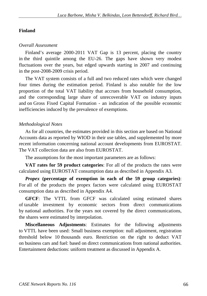# **Finland**

### *Overall Assessment*

Finland's average 2000-2011 VAT Gap is 13 percent, placing the country in the third quintile among the EU-26. The gaps have shown very modest fluctuations over the years, but edged upwards starting in 2007 and continuing in the post-2008-2009 crisis period.

The VAT system consists of a full and two reduced rates which were changed four times during the estimation period. Finland is also notable for the low proportion of the total VAT liability that accrues from household consumption, and the corresponding large share of unrecoverable VAT on industry inputs and on Gross Fixed Capital Formation - an indication of the possible economic inefficiencies induced by the prevalence of exemptions.

## *Methodological Notes*

As for all countries, the estimates provided in this section are based on National Accounts data as reported by WIOD in their use tables, and supplemented by more recent information concerning national account developments from EUROSTAT. The VAT collection data are also from EUROSTAT.

The assumptions for the most important parameters are as follows:

**VAT rates for 59 product categories**: For all of the products the rates were calculated using EUROSTAT consumption data as described in Appendix A3.

*Propex* **(percentage of exemption in each of the 59 group categories)**: For all of the products the propex factors were calculated using EUROSTAT consumption data as described in Appendix A4.

**GFCF**: The VTTL from GFCF was calculated using estimated shares of taxable investment by economic sectors from direct communications by national authorities. For the years not covered by the direct communications, the shares were estimated by interpolation.

**Miscellaneous Adjustments**: Estimates for the following adjustments to VTTL have been used: Small business exemption: null adjustment, registration threshold below 10 thousands euro. Restriction on the right to deduct VAT on business cars and fuel: based on direct communications from national authorities. Entertainment deductions: uniform treatment as discussed in Appendix A.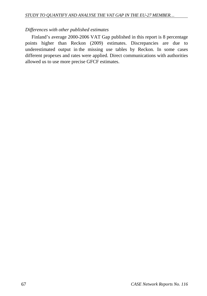### *Differences with other published estimates*

Finland's average 2000-2006 VAT Gap published in this report is 8 percentage points higher than Reckon (2009) estimates. Discrepancies are due to underestimated output in the missing use tables by Reckon. In some cases different propexes and rates were applied. Direct communications with authorities allowed us to use more precise GFCF estimates.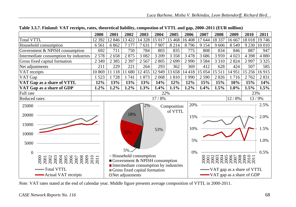|                                                | 2000    | 2001                                | 2002                   | 2003                                                                                                                                              | 2004    | 2005    | 2006    | 2007    | 2008                                                    | 2009    | 2010    | 2011         |  |
|------------------------------------------------|---------|-------------------------------------|------------------------|---------------------------------------------------------------------------------------------------------------------------------------------------|---------|---------|---------|---------|---------------------------------------------------------|---------|---------|--------------|--|
| <b>Total VTTL</b>                              | 12 392  | 12 846                              | 13 4 22                | 14 3 28                                                                                                                                           | 15 017  | 15 4 68 | 16 408  | 17 644  | 18 337                                                  | 16 667  | 18018   | 19746        |  |
| Household consumption                          | 6 5 6 1 | 6862                                | 7 1 7 7                | 7631                                                                                                                                              | 7907    | 8 2 1 4 | 8796    | 9 1 5 4 | 9606                                                    | 8 5 4 9 | 9 2 3 0 | 10 010       |  |
| Government & NPISH consumption                 | 692     | 711                                 | 750                    | 784                                                                                                                                               | 803     | 835     | 775     | 808     | 834                                                     | 846     | 887     | 947          |  |
| Intermediate consumption by industries         | 2578    | 2658                                | 2875                   | 3 0 8 2                                                                                                                                           | 3 2 0 9 | 3 3 5 8 | 3 4 7 8 | 3 6 8 6 | 3 9 5 9                                                 | 4 0 23  | 4 3 9 8 | 4 8 8 0      |  |
| Gross fixed capital formation                  | 2 3 4 9 | 2 3 8 5                             | 2 3 9 7                | 2567                                                                                                                                              | 2805    | 2699    | 2 9 9 0 | 3 5 8 4 | 3 3 1 0                                                 | 2824    | 2997    | 3 3 2 5      |  |
| Net adjustments                                | 211     | 229                                 | 221                    | 264                                                                                                                                               | 293     | 362     | 369     | 412     | 628                                                     | 424     | 507     | 585          |  |
| VAT receipts                                   | 10869   | 1 1 1 8                             | 11 680                 | 12 455                                                                                                                                            | 12 949  | 13 658  | 14418   | 15 0 54 | 15 5 11                                                 | 14 951  | 15 25 6 | 16915        |  |
| VAT Gap                                        | 1523    | 1728                                | 741                    | 1873                                                                                                                                              | 2068    | 1810    | 1990    | 2 5 9 0 | 2826                                                    | 1716    | 2 7 6 2 | 2831         |  |
| VAT Gap as a share of VTTL                     | 12%     | 13%                                 | 13%                    | 13%                                                                                                                                               | 14%     | 12%     | 12%     | 15%     | 15%                                                     | 10%     | 15%     | 14%          |  |
| VAT Gap as a share of GDP                      | $1.2\%$ | 1.2%                                | 1.2%                   | 1.3%                                                                                                                                              | 1.4%    | 1.1%    | 1.2%    | 1.4%    | 1.5%                                                    | 1.0%    | 1.5%    | 1.5%         |  |
| Full rate                                      |         | 22%                                 |                        |                                                                                                                                                   |         |         |         |         |                                                         |         | 23%     |              |  |
| Reduced rates                                  |         | 17 / 8%<br>12/8%                    |                        |                                                                                                                                                   |         |         |         |         |                                                         |         |         | 13/9%        |  |
| 25000<br>20000                                 |         | 2%<br>Composition<br>of VTTL<br>18% |                        |                                                                                                                                                   |         |         |         |         |                                                         |         |         | 2.5%<br>2.0% |  |
| 15000<br>10000                                 |         |                                     | 22%                    |                                                                                                                                                   | 53%     |         | 10%     |         |                                                         |         |         | 1.5%         |  |
| 5000                                           |         |                                     | 5%                     |                                                                                                                                                   |         |         | 5%      |         |                                                         |         |         | 1.0%         |  |
| $\Omega$<br>Total VTTL<br>-Actual VAT receipts |         |                                     | $\Box$ Net adjustments | Household consumption<br>Government & NPISH consumption<br>$\blacksquare$ Intermediate consumption by industries<br>Gross fixed capital formation |         |         | 0%      |         | WAT gap as a share of VTTL<br>VAT gap as a share of GDP |         |         | 0.5%         |  |

**Table 3.3.7. Finland: VAT receipts, rates, theoretical liability, compostion of VTTL and gap, 2000–2011 (EUR million)**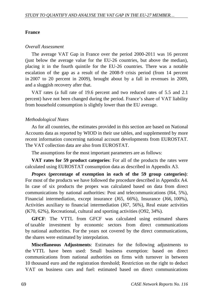#### **France**

#### *Overall Assessment*

The average VAT Gap in France over the period 2000-2011 was 16 percent (just below the average value for the EU-26 countries, but above the median), placing it in the fourth quintile for the EU-26 countries. There was a notable escalation of the gap as a result of the 2008-9 crisis period (from 14 percent in 2007 to 20 percent in 2009), brought about by a fall in revenues in 2009, and a sluggish recovery after that.

VAT rates (a full rate of 19.6 percent and two reduced rates of 5.5 and 2.1 percent) have not been changed during the period. France's share of VAT liability from household consumption is slightly lower than the EU average.

#### *Methodological Notes*

As for all countries, the estimates provided in this section are based on National Accounts data as reported by WIOD in their use tables, and supplemented by more recent information concerning national account developments from EUROSTAT. The VAT collection data are also from EUROSTAT.

The assumptions for the most important parameters are as follows:

**VAT rates for 59 product categories**: For all of the products the rates were calculated using EUROSTAT consumption data as described in Appendix A3.

*Propex* **(percentage of exemption in each of the 59 group categories)**: For most of the products we have followed the procedure described in Appendix A4. In case of six products the propex was calculated based on data from direct communications by national authorities: Post and telecommunications (I64, 5%), Financial intermediation, except insurance (J65, 66%), Insurance (J66, 100%), Activities auxiliary to financial intermediation (J67, 56%), Real estate activities (K70, 62%), Recreational, cultural and sporting activities (O92, 34%).

**GFCF**: The VTTL from GFCF was calculated using estimated shares of taxable investment by economic sectors from direct communications by national authorities. For the years not covered by the direct communications, the shares were estimated by interpolation.

**Miscellaneous Adjustments**: Estimates for the following adjustments to the VTTL have been used: Small business exemption: based on direct communications from national authorities on firms with turnover in between 10 thousand euro and the registration threshold; Restriction on the right to deduct VAT on business cars and fuel: estimated based on direct communications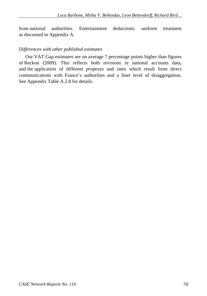from national authorities. Entertainment deductions: uniform treatment as discussed in Appendix A.

#### *Differences with other published estimates*

Our VAT Gap estimates are on average 7 percentage points higher than figures of Reckon (2009). This reflects both revisions in national accounts data, and the application of different *propexes* and rates which result from direct communications with France's authorities and a finer level of disaggregation. See Appendix Table A.2.8 for details.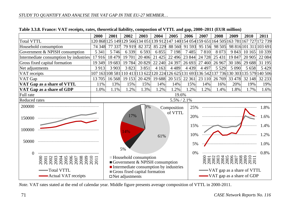|                                        | 2000    | 2001            | 2002                   | 2003                                                    | 2004    | 2005                                                                                            | 2006    | 2007    | 2008    | 2009                                                    | 2010                   | 2011    |  |
|----------------------------------------|---------|-----------------|------------------------|---------------------------------------------------------|---------|-------------------------------------------------------------------------------------------------|---------|---------|---------|---------------------------------------------------------|------------------------|---------|--|
| <b>Total VTTL</b>                      |         | 120 868 125 149 |                        |                                                         |         | 129 566 134 051 139 912 147 140                                                                 |         |         |         | 154 054 159 651 164 505 163 781 167 727 172 739         |                        |         |  |
| Household consumption                  | 74 348  | 77 337          | 79 919                 | 82 372                                                  | 85 229  | 88 560                                                                                          | 91 5 93 | 95 156  | 98 505  |                                                         | 98 816 101 311 103 691 |         |  |
| Government & NPISH consumption         | 5 3 4 1 | 5 7 4 6         | 6 3 3 9                | 6 5 9 3                                                 | 6855    | 7 1 9 8                                                                                         | 7485    | 7810    | 8073    | 9843                                                    | 10 165                 | 10 339  |  |
| Intermediate consumption by industries | 17916   | 18 4 79         | 19 701                 | 20 40 6                                                 | 21 4 25 | 22 4 9 6                                                                                        | 23 844  | 24 7 28 | 25 4 31 | 19 847                                                  | 20 905                 | 22 0 84 |  |
| Gross fixed capital formation          | 19 349  | 19 683          | 19784                  | 20 8 29                                                 | 22 240  | 24 3 97                                                                                         | 26 693  | 27 460  | 26 9 67 | 30 186                                                  | 29 688                 | 31 195  |  |
| Net adjustments                        | 3913    | 3 9 0 3         | 3 8 2 3                | 3 8 5 1                                                 | 4 1 6 3 | 4 4 8 9                                                                                         | 4 4 3 9 | 4 4 9 7 | 5 5 2 9 | 5 0 9 0                                                 | 5 6 5 8                | 5 4 2 9 |  |
| VAT receipts                           |         |                 |                        |                                                         |         | 107 163 108 581 110 413 113 622 120 224 126 625 131 693 136 542 137 736 130 303 135 579 140 506 |         |         |         |                                                         |                        |         |  |
| VAT Gap                                | 13 705  |                 | 16 568 19 153          | 20 4 29                                                 | 19688   | 20 5 15                                                                                         | 22 361  | 23 110  | 26 7 69 | 33 478                                                  | 32 148                 | 32 233  |  |
| VAT Gap as a share of VTTL             | 11%     | 13%             | 15%                    | 15%                                                     | 14%     | 14%                                                                                             | 15%     | 14%     | 16%     | 20%                                                     | 19%                    | 19%     |  |
| VAT Gap as a share of GDP              | 1.0%    | 1.1%            | 1.2%                   | 1.3%                                                    | 1.2%    | 1.2%                                                                                            | 1.2%    | 1.2%    | 1.4%    | 1.8%                                                    | 1.7%                   | 1.6%    |  |
| Full rate                              |         | 19.6%           |                        |                                                         |         |                                                                                                 |         |         |         |                                                         |                        |         |  |
| Reduced rates                          |         | 5.5% / 2.1%     |                        |                                                         |         |                                                                                                 |         |         |         |                                                         |                        |         |  |
| 200000                                 |         |                 |                        | 3%                                                      |         | Composition                                                                                     | 25%     |         |         |                                                         |                        | 1.8%    |  |
| 150000                                 |         |                 | 17%                    |                                                         |         | of VTTL                                                                                         | 20%     |         |         |                                                         |                        | 1.6%    |  |
| 100000                                 |         |                 | 14%                    |                                                         |         |                                                                                                 | 15%     |         |         |                                                         |                        | 1.4%    |  |
|                                        |         |                 |                        |                                                         | 61%     |                                                                                                 | 10%     |         |         |                                                         |                        | 1.2%    |  |
| 50000                                  |         |                 | 5%                     |                                                         |         |                                                                                                 | 5%      |         |         |                                                         |                        | 1.0%    |  |
| $\Omega$                               |         |                 |                        |                                                         |         |                                                                                                 | 0%      |         |         |                                                         |                        | 0.8%    |  |
| 2000                                   |         |                 |                        | Household consumption<br>Government & NPISH consumption |         |                                                                                                 |         |         |         |                                                         |                        |         |  |
| Total VTTL<br>-Actual VAT receipts     |         |                 | $\Box$ Net adjustments | Gross fixed capital formation                           |         | $\blacksquare$ Intermediate consumption by industries                                           |         |         |         | WAT gap as a share of VTTL<br>WAT gap as a share of GDP |                        |         |  |
|                                        |         |                 |                        |                                                         |         |                                                                                                 |         |         |         |                                                         |                        |         |  |

**Table 3.3.8. France: VAT receipts, rates, theoretical liability, compostion of VTTL and gap, 2000–2011 (EUR million)**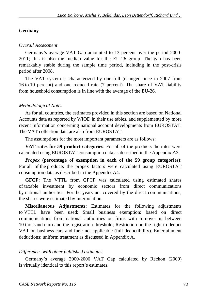# **Germany**

### *Overall Assessment*

Germany's average VAT Gap amounted to 13 percent over the period 2000- 2011; this is also the median value for the EU-26 group. The gap has been remarkably stable during the sample time period, including in the post-crisis period after 2008.

The VAT system is characterized by one full (changed once in 2007 from 16 to 19 percent) and one reduced rate (7 percent). The share of VAT liability from household consumption is in line with the average of the EU-26.

# *Methodological Notes*

As for all countries, the estimates provided in this section are based on National Accounts data as reported by WIOD in their use tables, and supplemented by more recent information concerning national account developments from EUROSTAT. The VAT collection data are also from EUROSTAT.

The assumptions for the most important parameters are as follows:

**VAT rates for 59 product categories**: For all of the products the rates were calculated using EUROSTAT consumption data as described in the Appendix A3.

*Propex* **(percentage of exemption in each of the 59 group categories)**: For all of the products the propex factors were calculated using EUROSTAT consumption data as described in the Appendix A4.

**GFCF**: The VTTL from GFCF was calculated using estimated shares of taxable investment by economic sectors from direct communications by national authorities. For the years not covered by the direct communications, the shares were estimated by interpolation.

**Miscellaneous Adjustments**: Estimates for the following adjustments to VTTL have been used: Small business exemption: based on direct communications from national authorities on firms with turnover in between 10 thousand euro and the registration threshold; Restriction on the right to deduct VAT on business cars and fuel: not applicable (full deductibility). Entertainment deductions: uniform treatment as discussed in Appendix A.

# *Differences with other published estimates*

Germany's average 2000-2006 VAT Gap calculated by Reckon (2009) is virtually identical to this report's estimates.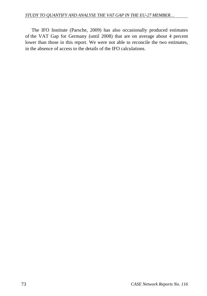The IFO Institute (Parsche, 2009) has also occasionally produced estimates of the VAT Gap for Germany (until 2008) that are on average about 4 percent lower than those in this report. We were not able to reconcile the two estimates, in the absence of access to the details of the IFO calculations.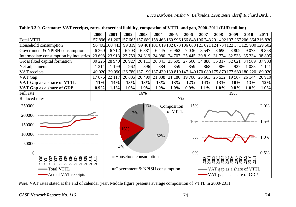|                                        | 2000    | 2001                          | 2002                    | 2003          | 2004    | 2005                                                                                            | 2006    | 2007    | 2008                       | 2009    | 2010          | 2011    |
|----------------------------------------|---------|-------------------------------|-------------------------|---------------|---------|-------------------------------------------------------------------------------------------------|---------|---------|----------------------------|---------|---------------|---------|
| <b>Total VTTL</b>                      |         |                               |                         |               |         | 157 896 161 207 157 665 157 689 158 468 160 996 166 848 196 743 201 402 197 267 206 364 216 830 |         |         |                            |         |               |         |
| Household consumption                  |         | 96 492 100 443                | 99 319                  |               |         | 99 481 101 019 102 873 106 008 121 621 124 734 122 371 125 930 129 502                          |         |         |                            |         |               |         |
| Government & NPISH consumption         | 6 3 6 0 | 6712                          | 6703                    | 6 8 8 1       | 6 4 4 5 | 6962                                                                                            | 7036    | 8 5 4 7 | 8 6 9 0                    | 8 8 0 9 | 9073          | 9 3 5 8 |
| Intermediate consumption by industries | 23 608  | 23 913                        | 23 753                  | 24 3 19       | 24 080  | 24 707                                                                                          | 25 4 45 | 30 819  | 31 774                     |         | 32 538 35 334 | 38 895  |
| Gross fixed capital formation          | 30 225  | 28 940                        | 26 9 27                 | 26 111        | 26 041  | 25 5 95                                                                                         | 27 500  |         | 34 888 35 317              | 32 621  | 34 989        | 37933   |
| Net adjustments                        | 211     | 1 1 9 9                       | 962                     | 896           | 884     | 859                                                                                             | 859     | 868     | 886                        | 927     | 1 0 38        | 1 1 4 1 |
| VAT receipts                           |         |                               |                         |               |         | 140 020 139 090 136 780 137 190 137 430 139 810 147 140 170 080 175 870 177 680 180 220 189 920 |         |         |                            |         |               |         |
| VAT Gap                                | 17876   | 22 117                        |                         | 20 885 20 499 | 21 038  | 21 186                                                                                          | 19 708  | 26 663  | 25 5 32                    | 19587   | 26 144        | 26 910  |
| VAT Gap as a share of VTTL             | 11%     | 14%                           | 13%                     | 13%           | 13%     | 13%                                                                                             | 12%     | 14%     | 13%                        | 10%     | 13%           | 12%     |
| VAT Gap as a share of GDP              | 0.9%    | 1.1%                          | 1.0%                    | 1.0%          | $1.0\%$ | 1.0%                                                                                            | 0.9%    | 1.1%    | 1.0%                       | 0.8%    | 1.0%          | 1.0%    |
| Full rate                              |         |                               |                         | 16%           |         |                                                                                                 |         |         |                            | 19%     |               |         |
| Reduced rates                          |         |                               |                         |               |         | 7%                                                                                              |         |         |                            |         |               |         |
| 250000                                 |         |                               |                         | $1\%$         |         |                                                                                                 | 15%     |         |                            |         |               | 2.0%    |
| 200000                                 |         | Composition<br>of VTTL<br>17% |                         |               |         |                                                                                                 |         |         |                            |         |               |         |
| 150000                                 |         |                               | 16%                     |               |         |                                                                                                 | 10%     |         |                            |         |               | 1.5%    |
| 100000                                 |         |                               |                         |               | 62%     |                                                                                                 | 5%      |         |                            |         |               | 1.0%    |
| 50000                                  |         | 4%                            |                         |               |         |                                                                                                 |         |         |                            |         |               |         |
| 0                                      |         |                               | □ Household consumption |               |         |                                                                                                 | 0%      |         |                            |         |               | 0.5%    |
|                                        |         |                               |                         |               |         |                                                                                                 |         |         |                            |         |               |         |
| ——Total VTTL                           |         |                               |                         |               |         | Government & NPISH consumption                                                                  |         |         | WAT gap as a share of VTTL |         |               |         |
| Actual VAT receipts                    |         |                               |                         |               |         |                                                                                                 |         |         | VAT gap as a share of GDP  |         |               |         |

**Table 3.3.9. Germany: VAT receipts, rates, theoretical liability, compostion of VTTL and gap, 2000–2011 (EUR million)**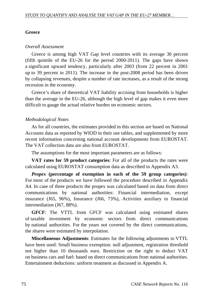### **Greece**

### *Overall Assessment*

Greece is among high VAT Gap level countries with its average 30 percent (fifth quintile of the EU-26 for the period 2000-2011). The gaps have shown a significant upward tendency, particularly after 2003 (from 22 percent in 2001 up to 39 percent in 2011). The increase in the post-2008 period has been driven by collapsing revenues, despite a number of rate increases, as a result of the strong recession in the economy.

Greece's share of theoretical VAT liability accruing from households is higher than the average in the EU-26, although the high level of gap makes it even more difficult to gauge the actual relative burden on economic sectors.

### *Methodological Notes*

As for all countries, the estimates provided in this section are based on National Accounts data as reported by WIOD in their use tables, and supplemented by more recent information concerning national account developments from EUROSTAT. The VAT collection data are also from EUROSTAT.

The assumptions for the most important parameters are as follows:

**VAT rates for 59 product categories**: For all of the products the rates were calculated using EUROSTAT consumption data as described in Appendix A3.

*Propex* **(percentage of exemption in each of the 59 group categories)**: For most of the products we have followed the procedure described in Appendix A4. In case of three products the propex was calculated based on data from direct communications by national authorities: Financial intermediation, except insurance (J65, 96%), Insurance (J66, 73%), Activities auxiliary to financial intermediation (J67, 88%).

**GFCF**: The VTTL from GFCF was calculated using estimated shares of taxable investment by economic sectors from direct communications by national authorities. For the years not covered by the direct communications, the shares were estimated by interpolation.

**Miscellaneous Adjustments**: Estimates for the following adjustments to VTTL have been used: Small business exemption: null adjustment, registration threshold not higher than 10 thousands euro. Restriction on the right to deduct VAT on business cars and fuel: based on direct communications from national authorities. Entertainment deductions: uniform treatment as discussed in Appendix A.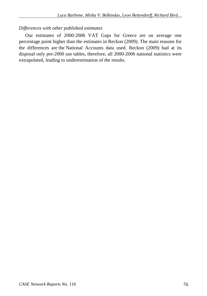## *Differences with other published estimates*

Our estimates of 2000-2006 VAT Gaps for Greece are on average one percentage point higher than the estimates in Reckon (2009). The main reasons for the differences are the National Accounts data used. Reckon (2009) had at its disposal only pre-2000 use tables, therefore, all 2000-2006 national statistics were extrapolated, leading to underestimation of the results.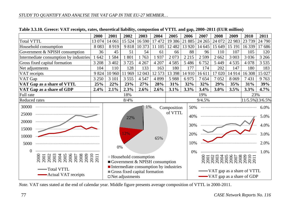|                                                                            | 2000    | 2001    | 2002                   | 2003                                                                                   | 2004   | 2005        | 2006    | 2007    | 2008    | 2009    | 2010                                                    | 2011    |
|----------------------------------------------------------------------------|---------|---------|------------------------|----------------------------------------------------------------------------------------|--------|-------------|---------|---------|---------|---------|---------------------------------------------------------|---------|
| <b>Total VTTL</b>                                                          | 13 074  | 14 061  | 15 5 24                | 16 590                                                                                 | 17472  | 19 3 8 6    | 21 885  | 24 26 5 | 24 072  | 22 983  | 23 7 39                                                 | 24 790  |
| Household consumption                                                      | 8083    | 8919    | 9818                   | 10 373                                                                                 | 11 105 | 12 482      | 13 9 20 | 14 645  | 15 649  | 15 191  | 16 3 39                                                 | 17 68 6 |
| Government & NPISH consumption                                             | 36      | 45      | 51                     | 54                                                                                     | 61     | 66          | 88      | 96      | 110     | 107     | 105                                                     | 120     |
| Intermediate consumption by industries                                     | 642     | 1584    | 1801                   | 1763                                                                                   | 1937   | 2073        | 2 2 1 5 | 2599    | 2 6 6 2 | 3 0 0 3 | 3 0 3 6                                                 | 3 2 6 6 |
| Gross fixed capital formation                                              | 3 2 0 8 | 3 4 0 2 | 3 7 2 5                | 4 2 6 7                                                                                | 4 207  | 4585        | 5 4 8 6 | 6752    | 5 4 4 9 | 4535    | 4 0 7 8                                                 | 3 5 3 5 |
| Net adjustments                                                            | 104     | 110     | 128                    | 133                                                                                    | 163    | 180         | 177     | 174     | 202     | 147     | 180                                                     | 183     |
| VAT receipts                                                               | 9 8 2 4 | 10 960  | 11 969                 | 12 043                                                                                 | 12 573 | 13 3 98     | 14 9 10 | 16 611  | 17 020  | 14914   | 16 308                                                  | 15 027  |
| VAT Gap                                                                    | 3 2 5 0 | 3 1 0 1 | 3 5 5 5                | 4547                                                                                   | 4899   | 5988        | 6975    | 7654    | 7052    | 8 0 6 9 | 7431                                                    | 9763    |
| VAT Gap as a share of VTTL                                                 | 25%     | 22%     | 23%                    | 27%                                                                                    | 28%    | 31%         | 32%     | 32%     | 29%     | 35%     | 31%                                                     | 39%     |
| VAT Gap as a share of GDP                                                  | 2.4%    | 2.1%    | 2.3%                   | 2.6%                                                                                   | 2.6%   | 3.1%        | 3.3%    | 3.4%    | $3.0\%$ | 3.5%    | 3.3%                                                    | 4.7%    |
| Full rate                                                                  |         |         | 18%                    |                                                                                        |        |             |         | 19%     |         |         | 23%                                                     |         |
| Reduced rates                                                              |         |         | 8/4%                   |                                                                                        |        |             |         | 9/4.5%  |         |         | 11/5.5% 13/6.5%                                         |         |
| 30000                                                                      |         |         |                        | $1\%$                                                                                  |        | Composition | 50%     |         |         |         |                                                         | 6.0%    |
| 25000                                                                      |         |         | 22%                    |                                                                                        |        | of VTTL     | 40%     |         |         |         |                                                         | 5.0%    |
| 20000                                                                      |         |         |                        |                                                                                        |        |             | 30%     |         |         |         |                                                         | 4.0%    |
| 15000<br>10000                                                             |         |         | 12%                    |                                                                                        |        |             | 20%     |         |         |         |                                                         | 3.0%    |
|                                                                            |         |         |                        |                                                                                        | 65%    |             |         |         |         |         |                                                         |         |
| 5000                                                                       |         | 0%      |                        |                                                                                        |        |             | 10%     |         |         |         |                                                         | 2.0%    |
| $\theta$                                                                   |         |         |                        |                                                                                        |        |             | 0%      |         |         |         |                                                         | 1.0%    |
| 2001<br>2003<br>2003 2006<br>2006 2008 2009<br>2010 2008 2009 2011<br>2000 |         |         |                        | Household consumption<br>Government & NPISH consumption                                |        |             |         |         |         |         |                                                         |         |
| ——Total VTTL<br>-Actual VAT receipts                                       |         |         | $\Box$ Net adjustments | $\blacksquare$ Intermediate consumption by industries<br>Gross fixed capital formation |        |             |         |         |         |         | WAT gap as a share of VTTL<br>WAT gap as a share of GDP |         |

**Table 3.3.10. Greece: VAT receipts, rates, theoretical liability, compostion of VTTL and gap, 2000–2011 (EUR million)**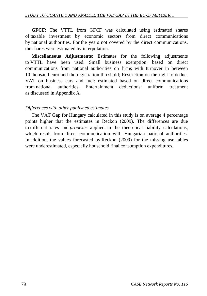**GFCF**: The VTTL from GFCF was calculated using estimated shares of taxable investment by economic sectors from direct communications by national authorities. For the years not covered by the direct communications, the shares were estimated by interpolation.

**Miscellaneous Adjustments**: Estimates for the following adjustments to VTTL have been used: Small business exemption: based on direct communications from national authorities on firms with turnover in between 10 thousand euro and the registration threshold; Restriction on the right to deduct VAT on business cars and fuel: estimated based on direct communications from national authorities. Entertainment deductions: uniform treatment as discussed in Appendix A.

### *Differences with other published estimates*

The VAT Gap for Hungary calculated in this study is on average 4 percentage points higher that the estimates in Reckon (2009). The differences are due to different rates and *propexes* applied in the theoretical liability calculations, which result from direct communication with Hungarian national authorities. In addition, the values forecasted by Reckon (2009) for the missing use tables were underestimated, especially household final consumption expenditures.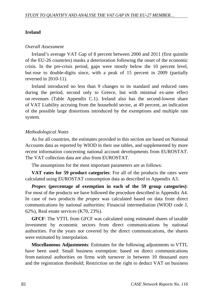### **Ireland**

### *Overall Assessment*

Ireland's average VAT Gap of 8 percent between 2000 and 2011 (first quintile of the EU-26 countries) masks a deterioration following the onset of the economic crisis. In the pre-crisis period, gaps were mostly below the 10 percent level, but rose to double-digits since, with a peak of 15 percent in 2009 (partially reversed in 2010-11).

Ireland introduced no less than 9 changes to its standard and reduced rates during the period, second only to Greece, but with minimal ex-ante effect on revenues (Table Appendix C.1). Ireland also has the second-lowest share of VAT Liability accruing from the household sector, at 49 percent, an indication of the possible large distortions introduced by the exemptions and multiple rate system.

### *Methodological Notes*

As for all countries, the estimates provided in this section are based on National Accounts data as reported by WIOD in their use tables, and supplemented by more recent information concerning national account developments from EUROSTAT. The VAT collection data are also from EUROSTAT.

The assumptions for the most important parameters are as follows:

**VAT rates for 59 product categories**: For all of the products the rates were calculated using EUROSTAT consumption data as described in Appendix A3.

*Propex* **(percentage of exemption in each of the 59 group categories)**: For most of the products we have followed the procedure described in Appendix A4. In case of two products the *propex* was calculated based on data from direct communications by national authorities: Financial intermediation (WIOD code J, 62%), Real estate services (K70, 23%).

**GFCF**: The VTTL from GFCF was calculated using estimated shares of taxable investment by economic sectors from direct communications by national authorities. For the years not covered by the direct communications, the shares were estimated by interpolation.

**Miscellaneous Adjustments**: Estimates for the following adjustments to VTTL have been used: Small business exemption: based on direct communications from national authorities on firms with turnover in between 10 thousand euro and the registration threshold; Restriction on the right to deduct VAT on business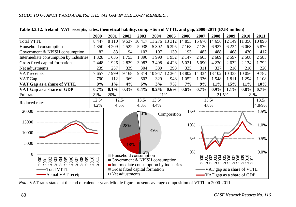|                                        | 2000    | 2001                                                                                                                                                                                                          | 2002    | 2003                        | 2004          | 2005        | 2006    | 2007           | 2008    | 2009    | 2010    | 2011    |
|----------------------------------------|---------|---------------------------------------------------------------------------------------------------------------------------------------------------------------------------------------------------------------|---------|-----------------------------|---------------|-------------|---------|----------------|---------|---------|---------|---------|
| <b>Total VTTL</b>                      | 8 4 4 7 | 8 1 1 0                                                                                                                                                                                                       | 9537    |                             | 10 417 11 276 | 13 3 12     | 14853   | 15 670         | 14 650  | 12 149  | 11 350  | 10 890  |
| Household consumption                  | 4 3 5 0 | 4 2 0 9                                                                                                                                                                                                       | 4 5 2 2 | 5 0 38                      | 5 3 0 2       | 6 3 9 5     | 7 1 6 8 | 7 1 2 0        | 6927    | 6 2 3 4 | 6 0 63  | 5 8 7 6 |
| Government & NPISH consumption         | 82      | 83                                                                                                                                                                                                            | 94      | 103                         | 107           | 139         | 193     | 483            | 488     | 468     | 430     | 417     |
| Intermediate consumption by industries | 1 3 2 8 | 1 635                                                                                                                                                                                                         | 1753    | 1890                        | 1990          | 1952        | 2 1 4 7 | 2665           | 2689    | 2597    | 2 5 0 8 | 2585    |
| Gross fixed capital formation          | 2 4 4 8 | 926                                                                                                                                                                                                           | 2829    | 3 0 8 3                     | 3 4 9 8       | 4428        | 5 0 21  | 5 0 9 0        | 4 2 2 0 | 2632    | 2 1 3 4 | 1792    |
| Net adjustments                        | 239     | 257                                                                                                                                                                                                           | 339     | 304                         | 380           | 398         | 325     | 311            | 327     | 218     | 216     | 220     |
| VAT receipts                           | 7657    | 7999                                                                                                                                                                                                          | 9 1 6 8 |                             | 9 814 10 947  | 12 3 64     | 13 802  | 14 3 34        | 13 102  | 10 338  | 10 056  | 9782    |
| VAT Gap                                | 790     | 112                                                                                                                                                                                                           | 369     | 602                         | 329           | 948         | 1052    | 1 3 3 6        | 1548    | 1811    | 1 2 9 4 | 1 1 0 8 |
| VAT Gap as a share of VTTL             | 9%      | $1\%$                                                                                                                                                                                                         | 4%      | 6%                          | 3%            | 7%          | $7\%$   | 9%             | 11%     | 15%     | $11\%$  | 10%     |
| VAT Gap as a share of GDP              | 0.7%    | 0.1%                                                                                                                                                                                                          | 0.3%    | 0.4%                        | 0.2%          | 0.6%        | 0.6%    | 0.7%           | 0.9%    | 1.1%    | $0.8\%$ | 0.7%    |
| Full rate                              | 21%     | 20%                                                                                                                                                                                                           |         |                             | 21%           |             |         |                | 21.5%   |         | 21%     |         |
| Reduced rates                          | 12.5/   |                                                                                                                                                                                                               | 12.5/   | 13.5/                       | 13.5/         |             |         |                | 13.5/   |         |         | 13.5/   |
|                                        | 4.2%    | 4.3%                                                                                                                                                                                                          |         | 4.3%                        | 4.4%          |             |         | 4.8/9%<br>4.8% |         |         |         |         |
| 20000                                  |         |                                                                                                                                                                                                               |         | 3%                          |               | Composition | 15%     |                |         |         |         | 1.5%    |
| 15000<br>10000                         |         |                                                                                                                                                                                                               | 28%     |                             | 49%           |             | 10%     |                |         |         |         | 1.0%    |
| 5000                                   |         |                                                                                                                                                                                                               | 18%     |                             |               |             | 5%      |                |         |         |         | 0.5%    |
| $\Omega$                               |         |                                                                                                                                                                                                               |         | 2%<br>Household consumption |               |             | 0%      |                |         |         |         | 0.0%    |
| Total VTTL<br>-Actual VAT receipts     |         | Government & NPISH consumption<br>$\blacksquare$ Intermediate consumption by industries<br>Gross fixed capital formation<br>WAT gap as a share of VTTL<br>$\Box$ Net adjustments<br>WAT gap as a share of GDP |         |                             |               |             |         |                |         |         |         |         |

**Table 3.3.12. Ireland: VAT receipts, rates, theoretical liability, compostion of VTTL and gap, 2000–2011 (EUR million)**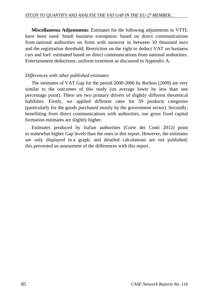**Miscellaneous Adjustments**: Estimates for the following adjustments to VTTL have been used: Small business exemption: based on direct communications from national authorities on firms with turnover in between 10 thousand euro and the registration threshold; Restriction on the right to deduct VAT on business cars and fuel: estimated based on direct communications from national authorities. Entertainment deductions: uniform treatment as discussed in Appendix A.

### *Differences with other published estimates*

The estimates of VAT Gap for the period 2000-2006 by Reckon (2009) are very similar to the outcomes of this study (on average lower by less than one percentage point). There are two primary drivers of slightly different theoretical liabilities. Firstly, we applied different rates for 59 products categories (particularly for the goods purchased mostly by the government sector). Secondly, benefitting from direct communications with authorities, our gross fixed capital formation estimates are slightly higher.

Estimates produced by Italian authorities (Corte dei Conti 2012) point to somewhat higher Gap levels than the ones in this report. However, the estimates are only displayed in a graph, and detailed calculations are not published; this prevented an assessment of the differences with this report.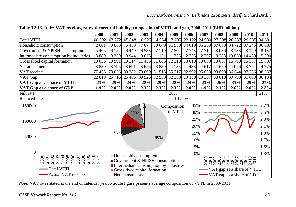|                                                              | 2000                                                                                                                                     | 2001    | 2002                                                    | 2003    | 2004    | 2005    | 2006       | 2007    | 2008                          | 2009                       | 2010            | 2011    |  |
|--------------------------------------------------------------|------------------------------------------------------------------------------------------------------------------------------------------|---------|---------------------------------------------------------|---------|---------|---------|------------|---------|-------------------------------|----------------------------|-----------------|---------|--|
| <b>Total VTTL</b>                                            |                                                                                                                                          |         | 100 292 103 772 105 848 110 025 114 054 117 705 122 122 |         |         |         |            | 124 980 |                               | 127 308 126 337            | 129 285 134 691 |         |  |
| Household consumption                                        | 72 081                                                                                                                                   | 73 883  | 75 458                                                  | 77 677  | 80 049  | 81 980  | 84 618     | 86 253  | 87 683                        | 84 722                     | 87 24 6         | 90 607  |  |
| Government & NPISH consumption                               | 5 4 6 5                                                                                                                                  | 6 1 5 4 | 6 4 4 0                                                 | 6583    | 7 1 1 0 | 7 5 0 4 | 7743       | 7714    | 8036                          | 8 1 3 8                    | 8 1 9 9         | 8 1 3 2 |  |
| Intermediate consumption by industries                       | 8 8 8 0                                                                                                                                  | 9 3 5 0 | 9 9 4 4                                                 | 10 675  | 11 131  | 11776   | 12 255     | 12 707  | 13 28 3                       | 13 660                     | 14 4 8 0        | 15 290  |  |
| Gross fixed capital formation                                | 10 036                                                                                                                                   | 10 591  | 10 3 14                                                 | 11 4 35 | 11 885  | 12 3 10 | 13 018     | 13 689  | 13 657                        | 15 790                     | 15 5 87         | 15 887  |  |
| Net adjustments                                              | 3830                                                                                                                                     | 3795    | 3 6 9 1                                                 | 3 6 5 6 | 3880    | 4 1 3 5 | 4 4 8 8    | 4617    | 4 6 5 0                       | 4 0 2 6                    | 3 7 7 4         | 4775    |  |
| VAT receipts                                                 | 77 473                                                                                                                                   | 78 056  | 80 3 82                                                 | 79 099  | 81 515  | 85 317  | 92 992     | 95 623  | 93 698                        |                            | 86 544 97 586   | 98 557  |  |
| VAT Gap                                                      | 22 8 19                                                                                                                                  | 25 716  | 25 4 6 6                                                | 30 9 26 | 32 539  | 32 388  | 29 130     | 29 357  | 33 610                        |                            | 39 793 31 699   | 36 134  |  |
| VAT Gap as a share of VTTL                                   | 23%                                                                                                                                      | 25%     | 24%                                                     | 28%     | 29%     | 28%     | 24%        | 23%     | 26%                           | 31%                        | 25%             | 27%     |  |
| VAT Gap as a share of GDP                                    | 1.9%                                                                                                                                     | 2.0%    | 2.0%                                                    | 2.3%    | 2.3%    | 2.3%    | 2.0%       | 1.9%    | 2.1%                          | 2.6%                       | 2.0%            | 2.3%    |  |
| Full rate                                                    |                                                                                                                                          |         |                                                         |         |         | 20%     |            |         |                               |                            |                 | 21%     |  |
| Reduced rates                                                | 10/4%<br>35%<br>Composition                                                                                                              |         |                                                         |         |         |         |            |         |                               |                            |                 |         |  |
| 150000                                                       |                                                                                                                                          |         |                                                         |         |         |         | 2.7%       |         |                               |                            |                 |         |  |
|                                                              |                                                                                                                                          |         | 11%                                                     | 4%      |         | of VTTL | 30%        |         |                               |                            |                 | 2.5%    |  |
| 100000                                                       |                                                                                                                                          |         | 10%                                                     |         |         |         | 25%        |         |                               |                            |                 | 2.3%    |  |
|                                                              |                                                                                                                                          |         |                                                         |         |         |         | 20%        |         |                               |                            |                 | 2.1%    |  |
| 50000                                                        |                                                                                                                                          | 6%      |                                                         |         |         |         | 15%        |         |                               |                            |                 | 1.9%    |  |
|                                                              |                                                                                                                                          |         |                                                         |         | 69%     |         | 10%        |         |                               |                            |                 | 1.7%    |  |
|                                                              |                                                                                                                                          |         |                                                         |         |         |         |            | 5%      |                               |                            |                 | 1.5%    |  |
| $\theta$                                                     |                                                                                                                                          |         |                                                         |         |         |         | 0%<br>1.3% |         |                               |                            |                 |         |  |
| 2003<br>2003<br>2005<br>2007<br>2007<br>2008<br>2000<br>2001 | Household consumption<br>2009<br>2010<br>2011<br>Government & NPISH consumption<br>$\blacksquare$ Intermediate consumption by industries |         |                                                         |         |         |         |            |         | 5003300508<br>2000<br>ន្តន្តុ |                            |                 |         |  |
| $-$ Total VTTL                                               | Gross fixed capital formation                                                                                                            |         |                                                         |         |         |         |            |         |                               | WAT gap as a share of VTTL |                 |         |  |
| Actual VAT receipts                                          |                                                                                                                                          |         | $\Box$ Net adjustments                                  |         |         |         |            |         | -VAT gap as a share of GDP    |                            |                 |         |  |

**Table 3.3.13. Italy: VAT receipts, rates, theoretical liability, compostion of VTTL and gap, 2000–2011 (EUR million)**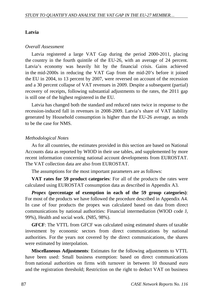### **Latvia**

### *Overall Assessment*

Latvia registered a large VAT Gap during the period 2000-2011, placing the country in the fourth quintile of the EU-26, with an average of 24 percent. Latvia's economy was heavily hit by the financial crisis. Gains achieved in the mid-2000s in reducing the VAT Gap from the mid-20's before it joined the EU in 2004, to 13 percent by 2007, were reversed on account of the recession and a 30 percent collapse of VAT revenues in 2009. Despite a subsequent (partial) recovery of receipts, following substantial adjustments to the rates, the 2011 gap is still one of the highest registered in the EU.

Latvia has changed both the standard and reduced rates twice in response to the recession-induced fall in revenues in 2008-2009. Latvia's share of VAT liability generated by Household consumption is higher than the EU-26 average, as tends to be the case for NMS.

### *Methodological Notes*

As for all countries, the estimates provided in this section are based on National Accounts data as reported by WIOD in their use tables, and supplemented by more recent information concerning national account developments from EUROSTAT. The VAT collection data are also from EUROSTAT.

The assumptions for the most important parameters are as follows:

**VAT rates for 59 product categories**: For all of the products the rates were calculated using EUROSTAT consumption data as described in Appendix A3.

*Propex* **(percentage of exemption in each of the 59 group categories)**: For most of the products we have followed the procedure described in Appendix A4. In case of four products the propex was calculated based on data from direct communications by national authorities: Financial intermediation (WIOD code J, 99%), Health and social work. (N85, 98%).

**GFCF**: The VTTL from GFCF was calculated using estimated shares of taxable investment by economic sectors from direct communications by national authorities. For the years not covered by the direct communications, the shares were estimated by interpolation.

**Miscellaneous Adjustments**: Estimates for the following adjustments to VTTL have been used: Small business exemption: based on direct communications from national authorities on firms with turnover in between 10 thousand euro and the registration threshold; Restriction on the right to deduct VAT on business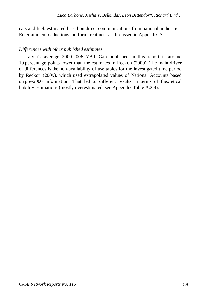cars and fuel: estimated based on direct communications from national authorities. Entertainment deductions: uniform treatment as discussed in Appendix A.

## *Differences with other published estimates*

Latvia's average 2000-2006 VAT Gap published in this report is around 10 percentage points lower than the estimates in Reckon (2009). The main driver of differences is the non-availability of use tables for the investigated time period by Reckon (2009), which used extrapolated values of National Accounts based on pre-2000 information. That led to different results in terms of theoretical liability estimations (mostly overestimated, see Appendix Table A.2.8).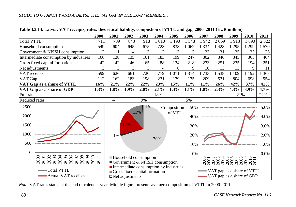|                                                                                                                                                                                                                                                                                                                                                                  | 2000 | 2001 | 2002                   | 2003                                                                                     | 2004           | 2005                                                  | 2006 | 2007 | 2008    | 2009                                                    | 2010    | 2011    |
|------------------------------------------------------------------------------------------------------------------------------------------------------------------------------------------------------------------------------------------------------------------------------------------------------------------------------------------------------------------|------|------|------------------------|------------------------------------------------------------------------------------------|----------------|-------------------------------------------------------|------|------|---------|---------------------------------------------------------|---------|---------|
| <b>Total VTTL</b>                                                                                                                                                                                                                                                                                                                                                | 711  | 789  | 843                    | 918                                                                                      | 1 0 1 0        | 1 1 9 0                                               | 548  | 1942 | 2 0 6 9 | 913                                                     | 1890    | 2 3 2 2 |
| Household consumption                                                                                                                                                                                                                                                                                                                                            | 549  | 604  | 645                    | 675                                                                                      | 723            | 838                                                   | 062  | 334  | 428     | 1 2 9 5                                                 | 299     | 570     |
| Government & NPISH consumption                                                                                                                                                                                                                                                                                                                                   | 12   | 11   | 14                     | 13                                                                                       | 12             | 13                                                    | 13   | 23   | 31      | 25                                                      | 23      | 26      |
| Intermediate consumption by industries                                                                                                                                                                                                                                                                                                                           | 106  | 128  | 135                    | 161                                                                                      | 183            | 199                                                   | 247  | 302  | 346     | 345                                                     | 365     | 464     |
| Gross fixed capital formation                                                                                                                                                                                                                                                                                                                                    | 42   | 42   | 46                     | 65                                                                                       | 88             | 134                                                   | 218  | 273  | 251     | 235                                                     | 194     | 251     |
| Net adjustments                                                                                                                                                                                                                                                                                                                                                  | 3    | 3    | 3                      | 3                                                                                        | $\overline{4}$ | 6                                                     | 9    | 10   | 13      | 13                                                      | 9       | 11      |
| VAT receipts                                                                                                                                                                                                                                                                                                                                                     | 599  | 626  | 661                    | 720                                                                                      | 779            | 1011                                                  | 374  | 733  | 538     | 1 1 0 9                                                 | 1 1 9 2 | 368     |
| VAT Gap                                                                                                                                                                                                                                                                                                                                                          | 112  | 162  | 183                    | 198                                                                                      | 231            | 179                                                   | 175  | 209  | 531     | 804                                                     | 698     | 954     |
| VAT Gap as a share of VTTL                                                                                                                                                                                                                                                                                                                                       | 16%  | 21%  | 22%                    | 22%                                                                                      | 23%            | 15%                                                   | 11%  | 11%  | 26%     | 42%                                                     | 37%     | 41%     |
| VAT Gap as a share of GDP                                                                                                                                                                                                                                                                                                                                        | 1.3% | 1.8% | 1.9%                   | 2.0%                                                                                     | 2.1%           | 1.4%                                                  | 1.1% | 1.0% | 2.3%    | 4.3%                                                    | 3.9%    | 4.7%    |
| Full rate                                                                                                                                                                                                                                                                                                                                                        |      |      |                        |                                                                                          | 18%            |                                                       |      |      |         | 21%                                                     |         | 22%     |
| Reduced rates                                                                                                                                                                                                                                                                                                                                                    |      |      |                        | 9%                                                                                       |                |                                                       | 5%   |      |         |                                                         |         |         |
| 2500                                                                                                                                                                                                                                                                                                                                                             |      |      |                        | 1%<br>11%                                                                                |                | Composition                                           | 50%  |      |         |                                                         |         | 5.0%    |
| 2000                                                                                                                                                                                                                                                                                                                                                             |      |      |                        |                                                                                          |                | of VTTL                                               | 40%  |      |         |                                                         |         | 4.0%    |
| 1500                                                                                                                                                                                                                                                                                                                                                             |      |      | 17%                    |                                                                                          |                |                                                       | 30%  |      |         |                                                         |         | 3.0%    |
| 1000                                                                                                                                                                                                                                                                                                                                                             |      | 1%   |                        |                                                                                          | 70%            |                                                       | 20%  |      |         |                                                         |         | 2.0%    |
| 500                                                                                                                                                                                                                                                                                                                                                              |      |      |                        |                                                                                          |                |                                                       | 10%  |      |         |                                                         |         | 1.0%    |
| $\Omega$<br>$\begin{array}{l} 2000 \\ 2001 \\ 2002 \\ 2003 \\ 2004 \\ 2005 \\ 2006 \\ 2007 \\ 2008 \\ 2009 \\ 2009 \\ 2011 \\ 2011 \\ 2011 \\ 2011 \\ 2011 \\ 2011 \\ 2011 \\ 2011 \\ 2011 \\ 2011 \\ 2011 \\ 2011 \\ 2012 \\ 2012 \\ 2013 \\ 2013 \\ 2014 \\ 2012 \\ 2013 \\ 2014 \\ 2014 \\ 2015 \\ 2016 \\ 2019 \\ 20$<br>-Total VTTL<br>-Actual VAT receipts |      |      | $\Box$ Net adjustments | Household consumption<br>Government & NPISH consumption<br>Gross fixed capital formation |                | $\blacksquare$ Intermediate consumption by industries | 0%   |      |         | WAT gap as a share of VTTL<br>VAT gap as a share of GDP |         | 0.0%    |

**Table 3.3.14. Latvia: VAT receipts, rates, theoretical liability, compostion of VTTL and gap, 2000–2011 (EUR million)**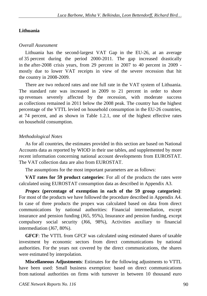## **Lithuania**

### *Overall Assessment*

Lithuania has the second-largest VAT Gap in the EU-26, at an average of 35 percent during the period 2000-2011. The gap increased drastically in the after-2008 crisis years, from 29 percent in 2007 to 40 percent in 2009 mostly due to lower VAT receipts in view of the severe recession that hit the country in 2008-2009.

There are two reduced rates and one full rate in the VAT system of Lithuania. The standard rate was increased in 2009 to 21 percent in order to shore up revenues severely affected by the recession, with moderate success as collections remained in 2011 below the 2008 peak. The country has the highest percentage of the VTTL levied on household consumption in the EU-26 countries, at 74 percent, and as shown in Table 1.2.1, one of the highest effective rates on household consumption.

## *Methodological Notes*

As for all countries, the estimates provided in this section are based on National Accounts data as reported by WIOD in their use tables, and supplemented by more recent information concerning national account developments from EUROSTAT. The VAT collection data are also from EUROSTAT.

The assumptions for the most important parameters are as follows:

**VAT rates for 59 product categories**: For all of the products the rates were calculated using EUROSTAT consumption data as described in Appendix A3.

*Propex* **(percentage of exemption in each of the 59 group categories)**: For most of the products we have followed the procedure described in Appendix A4. In case of three products the propex was calculated based on data from direct communications by national authorities: Financial intermediation, except insurance and pension funding (J65, 95%), Insurance and pension funding, except compulsory social security (J66, 98%), Activities auxiliary to financial intermediation (J67, 80%).

**GFCF**: The VTTL from GFCF was calculated using estimated shares of taxable investment by economic sectors from direct communications by national authorities. For the years not covered by the direct communications, the shares were estimated by interpolation.

**Miscellaneous Adjustments**: Estimates for the following adjustments to VTTL have been used: Small business exemption: based on direct communications from national authorities on firms with turnover in between 10 thousand euro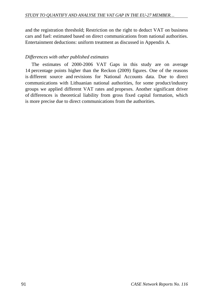and the registration threshold; Restriction on the right to deduct VAT on business cars and fuel: estimated based on direct communications from national authorities. Entertainment deductions: uniform treatment as discussed in Appendix A.

### *Differences with other published estimates*

The estimates of 2000-2006 VAT Gaps in this study are on average 14 percentage points higher than the Reckon (2009) figures. One of the reasons is different source and revisions for National Accounts data. Due to direct communications with Lithuanian national authorities, for some product/industry groups we applied different VAT rates and propexes. Another significant driver of differences is theoretical liability from gross fixed capital formation, which is more precise due to direct communications from the authorities.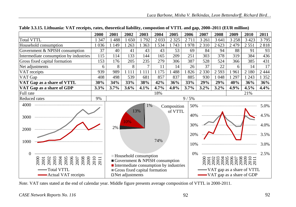|                                                                                                                                                                                                                                                                                                                                                                  | 2000    | 2001    | 2002                   | 2003                    | 2004                                                            | 2005                                                  | 2006 | 2007    | 2008    | 2009    | 2010                                                                       | 2011    |
|------------------------------------------------------------------------------------------------------------------------------------------------------------------------------------------------------------------------------------------------------------------------------------------------------------------------------------------------------------------|---------|---------|------------------------|-------------------------|-----------------------------------------------------------------|-------------------------------------------------------|------|---------|---------|---------|----------------------------------------------------------------------------|---------|
| <b>Total VTTL</b>                                                                                                                                                                                                                                                                                                                                                | 1 3 4 7 | 1488    | 1650                   | 1792                    | 2033                                                            | 2 3 2 5                                               | 2711 | 3 2 6 1 | 3 641   | 3 2 5 8 | 3 4 2 3                                                                    | 3795    |
| Household consumption                                                                                                                                                                                                                                                                                                                                            | 1 0 3 6 | 1 1 4 9 | 1 2 6 3                | 1 3 6 3                 | 1534                                                            | 1743                                                  | 1978 | 2 3 1 0 | 2 6 23  | 2479    | 2 5 5 1                                                                    | 2818    |
| Government & NPISH consumption                                                                                                                                                                                                                                                                                                                                   | 37      | 40      | 41                     | 43                      | 43                                                              | 53                                                    | 69   | 84      | 94      | 88      | 91                                                                         | 93      |
| Intermediate consumption by industries                                                                                                                                                                                                                                                                                                                           | 115     | 114     | 133                    | 144                     | 165                                                             | 209                                                   | 251  | 303     | 378     | 319     | 384                                                                        | 436     |
| Gross fixed capital formation                                                                                                                                                                                                                                                                                                                                    | 153     | 176     | 205                    | 235                     | 279                                                             | 306                                                   | 387  | 528     | 524     | 366     | 385                                                                        | 431     |
| Net adjustments                                                                                                                                                                                                                                                                                                                                                  | 6       | 8       | 8                      | 7                       | 11                                                              | 14                                                    | 26   | 37      | 22      | 6       | 14                                                                         | 17      |
| VAT receipts                                                                                                                                                                                                                                                                                                                                                     | 939     | 989     | 1 1 1 1                | 1 1 1 1                 | 1 1 7 5                                                         | 488                                                   | 826  | 2 3 3 0 | 2593    | 1961    | 2 1 8 0                                                                    | 2 4 4 4 |
| VAT Gap                                                                                                                                                                                                                                                                                                                                                          | 408     | 498     | 539                    | 681                     | 857                                                             | 837                                                   | 885  | 930     | 1 0 4 8 | 297     | 1 2 4 3                                                                    | 1 3 5 2 |
| VAT Gap as a share of VTTL                                                                                                                                                                                                                                                                                                                                       | 30%     | 34%     | 33%                    | 38%                     | 42%                                                             | 36%                                                   | 33%  | 29%     | 29%     | 40%     | 36%                                                                        | 36%     |
| VAT Gap as a share of GDP                                                                                                                                                                                                                                                                                                                                        | 3.3%    | 3.7%    | 3.6%                   | 4.1%                    | 4.7%                                                            | 4.0%                                                  | 3.7% | 3.2%    | 3.2%    | 4.9%    | 4.5%                                                                       | 4.4%    |
| Full rate                                                                                                                                                                                                                                                                                                                                                        |         |         |                        |                         | 18%                                                             |                                                       |      |         |         |         | 21%                                                                        |         |
| Reduced rates                                                                                                                                                                                                                                                                                                                                                    | 9%      |         |                        |                         |                                                                 |                                                       | 9/5% |         |         |         |                                                                            |         |
| 4000                                                                                                                                                                                                                                                                                                                                                             |         |         |                        | 1%<br>13%               |                                                                 | Composition<br>of VTTL                                | 50%  |         |         |         |                                                                            | 5.0%    |
| 3000                                                                                                                                                                                                                                                                                                                                                             |         |         | 10%                    |                         |                                                                 |                                                       | 40%  |         |         |         |                                                                            | 4.5%    |
| 2000                                                                                                                                                                                                                                                                                                                                                             |         | 2%      |                        |                         |                                                                 |                                                       | 30%  |         |         |         |                                                                            | 4.0%    |
|                                                                                                                                                                                                                                                                                                                                                                  |         |         |                        |                         | 74%                                                             |                                                       | 20%  |         |         |         |                                                                            | 3.5%    |
| 1000                                                                                                                                                                                                                                                                                                                                                             |         |         |                        |                         |                                                                 |                                                       | 10%  |         |         |         |                                                                            | 3.0%    |
| $\Omega$<br>$\begin{array}{l} 2000 \\ 2001 \\ 2003 \\ 2004 \\ 2005 \\ 2006 \\ 2006 \\ 2007 \\ 2008 \\ 2009 \\ 2009 \\ 2011 \\ 2011 \\ 2011 \\ 2011 \\ 2011 \\ 2011 \\ 2011 \\ 2011 \\ 2011 \\ 2011 \\ 2011 \\ 2011 \\ 2012 \\ 2012 \\ 2013 \\ 2013 \\ 2014 \\ 2012 \\ 2013 \\ 2013 \\ 2014 \\ 2014 \\ 2015 \\ 2016 \\ 20$<br>-Total VTTL<br>-Actual VAT receipts |         |         | $\Box$ Net adjustments | ■ Household consumption | Government & NPISH consumption<br>Gross fixed capital formation | $\blacksquare$ Intermediate consumption by industries | 0%   |         |         |         | $\overline{a}$<br>-VAT gap as a share of VTTL<br>VAT gap as a share of GDP | 2.5%    |

| Table 3.3.15. Lithuania: VAT receipts, rates, theoretical liability, compostion of VTTL and gap, 2000-2011 (EUR million) |
|--------------------------------------------------------------------------------------------------------------------------|
|--------------------------------------------------------------------------------------------------------------------------|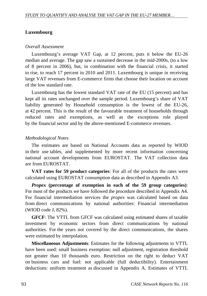### **Luxembourg**

#### *Overall Assessment*

Luxembourg's average VAT Gap, at 12 percent, puts it below the EU-26 median and average. The gap saw a sustained decrease in the mid-2000s, (to a low of 8 percent in 2006), but, in combination with the financial crisis, it started to rise, to reach 17 percent in 2010 and 2011. Luxembourg is unique in receiving large VAT revenues from E-commerce firms that choose their location on account of the low standard rate.

Luxembourg has the lowest standard VAT rate of the EU (15 percent) and has kept all its rates unchanged over the sample period. Luxembourg's share of VAT liability generated by Household consumption is the lowest of the EU-26, at 42 percent. This is the result of the favourable treatment of households through reduced rates and exemptions, as well as the exceptions role played by the financial sector and by the above-mentioned E-commerce revenues.

### *Methodological Notes*

The estimates are based on National Accounts data as reported by WIOD in their use tables, and supplemented by more recent information concerning national account developments from EUROSTAT. The VAT collection data are from EUROSTAT.

**VAT rates for 59 product categories**: For all of the products the rates were calculated using EUROSTAT consumption data as described in Appendix A3.

*Propex* **(percentage of exemption in each of the 59 group categories)**: For most of the products we have followed the procedure described in Appendix A4. For financial intermediation services the *propex* was calculated based on data from direct communications by national authorities: Financial intermediation (WIOD code J, 82%).

**GFCF**: The VTTL from GFCF was calculated using estimated shares of taxable investment by economic sectors from direct communications by national authorities. For the years not covered by the direct communications, the shares were estimated by interpolation.

**Miscellaneous Adjustments**: Estimates for the following adjustments to VTTL have been used: small business exemption: null adjustment, registration threshold not greater than 10 thousands euro. Restriction on the right to deduct VAT on business cars and fuel: not applicable (full deductibility). Entertainment deductions: uniform treatment as discussed in Appendix A. Estimates of VTTL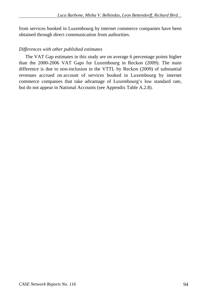from services booked in Luxembourg by internet commerce companies have been obtained through direct communication from authorities.

## *Differences with other published estimates*

The VAT Gap estimates in this study are on average 6 percentage points higher than the 2000-2006 VAT Gaps for Luxembourg in Reckon (2009). The main difference is due to non-inclusion in the VTTL by Reckon (2009) of substantial revenues accrued on account of services booked in Luxembourg by internet commerce companies that take advantage of Luxembourg's low standard rate, but do not appear in National Accounts (see Appendix Table A.2.8).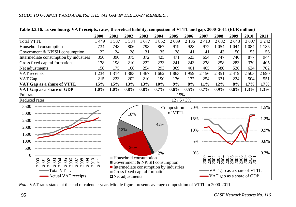|                                                                                                                                                                                                                                                                                                                        | 2000                                                  | 2001 | 2002                   | 2003                           | 2004    | 2005        | 2006    | 2007    | 2008    | 2009    | 2010                       | 2011    |
|------------------------------------------------------------------------------------------------------------------------------------------------------------------------------------------------------------------------------------------------------------------------------------------------------------------------|-------------------------------------------------------|------|------------------------|--------------------------------|---------|-------------|---------|---------|---------|---------|----------------------------|---------|
| <b>Total VTTL</b>                                                                                                                                                                                                                                                                                                      | 449                                                   | 1537 | 584                    | 1677                           | 1852    | 2039        | 2 1 3 6 | 2410    | 2682    | 2 6 4 3 | 3 0 0 7                    | 3 2 4 2 |
| Household consumption                                                                                                                                                                                                                                                                                                  | 734                                                   | 748  | 806                    | 798                            | 867     | 919         | 928     | 972     | 1 0 5 4 | 1 0 4 4 | 1 0 8 4                    | 1 1 3 5 |
| Government & NPISH consumption                                                                                                                                                                                                                                                                                         | 22                                                    | 24   | 28                     | 31                             | 35      | 38          | 41      | 41      | 43      | 50      | 53                         | 56      |
| Intermediate consumption by industries                                                                                                                                                                                                                                                                                 | 356                                                   | 390  | 375                    | 372                            | 425     | 471         | 523     | 654     | 747     | 740     | 877                        | 944     |
| Gross fixed capital formation                                                                                                                                                                                                                                                                                          | 178                                                   | 198  | 210                    | 222                            | 233     | 241         | 243     | 278     | 258     | 283     | 370                        | 405     |
| Net adjustments                                                                                                                                                                                                                                                                                                        | 158                                                   | 175  | 166                    | 254                            | 293     | 369         | 401     | 465     | 580     | 526     | 624                        | 702     |
| VAT receipts                                                                                                                                                                                                                                                                                                           | 234                                                   | 314  | 383                    | 467                            | 662     | 863         | 1959    | 2 1 5 6 | 2 3 5 1 | 2419    | 2 5 0 3                    | 2690    |
| VAT Gap                                                                                                                                                                                                                                                                                                                | 215                                                   | 223  | 202                    | 210                            | 190     | 176         | 177     | 254     | 331     | 224     | 504                        | 551     |
| VAT Gap as a share of VTTL                                                                                                                                                                                                                                                                                             | 15%                                                   | 15%  | 13%                    | 13%                            | 10%     | 9%          | 8%      | 11%     | 12%     | 8%      | 17%                        | 17%     |
| VAT Gap as a share of GDP                                                                                                                                                                                                                                                                                              | 1.0%                                                  | 1.0% | 0.8%                   | 0.8%                           | $0.7\%$ | 0.6%        | 0.5%    | 0.7%    | 0.9%    | 0.6%    | 1.3%                       | 1.3%    |
| Full rate                                                                                                                                                                                                                                                                                                              |                                                       |      |                        |                                |         | 15%         |         |         |         |         |                            |         |
| Reduced rates                                                                                                                                                                                                                                                                                                          |                                                       |      |                        |                                |         | 12/6/3%     |         |         |         |         |                            |         |
| 3500                                                                                                                                                                                                                                                                                                                   |                                                       |      |                        |                                |         | Composition | 20%     |         |         |         |                            | 1.5%    |
| 3000                                                                                                                                                                                                                                                                                                                   |                                                       |      | 18%                    |                                |         | of VTTL     |         |         |         |         |                            |         |
| 2500                                                                                                                                                                                                                                                                                                                   |                                                       |      |                        |                                |         |             | 15%     |         |         |         |                            | 1.2%    |
|                                                                                                                                                                                                                                                                                                                        |                                                       |      |                        |                                | 42%     |             |         |         |         |         |                            |         |
| 2000                                                                                                                                                                                                                                                                                                                   |                                                       |      | 12%                    |                                |         |             | 10%     |         |         |         |                            | 0.9%    |
| 1500                                                                                                                                                                                                                                                                                                                   |                                                       |      |                        |                                |         |             |         |         |         |         |                            |         |
| 1000                                                                                                                                                                                                                                                                                                                   |                                                       |      |                        |                                |         |             | 5%      |         |         |         |                            | 0.6%    |
| 500                                                                                                                                                                                                                                                                                                                    |                                                       |      | 26%                    |                                |         |             |         |         |         |         |                            |         |
|                                                                                                                                                                                                                                                                                                                        |                                                       |      |                        |                                | 2%      |             | 0%      |         |         |         |                            | 0.3%    |
| $\Omega$                                                                                                                                                                                                                                                                                                               |                                                       |      |                        | Household consumption          |         |             |         |         |         |         |                            |         |
| $\begin{array}{l} 2002 \\ 2003 \\ 2004 \\ 2005 \\ 2006 \\ 2007 \\ 2008 \\ 2003 \\ 2003 \\ 2009 \\ 2009 \\ 2009 \\ 2009 \\ 2009 \\ 2009 \\ 2009 \\ 2009 \\ 2009 \\ 2009 \\ 2009 \\ 2009 \\ 2009 \\ 2009 \\ 2009 \\ 2009 \\ 2009 \\ 2009 \\ 2009 \\ 2009 \\ 2009 \\ 2009 \\ 2009 \\ 2009 \\ 2009 \\ 2000 \\ 20$<br>20001 | 2010                                                  |      |                        | Government & NPISH consumption |         |             |         |         |         |         |                            |         |
|                                                                                                                                                                                                                                                                                                                        | $\blacksquare$ Intermediate consumption by industries |      |                        |                                |         |             |         |         |         |         |                            |         |
| Total VTTL<br>$\blacksquare$ Gross fixed capital formation                                                                                                                                                                                                                                                             |                                                       |      |                        |                                |         |             |         |         |         |         | WAT gap as a share of VTTL |         |
| -Actual VAT receipts                                                                                                                                                                                                                                                                                                   |                                                       |      | $\Box$ Net adjustments |                                |         |             |         |         |         |         | VAT gap as a share of GDP  |         |

**Table 3.3.16. Luxembourg: VAT receipts, rates, theoretical liability, compostion of VTTL and gap, 2000–2011 (EUR million)**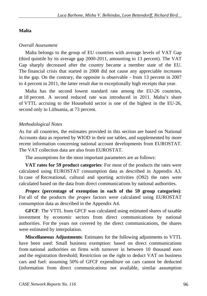# **Malta**

## *Overall Assessment*

Malta belongs to the group of EU countries with average levels of VAT Gap (third quintile by its average gap 2000-2011, amounting to 13 percent). The VAT Gap sharply decreased after the country became a member state of the EU. The financial crisis that started in 2008 did not cause any appreciable increases in the gap. On the contrary, the opposite is observable - from 13 percent in 2007 to 4 percent in 2011, the latter result due to exceptionally high receipts that year.

Malta has the second lowest standard rate among the EU-26 countries, at 18 percent. A second reduced rate was introduced in 2011. Malta's share of VTTL accruing to the Household sector is one of the highest in the EU-26, second only to Lithuania, at 73 percent.

# *Methodological Notes*

As for all countries, the estimates provided in this section are based on National Accounts data as reported by WIOD in their use tables, and supplemented by more recent information concerning national account developments from EUROSTAT. The VAT collection data are also from EUROSTAT.

The assumptions for the most important parameters are as follows:

**VAT rates for 59 product categories**: For most of the products the rates were calculated using EUROSTAT consumption data as described in Appendix A3. In case of Recreational, cultural and sporting activities (O92) the rates were calculated based on the data from direct communications by national authorities.

*Propex* **(percentage of exemption in each of the 59 group categories)**: For all of the products the *propex* factors were calculated using EUROSTAT consumption data as described in the Appendix A4.

**GFCF**: The VTTL from GFCF was calculated using estimated shares of taxable investment by economic sectors from direct communications by national authorities. For the years not covered by the direct communications, the shares were estimated by interpolation.

**Miscellaneous Adjustments**: Estimates for the following adjustments to VTTL have been used: Small business exemption: based on direct communications from national authorities on firms with turnover in between 10 thousand euro and the registration threshold; Restriction on the right to deduct VAT on business cars and fuel: assuming 50% of GFCF expenditure on cars cannot be deducted (information from direct communications not available, similar assumption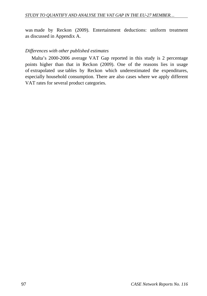was made by Reckon (2009). Entertainment deductions: uniform treatment as discussed in Appendix A.

### *Differences with other published estimates*

Malta's 2000-2006 average VAT Gap reported in this study is 2 percentage points higher than that in Reckon (2009). One of the reasons lies in usage of extrapolated use tables by Reckon which underestimated the expenditures, especially household consumption. There are also cases where we apply different VAT rates for several product categories.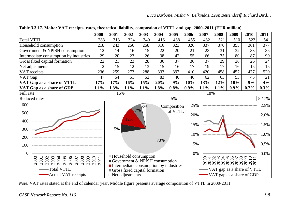|                                        | 2000                                                                                                                                                                                                                                                                                                                                                                                                                                                                                 | 2001                                                                                                                                                                                                                                                        | 2002 | 2003 | 2004 | 2005 | 2006 | 2007 | 2008 | 2009                               | 2010       | 2011            |
|----------------------------------------|--------------------------------------------------------------------------------------------------------------------------------------------------------------------------------------------------------------------------------------------------------------------------------------------------------------------------------------------------------------------------------------------------------------------------------------------------------------------------------------|-------------------------------------------------------------------------------------------------------------------------------------------------------------------------------------------------------------------------------------------------------------|------|------|------|------|------|------|------|------------------------------------|------------|-----------------|
| <b>Total VTTL</b>                      | 283                                                                                                                                                                                                                                                                                                                                                                                                                                                                                  | 313                                                                                                                                                                                                                                                         | 324  | 340  | 416  | 438  | 455  | 482  | 521  | 510                                | 522        | 541             |
| Household consumption                  | 218                                                                                                                                                                                                                                                                                                                                                                                                                                                                                  | 243                                                                                                                                                                                                                                                         | 250  | 258  | 310  | 323  | 326  | 337  | 370  | 355                                | 361        | 377             |
| Government & NPISH consumption         | 12                                                                                                                                                                                                                                                                                                                                                                                                                                                                                   | 14                                                                                                                                                                                                                                                          | 16   | 15   | 22   | 20   | 21   | 23   | 31   | 32                                 | 33         | 35              |
| Intermediate consumption by industries | 29                                                                                                                                                                                                                                                                                                                                                                                                                                                                                   | 20                                                                                                                                                                                                                                                          | 23   | 26   | 38   | 42   | 55   | 66   | 75   | 80                                 | 87         | 90              |
| Gross fixed capital formation          | 22                                                                                                                                                                                                                                                                                                                                                                                                                                                                                   | 21                                                                                                                                                                                                                                                          | 23   | 28   | 30   | 37   | 36   | 37   | 29   | 26                                 | 26         | 24              |
| Net adjustments                        | $\overline{2}$                                                                                                                                                                                                                                                                                                                                                                                                                                                                       | 15                                                                                                                                                                                                                                                          | 12   | 13   | 15   | 16   | 17   | 19   | 17   | 16                                 | 15         | 15              |
| VAT receipts                           | 236                                                                                                                                                                                                                                                                                                                                                                                                                                                                                  | 259                                                                                                                                                                                                                                                         | 273  | 288  | 333  | 397  | 410  | 420  | 458  | 457                                | 477        | 520             |
| VAT Gap                                | 47                                                                                                                                                                                                                                                                                                                                                                                                                                                                                   | 54                                                                                                                                                                                                                                                          | 51   | 52   | 83   | 40   | 46   | 62   | 63   | 53                                 | 45         | $\overline{21}$ |
| VAT Gap as a share of VTTL             |                                                                                                                                                                                                                                                                                                                                                                                                                                                                                      |                                                                                                                                                                                                                                                             |      |      |      |      |      |      |      |                                    |            | 4%              |
| VAT Gap as a share of GDP              |                                                                                                                                                                                                                                                                                                                                                                                                                                                                                      |                                                                                                                                                                                                                                                             |      |      |      |      |      |      |      |                                    |            | 0.3%            |
| Full rate                              |                                                                                                                                                                                                                                                                                                                                                                                                                                                                                      |                                                                                                                                                                                                                                                             |      |      |      |      |      |      |      |                                    |            |                 |
| Reduced rates                          |                                                                                                                                                                                                                                                                                                                                                                                                                                                                                      |                                                                                                                                                                                                                                                             |      |      |      |      |      |      |      |                                    |            | 5/7%            |
| 600                                    |                                                                                                                                                                                                                                                                                                                                                                                                                                                                                      |                                                                                                                                                                                                                                                             |      | 3%   |      |      |      |      |      |                                    |            | 2.5%            |
| 500                                    |                                                                                                                                                                                                                                                                                                                                                                                                                                                                                      |                                                                                                                                                                                                                                                             |      |      |      |      |      |      |      |                                    |            | 2.0%            |
| 400                                    |                                                                                                                                                                                                                                                                                                                                                                                                                                                                                      | 16%<br>15%<br>20%<br>9%<br>10%<br>13%<br>12%<br>10%<br>17%<br>17%<br>9%<br>1.3%<br>1.1%<br>1.1%<br>1.8%<br>0.8%<br>0.9%<br>1.1%<br>1.1%<br>0.9%<br>0.7%<br>1.1%<br>15%<br>18%<br>5%<br>25%<br>Composition<br>7%<br>of VTTL<br>20%<br>2%<br>15%<br>5%<br>10% |      |      |      |      |      |      |      |                                    | 1.5%       |                 |
| 300<br>200                             |                                                                                                                                                                                                                                                                                                                                                                                                                                                                                      |                                                                                                                                                                                                                                                             |      |      |      |      |      |      |      |                                    |            | 1.0%            |
| 100                                    |                                                                                                                                                                                                                                                                                                                                                                                                                                                                                      |                                                                                                                                                                                                                                                             |      |      | 73%  |      | 5%   |      |      |                                    |            | 0.5%            |
| $\theta$                               |                                                                                                                                                                                                                                                                                                                                                                                                                                                                                      |                                                                                                                                                                                                                                                             |      |      |      |      |      | 0%   |      |                                    |            | 0.0%            |
| Total VTTL                             | <b>Household consumption</b><br>$\begin{array}{l} 2000 \\ 2001 \\ 2000 \\ 2001 \\ 2000 \\ 2000 \\ 2000 \\ 2000 \\ 2000 \\ 2000 \\ 2000 \\ 2000 \\ 2000 \\ 2000 \\ 2000 \\ 2000 \\ 2000 \\ 2000 \\ 2000 \\ 2000 \\ 2000 \\ 2000 \\ 2000 \\ 2000 \\ 2000 \\ 2000 \\ 2000 \\ 2000 \\ 2000 \\ 2000 \\ 2000 \\ 2000 \\ 2000 \\ 2000 \\ 2000 \\ 20$<br>Government & NPISH consumption<br>Intermediate consumption by industries<br>Gross fixed capital formation<br>$\Box$ Net adjustments |                                                                                                                                                                                                                                                             |      |      |      |      |      |      |      | 2008<br>WAT gap as a share of VTTL | 200<br>201 |                 |
| Actual VAT receipts                    |                                                                                                                                                                                                                                                                                                                                                                                                                                                                                      |                                                                                                                                                                                                                                                             |      |      |      |      |      |      |      | VAT gap as a share of GDP          |            |                 |

**Table 3.3.17. Malta: VAT receipts, rates, theoretical liability, compostion of VTTL and gap, 2000–2011 (EUR million)**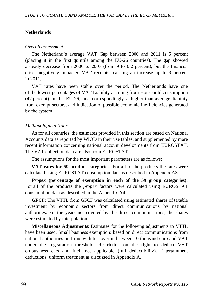#### **Netherlands**

#### *Overall assessment*

The Netherland's average VAT Gap between 2000 and 2011 is 5 percent (placing it in the first quintile among the EU-26 countries). The gap showed a steady decrease from 2000 to 2007 (from 9 to 0.2 percent), but the financial crises negatively impacted VAT receipts, causing an increase up to 9 percent in 2011.

VAT rates have been stable over the period. The Netherlands have one of the lowest percentages of VAT Liability accruing from Household consumption (47 percent) in the EU-26, and correspondingly a higher-than-average liability from exempt sectors, and indication of possible economic inefficiencies generated by the system.

#### *Methodological Notes*

As for all countries, the estimates provided in this section are based on National Accounts data as reported by WIOD in their use tables, and supplemented by more recent information concerning national account developments from EUROSTAT. The VAT collection data are also from EUROSTAT.

The assumptions for the most important parameters are as follows:

**VAT rates for 59 product categories**: For all of the products the rates were calculated using EUROSTAT consumption data as described in Appendix A3.

*Propex* **(percentage of exemption in each of the 59 group categories)**: For all of the products the *propex* factors were calculated using EUROSTAT consumption data as described in the Appendix A4.

**GFCF**: The VTTL from GFCF was calculated using estimated shares of taxable investment by economic sectors from direct communications by national authorities. For the years not covered by the direct communications, the shares were estimated by interpolation.

**Miscellaneous Adjustments**: Estimates for the following adjustments to VTTL have been used: Small business exemption: based on direct communications from national authorities on firms with turnover in between 10 thousand euro and VAT under the registration threshold; Restriction on the right to deduct VAT on business cars and fuel: not applicable (full deductibility). Entertainment deductions: uniform treatment as discussed in Appendix A.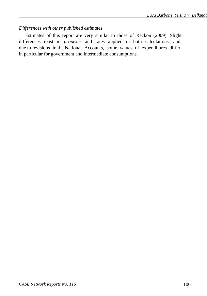### *Differences with other published estimates*

Estimates of this report are very similar to those of Reckon (2009). Slight differences exist in *propexes* and rates applied in both calculations, and, due to revisions in the National Accounts, some values of expenditures differ, in particular for government and intermediate consumptions.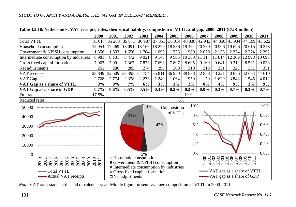|                                                        | 2000    | 2001    | 2002                   | 2003                                                                                                                                                    | 2004    | 2005          | 2006          | 2007    | 2008    | 2009     | 2010                                                    | 2011    |
|--------------------------------------------------------|---------|---------|------------------------|---------------------------------------------------------------------------------------------------------------------------------------------------------|---------|---------------|---------------|---------|---------|----------|---------------------------------------------------------|---------|
| <b>Total VTTL</b>                                      | 31 617  | 35 283  | 35 871                 | 36 987                                                                                                                                                  | 37 051  | 38 014        | 40 838        | 42 943  | 44 850  | 43 9 34  | 44 199                                                  | 45 622  |
| Household consumption                                  | 15 9 54 | 17469   | 18 091                 | 18 16 6                                                                                                                                                 | 18 2 20 | 18586         | 19 464 20 269 |         | 20 906  | 19 69 6  | 20 015                                                  | 20 25 3 |
| Government & NPISH consumption                         | 1 3 5 8 | 1533    | 1656                   | 1704                                                                                                                                                    | 1693    | 1756          | 1980          | 2070    | 2 1 5 8 | 2 2 3 4  | 2 2 7 4                                                 | 2 2 9 2 |
| Intermediate consumption by industries                 | 6981    | 8 1 0 1 | 8 4 7 2                | 9 0 21                                                                                                                                                  | 9 1 4 8 | 9 5 6 5       | 10 380        | 11 117  | 11 814  | 12 3 6 9 | 12 9 98                                                 | 13 693  |
| Gross fixed capital formation                          | 7063    | 7901    | 7 3 6 7                | 7823                                                                                                                                                    | 7693    | 7807          | 8695          | 9 1 6 9 | 9 641   | 9312     | 8531                                                    | 9033    |
| Net adjustments                                        | 261     | 280     | 285                    | 274                                                                                                                                                     | 298     | 300           | 319           | 318     | 331     | 323      | 381                                                     | 351     |
| VAT receipts                                           | 28 849  | 32 509  | 33 4 93                | 34 7 54                                                                                                                                                 | 35 811  | 36 950 39 888 |               | 42 873  | 43 221  | 40 086   | 42 654                                                  | 41 610  |
| VAT Gap                                                | 2768    | 2 7 7 4 | 2 3 7 8                | 2 2 3 3                                                                                                                                                 | 1 240   | 1 0 6 4       | 950           | 70      | 629     | 3848     | 1545                                                    | 4 0 1 2 |
| VAT Gap as a share of VTTL                             | 9%      | 8%      | $7\%$                  | 6%                                                                                                                                                      | 3%      | 3%            | $2\%$         | $0\%$   | 4%      | 9%       | 3%                                                      | 9%      |
| VAT Gap as a share of GDP                              | 0.7%    | $0.6\%$ | 0.5%                   | 0.5%                                                                                                                                                    | 0.3%    | $0.2\%$       | 0.2%          | $0.0\%$ | 0.3%    | 0.7%     | 0.3%                                                    | $0.7\%$ |
| Full rate                                              | 17.5%   |         |                        |                                                                                                                                                         |         |               | 19%           |         |         |          |                                                         |         |
| Reduced rates                                          |         |         |                        |                                                                                                                                                         |         | 6%            |               |         |         |          |                                                         |         |
| 50000                                                  |         |         |                        | 1%                                                                                                                                                      |         | Composition   | 10%           |         |         |          |                                                         | 1.0%    |
| 40000                                                  |         |         | 21%                    |                                                                                                                                                         |         | of VTTL       | 8%            |         |         |          |                                                         | 0.8%    |
| 30000                                                  |         |         |                        |                                                                                                                                                         | 47%     |               | 6%            |         |         |          |                                                         | 0.6%    |
| 20000                                                  |         |         | 26%                    |                                                                                                                                                         |         |               | 4%            |         |         |          |                                                         | 0.4%    |
| 10000                                                  |         |         |                        |                                                                                                                                                         |         |               | 2%            |         |         |          |                                                         | 0.2%    |
| $\Omega$<br>2000<br>Total VTTL<br>-Actual VAT receipts |         |         | $\Box$ Net adjustments | 5%<br>Household consumption<br>Government & NPISH consumption<br>$\blacksquare$ Intermediate consumption by industries<br>Gross fixed capital formation |         |               | 0%            |         |         |          | WAT gap as a share of VTTL<br>VAT gap as a share of GDP | 0.0%    |

**Table 3.3.18. Netherlands: VAT receipts, rates, theoretical liability, compostion of VTTL and gap, 2000–2011 (EUR million)**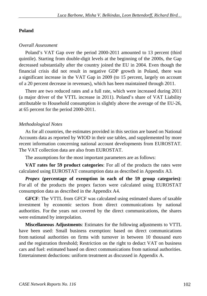## **Poland**

### *Overall Assessment*

Poland's VAT Gap over the period 2000-2011 amounted to 13 percent (third quintile). Starting from double-digit levels at the beginning of the 2000s, the Gap decreased substantially after the country joined the EU in 2004. Even though the financial crisis did not result in negative GDP growth in Poland, there was a significant increase in the VAT Gap in 2009 (to 15 percent, largely on account of a 20 percent decrease in revenues), which has been maintained through 2011.

There are two reduced rates and a full rate, which were increased during 2011 (a major driver of the VTTL increase in 2011). Poland's share of VAT Liability attributable to Household consumption is slightly above the average of the EU-26, at 65 percent for the period 2000-2011.

# *Methodological Notes*

As for all countries, the estimates provided in this section are based on National Accounts data as reported by WIOD in their use tables, and supplemented by more recent information concerning national account developments from EUROSTAT. The VAT collection data are also from EUROSTAT.

The assumptions for the most important parameters are as follows:

**VAT rates for 59 product categories**: For all of the products the rates were calculated using EUROSTAT consumption data as described in Appendix A3.

*Propex* **(percentage of exemption in each of the 59 group categories)**: For all of the products the propex factors were calculated using EUROSTAT consumption data as described in the Appendix A4.

**GFCF**: The VTTL from GFCF was calculated using estimated shares of taxable investment by economic sectors from direct communications by national authorities. For the years not covered by the direct communications, the shares were estimated by interpolation.

**Miscellaneous Adjustments**: Estimates for the following adjustments to VTTL have been used: Small business exemption: based on direct communications from national authorities on firms with turnover in between 10 thousand euro and the registration threshold; Restriction on the right to deduct VAT on business cars and fuel: estimated based on direct communications from national authorities. Entertainment deductions: uniform treatment as discussed in Appendix A.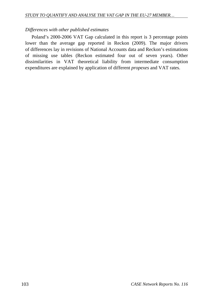### *Differences with other published estimates*

Poland's 2000-2006 VAT Gap calculated in this report is 3 percentage points lower than the average gap reported in Reckon (2009). The major drivers of differences lay in revisions of National Accounts data and Reckon's estimations of missing use tables (Reckon estimated four out of seven years). Other dissimilarities in VAT theoretical liability from intermediate consumption expenditures are explained by application of different *propexes* and VAT rates.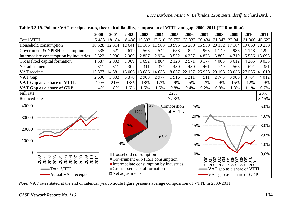|                                                                                                                                                                                                                                                                                                                                                                 | 2000                                                                                                                                                                                                                                           | 2001                                                                              | 2002    | 2003   | 2004   | 2005    | 2006    | 2007    | 2008    | 2009    | 2010    | 2011    |
|-----------------------------------------------------------------------------------------------------------------------------------------------------------------------------------------------------------------------------------------------------------------------------------------------------------------------------------------------------------------|------------------------------------------------------------------------------------------------------------------------------------------------------------------------------------------------------------------------------------------------|-----------------------------------------------------------------------------------|---------|--------|--------|---------|---------|---------|---------|---------|---------|---------|
| <b>Total VTTL</b>                                                                                                                                                                                                                                                                                                                                               | 15 4 83                                                                                                                                                                                                                                        | 18 18 4                                                                           | 18 4 36 | 16 593 | 17610  | 20 753  | 23 337  | 26 4 34 | 31 847  | 27 041  | 31 300  | 45 622  |
| Household consumption                                                                                                                                                                                                                                                                                                                                           | 10 5 28                                                                                                                                                                                                                                        | 12 3 14                                                                           | 12 641  | 11 165 | 11 963 | 13 9 95 | 15 288  | 16958   | 20 15 2 | 17 164  | 19 660  | 20 25 3 |
| Government & NPISH consumption                                                                                                                                                                                                                                                                                                                                  | 535                                                                                                                                                                                                                                            | 621                                                                               | 619     | 568    | 544    | 683     | 822     | 963     | 1 1 4 9 | 988     | 1 1 4 8 | 2 2 9 2 |
| Intermediate consumption by industries                                                                                                                                                                                                                                                                                                                          | 2 5 2 2                                                                                                                                                                                                                                        | 2936                                                                              | 2 9 6 0 | 2857   | 2924   | 3 5 2 2 | 4 2 2 7 | 4875    | 5 802   | 4710    | 5 5 3 6 | 13 693  |
| Gross fixed capital formation                                                                                                                                                                                                                                                                                                                                   | I 587                                                                                                                                                                                                                                          | 2 0 0 3                                                                           | 1 9 0 9 | 1692   | 1 804  | 2 1 2 3 | 2571    | 3 1 7 7 | 4 0 0 3 | 3 6 1 2 | 4 2 6 5 | 9033    |
| Net adjustments                                                                                                                                                                                                                                                                                                                                                 | 311                                                                                                                                                                                                                                            | 311                                                                               | 307     | 311    | 374    | 430     | 430     | 461     | 740     | 568     | 691     | 351     |
| VAT receipts                                                                                                                                                                                                                                                                                                                                                    | 12877                                                                                                                                                                                                                                          | 14 3 8 1                                                                          | 15 066  | 13 686 | 14 633 | 18 837  | 22 127  | 25 9 23 | 29 103  | 23 056  | 27 5 35 | 41 610  |
| VAT Gap                                                                                                                                                                                                                                                                                                                                                         | 2 606                                                                                                                                                                                                                                          | 3 803                                                                             | 3 3 7 0 | 2908   | 2977   | 1916    | 1211    | 511     | 2 7 4 3 | 3 9 8 5 | 3764    | 4 0 1 2 |
| VAT Gap as a share of VTTL                                                                                                                                                                                                                                                                                                                                      | 17%                                                                                                                                                                                                                                            | 21%                                                                               | 18%     | 18%    | 17%    | 9%      | 5%      | 2%      | 9%      | 15%     | 12%     | 9%      |
| VAT Gap as a share of GDP                                                                                                                                                                                                                                                                                                                                       | 1.4%                                                                                                                                                                                                                                           |                                                                                   | 1.6%    |        |        |         |         |         |         |         | 1.1%    | 0.7%    |
| Full rate                                                                                                                                                                                                                                                                                                                                                       |                                                                                                                                                                                                                                                |                                                                                   |         |        |        | 22%     |         |         |         |         |         | 23%     |
| Reduced rates                                                                                                                                                                                                                                                                                                                                                   |                                                                                                                                                                                                                                                |                                                                                   |         |        |        | 7/3%    |         |         |         |         |         | 8/5%    |
| 40000                                                                                                                                                                                                                                                                                                                                                           | 2%<br>Composition<br>25%<br>of VTTL<br>12%                                                                                                                                                                                                     |                                                                                   |         |        |        |         |         |         |         |         |         | 5.0%    |
| 30000                                                                                                                                                                                                                                                                                                                                                           |                                                                                                                                                                                                                                                | 0.8%<br>1.8%<br>1.5%<br>1.5%<br>0.8%<br>0.4%<br>0.2%<br>1.3%<br>20%<br>17%<br>15% |         |        |        |         |         |         |         |         |         | 4.0%    |
| 20000                                                                                                                                                                                                                                                                                                                                                           |                                                                                                                                                                                                                                                | 10%<br>65%                                                                        |         |        |        |         |         |         |         |         | 3.0%    |         |
| 10000                                                                                                                                                                                                                                                                                                                                                           |                                                                                                                                                                                                                                                |                                                                                   |         |        |        |         |         |         |         |         |         | 2.0%    |
|                                                                                                                                                                                                                                                                                                                                                                 | 4%<br>5%                                                                                                                                                                                                                                       |                                                                                   |         |        |        |         |         |         |         |         | 1.0%    |         |
| $\Omega$<br>$\begin{array}{l} 2000 \\ 2001 \\ 2000 \\ 2000 \\ 2000 \\ 2000 \\ 2000 \\ 2000 \\ 2000 \\ 2000 \\ 2000 \\ 2000 \\ 2011 \\ 2011 \\ 2011 \\ 2011 \\ 2011 \\ 2011 \\ 2011 \\ 2011 \\ 2011 \\ 2011 \\ 2011 \\ 2011 \\ 2011 \\ 2012 \\ 2012 \\ 2013 \\ 2013 \\ 2014 \\ 2012 \\ 2013 \\ 2014 \\ 2014 \\ 2016 \\ 20$<br>Total VTTL<br>-Actual VAT receipts | 0%<br>Household consumption<br>Government & NPISH consumption<br>$\blacksquare$ Intermediate consumption by industries<br>Gross fixed capital formation<br>-VAT gap as a share of VTTL<br>$\Box$ Net adjustments<br>-VAT gap as a share of GDP |                                                                                   |         |        |        |         |         |         |         | 0.0%    |         |         |

**Table 3.3.19. Poland: VAT receipts, rates, theoretical liability, compostion of VTTL and gap, 2000–2011 (EUR million)**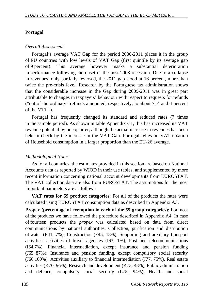## **Portugal**

### *Overall Assessment*

Portugal's average VAT Gap for the period 2000-2011 places it in the group of EU countries with low levels of VAT Gap (first quintile by its average gap of 9 percent). This average however masks a substantial deterioration in performance following the onset of the post-2008 recession. Due to a collapse in revenues, only partially reversed, the 2011 gap stood at 16 percent, more than twice the pre-crisis level. Research by the Portuguese tax administration shows that the considerable increase in the Gap during 2009-2011 was in great part attributable to changes in taxpayers' behaviour with respect to requests for refunds ("out of the ordinary" refunds amounted, respectively, to about 7, 4 and 4 percent of the VTTL).

Portugal has frequently changed its standard and reduced rates (7 times in the sample period). As shown in table Appendix C1, this has increased its VAT revenue potential by one quarter, although the actual increase in revenues has been held in check by the increase in the VAT Gap. Portugal relies on VAT taxation of Household consumption in a larger proportion than the EU-26 average.

### *Methodological Notes*

As for all countries, the estimates provided in this section are based on National Accounts data as reported by WIOD in their use tables, and supplemented by more recent information concerning national account developments from EUROSTAT. The VAT collection data are also from EUROSTAT. The assumptions for the most important parameters are as follows:

**VAT rates for 59 product categories**: For all of the products the rates were calculated using EUROSTAT consumption data as described in Appendix A3.

**Propex (percentage of exemption in each of the 59 group categories)**: For most of the products we have followed the procedure described in Appendix A4. In case of fourteen products the *propex* was calculated based on data from direct communications by national authorities: Collection, purification and distribution of water (E41, 7%), Construction (F45, 18%), Supporting and auxiliary transport activities; activities of travel agencies (I63, 1%), Post and telecommunications (I64,7%), Financial intermediation, except insurance and pension funding (J65, 87%), Insurance and pension funding, except compulsory social security (J66,100%), Activities auxiliary to financial intermediation (J77, 75%), Real estate activities (K70, 96%), Research and development (K73, 43%), Public administration and defence; compulsory social security (L75, 94%), Health and social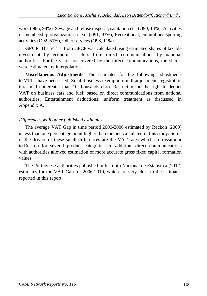work (N85, 98%), Sewage and refuse disposal, sanitation etc. (O90, 14%), Activities of membership organizations n.e.c. (O91, 93%), Recreational, cultural and sporting activities (O92, 51%), Other services (O93, 11%).

**GFCF**: The VTTL from GFCF was calculated using estimated shares of taxable investment by economic sectors from direct communications by national authorities. For the years not covered by the direct communications, the shares were estimated by interpolation.

**Miscellaneous Adjustments**: The estimates for the following adjustments to VTTL have been used: Small business exemption: null adjustment, registration threshold not greater than 10 thousands euro. Restriction on the right to deduct VAT on business cars and fuel: based on direct communications from national authorities. Entertainment deductions: uniform treatment as discussed in Appendix A.

### *Differences with other published estimates*

The average VAT Gap in time period 2000-2006 estimated by Reckon (2009) is less than one percentage point higher than the one calculated in this study. Some of the drivers of these small differences are the VAT rates which are dissimilar to Reckon for several product categories. In addition, direct communications with authorities allowed estimation of more accurate gross fixed capital formation values.

The Portuguese authorities published in Instituto Nacional de Estatística (2012) estimates for the VAT Gap for 2006-2010, which are very close to the estimates reported in this report.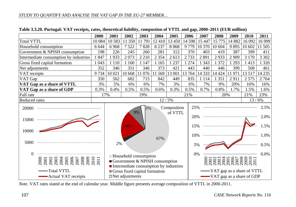|                                                                                                                                                                                                                                                                                                                                                                                                                                           | 2000                          | 2001    | 2002    | 2003      | 2004    | 2005                   | 2006    | 2007    | 2008                       | 2009     | 2010    | 2011    |  |  |
|-------------------------------------------------------------------------------------------------------------------------------------------------------------------------------------------------------------------------------------------------------------------------------------------------------------------------------------------------------------------------------------------------------------------------------------------|-------------------------------|---------|---------|-----------|---------|------------------------|---------|---------|----------------------------|----------|---------|---------|--|--|
| <b>Total VTTL</b>                                                                                                                                                                                                                                                                                                                                                                                                                         | 10 0 84                       | 10583   | 11 350  | 11791     | 12 4 10 | 13 450                 | 14 5 98 | 15 447  | 15 775                     | 14 8 8 2 | 16 092  | 16 9 99 |  |  |
| Household consumption                                                                                                                                                                                                                                                                                                                                                                                                                     | 6 6 4 4                       | 6968    | 7522    | 7828      | 8 2 3 7 | 8868                   | 9779    | 10 370  | 10 604                     | 9895     | 10 602  | 11 505  |  |  |
| Government & NPISH consumption                                                                                                                                                                                                                                                                                                                                                                                                            | 198                           | 226     | 245     | 260       | 281     | 312                    | 370     | 403     | 419                        | 387      | 399     | 411     |  |  |
| Intermediate consumption by industries                                                                                                                                                                                                                                                                                                                                                                                                    | 847                           | 1933    | 2073    | 2 2 1 0   | 2 3 5 4 | 2613                   | 2733    | 2891    | 2933                       | 2 9 0 9  | 3 1 7 0 | 3 3 0 2 |  |  |
| Gross fixed capital formation                                                                                                                                                                                                                                                                                                                                                                                                             | 043                           | 1 1 1 0 | 1 1 6 0 | 1 1 4 7   | 1 1 6 5 | 1 2 3 7                | 274     | 1 3 4 3 | 372                        | 293      | 1413    | 320     |  |  |
| Net adjustments                                                                                                                                                                                                                                                                                                                                                                                                                           | 352                           | 346     | 351     | 346       | 373     | 421                    | 443     | 440     | 446                        | 399      | 508     | 461     |  |  |
| VAT receipts                                                                                                                                                                                                                                                                                                                                                                                                                              | 9 7 3 4                       | 10 021  | 10 668  | 076<br>11 | 569     | 13 001                 | 13 764  | 14 3 33 | 14 4 24                    | 11 971   | 13 5 17 | 14 2 35 |  |  |
| VAT Gap                                                                                                                                                                                                                                                                                                                                                                                                                                   | 350                           | 562     | 682     | 715       | 842     | 449                    | 835     | 1 1 1 4 | 1 351                      | 2911     | 2 5 7 5 | 2764    |  |  |
| VAT Gap as a share of VTTL                                                                                                                                                                                                                                                                                                                                                                                                                | 3%                            | 5%      | 6%      | 6%        | 7%      | 3%                     | 6%      | 7%      | 9%                         | 20%      | 16%     | 16%     |  |  |
| VAT Gap as a share of GDP                                                                                                                                                                                                                                                                                                                                                                                                                 | 0.3%                          | 0.4%    | 0.5%    | 0.5%      | 0.6%    | 0.3%                   | 0.5%    | 0.7%    | 0.8%                       | 1.7%     | 1.5%    | 1.6%    |  |  |
| Full rate                                                                                                                                                                                                                                                                                                                                                                                                                                 | 17%                           |         |         | 19%       |         |                        | 21%     |         | 20%                        |          | 21%     | 23%     |  |  |
| Reduced rates                                                                                                                                                                                                                                                                                                                                                                                                                             |                               | 12/5%   |         |           |         |                        |         |         |                            |          | 13/6%   |         |  |  |
| 20000                                                                                                                                                                                                                                                                                                                                                                                                                                     |                               |         | 9%      | 3%        |         | Composition<br>of VTTL | 25%     |         |                            |          |         | 2.5%    |  |  |
| 15000                                                                                                                                                                                                                                                                                                                                                                                                                                     |                               |         |         |           |         |                        | 20%     |         |                            |          |         | 2.0%    |  |  |
| 10000                                                                                                                                                                                                                                                                                                                                                                                                                                     |                               |         | 19%     |           |         |                        | 15%     |         |                            |          |         | 1.5%    |  |  |
|                                                                                                                                                                                                                                                                                                                                                                                                                                           |                               |         |         |           | 67%     |                        | 10%     |         |                            |          |         | 1.0%    |  |  |
| 5000                                                                                                                                                                                                                                                                                                                                                                                                                                      |                               | 2%      |         |           |         |                        |         | 5%      |                            |          |         | 0.5%    |  |  |
| 0                                                                                                                                                                                                                                                                                                                                                                                                                                         |                               |         |         |           |         |                        | 0%      |         |                            |          |         | 0.0%    |  |  |
| Household consumption<br>$\begin{array}{l} 2000 \\ 2000 \\ 2000 \\ 2000 \\ 2000 \\ 2000 \\ 2000 \\ 2000 \\ 2000 \\ 2000 \\ 2000 \\ 2011 \\ 2011 \\ 2011 \\ 2011 \\ 2011 \\ 2011 \\ 2011 \\ 2011 \\ 2011 \\ 2011 \\ 2011 \\ 2011 \\ 2011 \\ 2011 \\ 2012 \\ 2012 \\ 2012 \\ 2013 \\ 2013 \\ 2014 \\ 2012 \\ 2013 \\ 2014 \\ 2014 \\ 20$<br>2000<br>Government & NPISH consumption<br>$\blacksquare$ Intermediate consumption by industries |                               |         |         |           |         |                        |         |         |                            |          |         |         |  |  |
| Total VTTL                                                                                                                                                                                                                                                                                                                                                                                                                                | Gross fixed capital formation |         |         |           |         |                        |         |         | WAT gap as a share of VTTL |          |         |         |  |  |
| -Actual VAT receipts                                                                                                                                                                                                                                                                                                                                                                                                                      | $\Box$ Net adjustments        |         |         |           |         |                        |         |         | WAT gap as a share of GDP  |          |         |         |  |  |

**Table 3.3.20. Portugal: VAT receipts, rates, theoretical liability, compostion of VTTL and gap, 2000–2011 (EUR million)**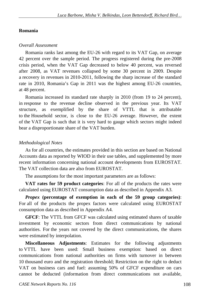## **Romania**

### *Overall Assessment*

Romania ranks last among the EU-26 with regard to its VAT Gap, on average 42 percent over the sample period. The progress registered during the pre-2008 crisis period, when the VAT Gap decreased to below 40 percent, was reversed after 2008, as VAT revenues collapsed by some 30 percent in 2009. Despite a recovery in revenues in 2010-2011, following the sharp increase of the standard rate in 2010, Romania's Gap in 2011 was the highest among EU-26 countries, at 48 percent.

Romania increased its standard rate sharply in 2010 (from 19 to 24 percent), in response to the revenue decline observed in the previous year. Its VAT structure, as exemplified by the share of VTTL that is attributable to the Household sector, is close to the EU-26 average. However, the extent of the VAT Gap is such that it is very hard to gauge which sectors might indeed bear a disproportionate share of the VAT burden.

## *Methodological Notes*

As for all countries, the estimates provided in this section are based on National Accounts data as reported by WIOD in their use tables, and supplemented by more recent information concerning national account developments from EUROSTAT. The VAT collection data are also from EUROSTAT.

The assumptions for the most important parameters are as follows:

**VAT rates for 59 product categories**: For all of the products the rates were calculated using EUROSTAT consumption data as described in Appendix A3.

*Propex* **(percentage of exemption in each of the 59 group categories)**: For all of the products the propex factors were calculated using EUROSTAT consumption data as described in Appendix A4.

**GFCF**: The VTTL from GFCF was calculated using estimated shares of taxable investment by economic sectors from direct communications by national authorities. For the years not covered by the direct communications, the shares were estimated by interpolation.

**Miscellaneous Adjustments**: Estimates for the following adjustments to VTTL have been used: Small business exemption: based on direct communications from national authorities on firms with turnover in between 10 thousand euro and the registration threshold; Restriction on the right to deduct VAT on business cars and fuel: assuming 50% of GFCF expenditure on cars cannot be deducted (information from direct communications not available,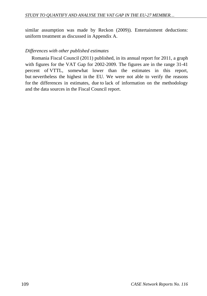similar assumption was made by Reckon (2009)). Entertainment deductions: uniform treatment as discussed in Appendix A.

## *Differences with other published estimates*

Romania Fiscal Council (2011) published, in its annual report for 2011, a graph with figures for the VAT Gap for 2002-2009. The figures are in the range 31-41 percent of VTTL, somewhat lower than the estimates in this report, but nevertheless the highest in the EU. We were not able to verify the reasons for the differences in estimates, due to lack of information on the methodology and the data sources in the Fiscal Council report.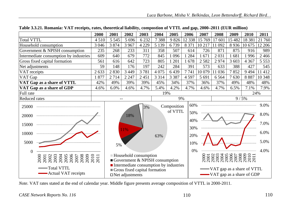|                                                                                                                                                                                                                                                                                                                       | 2000    | 2001    | 2002                   | 2003                                                                                   | 2004    | 2005                   | 2006       | 2007    | 2008                                                     | 2009    | 2010      | 2011      |
|-----------------------------------------------------------------------------------------------------------------------------------------------------------------------------------------------------------------------------------------------------------------------------------------------------------------------|---------|---------|------------------------|----------------------------------------------------------------------------------------|---------|------------------------|------------|---------|----------------------------------------------------------|---------|-----------|-----------|
| <b>Total VTTL</b>                                                                                                                                                                                                                                                                                                     | 4 5 1 0 | 5 5 4 5 | 5 6 9 6                | 6 2 3 2                                                                                | 7388    | 9 8 2 6                | 12 3 38    | 15 769  | 17 601                                                   | 15 4 82 | 18 381    | 21 760    |
| Household consumption                                                                                                                                                                                                                                                                                                 | 3 0 4 6 | 3 8 7 4 | 3 9 6 7                | 4 2 2 9                                                                                | 5 1 3 9 | 6739                   | 8 3 7 1    | 10 217  | 11 092                                                   | 8936    | 10 675    | 12 20 6   |
| Government & NPISH consumption                                                                                                                                                                                                                                                                                        | 235     | 268     | 233                    | 311                                                                                    | 358     | 507                    | 614        | 726     | 871                                                      | 875     | 916       | 989       |
| Intermediate consumption by industries                                                                                                                                                                                                                                                                                | 609     | 640     | 679                    | 772                                                                                    | 845     | 1 0 9 6                | 284        | 1671    | 2 0 3 1                                                  | 1681    | 1996      | 2466      |
| Gross fixed capital formation                                                                                                                                                                                                                                                                                         | 561     | 616     | 642                    | 723                                                                                    | 805     | 1 201                  | 678        | 2582    | 2974                                                     | 3 603   | 4 3 6 7   | 5 5 5 3   |
| Net adjustments                                                                                                                                                                                                                                                                                                       | 59      | 148     | 176                    | 197                                                                                    | 242     | 284                    | 391        | 573     | 633                                                      | 388     | 427       | 545       |
| VAT receipts                                                                                                                                                                                                                                                                                                          | 2633    | 2830    | 3 4 4 9                | 3781                                                                                   | 4 0 7 5 | 6439                   | 7741       | 10 079  | 11 036                                                   | 7852    | 9494      | 412<br>-1 |
| VAT Gap                                                                                                                                                                                                                                                                                                               | 877     | 2714    | 2 2 4 7                | 2451                                                                                   | 3 3 1 4 | 3 3 8 7                | 4 5 9 7    | 5 6 9 1 | 6 5 6 4                                                  | 7630    | 8887      | 10 348    |
| VAT Gap as a share of VTTL                                                                                                                                                                                                                                                                                            | 42%     | 49%     | 39%                    | 39%                                                                                    | 45%     | 34%                    | 37%        | 36%     | 37%                                                      | 49%     | 48%       | 48%       |
| VAT Gap as a share of GDP                                                                                                                                                                                                                                                                                             | 4.6%    | 6.0%    | 4.6%                   | 4.7%                                                                                   | 5.4%    | 4.2%                   | 4.7%       | 4.6%    | 4.7%                                                     | 6.5%    | 7.1%      | 7.9%      |
| Full rate                                                                                                                                                                                                                                                                                                             |         |         |                        |                                                                                        | 19%     |                        |            |         |                                                          |         | 24%       |           |
| Reduced rates                                                                                                                                                                                                                                                                                                         |         |         |                        |                                                                                        |         | 9%                     |            |         |                                                          | 9/5%    |           |           |
| 25000                                                                                                                                                                                                                                                                                                                 |         |         |                        | 3%                                                                                     |         | Composition<br>of VTTL | 60%        |         |                                                          |         |           | 9.0%      |
| 20000                                                                                                                                                                                                                                                                                                                 |         |         | 18%                    |                                                                                        |         |                        | 50%        |         |                                                          |         |           | 8.0%      |
| 15000                                                                                                                                                                                                                                                                                                                 |         |         |                        |                                                                                        |         |                        | 40%<br>30% |         |                                                          |         |           | 7.0%      |
| 10000                                                                                                                                                                                                                                                                                                                 |         |         | 11%                    |                                                                                        | 63%     |                        | 20%        |         |                                                          |         |           | 6.0%      |
| 5000                                                                                                                                                                                                                                                                                                                  |         | 5%      |                        |                                                                                        |         |                        | 10%        |         |                                                          |         |           | 5.0%      |
| $\Omega$                                                                                                                                                                                                                                                                                                              |         |         |                        |                                                                                        |         |                        | 0%         |         |                                                          |         | $\circ$   | 4.0%      |
| $\begin{array}{l} 2001 \\ 2002 \\ 2003 \\ 2004 \\ 2005 \\ 2006 \\ 2007 \\ 2008 \\ 2003 \\ 2008 \\ 2009 \\ 2009 \\ 2009 \\ 2009 \\ 2009 \\ 2000 \\ 2000 \\ 2000 \\ 2000 \\ 2000 \\ 2000 \\ 2000 \\ 2000 \\ 2000 \\ 2000 \\ 2000 \\ 2000 \\ 2000 \\ 2000 \\ 2000 \\ 2000 \\ 2000 \\ 2000 \\ 2000 \\ 2000 \\ 20$<br>2000 | 2011    |         |                        | ■ Household consumption<br>Government & NPISH consumption                              |         |                        |            |         |                                                          |         | $\approx$ |           |
| -Total VTTL<br>-Actual VAT receipts                                                                                                                                                                                                                                                                                   |         |         | $\Box$ Net adjustments | $\blacksquare$ Intermediate consumption by industries<br>Gross fixed capital formation |         |                        |            |         | WAT gap as a share of VTTL<br>-VAT gap as a share of GDP |         |           |           |

| Table 3.3.21. Romania: VAT receipts, rates, theoretical liability, compostion of VTTL and gap, 2000-2011 (EUR million) |  |  |  |
|------------------------------------------------------------------------------------------------------------------------|--|--|--|
|                                                                                                                        |  |  |  |

*Note.* VAT rates stated at the end of calendar year. Middle figure presents average composition of VTTL in 2000-2011.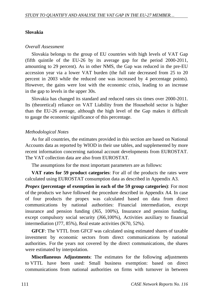### **Slovakia**

#### *Overall Assessment*

Slovakia belongs to the group of EU countries with high levels of VAT Gap (fifth quintile of the EU-26 by its average gap for the period 2000-2011, amounting to 29 percent). As in other NMS, the Gap was reduced in the pre-EU accession year via a lower VAT burden (the full rate decreased from 25 to 20 percent in 2003 while the reduced one was increased by 4 percentage points). However, the gains were lost with the economic crisis, leading to an increase in the gap to levels in the upper 30s.

Slovakia has changed its standard and reduced rates six times over 2000-2011. Its (theoretical) reliance on VAT Liability from the Household sector is higher than the EU-26 average, although the high level of the Gap makes it difficult to gauge the economic significance of this percentage.

## *Methodological Notes*

As for all countries, the estimates provided in this section are based on National Accounts data as reported by WIOD in their use tables, and supplemented by more recent information concerning national account developments from EUROSTAT. The VAT collection data are also from EUROSTAT.

The assumptions for the most important parameters are as follows:

**VAT rates for 59 product categories**: For all of the products the rates were calculated using EUROSTAT consumption data as described in Appendix A3.

*Propex* **(percentage of exemption in each of the 59 group categories)**: For most of the products we have followed the procedure described in Appendix A4. In case of four products the propex was calculated based on data from direct communications by national authorities: Financial intermediation, except insurance and pension funding (J65, 100%), Insurance and pension funding, except compulsory social security (J66,100%), Activities auxiliary to financial intermediation (J77, 85%), Real estate activities (K70, 52%).

**GFCF**: The VTTL from GFCF was calculated using estimated shares of taxable investment by economic sectors from direct communications by national authorities. For the years not covered by the direct communications, the shares were estimated by interpolation.

**Miscellaneous Adjustments**: The estimates for the following adjustments to VTTL have been used: Small business exemption: based on direct communications from national authorities on firms with turnover in between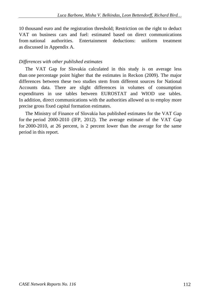10 thousand euro and the registration threshold; Restriction on the right to deduct VAT on business cars and fuel: estimated based on direct communications from national authorities. Entertainment deductions: uniform treatment as discussed in Appendix A.

# *Differences with other published estimates*

The VAT Gap for Slovakia calculated in this study is on average less than one percentage point higher that the estimates in Reckon (2009). The major differences between these two studies stem from different sources for National Accounts data. There are slight differences in volumes of consumption expenditures in use tables between EUROSTAT and WIOD use tables. In addition, direct communications with the authorities allowed us to employ more precise gross fixed capital formation estimates.

The Ministry of Finance of Slovakia has published estimates for the VAT Gap for the period 2000-2010 (IFP, 2012). The average estimate of the VAT Gap for 2000-2010, at 26 percent, is 2 percent lower than the average for the same period in this report.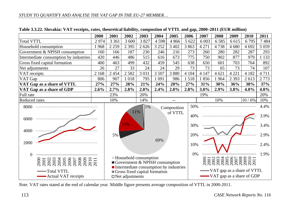|                                        | 2000    | 2001    | 2002                                                                                    | 2003    | 2004    | 2005        | 2006    | 2007    | 2008   | 2009    | 2010                       | 2011    |
|----------------------------------------|---------|---------|-----------------------------------------------------------------------------------------|---------|---------|-------------|---------|---------|--------|---------|----------------------------|---------|
| <b>Total VTTL</b>                      | 2974    | 3 3 6 1 | 3 600                                                                                   | 3827    | 4598    | 4 8 6 6     | 5 6 22  | 6 0 0 3 | 6585   | 6615    | 6795                       | 7484    |
| Household consumption                  | 1968    | 2 2 5 9 | 2 3 9 5                                                                                 | 2626    | 3 2 5 2 | 3 4 0 2     | 3863    | 4 2 7 1 | 4738   | 4 6 8 0 | 4 6 9 2                    | 5 0 5 9 |
| Government & NPISH consumption         | 160     | 166     | 187                                                                                     | 230     | 246     | 216         | 273     | 260     | 280    | 282     | 287                        | 293     |
| Intermediate consumption by industries | 420     | 446     | 486                                                                                     | 515     | 616     | 673         | 775     | 750     | 902    | 877     | 979                        | 1 1 3 3 |
| Gross fixed capital formation          | 400     | 463     | 499                                                                                     | 432     | 459     | 545         | 638     | 650     | 601    | 703     | 764                        | 892     |
| Net adjustments                        | 26      | 27      | 33                                                                                      | 24      | 24      | 29          | 73      | 73      | 65     | 73      | 74                         | 107     |
| VAT receipts                           | 2 1 6 8 | 2 4 5 4 | 2582                                                                                    | 3 0 3 1 | 3 5 0 7 | 3 8 8 0     | 4 1 0 4 | 4 1 4 7 | 4 6 21 | 4 2 2 1 | 4 1 8 2                    | 4711    |
| VAT Gap                                | 806     | 907     | 1018                                                                                    | 795     | 1 0 9 1 | 986         | 1518    | 1856    | 1964   | 2 3 9 3 | 2 6 1 3                    | 2773    |
| VAT Gap as a share of VTTL             | 27%     | 27%     | 28%                                                                                     | 21%     | 24%     | 20%         | 27%     | 31%     | 30%    | 36%     | 38%                        | 37%     |
| VAT Gap as a share of GDP              | 2.6%    | 2.7%    | 2.8%                                                                                    | 2.0%    | 2.4%    | 2.0%        | 2.8%    | 3.0%    | 2.9%   | 3.8%    | 4.0%                       | 4.0%    |
| Full rate                              |         | 23%     |                                                                                         | 20%     |         |             |         | 19%     |        |         |                            | 20%     |
| Reduced rates                          |         | 10%     |                                                                                         | 14%     |         |             |         |         | 10%    |         | 10/6%                      | 10%     |
| 8000                                   |         |         | 11%                                                                                     | 1%      |         | Composition | 50%     |         |        |         |                            | 4.4%    |
| 6000                                   |         |         |                                                                                         |         |         | of VTTL     | 40%     |         |        |         |                            | 3.9%    |
| 4000                                   |         |         | 14%                                                                                     |         |         |             | 30%     |         |        |         |                            | 3.4%    |
|                                        |         | 5%      |                                                                                         |         | 69%     |             | 20%     |         |        |         |                            | 2.9%    |
| 2000                                   |         |         |                                                                                         |         |         |             | 10%     |         |        |         |                            | 2.4%    |
| $\Omega$                               |         |         | $\blacksquare$ Household consumption                                                    |         |         |             | 0%      |         |        |         |                            | 1.9%    |
|                                        |         |         | Government & NPISH consumption<br>$\blacksquare$ Intermediate consumption by industries |         |         |             |         |         |        |         |                            |         |
| -Total VTTL                            |         |         | Gross fixed capital formation                                                           |         |         |             |         |         |        |         | WAT gap as a share of VTTL |         |
| Actual VAT receipts                    |         |         | $\Box$ Net adjustments                                                                  |         |         |             |         |         |        |         | VAT gap as a share of GDP  |         |

**Table 3.3.22. Slovakia: VAT receipts, rates, theoretical liability, compostion of VTTL and gap, 2000–2011 (EUR million)** 

*Note.* VAT rates stated at the end of calendar year. Middle figure presents average composition of VTTL in 2000-2011.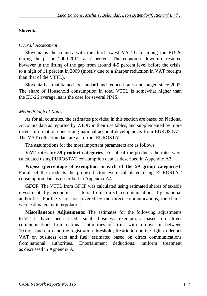## **Slovenia**

## *Overall Assessment*

Slovenia is the country with the third-lowest VAT Gap among the EU-26 during the period 2000-2011, at 7 percent. The economic downturn resulted however in the lifting of the gap from around 4-5 percent level before the crisis, to a high of 11 percent in 2009 (mostly due to a sharper reduction in VAT receipts than that of the VTTL).

Slovenia has maintained its standard and reduced rates unchanged since 2002. The share of Household consumption in total VTTL is somewhat higher than the EU-26 average, as is the case for several NMS.

# *Methodological Notes*

As for all countries, the estimates provided in this section are based on National Accounts data as reported by WIOD in their use tables, and supplemented by more recent information concerning national account developments from EUROSTAT. The VAT collection data are also from EUROSTAT.

The assumptions for the most important parameters are as follows:

**VAT rates for 59 product categories**: For all of the products the rates were calculated using EUROSTAT consumption data as described in Appendix A3.

*Propex* **(percentage of exemption in each of the 59 group categories)**: For all of the products the propex factors were calculated using EUROSTAT consumption data as described in Appendix A4.

**GFCF**: The VTTL from GFCF was calculated using estimated shares of taxable investment by economic sectors from direct communications by national authorities. For the years not covered by the direct communications, the shares were estimated by interpolation.

**Miscellaneous Adjustments**: The estimates for the following adjustments to VTTL have been used: small business exemption: based on direct communications from national authorities on firms with turnover in between 10 thousand euro and the registration threshold; Restriction on the right to deduct VAT on business cars and fuel: estimated based on direct communications from national authorities. Entertainment deductions: uniform treatment as discussed in Appendix A.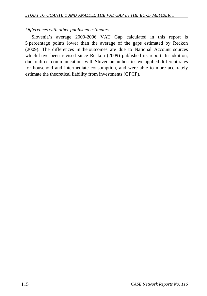## *Differences with other published estimates*

Slovenia's average 2000-2006 VAT Gap calculated in this report is 5 percentage points lower than the average of the gaps estimated by Reckon (2009). The differences in the outcomes are due to National Account sources which have been revised since Reckon (2009) published its report. In addition, due to direct communications with Slovenian authorities we applied different rates for household and intermediate consumption, and were able to more accurately estimate the theoretical liability from investments (GFCF).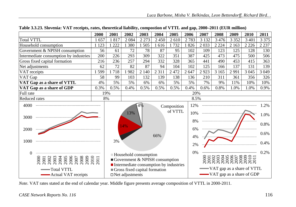|                                                                                                                                                                                                                                                                                                                                         | 2000    | 2001 | 2002                                                                                                                                              | 2003    | 2004    | 2005        | 2006 | 2007    | 2008    | 2009                       | 2010    | 2011    |
|-----------------------------------------------------------------------------------------------------------------------------------------------------------------------------------------------------------------------------------------------------------------------------------------------------------------------------------------|---------|------|---------------------------------------------------------------------------------------------------------------------------------------------------|---------|---------|-------------|------|---------|---------|----------------------------|---------|---------|
| <b>Total VTTL</b>                                                                                                                                                                                                                                                                                                                       | 1657    | 1817 | 2084                                                                                                                                              | 2 2 7 3 | 2 4 5 0 | 2610        | 2783 | 3 1 3 2 | 3 4 7 6 | 3 3 5 2                    | 3 4 0 1 | 3 3 7 5 |
| Household consumption                                                                                                                                                                                                                                                                                                                   | 1 1 2 3 | 222  | 1 3 8 0                                                                                                                                           | 1 505   | 1616    | 1732        | 1826 | 2033    | 2 2 2 4 | 2 1 6 3                    | 2 2 2 6 | 2 2 3 7 |
| Government & NPISH consumption                                                                                                                                                                                                                                                                                                          | 56      | 61   | 72                                                                                                                                                | 78      | 87      | 95          | 102  | 109     | 123     | 125                        | 128     | 130     |
| Intermediate consumption by industries                                                                                                                                                                                                                                                                                                  | 200     | 226  | 293                                                                                                                                               | 309     | 322     | 351         | 387  | 425     | 473     | 475                        | 500     | 506     |
| Gross fixed capital formation                                                                                                                                                                                                                                                                                                           | 216     | 236  | 257                                                                                                                                               | 294     | 332     | 328         | 365  | 441     | 490     | 453                        | 415     | 363     |
| Net adjustments                                                                                                                                                                                                                                                                                                                         | 62      | 72   | 82                                                                                                                                                | 87      | 94      | 104         | 102  | 125     | 166     | 137                        | 131     | 139     |
| VAT receipts                                                                                                                                                                                                                                                                                                                            | 1599    | 1718 | 1982                                                                                                                                              | 2 1 4 0 | 2 3 1 1 | 2472        | 2647 | 2923    | 3 1 6 5 | 2991                       | 3 0 4 5 | 3 0 4 9 |
| VAT Gap                                                                                                                                                                                                                                                                                                                                 | 58      | 99   | 103                                                                                                                                               | 132     | 139     | 138         | 136  | 210     | 311     | 361                        | 356     | 326     |
| VAT Gap as a share of VTTL                                                                                                                                                                                                                                                                                                              | 4%      | 5%   | 5%                                                                                                                                                | 6%      | 6%      | 5%          | 5%   | 7%      | 9%      | 11%                        | 10%     | 10%     |
| VAT Gap as a share of GDP                                                                                                                                                                                                                                                                                                               | 0.3%    | 0.5% | 0.4%                                                                                                                                              | 0.5%    | 0.5%    | 0.5%        | 0.4% | 0.6%    | 0.8%    | 1.0%                       | 1.0%    | 0.9%    |
| Full rate                                                                                                                                                                                                                                                                                                                               | 19%     |      |                                                                                                                                                   |         |         |             | 20%  |         |         |                            |         |         |
| Reduced rates                                                                                                                                                                                                                                                                                                                           | 8%      |      |                                                                                                                                                   |         |         |             | 8.5% |         |         |                            |         |         |
| 4000                                                                                                                                                                                                                                                                                                                                    |         |      |                                                                                                                                                   | 4%      |         | Composition | 12%  |         |         |                            |         | 1.2%    |
| 3000                                                                                                                                                                                                                                                                                                                                    |         |      | 13%                                                                                                                                               |         |         | of VTTL     | 10%  |         |         |                            |         | 1.0%    |
|                                                                                                                                                                                                                                                                                                                                         |         |      | 14%                                                                                                                                               |         |         |             | 8%   |         |         |                            |         | 0.8%    |
| 2000                                                                                                                                                                                                                                                                                                                                    |         |      |                                                                                                                                                   |         |         |             | 6%   |         |         |                            |         |         |
|                                                                                                                                                                                                                                                                                                                                         |         |      |                                                                                                                                                   |         | 66%     |             | 4%   |         |         |                            |         | 0.6%    |
| 1000                                                                                                                                                                                                                                                                                                                                    |         | 3%   |                                                                                                                                                   |         |         |             | 2%   |         |         |                            |         | 0.4%    |
| $\Omega$<br>$\begin{array}{l} 2000 \\ 2001 \\ 2000 \\ 2000 \\ 2000 \\ 2000 \\ 2000 \\ 2000 \\ 2000 \\ 2000 \\ 2000 \\ 2000 \\ 2011 \\ 2011 \\ 2011 \\ 2011 \\ 2011 \\ 2011 \\ 2011 \\ 2011 \\ 2011 \\ 2011 \\ 2011 \\ 2011 \\ 2011 \\ 2011 \\ 2012 \\ 2012 \\ 2012 \\ 2013 \\ 2013 \\ 2014 \\ 2012 \\ 2013 \\ 2014 \\ 20$<br>Total VTTL |         |      | Household consumption<br>Government & NPISH consumption<br>$\blacksquare$ Intermediate consumption by industries<br>Gross fixed capital formation |         |         |             |      | 0%      |         | WAT gap as a share of VTTL |         | 0.2%    |
| Actual VAT receipts                                                                                                                                                                                                                                                                                                                     |         |      | $\Box$ Net adjustments                                                                                                                            |         |         |             |      |         |         | -VAT gap as a share of GDP |         |         |

**Table 3.3.23. Slovenia: VAT receipts, rates, theoretical liability, compostion of VTTL and gap, 2000–2011 (EUR million)** 

*Note.* VAT rates stated at the end of calendar year. Middle figure presents average composition of VTTL in 2000-2011.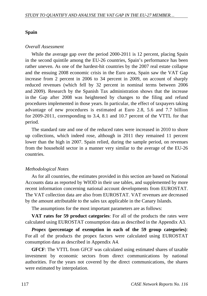#### **Spain**

### *Overall Assessment*

While the average gap over the period 2000-2011 is 12 percent, placing Spain in the second quintile among the EU-26 countries, Spain's performance has been rather uneven. As one of the hardest-hit countries by the 2007 real estate collapse and the ensuing 2008 economic crisis in the Euro area, Spain saw the VAT Gap increase from 2 percent in 2006 to 34 percent in 2009, on account of sharply reduced revenues (which fell by 32 percent in nominal terms between 2006 and 2009). Research by the Spanish Tax administration shows that the increase in the Gap after 2008 was heightened by changes to the filing and refund procedures implemented in those years. In particular, the effect of taxpayers taking advantage of new procedures is estimated at Euro 2.8, 5.6 and 7.7 billion for 2009-2011, corresponding to 3.4, 8.1 and 10.7 percent of the VTTL for that period.

The standard rate and one of the reduced rates were increased in 2010 to shore up collections, which indeed rose, although in 2011 they remained 11 percent lower than the high in 2007. Spain relied, during the sample period, on revenues from the household sector in a manner very similar to the average of the EU-26 countries.

## *Methodological Notes*

As for all countries, the estimates provided in this section are based on National Accounts data as reported by WIOD in their use tables, and supplemented by more recent information concerning national account developments from EUROSTAT. The VAT collection data are also from EUROSTAT. VAT revenues are decreased by the amount attributable to the sales tax applicable in the Canary Islands.

The assumptions for the most important parameters are as follows:

**VAT rates for 59 product categories**: For all of the products the rates were calculated using EUROSTAT consumption data as described in the Appendix A3.

*Propex* **(percentage of exemption in each of the 59 group categories)**: For all of the products the propex factors were calculated using EUROSTAT consumption data as described in Appendix A4.

**GFCF**: The VTTL from GFCF was calculated using estimated shares of taxable investment by economic sectors from direct communications by national authorities. For the years not covered by the direct communications, the shares were estimated by interpolation.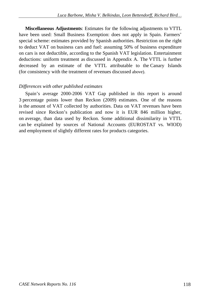**Miscellaneous Adjustments**: Estimates for the following adjustments to VTTL have been used: Small Business Exemption: does not apply in Spain. Farmers' special scheme: estimates provided by Spanish authorities. Restriction on the right to deduct VAT on business cars and fuel: assuming 50% of business expenditure on cars is not deductible, according to the Spanish VAT legislation. Entertainment deductions: uniform treatment as discussed in Appendix A. The VTTL is further decreased by an estimate of the VTTL attributable to the Canary Islands (for consistency with the treatment of revenues discussed above).

# *Differences with other published estimates*

Spain's average 2000-2006 VAT Gap published in this report is around 3 percentage points lower than Reckon (2009) estimates. One of the reasons is the amount of VAT collected by authorities. Data on VAT revenues have been revised since Reckon's publication and now it is EUR 846 million higher, on average, than data used by Reckon. Some additional dissimilarity in VTTL can be explained by sources of National Accounts (EUROSTAT vs. WIOD) and employment of slightly different rates for products categories.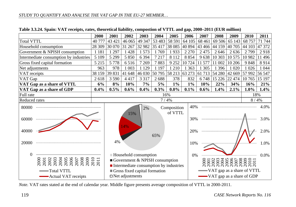|                                        | 2000    | 2001    | 2002                   | 2003                                                                                     | 2004    | 2005                                                  | 2006    | 2007          | 2008         | 2009     | 2010                                         | 2011    |
|----------------------------------------|---------|---------|------------------------|------------------------------------------------------------------------------------------|---------|-------------------------------------------------------|---------|---------------|--------------|----------|----------------------------------------------|---------|
| <b>Total VTTL</b>                      | 40 777  | 43 421  | 46 065                 | 49 347                                                                                   | 53 483  | 58 591                                                | 64 105  | 68 4 61       | 69 50 6      | 65 143   | 68757                                        | 71 744  |
| Household consumption                  | 28 309  | 30 070  | 31 267                 | 32 982                                                                                   | 35 417  | 38 0 85                                               | 40 894  | 43 466 44 159 |              | 40 70 5  | 44 103                                       | 47 372  |
| Government & NPISH consumption         | 1 1 8 1 | 297     | 428                    | 1573                                                                                     | 1769    | 1933                                                  | 2 2 7 0 | 2475          | 2646         | 2636     | 2799                                         | 2918    |
| Intermediate consumption by industries | 5 1 0 9 | 5 2 9 9 | 5 8 5 0                | 6 3 9 4                                                                                  | 7 2 1 7 | 8 1 1 2                                               | 8 8 5 4 |               | 9 638 10 303 | 10 575   | 10 9 82                                      | 11 496  |
| Gross fixed capital formation          | 5 2 1 5 | 5 7 7 8 | 6516                   | 7 2 6 9                                                                                  | 7883    | 9 2 5 2                                               | 10724   | 11 577        | 11 002       | 10 20 6  | 9848                                         | 8914    |
| Net adjustments                        | 963     | 978     | 1 0 0 3                | 1 1 2 9                                                                                  | 1 1 9 7 | 1 2 1 0                                               | 1 3 6 3 | 1 3 0 5       | 1 3 9 6      | 1 0 20   | 1026                                         | 1 0 4 4 |
| VAT receipts                           | 38 159  | 39 831  | 41 648                 | 46 030                                                                                   | 50795   | 58 213                                                | 63 273  | 61 713        | 54 280       | 42 669   | 57 992                                       | 56 547  |
| VAT Gap                                | 2618    | 3 5 9 0 | 4417                   | 3 3 1 7                                                                                  | 2688    | 378                                                   | 832     |               | 6 748 15 226 | 22 4 7 4 | 10765                                        | 15 197  |
| VAT Gap as a share of VTTL             | 6%      | 8%      | 10%                    | 7%                                                                                       | 5%      | $1\%$                                                 | $1\%$   | 10%           | 22%          | 34%      | 16%                                          | 21%     |
| VAT Gap as a share of GDP              | 0.4%    | 0.5%    | $0.6\%$                | 0.4%                                                                                     | $0.3\%$ | $0.0\%$                                               | 0.1%    | $0.6\%$       | 1.4%         | 2.1%     | 1.0%                                         | 1.4%    |
| Full rate                              |         |         |                        |                                                                                          |         | 16%                                                   |         |               |              |          |                                              | 18%     |
| Reduced rates                          |         |         |                        |                                                                                          |         | 7/4%                                                  |         |               |              |          | 8/4%                                         |         |
| 80000                                  |         |         | 15%                    | 2%                                                                                       |         | Composition<br>of VTTL                                | 40%     |               |              |          |                                              | 4.0%    |
| 60000                                  |         |         | 14%                    |                                                                                          |         |                                                       | 30%     |               |              |          |                                              | 3.0%    |
| 40000                                  |         |         |                        |                                                                                          | 65%     |                                                       | 20%     |               |              |          |                                              | 2.0%    |
| 20000                                  |         | 4%      |                        |                                                                                          |         |                                                       | 10%     |               |              |          |                                              | 1.0%    |
| $\Omega$<br>Total VTTL                 |         |         |                        | Household consumption<br>Government & NPISH consumption<br>Gross fixed capital formation |         | $\blacksquare$ Intermediate consumption by industries | 0%      |               |              |          | $\overline{5}$<br>WAT gap as a share of VTTL | 0.0%    |
| -Actual VAT receipts                   |         |         | $\Box$ Net adjustments |                                                                                          |         |                                                       |         |               |              |          | VAT gap as a share of GDP                    |         |

**Table 3.3.24. Spain: VAT receipts, rates, theoretical liability, compostion of VTTL and gap, 2000–2011 (EUR million)** 

*Note.* VAT rates stated at the end of calendar year. Middle figure presents average composition of VTTL in 2000-2011.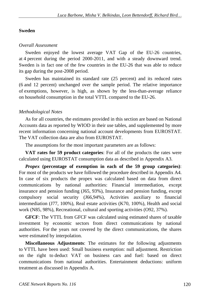## **Sweden**

## *Overall Assessment*

Sweden enjoyed the lowest average VAT Gap of the EU-26 countries, at 4 percent during the period 2000-2011, and with a steady downward trend. Sweden is in fact one of the few countries in the EU-26 that was able to reduce its gap during the post-2008 period.

Sweden has maintained its standard rate (25 percent) and its reduced rates (6 and 12 percent) unchanged over the sample period. The relative importance of exemptions, however, is high, as shown by the less-than-average reliance on household consumption in the total VTTL compared to the EU-26.

# *Methodological Notes*

As for all countries, the estimates provided in this section are based on National Accounts data as reported by WIOD in their use tables, and supplemented by more recent information concerning national account developments from EUROSTAT. The VAT collection data are also from EUROSTAT.

The assumptions for the most important parameters are as follows:

**VAT rates for 59 product categories**: For all of the products the rates were calculated using EUROSTAT consumption data as described in Appendix A3.

*Propex* **(percentage of exemption in each of the 59 group categories)**: For most of the products we have followed the procedure described in Appendix A4. In case of six products the propex was calculated based on data from direct communications by national authorities: Financial intermediation, except insurance and pension funding (J65, 93%), Insurance and pension funding, except compulsory social security (J66,94%), Activities auxiliary to financial intermediation (J77, 100%), Real estate activities (K70, 100%), Health and social work (N85, 98%), Recreational, cultural and sporting activities (O92, 37%).

**GFCF**: The VTTL from GFCF was calculated using estimated shares of taxable investment by economic sectors from direct communications by national authorities. For the years not covered by the direct communications, the shares were estimated by interpolation.

**Miscellaneous Adjustments**: The estimates for the following adjustments to VTTL have been used: Small business exemption: null adjustment. Restriction on the right to deduct VAT on business cars and fuel: based on direct communications from national authorities. Entertainment deductions: uniform treatment as discussed in Appendix A.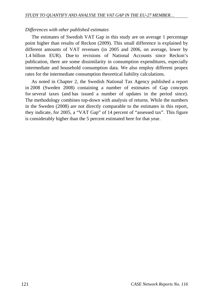## *Differences with other published estimates*

The estimates of Swedish VAT Gap in this study are on average 1 percentage point higher than results of Reckon (2009). This small difference is explained by different amounts of VAT revenues (in 2005 and 2006, on average, lower by 1.4 billion EUR). Due to revisions of National Accounts since Reckon's publication, there are some dissimilarity in consumption expenditures, especially intermediate and household consumption data. We also employ different propex rates for the intermediate consumption theoretical liability calculations.

As noted in Chapter 2, the Swedish National Tax Agency published a report in 2008 (Sweden 2008) containing a number of estimates of Gap concepts for several taxes (and has issued a number of updates in the period since). The methodology combines top-down with analysis of returns. While the numbers in the Sweden (2008) are not directly comparable to the estimates in this report, they indicate, for 2005, a "VAT Gap" of 14 percent of "assessed tax". This figure is considerably higher than the 5 percent estimated here for that year.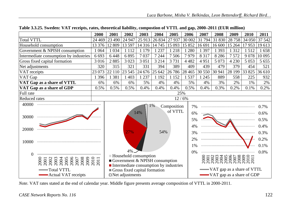|                                                                      | 2000    | 2001                                                    | 2002                   | 2003                                                  | 2004    | 2005        | 2006    | 2007                       | 2008    | 2009                       | 2010    | 2011    |
|----------------------------------------------------------------------|---------|---------------------------------------------------------|------------------------|-------------------------------------------------------|---------|-------------|---------|----------------------------|---------|----------------------------|---------|---------|
| <b>Total VTTL</b>                                                    | 24 4 69 | 23 4 9 0                                                | 24 9 47                | 25 913                                                | 26 8 34 | 27 937      | 30 002  | 31 794                     | 31 830  | 28758                      | 34 050  | 37 542  |
| Household consumption                                                | 13 376  | 12 809                                                  | 13 597                 | 14 3 16                                               | 14 7 45 | 15 0 93     | 15 852  | 16 691                     | 16 600  | 15 264                     | 17953   | 19613   |
| Government & NPISH consumption                                       | 064     | 1 0 3 4                                                 | 1 1 1 2                | 1 1 7 9                                               | 1 2 3 7 | 1218        | 1 2 8 0 | 1 3 9 7                    | 393     | 1 3 1 2                    | 1512    | 1658    |
| Intermediate consumption by industries                               | 6 6 9 3 | 6448                                                    | 6895                   | 7037                                                  | 7 2 4 4 | 7506        | 7979    | 8 3 1 7                    | 8 2 8 6 | 7572                       | 9078    | 10 0 95 |
| Gross fixed capital formation                                        | 3016    | 2885                                                    | 3 0 2 3                | 3 0 5 1                                               | 3 2 1 4 | 3731        | 4 4 8 2 | 4951                       | 5 0 7 3 | 4 2 3 0                    | 5 0 5 3 | 5 6 5 5 |
| Net adjustments                                                      | 320     | 315                                                     | 321                    | 331                                                   | 394     | 389         | 409     | 439                        | 479     | 379                        | 454     | 521     |
| VAT receipts                                                         | 23 073  | 22 110                                                  | 23 5 45                | 24 676                                                | 25 642  | 26 78 6     | 28 4 65 | 30 550                     | 30 941  | 28 199                     | 33 825  | 36 610  |
| VAT Gap                                                              | 1 396   | 381                                                     | 403                    | 237                                                   | 1 1 9 2 | 1 1 5 2     | 1537    | 245                        | 889     | 558                        | 225     | 932     |
| VAT Gap as a share of VTTL                                           | 6%      | 6%                                                      | 6%                     | 5%                                                    | 4%      | 4%          | 5%      | 4%                         | 3%      | 2%                         | $1\%$   | 2%      |
| VAT Gap as a share of GDP                                            | 0.5%    | 0.5%                                                    | 0.5%                   | 0.4%                                                  | 0.4%    | 0.4%        | 0.5%    | 0.4%                       | 0.3%    | 0.2%                       | 0.1%    | 0.2%    |
| Full rate                                                            |         |                                                         |                        |                                                       |         | 25%         |         |                            |         |                            |         |         |
| Reduced rates                                                        |         |                                                         |                        |                                                       |         | 12/6%       |         |                            |         |                            |         |         |
| 40000                                                                |         |                                                         |                        |                                                       | 1%      | Composition | 7%      |                            |         |                            |         | 0.7%    |
|                                                                      |         |                                                         |                        | 14%                                                   |         | of VTTL     | 6%      |                            |         |                            |         | 0.6%    |
| 30000                                                                |         |                                                         |                        |                                                       |         |             |         |                            |         |                            |         |         |
|                                                                      |         |                                                         |                        |                                                       |         |             | 5%      |                            |         |                            |         | 0.5%    |
| 20000                                                                |         |                                                         |                        |                                                       |         |             | 4%      |                            |         |                            |         | 0.4%    |
|                                                                      |         |                                                         | 27%                    |                                                       | 54%     |             | 3%      |                            |         |                            |         | 0.3%    |
|                                                                      |         |                                                         |                        |                                                       |         |             | 2%      |                            |         |                            |         | 0.2%    |
| 10000                                                                |         |                                                         |                        |                                                       |         |             | 1%      |                            |         |                            |         | 0.1%    |
|                                                                      |         |                                                         | 4%                     |                                                       |         |             |         |                            |         |                            |         |         |
| 0                                                                    |         |                                                         |                        |                                                       |         |             | 0%      |                            |         |                            |         | 0.0%    |
| 2002<br>2003<br>2003<br>2005<br>2006<br>2007<br>2008<br>2009<br>2000 | 2011    | Household consumption<br>Government & NPISH consumption |                        |                                                       |         |             |         |                            |         |                            |         |         |
|                                                                      |         |                                                         |                        | $\blacksquare$ Intermediate consumption by industries |         |             |         |                            |         |                            |         |         |
| Total VTTL                                                           |         |                                                         |                        | Gross fixed capital formation                         |         |             |         | WAT gap as a share of VTTL |         |                            |         |         |
| -Actual VAT receipts                                                 |         |                                                         | $\Box$ Net adjustments |                                                       |         |             |         |                            |         | -VAT gap as a share of GDP |         |         |

| Table 3.3.25. Sweden: VAT receipts, rates, theoretical liability, compostion of VTTL and gap, 2000–2011 (EUR million) |  |  |  |
|-----------------------------------------------------------------------------------------------------------------------|--|--|--|
|                                                                                                                       |  |  |  |

*Note.* VAT rates stated at the end of calendar year. Middle figure presents average composition of VTTL in 2000-2011.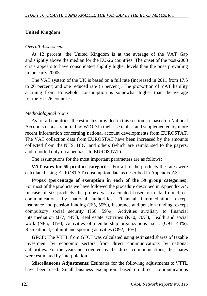#### **United Kingdom**

#### *Overall Assessment*

At 12 percent, the United Kingdom is at the average of the VAT Gap and slightly above the median for the EU-26 countries. The onset of the post-2008 crisis appears to have consolidated slightly higher levels than the ones prevailing in the early 2000s.

The VAT system of the UK is based on a full rate (increased in 2011 from 17.5 to 20 percent) and one reduced rate (5 percent). The proportion of VAT liability accruing from Household consumption is somewhat higher than the average for the EU-26 countries.

#### *Methodological Notes*

As for all countries, the estimates provided in this section are based on National Accounts data as reported by WIOD in their use tables, and supplemented by more recent information concerning national account developments from EUROSTAT. The VAT collection data from EUROSTAT have been increased by the amounts collected from the NHS, BBC and others (which are reimbursed to the payers, and reported only on a net basis to EUROSTAT).

The assumptions for the most important parameters are as follows:

**VAT rates for 59 product categories**: For all of the products the rates were calculated using EUROSTAT consumption data as described in Appendix A3.

*Propex* **(percentage of exemption in each of the 59 group categories)**: For most of the products we have followed the procedure described in Appendix A4. In case of six products the propex was calculated based on data from direct communications by national authorities: Financial intermediation, except insurance and pension funding (J65, 55%), Insurance and pension funding, except compulsory social security (J66, 59%), Activities auxiliary to financial intermediation (J77, 44%), Real estate activities (K70, 70%), Health and social work (N85, 81%), Activities of membership organizations n.e.c. (O91, 44%), Recreational, cultural and sporting activities (O92, 16%).

**GFCF**: The VTTL from GFCF was calculated using estimated shares of taxable investment by economic sectors from direct communications by national authorities. For the years not covered by the direct communications, the shares were estimated by interpolation.

**Miscellaneous Adjustments**: Estimates for the following adjustments to VTTL have been used: Small business exemption: based on direct communications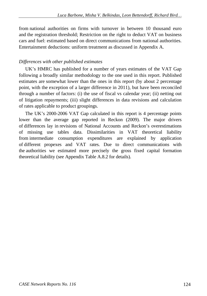from national authorities on firms with turnover in between 10 thousand euro and the registration threshold; Restriction on the right to deduct VAT on business cars and fuel: estimated based on direct communications from national authorities. Entertainment deductions: uniform treatment as discussed in Appendix A.

# *Differences with other published estimates*

UK's HMRC has published for a number of years estimates of the VAT Gap following a broadly similar methodology to the one used in this report. Published estimates are somewhat lower than the ones in this report (by about 2 percentage point, with the exception of a larger difference in 2011), but have been reconciled through a number of factors: (i) the use of fiscal vs calendar year; (ii) netting out of litigation repayments; (iii) slight differences in data revisions and calculation of rates applicable to product groupings.

The UK's 2000-2006 VAT Gap calculated in this report is 4 percentage points lower than the average gap reported in Reckon (2009). The major drivers of differences lay in revisions of National Accounts and Reckon's overestimations of missing use tables data. Dissimilarities in VAT theoretical liability from intermediate consumption expenditures are explained by application of different propexes and VAT rates. Due to direct communications with the authorities we estimated more precisely the gross fixed capital formation theoretical liability (see Appendix Table A.8.2 for details).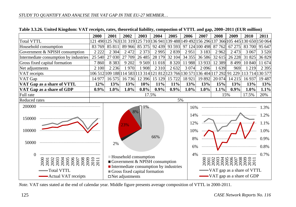|                                                | 2000    | 2001    | 2002                   | 2003                                                                  | 2004                           | 2005                                                                                    | 2006    | 2007                  | 2008                 | 2009                                                                                             | 2010                                               | 2011    |
|------------------------------------------------|---------|---------|------------------------|-----------------------------------------------------------------------|--------------------------------|-----------------------------------------------------------------------------------------|---------|-----------------------|----------------------|--------------------------------------------------------------------------------------------------|----------------------------------------------------|---------|
| <b>Total VTTL</b>                              | 121 490 |         |                        |                                                                       |                                | 125 763 131 319 125 710 136 941 139 488 149 492 156 296 137 366 105 445 130 650 150 064 |         |                       |                      |                                                                                                  |                                                    |         |
| Household consumption                          | 83 769  | 85 811  | 89 966                 | 85 375                                                                | 92 439                         |                                                                                         |         | 93 593 97 124 100 498 | 87 762               | 67 275                                                                                           | 83 700                                             | 95 647  |
| Government & NPISH consumption                 | 2 2 2 2 | 2 3 0 4 | 2 4 7 2                | 2 3 7 3                                                               | 2995                           | 2839                                                                                    | 2951    | 3 1 8 3               | 2962                 | 2473                                                                                             | 3 0 6 7                                            | 3 5 20  |
| Intermediate consumption by industries         | 25 540  | 27 030  | 27 709                 | 26 4 85                                                               | 28 179                         | 32 104                                                                                  | 34 35 5 |                       | 36 586 32 615        | 26 228                                                                                           | 31 825                                             | 36 829  |
| Gross fixed capital formation                  | 7860    | 8 3 8 3 | 9 20 2                 | 9569                                                                  | 11 018                         | 8 3 2 0                                                                                 | 11988   | 13 9 33               | 12 3 8 9             | 8 4 9 9                                                                                          | 10 840                                             | 11 674  |
| Net adjustments                                | 2 100   | 2 2 3 6 | 1970                   | 1 9 0 8                                                               | 2 3 1 0                        | 2632                                                                                    | 3 0 7 4 | 2096                  | 1639                 | 969                                                                                              | 219                                                | 2 3 9 5 |
| VAT receipts                                   |         |         |                        |                                                                       |                                | 106 512 109 188 114 583 113 314 121 812 123 766 130 571 136 404 117 292 91 229          |         |                       |                      |                                                                                                  | 113 714 130 577                                    |         |
| VAT Gap                                        | 14 977  | 16575   | 16736                  | 12 3 9 6                                                              | 15 129                         | 15 722                                                                                  | 18 9 21 | 19892                 | 20 074               | 14 215                                                                                           | 16937                                              | 19487   |
| VAT Gap as a share of VTTL                     | 12%     | 13%     | 13%                    | 10%                                                                   | 11%                            | 11%                                                                                     | 13%     | 13%                   | 15%                  | 13%                                                                                              | 13%                                                | 13%     |
| VAT Gap as a share of GDP                      | 0.9%    | 1.0%    | 1.0%                   | 0.8%                                                                  | 0.9%                           | 0.9%                                                                                    | 1.0%    | 1.0%                  | 1.1%                 | 0.9%                                                                                             | 1.0%                                               | 1.1%    |
| Full rate                                      |         |         |                        | 17.5%                                                                 |                                |                                                                                         |         |                       | 15%                  |                                                                                                  | 17.5%                                              | 20%     |
| Reduced rates                                  |         |         |                        |                                                                       |                                | 5%                                                                                      |         |                       |                      |                                                                                                  |                                                    |         |
| 200000                                         |         |         |                        | $1\%$<br>8%                                                           |                                |                                                                                         | 16%     |                       |                      |                                                                                                  |                                                    | 1.3%    |
| 150000                                         |         |         |                        |                                                                       |                                |                                                                                         | 14%     |                       |                      |                                                                                                  |                                                    | 1.2%    |
|                                                |         |         | 23%                    |                                                                       |                                |                                                                                         | 12%     |                       |                      |                                                                                                  |                                                    | 1.1%    |
| 100000                                         |         |         |                        |                                                                       |                                |                                                                                         | 10%     |                       |                      |                                                                                                  |                                                    | 1.0%    |
| 50000                                          |         | 2%      |                        |                                                                       | 66%                            |                                                                                         | 8%      |                       |                      |                                                                                                  |                                                    | 0.9%    |
|                                                |         |         |                        |                                                                       |                                |                                                                                         | 6%      |                       |                      |                                                                                                  |                                                    | 0.8%    |
| $\Omega$<br>Total VTTL<br>-Actual VAT receipts |         |         | $\Box$ Net adjustments | $\blacksquare$ Household consumption<br>Gross fixed capital formation | Government & NPISH consumption | $\blacksquare$ Intermediate consumption by industries                                   | 4%      |                       | 2001<br>2003<br>2003 | 2005<br>2006<br>2006<br>2007<br>2008<br>WAT gap as a share of VTTL<br>-VAT gap as a share of GDP | $\begin{array}{c} 200 \\ 2011 \\ 2011 \end{array}$ | 0.7%    |

**Table 3.3.26. United Kingdom: VAT receipts, rates, theoretical liability, compostion of VTTL and gap, 2000–2011 (EUR million)** 

*Note.* VAT rates stated at the end of calendar year. Middle figure presents average composition of VTTL in 2000-2011.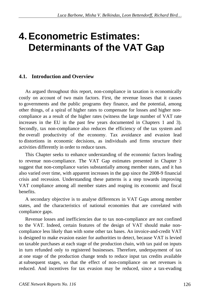# **4. Econometric Estimates: Determinants of the VAT Gap**

# **4.1. Introduction and Overview**

As argued throughout this report, non-compliance in taxation is economically costly on account of two main factors. First, the revenue losses that it causes to governments and the public programs they finance, and the potential, among other things, of a spiral of higher rates to compensate for losses and higher noncompliance as a result of the higher rates (witness the large number of VAT rate increases in the EU in the past few years documented in Chapters 1 and 3). Secondly, tax non-compliance also reduces the efficiency of the tax system and the overall productivity of the economy. Tax avoidance and evasion lead to distortions in economic decisions, as individuals and firms structure their activities differently in order to reduce taxes.

This Chapter seeks to enhance understanding of the economic factors leading to revenue non-compliance. The VAT Gap estimates presented in Chapter 3 suggest that non-compliance varies substantially among member states, and it has also varied over time, with apparent increases in the gap since the 2008-9 financial crisis and recession. Understanding these patterns is a step towards improving VAT compliance among all member states and reaping its economic and fiscal benefits.

A secondary objective is to analyse differences in VAT Gaps among member states, and the characteristics of national economies that are correlated with compliance gaps.

Revenue losses and inefficiencies due to tax non-compliance are not confined to the VAT. Indeed, certain features of the design of VAT should make noncompliance less likely than with some other tax bases. An invoice-and-credit VAT is designed to make evasion easier for authorities to detect, because VAT is levied on taxable purchases at each stage of the production chain, with tax paid on inputs in turn refunded only to registered businesses. Therefore, underpayment of tax at one stage of the production change tends to reduce input tax credits available at subsequent stages, so that the effect of non-compliance on net revenues is reduced. And incentives for tax evasion may be reduced, since a tax-evading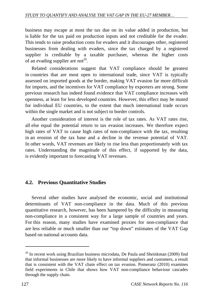business may escape at most the tax due on its value added in production, but is liable for the tax paid on production inputs and not creditable for the evader. This tends to raise production costs for evaders and it discourages other, registered businesses from dealing with evaders, since the tax charged by a registered supplier is creditable by a taxable purchaser, whereas the higher costs of an evading supplier are not<sup>26</sup>.

Related considerations suggest that VAT compliance should be greatest in countries that are most open to international trade, since VAT is typically assessed on imported goods at the border, making VAT evasion far more difficult for imports, and the incentives for VAT compliance by exporters are strong. Some previous research has indeed found evidence that VAT compliance increases with openness, at least for less developed countries. However, this effect may be muted for individual EU countries, to the extent that much international trade occurs within the single market and is not subject to border controls.

Another consideration of interest is the role of tax rates. As VAT rates rise, all else equal the potential return to tax evasion increases. We therefore expect high rates of VAT to cause high rates of non-compliance with the tax, resulting in an erosion of the tax base and a decline in the revenue potential of VAT. In other words, VAT revenues are likely to rise less than proportionately with tax rates. Understanding the magnitude of this effect, if supported by the data, is evidently important to forecasting VAT revenues.

# **4.2. Previous Quantitative Studies**

Several other studies have analysed the economic, social and institutional determinants of VAT non-compliance in the data. Much of this previous quantitative research, however, has been hampered by the difficulty in measuring non-compliance in a consistent way for a large sample of countries and years. For this reason, many studies have examined proxies for non-compliance that are less reliable or much smaller than our "top down" estimates of the VAT Gap based on national accounts data.

<sup>&</sup>lt;sup>26</sup> In recent work using Brazilian business microdata, De Paula and Sheinkman (2009) find that informal businesses are more likely to have informal suppliers and customers, a result that is consistent with the VAT chain effect on tax evasion. Pomeranz (2010) examines field experiments in Chile that shows how VAT non-compliance behaviour cascades through the supply chain.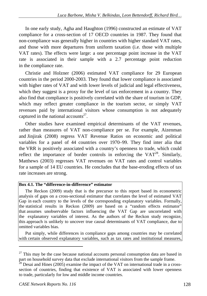In one early study, Agha and Haughton (1996) constructed an estimate of VAT compliance for a cross-section of 17 OECD countries in 1987. They found that non-compliance was generally higher in countries with higher standard VAT rates, and those with more departures from uniform taxation (i.e. those with multiple VAT rates). The effects were large: a one percentage point increase in the VAT rate is associated in their sample with a 2.7 percentage point reduction in the compliance rate.

Christie and Holzner (2006) estimated VAT compliance for 29 European countries in the period 2000-2003. They found that lower compliance is associated with higher rates of VAT and with lower levels of judicial and legal effectiveness, which they suggest is a proxy for the level of tax enforcement in a country. They also find that compliance is positively correlated with the share of tourism in GDP, which may reflect greater compliance in the tourism sector, or simply VAT revenues paid by international visitors whose consumption is not adequately captured in the national accounts $2^7$ .

Other studies have examined empirical determinants of the VAT revenues, rather than measures of VAT non-compliance per se. For example, Aizenman and Jinjirak (2008) regress VAT Revenue Ratios on economic and political variables for a panel of 44 countries over 1970–99. They find inter alia that the VRR is positively associated with a country's openness to trade, which could reflect the importance of border controls in enforcing the  $VAT^{28}$ . Similarly, Matthews (2003) regresses VAT revenues on VAT rates and control variables for a sample of 14 EU countries. He concludes that the base-eroding effects of tax rate increases are strong.

#### **Box 4.1. The "difference-in-difference" estimator**

The Reckon (2009) study that is the precursor to this report based its econometric analysis of gaps on a cross-sectional estimator that correlates the level of estimated VAT Gap in each country to the levels of the corresponding explanatory variables. Formally, the statistical results in Reckon (2009) are based on a "random effects estimator" that assumes unobservable factors influencing the VAT Gap are uncorrelated with the explanatory variables of interest. As the authors of the Reckon study recognize, this approach is unlikely to uncover true causal determinants of VAT compliance, due to omitted variables bias.

Put simply, while differences in compliance gaps among countries may be correlated with certain observed explanatory variables, such as tax rates and institutional measures,

 $2<sup>27</sup>$  This may be the case because national accounts personal consumption data are based in part on household survey data that exclude international visitors from the sample frame.

 $28$  Desai and Hines (2005) examine the impact of the VAT on international trade in a crosssection of countries, finding that existence of VAT is associated with lower openness to trade, particularly for low and middle income countries.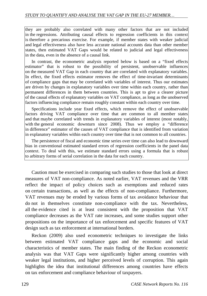they are probably also correlated with many other factors that are not included in the regressions. Attributing causal effects to regression coefficients in this context is therefore a precarious exercise. For example, if member states with weaker judicial and legal effectiveness also have less accurate national accounts data than other member states, then estimated VAT Gaps would be related to judicial and legal effectiveness in the data, even in the absence of a causal link.

In contrast, the econometric analysis reported below is based on a "fixed effects estimator" that is robust to the possibility of persistent, unobservable influences on the measured VAT Gap in each country that are correlated with explanatory variables. In effect, the fixed effects estimator removes the effect of time-invariant determinants of compliance gaps that may be correlated with variables of interest. Thus our estimates are driven by changes in explanatory variables over time within each country, rather than permanent differences in them between countries. This is apt to give a clearer picture of the causal effects of explanatory variables on VAT compliance, as long as the unobserved factors influencing compliance remain roughly constant within each country over time.

Specifications include year fixed effects, which remove the effect of unobservable factors driving VAT compliance over time that are common to all member states and that maybe correlated with trends in explanatory variables of interest (most notably, with the general economic downturn since 2008). Thus we employ a "difference in difference" estimator of the causes of VAT compliance that is identified from variation in explanatory variables within each country over time that is not common to all countries.

The persistence of fiscal and economic time series over time can also lead to downward bias in conventional estimated standard errors of regression coefficients in the panel data context. To deal with this, we estimate standard errors using a formula that is robust to arbitrary forms of serial correlation in the data for each country.

Caution must be exercised in comparing such studies to those that look at direct measures of VAT non-compliance. As noted earlier, VAT revenues and the VRR reflect the impact of policy choices such as exemptions and reduced rates on certain transactions, as well as the effects of non-compliance. Furthermore, VAT revenues may be eroded by various forms of tax avoidance behaviour that do not in themselves constitute non-compliance with the tax. Nevertheless, all the evidence cited is at least consistent with the proposition that VAT compliance decreases as the VAT rate increases, and some studies support other propositions on the importance of tax enforcement and specific features of VAT design such as tax enforcement at international borders.

Reckon (2009) also used econometric techniques to investigate the links between estimated VAT compliance gaps and the economic and social characteristics of member states. The main finding of the Reckon econometric analysis was that VAT Gaps were significantly higher among countries with weaker legal institutions, and higher perceived levels of corruption. This again highlights the idea that institutional differences among countries have effects on tax enforcement and compliance behaviour of taxpayers.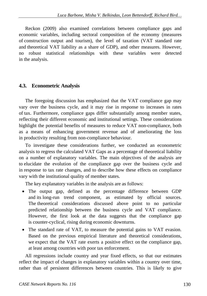Reckon (2009) also examined correlations between compliance gaps and economic variables, including sectoral composition of the economy (measures of construction output and tourism), the level of taxation (VAT standard rate and theoretical VAT liability as a share of GDP), and other measures. However, no robust statistical relationships with these variables were detected in the analysis.

# **4.3. Econometric Analysis**

The foregoing discussion has emphasized that the VAT compliance gap may vary over the business cycle, and it may rise in response to increases in rates of tax. Furthermore, compliance gaps differ substantially among member states, reflecting their different economic and institutional settings. These considerations highlight the potential benefits of measures to reduce VAT non-compliance, both as a means of enhancing government revenue and of ameliorating the loss in productivity resulting from non-compliance behaviour.

To investigate these considerations further, we conducted an econometric analysis to regress the calculated VAT Gaps as a percentage of theoretical liability on a number of explanatory variables. The main objectives of the analysis are to elucidate the evolution of the compliance gap over the business cycle and in response to tax rate changes, and to describe how these effects on compliance vary with the institutional quality of member states.

The key explanatory variables in the analysis are as follows:

- The output gap, defined as the percentage difference between GDP and its long-run trend component, as estimated by official sources. The theoretical considerations discussed above point to no particular predicted relationship between the business cycle and VAT compliance. However, the first look at the data suggests that the compliance gap is counter-cyclical, rising during economic downturns.
- The standard rate of VAT, to measure the potential gains to VAT evasion. Based on the previous empirical literature and theoretical considerations, we expect that the VAT rate exerts a positive effect on the compliance gap, at least among countries with poor tax enforcement.

All regressions include country and year fixed effects, so that our estimates reflect the impact of changes in explanatory variables within a country over time, rather than of persistent differences between countries. This is likely to give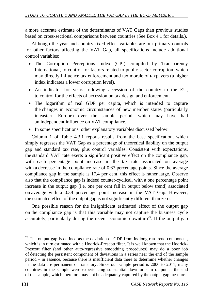a more accurate estimate of the determinants of VAT Gaps than previous studies based on cross-sectional comparisons between countries (See Box 4.1 for details.).

Although the year and country fixed effect variables are our primary controls for other factors affecting the VAT Gap, all specifications include additional control variables:

- The Corruption Perceptions Index (CPI) compiled by Transparency International, to control for factors related to public sector corruption, which may directly influence tax enforcement and tax morale of taxpayers (a higher index indicates a lower corruption level).
- An indicator for years following accession of the country to the EU, to control for the effects of accession on tax design and enforcement.
- The logarithm of real GDP per capita, which is intended to capture the changes in economic circumstances of new member states (particularly in eastern Europe) over the sample period, which may have had an independent influence on VAT compliance.
- In some specifications, other explanatory variables discussed below.

Column 1 of Table 4.3.1 reports results from the base specification, which simply regresses the VAT Gap as a percentage of theoretical liability on the output gap and standard tax rate, plus control variables. Consistent with expectations, the standard VAT rate exerts a significant positive effect on the compliance gap, with each percentage point increase in the tax rate associated on average with a decrease in the compliance rate of 0.67 percentage points. Since the average compliance gap in the sample is 17.4 per cent, this effect is rather large. Observe also that the compliance gap is indeed counter-cyclical, with a one percentage point increase in the output gap (i.e. one per cent fall in output below trend) associated on average with a 0.38 percentage point increase in the VAT Gap. However, the estimated effect of the output gap is not significantly different than zero.

One possible reason for the insignificant estimated effect of the output gap on the compliance gap is that this variable may not capture the business cycle accurately, particularly during the recent economic downturn<sup>29</sup>. If the output gap

 $29$  The output gap is defined as the deviation of GDP from its long-run trend component, which is in turn estimated with a Hodrick-Prescott filter. It is well known that the Hodrick-Prescott filter (and other auto-regressive smoothing procedures) may do a poor job of detecting the persistent component of deviations in a series near the end of the sample period – in essence, because there is insufficient data there to determine whether changes in the data are permanent or transitory. Since our sample period is 2000 to 2011, many countries in the sample were experiencing substantial downturns in output at the end of the sample, which therefore may not be adequately captured by the output gap measure.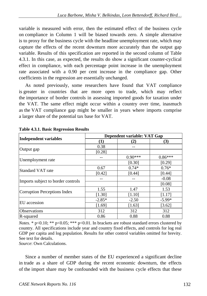variable is measured with error, then the estimated effect of the business cycle on compliance in Column 1 will be biased towards zero. A simple alternative is to proxy for the business cycle with the headline unemployment rate, which may capture the effects of the recent downturn more accurately than the output gap variable. Results of this specification are reported in the second column of Table 4.3.1. In this case, as expected, the results do show a significant counter-cyclical effect in compliance, with each percentage point increase in the unemployment rate associated with a 0.90 per cent increase in the compliance gap. Other coefficients in the regression are essentially unchanged.

As noted previously, some researchers have found that VAT compliance is greater in countries that are more open to trade, which may reflect the importance of border controls in assessing imported goods for taxation under the VAT. The same effect might occur within a country over time, inasmuch as the VAT compliance gap might be smaller in years where imports comprise a larger share of the potential tax base for VAT.

|                                    |          | Dependent variable: VAT Gap |           |
|------------------------------------|----------|-----------------------------|-----------|
| <b>Independent variables</b>       | (1)      | (2)                         | (3)       |
|                                    | 0.38     |                             |           |
| Output gap                         | [0.28]   |                             |           |
|                                    |          | $0.90***$                   | $0.86***$ |
| Unemployment rate                  |          | [0.30]                      | [0.29]    |
|                                    | 0.67     | $0.74*$                     | $0.76*$   |
| Standard VAT rate                  | [0.42]   | [0.44]                      | [0.44]    |
|                                    |          | --                          | $-0.08$   |
| Imports subject to border controls |          |                             | [0.08]    |
|                                    | 1.55     | 1.47                        | 1.53      |
| Corruption Perceptions Index       | [1.30]   | [1.10]                      | [1.17]    |
|                                    | $-2.85*$ | $-2.50$                     | $-5.99*$  |
| EU accession                       | [1.69]   | [1.63]                      | [3.62]    |
| Observations                       | 312      | 312                         | 312       |
| R-squared                          | 0.86     | 0.88                        | 0.88      |

**Table 4.3.1. Basic Regression Results** 

*Notes*. \* p<0.10; \*\* p<0.05; \*\*\* p<0.01. In brackets are robust standard errors clustered by country. All specifications include year and country fixed effects, and controls for log real GDP per capita and log population. Results for other control variables omitted for brevity. See text for details.

*Source*: Own Calculations.

Since a number of member states of the EU experienced a significant decline in trade as a share of GDP during the recent economic downturn, the effects of the import share may be confounded with the business cycle effects that these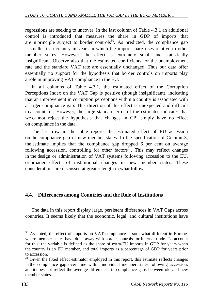regressions are seeking to uncover. In the last column of Table 4.3.1 an additional control is introduced that measures the share in GDP of imports that are in principle subject to border controls<sup>30</sup>. As predicted, the compliance gap is smaller in a country in years in which the import share rises relative to other member states. However, the effect is extremely small and statistically insignificant. Observe also that the estimated coefficients for the unemployment rate and the standard VAT rate are essentially unchanged. Thus our data offer essentially no support for the hypothesis that border controls on imports play a role in improving VAT compliance in the EU.

In all columns of Table 4.3.1, the estimated effect of the Corruption Perceptions Index on the VAT Gap is positive (though insignificant), indicating that an improvement in corruption perceptions within a country is associated with a larger compliance gap. This direction of this effect is unexpected and difficult to account for. However, the large standard error of the estimates indicates that we cannot reject the hypothesis that changes in CPI simply have no effect on compliance in the data.

The last row in the table reports the estimated effect of EU accession on the compliance gap of new member states. In the specification of Column 3, the estimate implies that the compliance gap dropped 6 per cent on average following accession, controlling for other factors<sup>31</sup>. This may reflect changes in the design or administration of VAT systems following accession to the EU, or broader effects of institutional changes in new member states. These considerations are discussed at greater length in what follows.

## **4.4. Differences among Countries and the Role of Institutions**

The data in this report display large, persistent differences in VAT Gaps across countries. It seems likely that the economic, legal, and cultural institutions have

<sup>&</sup>lt;sup>30</sup> As noted, the effect of imports on VAT compliance is somewhat different in Europe, where member states have done away with border controls for internal trade. To account for this, the variable is defined as the share of extra-EU imports in GDP for years when the country is an EU member, and total imports as a percentage of GDP for years prior to accession.

<sup>&</sup>lt;sup>31</sup> Given the fixed effect estimator employed in this report, this estimate reflects changes in the compliance gap over time within individual member states following accession, and it does not reflect the average differences in compliance gaps between old and new member states.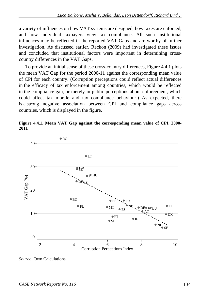a variety of influences on how VAT systems are designed, how taxes are enforced, and how individual taxpayers view tax compliance. All such institutional influences may be reflected in the reported VAT Gaps and are worthy of further investigation. As discussed earlier, Reckon (2009) had investigated these issues and concluded that institutional factors were important in determining crosscountry differences in the VAT Gaps.

To provide an initial sense of these cross-country differences, Figure 4.4.1 plots the mean VAT Gap for the period 2000-11 against the corresponding mean value of CPI for each country. (Corruption perceptions could reflect actual differences in the efficacy of tax enforcement among countries, which would be reflected in the compliance gap, or merely in public perceptions about enforcement, which could affect tax morale and tax compliance behaviour.) As expected, there is a strong negative association between CPI and compliance gaps across countries, which is displayed in the figure.



**Figure 4.4.1. Mean VAT Gap against the corresponding mean value of CPI, 2000- 2011** 

*Source*: Own Calculations.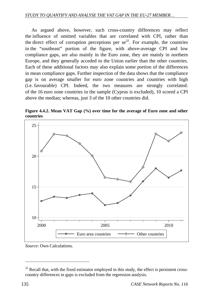As argued above, however, such cross-country differences may reflect the influence of omitted variables that are correlated with CPI, rather than the direct effect of corruption perceptions per  $se^{32}$ . For example, the countries in the "southeast" portion of the figure, with above-average CPI and low compliance gaps, are also mainly in the Euro zone, they are mainly in northern Europe, and they generally acceded to the Union earlier than the other countries. Each of these additional factors may also explain some portion of the differences in mean compliance gaps. Further inspection of the data shows that the compliance gap is on average smaller for euro zone countries and countries with high (i.e. favourable) CPI. Indeed, the two measures are strongly correlated: of the 16 euro zone countries in the sample (Cyprus is excluded), 10 scored a CPI above the median; whereas, just 3 of the 10 other countries did.

**Figure 4.4.2. Mean VAT Gap (%) over time for the average of Euro zone and other countries** 



*Source*: Own Calculations.

 $32$  Recall that, with the fixed estimator employed in this study, the effect is persistent crosscountry differences in gaps is excluded from the regression analysis.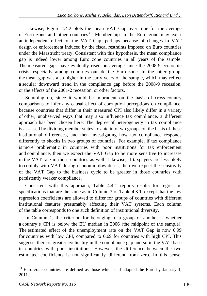Likewise, Figure 4.4.2 plots the mean VAT Gap over time for the average of Euro zone and other countries<sup>33</sup>. Membership in the Euro zone may exert an independent effect on the VAT Gap, perhaps because of changes in VAT design or enforcement induced by the fiscal restraints imposed on Euro countries under the Maastricht treaty. Consistent with this hypothesis, the mean compliance gap is indeed lower among Euro zone countries in all years of the sample. The measured gaps have evidently risen on average since the 2008-9 economic crisis, especially among countries outside the Euro zone. In the latter group, the mean gap was also higher in the early years of the sample, which may reflect a secular downward trend in the compliance gap before the 2008-9 recession, or the effects of the 2001-2 recession, or other factors.

Summing up, since it would be imprudent on the basis of cross-country comparisons to infer any causal effect of corruption perceptions on compliance, because countries that differ in their measured CPI also likely differ in a variety of other, unobserved ways that may also influence tax compliance, a different approach has been chosen here. The degree of heterogeneity in tax compliance is assessed by dividing member states ex ante into two groups on the basis of these institutional differences, and then investigating how tax compliance responds differently to shocks in two groups of countries. For example, if tax compliance is more problematic in countries with poor institutions for tax enforcement and compliance, then we expect the VAT Gap to be more sensitive to increases in the VAT rate in those countries as well. Likewise, if taxpayers are less likely to comply with VAT during economic downturns, then we expect the sensitivity of the VAT Gap to the business cycle to be greater in those countries with persistently weaker compliance.

Consistent with this approach, Table 4.4.1 reports results for regression specifications that are the same as in Column 3 of Table 4.3.1, except that the key regression coefficients are allowed to differ for groups of countries with different institutional features presumably affecting their VAT systems. Each column of the table corresponds to one such definition of institutional diversity.

In Column 1, the criterion for belonging to a group or another is whether a country's CPI is below the EU median in 2006 (the midpoint of the sample). The estimated effect of the unemployment rate on the VAT Gap is now 0.99 for countries with low CPI, compared to 0.69 for countries with high CPI. This suggests there is greater cyclicality in the compliance gap and so in the VAT base in countries with poor institutions. However, the difference between the two estimated coefficients is not significantly different from zero. In this sense,

<sup>&</sup>lt;sup>33</sup> Euro zone countries are defined as those which had adopted the Euro by January 1, 2011.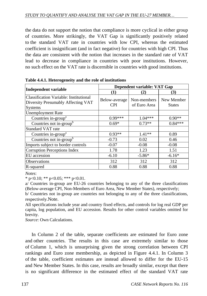the data do not support the notion that compliance is more cyclical in either group of countries. More strikingly, the VAT Gap is significantly positively related to the standard VAT rate in countries with low CPI, whereas the estimated coefficient is insignificant (and in fact negative) for countries with high CPI. Thus the data are consistent with the notion that increases in the standard rate of VAT lead to decrease in compliance in countries with poor institutions. However, no such effect on the VAT rate is discernible in countries with good institutions.

|                                                                                                       |                             | Dependent variable: VAT Gap |                             |
|-------------------------------------------------------------------------------------------------------|-----------------------------|-----------------------------|-----------------------------|
| <b>Independent variable</b>                                                                           | $\bf(1)$                    | $\bf(2)$                    | (3)                         |
| <b>Classification Variable: Institutional</b><br>Diversity Presumably Affecting VAT<br><b>Systems</b> | Below-average<br><b>CPI</b> | Non-members<br>of Euro Area | New Member<br><b>States</b> |
| <b>Unemployment Rate</b>                                                                              |                             |                             |                             |
| Countries in-group <sup>a</sup>                                                                       | $0.99***$                   | $1.04***$                   | $0.90**$                    |
| Countries not in-group <sup>b</sup>                                                                   | $0.69*$                     | $0.73**$                    | $0.84***$                   |
| Standard VAT rate                                                                                     |                             |                             |                             |
| Countries in-group <sup>a</sup>                                                                       | $0.93**$                    | $1.41**$                    | 0.89                        |
| Countries not in-group <sup>b</sup>                                                                   | $-0.73$                     | 0.02                        | 0.46                        |
| Imports subject to border controls                                                                    | $-0.07$                     | $-0.08$                     | $-0.08$                     |
| <b>Corruption Perceptions Index</b>                                                                   | 1.78                        | 1.23                        | 1.51                        |
| EU accession                                                                                          | $-6.10$                     | $-5.86*$                    | $-6.16*$                    |
| <b>Observations</b>                                                                                   | 312                         | 312                         | 312                         |
| R-squared                                                                                             | 0.88                        | 0.88                        | 0.88                        |

**Table 4.4.1. Heterogeneity and the role of institutions** 

*Notes*:

 $*$  p<0.10;  $*$  p  $< 0.05$ ;  $*$   $*$  p  $< 0.01$ .

a/ Countries in-group are EU-26 countries belonging to any of the three classifications (Below-average CPI, Non-Members of Euro Area, New Member States), respectively;

b/ Countries not in-group are countries not belonging to any of the three classifications, respectively.Note.

All specifications include year and country fixed effects, and controls for log real GDP per capita, log population, and EU accession. Results for other control variables omitted for brevity.

*Source*: Own Calculations.

In Column 2 of the table, separate coefficients are estimated for Euro zone and other countries. The results in this case are extremely similar to those of Column 1, which is unsurprising given the strong correlation between CPI rankings and Euro zone membership, as depicted in Figure 4.4.1. In Column 3 of the table, coefficient estimates are instead allowed to differ for the EU-15 and New Member States. In this case, results are broadly similar, except that there is no significant difference in the estimated effect of the standard VAT rate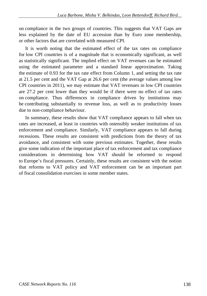on compliance in the two groups of countries. This suggests that VAT Gaps are less explained by the date of EU accession than by Euro zone membership, or other factors that are correlated with measured CPI.

It is worth noting that the estimated effect of the tax rates on compliance for low CPI countries is of a magnitude that is economically significant, as well as statistically significant. The implied effect on VAT revenues can be estimated using the estimated parameter and a standard linear approximation. Taking the estimate of 0.93 for the tax rate effect from Column 1, and setting the tax rate at 21.5 per cent and the VAT Gap at 26.6 per cent (the average values among low CPI countries in 2011), we may estimate that VAT revenues in low CPI countries are 27.2 per cent lower than they would be if there were no effect of tax rates on compliance. Thus differences in compliance driven by institutions may be contributing substantially to revenue loss, as well as to productivity losses due to non-compliance behaviour.

In summary, these results show that VAT compliance appears to fall when tax rates are increased, at least in countries with ostensibly weaker institutions of tax enforcement and compliance. Similarly, VAT compliance appears to fall during recessions. These results are consistent with predictions from the theory of tax avoidance, and consistent with some previous estimates. Together, these results give some indication of the important place of tax enforcement and tax compliance considerations in determining how VAT should be reformed to respond to Europe's fiscal pressures. Certainly, these results are consistent with the notion that reforms to VAT policy and VAT enforcement can be an important part of fiscal consolidation exercises in some member states.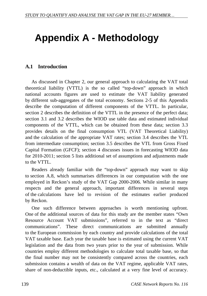# **Appendix A - Methodology**

# **A.1 Introduction**

As discussed in Chapter 2, our general approach to calculating the VAT total theoretical liability (VTTL) is the so called "top-down" approach in which national accounts figures are used to estimate the VAT liability generated by different sub-aggregates of the total economy. Sections 2-5 of this Appendix describe the computation of different components of the VTTL. In particular, section 2 describes the definition of the VTTL in the presence of the perfect data; section 3.1 and 3.2 describes the WIOD use table data and estimated individual components of the VTTL, which can be obtained from these data; section 3.3 provides details on the final consumption VTL (VAT Theoretical Liability) and the calculation of the appropriate VAT rates; section 3.4 describes the VTL from intermediate consumption; section 3.5 describes the VTL from Gross Fixed Capital Formation (GFCF); section 4 discusses issues in forecasting WIOD data for 2010-2011; section 5 lists additional set of assumptions and adjustments made to the VTTL.

Readers already familiar with the "top-down" approach may want to skip to section A.8, which summarises differences in our computation with the one employed in Reckon's study of the VAT Gap 2000-2006. While similar in many respects and the general approach, important differences in several steps of the calculations have led to revision of the estimates earlier produced by Reckon.

One such difference between approaches is worth mentioning upfront. One of the additional sources of data for this study are the member states "Own Resource Account VAT submissions", referred to in the text as "direct communications". These direct communications are submitted annually to the European commission by each country and provide calculations of the total VAT taxable base. Each year the taxable base is estimated using the current VAT legislation and the data from two years prior to the year of submission. While countries employ different methodologies to calculate total taxable base, so that the final number may not be consistently compared across the countries, each submission contains a wealth of data on the VAT regime, applicable VAT rates, share of non-deductible inputs, etc., calculated at a very fine level of accuracy.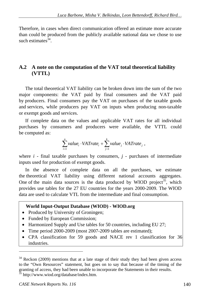Therefore, in cases when direct communication offered an estimate more accurate than could be produced from the publicly available national data we chose to use such estimates $34$ .

# **A.2 A note on the computation of the VAT total theoretical liability (VTTL)**

The total theoretical VAT liability can be broken down into the sum of the two major components: the VAT paid by final consumers and the VAT paid by producers. Final consumers pay the VAT on purchases of the taxable goods and services, while producers pay VAT on inputs when producing non-taxable or exempt goods and services.

If complete data on the values and applicable VAT rates for all individual purchases by consumers and producers were available, the VTTL could be computed as:

$$
\sum_{i=1}^n value_i \cdot VATrate_i + \sum_{j=1}^k value_j \cdot VATrate_j ,
$$

where  $i$  - final taxable purchases by consumers,  $j$  - purchases of intermediate inputs used for production of exempt goods.

In the absence of complete data on all the purchases, we estimate the theoretical VAT liability using different national accounts aggregates. One of the main data sources is the data produced by WIOD project<sup>35</sup>, which provides use tables for the 27 EU countries for the years 2000-2009. The WIOD data are used to calculate VTL from the intermediate and final consumption.

## **World Input-Output Database (WIOD) - WIOD.org**

- Produced by University of Groningen;
- Funded by European Commission;
- Harmonized Supply and Use tables for 50 countries, including EU 27;
- Time period 2000-2009 (most 2007-2009 tables are estimated);
- CPA classification for 59 goods and NACE rev 1 classification for 36 industries.

 $34$  Reckon (2009) mentions that at a late stage of their study they had been given access to the "Own Resources" statement, but goes on to say that because of the timing of the granting of access, they had been unable to incorporate the Statements in their results. 35 http://www.wiod.org/database/index.htm.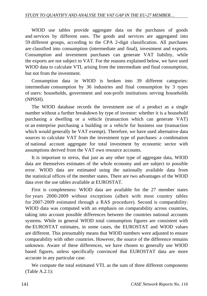WIOD use tables provide aggregate data on the purchases of goods and services by different uses. The goods and services are aggregated into 59 different groups, according to the CPA 2-digit classification. All purchases are classified into consumption (intermediate and final), investment and exports. Consumption and investment purchases can generate VAT liability, while the exports are not subject to VAT. For the reasons explained below, we have used WIOD data to calculate VTL arising from the intermediate and final consumption, but not from the investment.

Consumption data in WIOD is broken into 39 different categories: intermediate consumption by 36 industries and final consumption by 3 types of users: households, government and non-profit institutions serving households (NPISH).

The WIOD database records the investment use of a product as a single number without a further breakdown by type of investor: whether it is a household purchasing a dwelling or a vehicle (transaction which can generate VAT) or an enterprise purchasing a building or a vehicle for business use (transaction which would generally be VAT exempt). Therefore, we have used alternative data sources to calculate VAT from the investment type of purchases: a combination of national account aggregate for total investment by economic sector with assumptions derived from the VAT own resource accounts.

It is important to stress, that just as any other type of aggregate data, WIOD data are themselves estimates of the whole economy and are subject to possible error. WIOD data are estimated using the nationally available data from the statistical offices of the member states. There are two advantages of the WIOD data over the use tables available at EUROSTAT.

First is completeness: WIOD data are available for the 27 member states for years 2000-2009 without exceptions (albeit with most country tables for 2007-2009 estimated through a RAS procedure). Second is comparability: WIOD data was computed with an emphasis on comparability across countries, taking into account possible differences between the countries national accounts systems. While in general WIOD total consumption figures are consistent with the EUROSTAT estimates, in some cases, the EUROSTAT and WIOD values are different. This presumably means that WIOD numbers were adjusted to ensure comparability with other countries. However, the source of the difference remains unknown. Aware of these differences, we have chosen to generally use WIOD based figures, unless specifically convinced that EUROSTAT data are more accurate in any particular case.

We compute the total estimated VTL as the sum of three different components (Table A.2.1):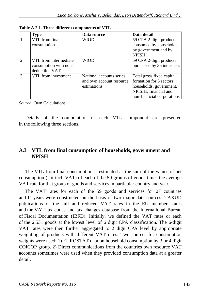|    | <b>Type</b>           | Data source              | Data detail                |
|----|-----------------------|--------------------------|----------------------------|
| 1. | VTL from final        | <b>WIOD</b>              | 59 CPA 2-digit products    |
|    | consumption           |                          | consumed by households,    |
|    |                       |                          | by government and by       |
|    |                       |                          | NPISH.                     |
| 2. | VTL from intermediate | <b>WIOD</b>              | 59 CPA 2-digit products    |
|    | consumption with non- |                          | purchased by 36 industries |
|    | deductible VAT        |                          |                            |
| 3. | VTL from investment   | National accounts series | Total gross fixed capital  |
|    |                       | and own account resource | formation for 5 sectors:   |
|    |                       | estimations.             | households, government,    |
|    |                       |                          | NPISHs, financial and      |
|    |                       |                          | non-financial corporations |

**Table A.2.1. Three different components of VTL** 

*Source*: Own Calculations.

Details of the computation of each VTL component are presented in the following three sections.

# **A.3 VTL from final consumption of households, government and NPISH**

The VTL from final consumption is estimated as the sum of the values of net consumption (not incl. VAT) of each of the 59 groups of goods times the average VAT rate for that group of goods and services in particular country and year.

The VAT rates for each of the 59 goods and services for 27 countries and 11 years were constructed on the basis of two major data sources: TAXUD publications of the full and reduced VAT rates in the EU member states and the VAT tax codes and tax changes database from the International Bureau of Fiscal Documentation (IBFD). Initially, we defined the VAT rates or each of the 2,531 goods at the lowest level of 6 digit CPA classification. The 6-digit VAT rates were then further aggregated to 2 digit CPA level by appropriate weighting of products with different VAT rates. Two sources for consumption weights were used: 1) EUROSTAT data on household consumption by 3 or 4 digit COICOP group. 2) Direct communications from the countries own resource VAT accounts sometimes were used when they provided consumption data at a greater detail.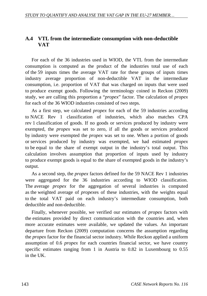# **A.4 VTL from the intermediate consumption with non-deductible VAT**

For each of the 36 industries used in WIOD, the VTL from the intermediate consumption is computed as the product of the industries total use of each of the 59 inputs times the average VAT rate for these groups of inputs times industry average proportion of non-deductible VAT in the intermediate consumption, i.e. proportion of VAT that was charged on inputs that were used to produce exempt goods. Following the terminology coined in Reckon (2009) study, we are calling this proportion a "*propex*" factor. The calculation of *propex* for each of the 36 WIOD industries consisted of two steps.

As a first step, we calculated *propex* for each of the 59 industries according to NACE Rev 1 classification of industries, which also matches CPA rev 1 classification of goods. If no goods or services produced by industry were exempted, the *propex* was set to zero, if all the goods or services produced by industry were exempted the *propex* was set to one. When a portion of goods or services produced by industry was exempted, we had estimated *propex* to be equal to the share of exempt output in the industry's total output. This calculation involves assumption that proportion of inputs used by industry to produce exempt goods is equal to the share of exempted goods in the industry's output.

As a second step, the *propex* factors defined for the 59 NACE Rev 1 industries were aggregated for the 36 industries according to WIOD classification. The average *propex* for the aggregation of several industries is computed as the weighted average of *propex*es of these industries, with the weights equal to the total VAT paid on each industry's intermediate consumption, both deductible and non-deductible.

Finally, whenever possible, we verified our estimates of *propex* factors with the estimates provided by direct communication with the countries and, when more accurate estimates were available, we updated the values. An important departure from Reckon (2009) computation concerns the assumption regarding the *propex* factor for the financial sector industry. While Reckon applied a uniform assumption of 0.6 *propex* for each countries financial sector, we have country specific estimates ranging from 1 in Austria to 0.82 in Luxembourg to 0.55 in the UK.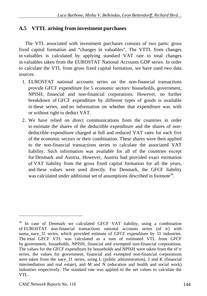# **A.5 VTTL arising from investment purchases**

The VTL associated with investment purchases consists of two parts: gross fixed capital formation and "changes in valuables". The VTTL from changes in valuables is calculated by applying standard VAT rate to total changes in valuables taken from the EUROSTAT National Accounts GDP series. In order to calculate the VTL from gross fixed capital formation, we have used two data sources.

- 1. EUROSTAT national accounts series on the non-financial transactions provide GFCF expenditure for 5 economic sectors: households, government, NPISH, financial and non-financial corporations. However, no further breakdown of GFCF expenditure by different types of goods is available in these series, and no information on whether that expenditure was with or without right to deduct VAT.
- 2. We have relied on direct communications from the countries in order to estimate the shares of the deductible expenditure and the shares of nondeductible expenditure charged at full and reduced VAT rates for each five of the economic sectors or their combination. These shares were then applied to the non-financial transactions series to calculate the associated VAT liability. Such information was available for all of the countries except for Denmark and Austria. However, Austria had provided exact estimation of VAT liability from the gross fixed capital formation for all the years, and these values were used directly. For Denmark, the GFCF liability was calculated under additional set of assumptions described in footnote<sup>36</sup>.

<sup>&</sup>lt;sup>36</sup> In case of Denmark we calculated GFCF VAT liability, using a combination of EUROSTAT non-financial transactions national accounts series (nf tr) with nama\_nace\_31 series, which provided estimate of GFCF expenditure by 31 industries. The total GFCF VTL was calculated as a sum of estimated VTL from GFCF by government, households, NPISH, financial and exempted non-financial corporations. The values for the GFCF expenditure by households and NPISH were taken from the nf tr series, the values for government, financial and exempted non-financial corporations were taken from the nace\_31 series, using L (public administration), J and K (financial intermediation and real estate), and M and N (education and health and social work) industries respectively. The standard rate was applied to the net values to calculate the VTL.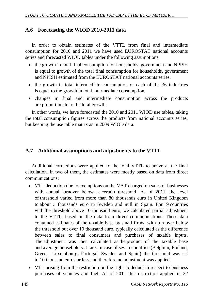# **A.6 Forecasting the WIOD 2010-2011 data**

In order to obtain estimates of the VTTL from final and intermediate consumption for 2010 and 2011 we have used EUROSTAT national accounts series and forecasted WIOD tables under the following assumptions:

- the growth in total final consumption for households, government and NPISH is equal to growth of the total final consumption for households, government and NPISH estimated from the EUROSTAT national accounts series.
- the growth in total intermediate consumption of each of the 36 industries is equal to the growth in total intermediate consumption.
- changes in final and intermediate consumption across the products are proportionate to the total growth.

In other words, we have forecasted the 2010 and 2011 WIOD use tables, taking the total consumption figures across the products from national accounts series, but keeping the use table matrix as in 2009 WIOD data.

### **A.7 Additional assumptions and adjustments to the VTTL**

Additional corrections were applied to the total VTTL to arrive at the final calculation. In two of them, the estimates were mostly based on data from direct communications:

- VTL deduction due to exemptions on the VAT charged on sales of businesses with annual turnover below a certain threshold. As of 2011, the level of threshold varied from more than 80 thousands euro in United Kingdom to about 3 thousands euro in Sweden and null in Spain. For 19 countries with the threshold above 10 thousand euro, we calculated partial adjustment to the VTTL, based on the data from direct communications. These data contained estimates of the taxable base by small firms, with turnover below the threshold but over 10 thousand euro, typically calculated as the difference between sales to final consumers and purchases of taxable inputs. The adjustment was then calculated as the product of the taxable base and average household vat rate. In case of seven countries (Belgium, Finland, Greece, Luxembourg, Portugal, Sweden and Spain) the threshold was set to 10 thousand euros or less and therefore no adjustment was applied.
- VTL arising from the restriction on the right to deduct in respect to business purchases of vehicles and fuel. As of 2011 this restriction applied in 22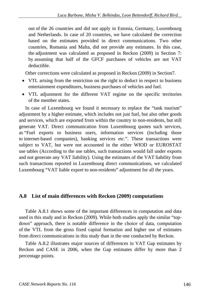out of the 26 countries and did not apply in Estonia, Germany, Luxembourg and Netherlands. In case of 20 countries, we have calculated the correction based on the estimates provided in direct communications. Two other countries, Romania and Malta, did not provide any estimates. In this case, the adjustment was calculated as proposed in Reckon (2009) in Section 7: by assuming that half of the GFCF purchases of vehicles are not VAT deductible.

Other corrections were calculated as proposed in Reckon (2009) in Section7.

- VTL arising from the restriction on the right to deduct in respect to business entertainment expenditures, business purchases of vehicles and fuel.
- VTL adjustment for the different VAT regime on the specific territories of the member states.

In case of Luxembourg we found it necessary to replace the "tank tourism" adjustment by a higher estimate, which includes not just fuel, but also other goods and services, which are exported from within the country to non-residents, but still generate VAT. Direct communication from Luxembourg quotes such services, as "Fuel exports to business users, information services (including those to internet-based companies), banking services etc.". These transactions were subject to VAT, but were not accounted in the either WIOD or EUROSTAT use tables (According to the use tables, such transactions would fall under exports and not generate any VAT liability). Using the estimates of the VAT liability from such transactions reported in Luxembourg direct communications, we calculated Luxembourg "VAT liable export to non-residents" adjustment for all the years.

# **A.8 List of main differences with Reckon (2009) computations**

Table A.8.1 shows some of the important differences in computation and data used in this study and in Reckon (2009). While both studies apply the similar "topdown" approach, there is notable difference in the choice of data, computation of the VTL from the gross fixed capital formation and higher use of estimates from direct communications in this study than in the one conducted by Reckon.

Table A.8.2 illustrates major sources of differences in VAT Gap estimates by Reckon and CASE in 2006, when the Gap estimates differ by more than 2 percentage points.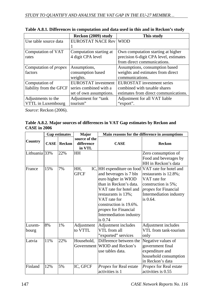|                              | Reckon (2009) study        | This study                             |
|------------------------------|----------------------------|----------------------------------------|
| Use table source data        | <b>EUROSTAT NACE Rev</b>   | <b>WIOD</b>                            |
|                              |                            |                                        |
| Computation of VAT           | Computation starting at    | Own computation starting at higher     |
| rates                        | 4 digit CPA level          | precision 6-digit CPA level, estimates |
|                              |                            | from direct communications.            |
| Computation of <i>propex</i> | Assumptions,               | Assumptions, consumption based         |
| factors                      | consumption based          | weights and estimates from direct      |
|                              | weights.                   | communications.                        |
| Computation of               | <b>EUROSTAT</b> investment | EUROSTAT investment series             |
| liability from the GFCF      | series combined with a     | combined with taxable shares           |
|                              | set of own assumptions.    | estimates from direct communications.  |
| Adjustments to the           | Adjustment for "tank       | Adjustment for all VAT liable          |
| VTTL in Luxembourg           | tourism"                   | "export".                              |

| Table A.8.1. Differences in computation and data used in this and in Reckon's study |  |  |
|-------------------------------------------------------------------------------------|--|--|
|-------------------------------------------------------------------------------------|--|--|

*Source*: Reckon (2006).

#### **Table A.8.2. Major sources of differences in VAT Gap estimates by Reckon and CASE in 2006**

|                          |             | <b>Gap estimates</b> | Major                                 |                                                                                                                                                                                                                                                                                                | Main reasons for the difference in assumptions                                                                                 |
|--------------------------|-------------|----------------------|---------------------------------------|------------------------------------------------------------------------------------------------------------------------------------------------------------------------------------------------------------------------------------------------------------------------------------------------|--------------------------------------------------------------------------------------------------------------------------------|
| Country                  | <b>CASE</b> | <b>Reckon</b>        | source of the<br>difference<br>in VTL | <b>CASE</b>                                                                                                                                                                                                                                                                                    | <b>Reckon</b>                                                                                                                  |
| Lithuania <sup>33%</sup> |             | 22%                  | HH                                    |                                                                                                                                                                                                                                                                                                | Zero consumption of<br>Food and beverages by<br>HH in Reckon's data                                                            |
| France                   | 15%         | 7%                   | HH,<br><b>GFCF</b>                    | IC, HH expenditure on food VAT rate for hotel and<br>and beverages is 7 bln<br>euro higher in WIOD<br>than in Reckon's data.<br>VAT rate for hotel and<br>restaurants is 13%;<br>VAT rate for<br>construction is 19.6%.<br><i>propex</i> for Financial<br>Intermediation industry<br>is $0.74$ | restaurants is 12.8%;<br>VAT rate for<br>construction is 5%;<br>propex for Financial<br>Intermediation industry<br>is $0.64$ . |
| Luxem-<br>bourg          | 8%          | 1%                   | Adjustment<br>to VTTL                 | Adjustment includes<br>VTL from all<br>"exported" services                                                                                                                                                                                                                                     | Adjustment includes<br>VTL from tank-tourism<br>only                                                                           |
| Latvia                   | 11%         | 22%                  | Household,                            | Difference between the<br>Government WIOD and Reckon's<br>use tables data.                                                                                                                                                                                                                     | Negative values of<br>government final<br>expenditure and<br>household consumption<br>in Reckon's data                         |
| Finland                  | 12%         | 5%                   | IC, GFCF                              | Propex for Real estate<br>activities is 1                                                                                                                                                                                                                                                      | Propex for Real estate<br>activities is 0.55                                                                                   |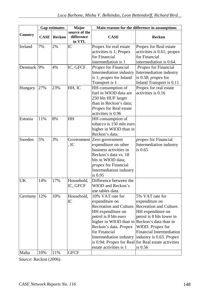|            |             | <b>Gap estimates</b> | Major                                 |                                                                                                                                                                                                                                                           | Main reasons for the difference in assumptions                                                                                                                                                                                                                |
|------------|-------------|----------------------|---------------------------------------|-----------------------------------------------------------------------------------------------------------------------------------------------------------------------------------------------------------------------------------------------------------|---------------------------------------------------------------------------------------------------------------------------------------------------------------------------------------------------------------------------------------------------------------|
| Country    | <b>CASE</b> | <b>Reckon</b>        | source of the<br>difference<br>in VTL | <b>CASE</b>                                                                                                                                                                                                                                               | <b>Reckon</b>                                                                                                                                                                                                                                                 |
| Ireland    | 7%          | 2%                   | IC                                    | Propex for real estate<br>activities is 1; Propex<br>for Financial<br>intermediation is 1                                                                                                                                                                 | Propex for Real estate<br>activities is 0.61; propex<br>for Financial<br>intermediation is 0.64.                                                                                                                                                              |
| Denmark 9% |             | 4%                   | IC, GFCF.                             | Propex for Financial<br>Intermediation industry<br>is 1; <i>propex</i> for Inland<br>Transport is 1                                                                                                                                                       | Propex for Financial<br>Intermediation industry<br>is 0.58; propex for<br>Inland Transport is 0.11                                                                                                                                                            |
| Hungary    | 27%         | 23%                  | HH, IC                                | HH consumption of<br>fuel in WIOD data are<br>250 bln HUF larger<br>than in Reckon's data;<br>Propex for Real estate<br>activities is 0.96                                                                                                                | Propex for real estate<br>activities is 0.16                                                                                                                                                                                                                  |
| Estonia    | 11%         | 8%                   | <b>HH</b>                             | HH consumption of<br>tobacco is 150 mln euro<br>higher in WIOD than in<br>Reckon's data.                                                                                                                                                                  |                                                                                                                                                                                                                                                               |
| Sweden     | 5%          | 3%                   | , IC                                  | Government Zero government<br>expenditure on other<br>business activities in<br>Reckon's data vs. 18<br>bln in WIOD data;<br>propex for Financial<br>Intermediation industry<br>is 0.95                                                                   | propex for Financial<br>Intermediation industry<br>is 0.65                                                                                                                                                                                                    |
| <b>UK</b>  | 14%         | 17%                  | Household,<br>IC, GFCF                | Difference between the<br>WIOD and Reckon's<br>use tables data.                                                                                                                                                                                           |                                                                                                                                                                                                                                                               |
| Germany    | 12%         | 10%                  | Household,<br>IC                      | 10% VAT rate for<br>expenditure on<br>Recreation and Culture.<br>HH expenditure on<br>petrol is 8 bln euro<br>higher in WIOD than in Reckon's data than in<br>Reckon's data. Propex<br>for Financial<br>Intermediation industry<br>estate activities is 1 | 5% VAT rate for<br>expenditure on<br>Recreation and Culture.<br>HH expenditure on<br>petrol is 8 bln lower in<br>WIOD. Propex for<br>Financial Intermediation<br>industry is 0.63. Propex<br>is 0.94; Propex for Real for Real estate activities<br>is $0.56$ |
| Malta      | 10%         | 11%                  | <b>GFCF</b>                           |                                                                                                                                                                                                                                                           |                                                                                                                                                                                                                                                               |

*Source*: Reckon (2006).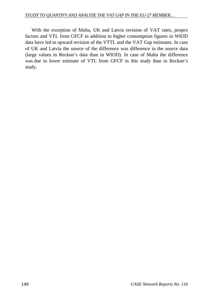With the exception of Malta, UK and Latvia revision of VAT rates, propex factors and VTL from GFCF in addition to higher consumption figures in WIOD data have led to upward revision of the VTTL and the VAT Gap estimates. In case of UK and Latvia the source of the difference was difference in the source data (large values in Reckon's data than in WIOD). In case of Malta the difference was due to lower estimate of VTL from GFCF in this study than in Reckon's study.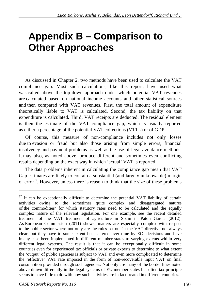# **Appendix B – Comparison to Other Approaches**

As discussed in Chapter 2, two methods have been used to calculate the VAT compliance gap. Most such calculations, like this report, have used what was called above the top-down approach under which potential VAT revenues are calculated based on national income accounts and other statistical sources and then compared with VAT revenues. First, the total amount of expenditure theoretically liable to VAT is calculated. Second, the tax liability on that expenditure is calculated. Third, VAT receipts are deducted. The residual element is then the estimate of the VAT compliance gap, which is usually reported as either a percentage of the potential VAT collections (VTTL) or of GDP.

Of course, this measure of non-compliance includes not only losses due to evasion or fraud but also those arising from simple errors, financial insolvency and payment problems as well as the use of legal avoidance methods. It may also, as noted above, produce different and sometimes even conflicting results depending on the exact way in which 'actual' VAT is reported.

The data problems inherent in calculating the compliance gap mean that VAT Gap estimates are likely to contain a substantial (and largely unknowable) margin of error $37$ . However, unless there is reason to think that the size of these problems

 $37$  It can be exceptionally difficult to determine the potential VAT liability of certain activities owing to the sometimes quite complex and disaggregated natures of the 'commodities' for which statutory rates need to be calculated and the equally complex nature of the relevant legislation. For one example, see the recent detailed treatment of the VAT treatment of agriculture in Spain in Paton Garcia (2012): As European Commission (2011) shows, matters are especially complex with respect to the public sector where not only are the rules set out in the VAT directive not always clear, but they have to some extent been altered over time by ECJ decisions and have in any case been implemented in different member states to varying extents within very different legal systems. The result is that it can be exceptionally difficult in some countries even for experienced tax officials or private experts to determine to what extent the 'output' of public agencies is subject to VAT and even more complicated to determine the 'effective' VAT rate imposed in the form of non-recoverable input VAT on final consumption provided through such agencies. Not only are many of the border lines noted above drawn differently in the legal systems of EU member states but often tax principle seems to have little to do with how such activities are in fact treated in different countries.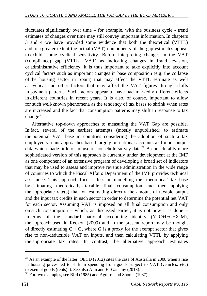fluctuates significantly over time – for example, with the business cycle - trend estimates of changes over time may still convey important information. In chapters 3 and 4 we have provided some evidence that both the theoretical (VTTL) and to a greater extent the actual (VAT) components of the gap estimates appear to exhibit some cyclical sensitivity. Before interpreting changes in the VAT (compliance) gap (VTTL –VAT) as indicating changes in fraud, evasion, or administrative efficiency, it is thus important to take explicitly into account cyclical factors such as important changes in base composition (e.g. the collapse of the housing sector in Spain) that may affect the VTTL estimate as well as cyclical and other factors that may affect the VAT figures through shifts in payment patterns. Such factors appear to have had markedly different effects in different countries in recent years. It is also, of course, important to allow for such well-known phenomena as the tendency of tax bases to shrink when rates are increased and the fact that consumption patterns may shift in response to tax change $38$ .

Alternative top-down approaches to measuring the VAT Gap are possible. In fact, several of the earliest attempts (mostly unpublished) to estimate the potential VAT base in countries considering the adoption of such a tax employed variant approaches based largely on national accounts and input-output data which made little or no use of household survey data<sup>39</sup>. A considerably more sophisticated version of this approach is currently under development at the IMF as one component of an extensive program of developing a broad set of indicators that may be used to assess and improve revenue administration in the wide range of countries to which the Fiscal Affairs Department of the IMF provides technical assistance. This approach focuses less on modelling the 'theoretical' tax base by estimating theoretically taxable final consumption and then applying the appropriate rate(s) than on estimating directly the amount of taxable output and the input tax credits in each sector in order to determine the potential net VAT for each sector. Assuming VAT is imposed on all final consumption and only on such consumption – which, as discussed earlier, it is not how it is done – in terms of the standard national accounting identity (Y=C+I+G+X-M), the approach used in Reckon (2009) and in the present report may be thought of directly estimating  $C + G$ , where G is a proxy for the exempt sector that gives rise to non-deductible VAT on inputs, and then calculating VTTL by applying the appropriate tax rates. In contrast, the alternative approach estimates

 $38$  As an example of the latter, OECD (2012) cites the case of Australia in 2008 when a rise in housing prices led to shift in spending from goods subject to VAT (vehicles, etc.) to exempt goods (rents). ). See also Alm and El-Ganainy (2013).

<sup>&</sup>lt;sup>39</sup> For two examples, see Bird (1985) and Aguirre and Shome (1987).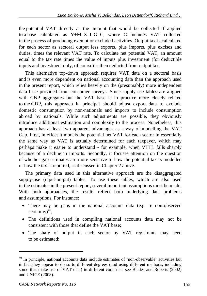the potential VAT directly as the amount that would be collected if applied to a base calculated as Y+M–X–I–G=C, where C includes VAT collected in the process of producing exempt or excluded activities. Output tax is calculated for each sector as sectoral output less exports, plus imports, plus excises and duties, times the relevant VAT rate. To calculate net potential VAT, an amount equal to the tax rate times the value of inputs plus investment (for deductible inputs and investment only, of course) is then deducted from output tax.

This alternative top-down approach requires VAT data on a sectoral basis and is even more dependent on national accounting data than the approach used in the present report, which relies heavily on the (presumably) more independent data base provided from consumer surveys. Since supply-use tables are aligned with GNP aggregates but the VAT base is in practice more closely related to the GDP, this approach in principal should adjust export data to exclude domestic consumption by non-nationals and imports to include consumption abroad by nationals. While such adjustments are possible, they obviously introduce additional estimation and complexity to the process. Nonetheless, this approach has at least two apparent advantages as a way of modelling the VAT Gap. First, in effect it models the potential net VAT for each sector in essentially the same way as VAT is actually determined for each taxpayer, which may perhaps make it easier to understand - for example, when VTTL falls sharply because of a decline in imports. Secondly, it focuses attention on the question of whether gap estimates are more sensitive to how the potential tax is modelled or how the tax is reported, as discussed in Chapter 2 above.

The primary data used in this alternative approach are the disaggregated supply-use (input-output) tables. To use these tables, which are also used in the estimates in the present report, several important assumptions must be made. With both approaches, the results reflect both underlying data problems and assumptions. For instance:

- There may be gaps in the national accounts data (e.g. re non-observed economy $)^{40}$ ;
- The definitions used in compiling national accounts data may not be consistent with those that define the VAT base;
- The share of output in each sector by VAT registrants may need to be estimated;

<sup>40</sup> In principle, national accounts data include estimates of 'non-observable' activities but in fact they appear to do so to different degrees (and using different methods, including some that make use of VAT data) in different countries: see Blades and Roberts (2002) and UNICE (2008).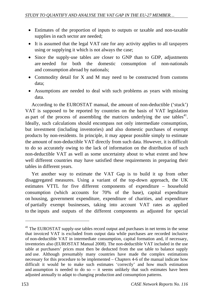- Estimates of the proportion of inputs to outputs or taxable and non-taxable supplies in each sector are needed;
- It is assumed that the legal VAT rate for any activity applies to all taxpayers using or supplying it which is not always the case;
- Since the supply-use tables are closer to GNP than to GDP, adjustments are needed for both the domestic consumption of non-nationals and consumption abroad by nationals;
- Commodity detail for X and M may need to be constructed from customs data;
- Assumptions are needed to deal with such problems as years with missing data.

According to the EUROSTAT manual, the amount of non-deductible ('stuck') VAT is supposed to be reported by countries on the basis of VAT legislation as part of the process of assembling the matrices underlying the use tables<sup>41</sup>. Ideally, such calculations should encompass not only intermediate consumption, but investment (including inventories) and also domestic purchases of exempt products by non-residents. In principle, it may appear possible simply to estimate the amount of non-deductible VAT directly from such data. However, it is difficult to do so accurately owing to the lack of information on the distribution of such non-deductible VAT as well as some uncertainty about to what extent and how well different countries may have satisfied these requirements in preparing their tables in different years.

Yet another way to estimate the VAT Gap is to build it up from other disaggregated measures. Using a variant of the top-down approach, the UK estimates VTTL for five different components of expenditure – household consumption (which accounts for 70% of the base), capital expenditure on housing, government expenditure, expenditure of charities, and expenditure of partially exempt businesses, taking into account VAT rates as applied to the inputs and outputs of the different components as adjusted for special

<sup>&</sup>lt;sup>41</sup> The EUROSTAT supply-use tables record output and purchases in net terms in the sense that invoiced VAT is excluded from output data while purchases are recorded inclusive of non-deductible VAT in intermediate consumption, capital formation and, if necessary, inventories also (EUROSTAT Manual 2008). The non-deductible VAT included in the use table at purchasers' prices must then be deducted from the use table to balance supply and use. Although presumably many countries have made the complex estimations necessary for this procedure to be implemented – Chapters 4-6 of the manual indicate how difficult it would be to make such estimates 'correctly' and how much estimation and assumption is needed to do so -- it seems unlikely that such estimates have been adjusted annually to adapt to changing production and consumption patterns.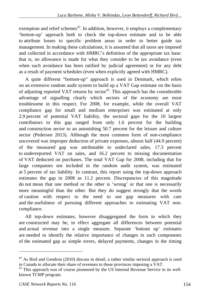exemption and relief schemes<sup>42</sup>. In addition, however, it employs a complementary 'bottom-up' approach both to check the top-down estimate and to be able to attribute losses to specific problem areas in order to better guide tax management. In making these calculations, it is assumed that all taxes are imposed and collected in accordance with HMRC's definition of the appropriate tax base: that is, no allowance is made for what they consider to be tax avoidance (even when such avoidance has been ratified by judicial agreement) or for any debt as a result of payment schedules (even when explicitly agreed with HMRC).

A quite different "bottom-up" approach is used in Denmark, which relies on an extensive random audit system to build up a VAT Gap estimate on the basis of adjusting reported VAT returns by sector<sup>43</sup>. This approach has the considerable advantage of signalling clearly which sectors of the economy are most troublesome in this respect. For 2008, for example, while the overall VAT compliance gap for small and medium enterprises was estimated at only 2.9 percent of potential VAT liability, the sectoral gaps for the 10 largest contributors to this gap ranged from only 1.6 percent for the building and construction sector to an astonishing 50.7 percent for the leisure and culture sector (Pedersen 2013). Although the most common form of non-compliance uncovered was improper deduction of private expenses, almost half (44.9 percent) of the measured gap was attributable to undeclared sales, 17.3 percent to underreported VAT on sales, and 16.2 percent to missing documentation of VAT deducted on purchases. The total VAT Gap for 2008, including that for large companies not included in the random audit system, was estimated at 5 percent of tax liability. In contrast, this report using the top-down approach estimates the gap in 2008 as 11.2 percent. Discrepancies of this magnitude do not mean that one method or the other is 'wrong' or that one is necessarily more meaningful than the other. But they do suggest strongly that the words of caution with respect to the need to use gap measures with care and the usefulness of pursuing different approaches to estimating VAT noncompliance.

All top-down estimates, however disaggregated the form in which they are constructed may be, in effect aggregate all differences between potential and actual revenue into a single measure. Separate 'bottom up' estimates are needed to identify the relative importance of changes in such components of the estimated gap as simple errors, delayed payments, changes in the timing

 $^{42}$  As Bird and Gendron (2010) discuss in detail, a rather similar sectoral approach is used

in Canada to allocate their share of revenues to those provinces imposing a VAT.<br><sup>43</sup> This approach was of course pioneered by the US Internal Revenue Service in its wellknown TCMP program.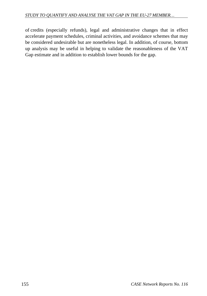of credits (especially refunds), legal and administrative changes that in effect accelerate payment schedules, criminal activities, and avoidance schemes that may be considered undesirable but are nonetheless legal. In addition, of course, bottom up analysis may be useful in helping to validate the reasonableness of the VAT Gap estimate and in addition to establish lower bounds for the gap.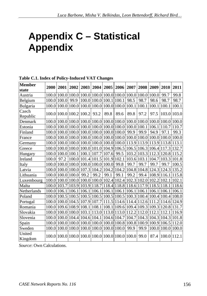# **Appendix C – Statistical Appendix**

| <b>Member</b><br>state | 2000  | 2001                   | 2002 | 2003                                            |      | 2004 2005 | 2006 | 2007                                                        | 2008  | 2009  | 2010                                                                          | 2011  |
|------------------------|-------|------------------------|------|-------------------------------------------------|------|-----------|------|-------------------------------------------------------------|-------|-------|-------------------------------------------------------------------------------|-------|
| Austria                |       |                        |      |                                                 |      |           |      | 100.0 100.0 100.0 100.0 100.0 100.0 100.0 100.0 100.0 100.0 |       |       | 99.7                                                                          | 99.8  |
| $\overline{Bel}$ gium  |       | 100.0 100.0 99.9       |      | [100.0 100.0 100.1 100.1 98.5]                  |      |           |      |                                                             | 98.7  | 98.6  | 98.7                                                                          | 98.7  |
| Bulgaria               |       |                        |      | 100.0 100.0 100.0 100.0 100.0 100.0 100.0 100.1 |      |           |      |                                                             | 100.1 | 100.1 | 100.1                                                                         | 100.1 |
| Czech<br>Republic      |       |                        |      | 100.0 100.0 100.2 100.2 93.2                    |      | 89.8      | 89.6 | 89.8                                                        | 97.2  | 97.5  | 103.0 103.0                                                                   |       |
| Denmark                |       |                        |      |                                                 |      |           |      |                                                             |       |       | 100.0 100.0 100.0 100.0 100.0 100.0 100.0 100.0 100.0 100.0 100.0 100.0       |       |
| Estonia                |       |                        |      |                                                 |      |           |      |                                                             |       |       | 100.0 100.0 100.0 100.0 100.0 100.0 100.0 100.0 100.1 106.1 110.7 110.7       |       |
| Finland                |       |                        |      | 100.0 100.0 100.0 100.0 100.0 100.0 100.0 99.9  |      |           |      |                                                             | 99.9  | 94.9  | 97.1                                                                          | 99.3  |
| France                 |       |                        |      |                                                 |      |           |      |                                                             |       |       | 100.0 100.0 100.0 100.0 100.0 100.0 100.0 100.0 100.0 100.0 100.0 100.0       |       |
| Germany                |       |                        |      |                                                 |      |           |      |                                                             |       |       | 100.0 100.0 100.0 100.0 100.0 100.0 100.0 113.9 113.9 113.9 113.8 113.1       |       |
| Greece                 |       |                        |      |                                                 |      |           |      |                                                             |       |       | 100.0 100.0 100.0 100.0 101.0 104.9 106.5 106.5 106.3 106.4 117.3 132.7       |       |
| Hungary                |       |                        |      |                                                 |      |           |      |                                                             |       |       | 100.0 100.0 100.1 100.1 107.7 107.6 99.5 103.2 103.3 112.3 120.8 115.2        |       |
| Ireland                | 100.0 | 97.2                   |      |                                                 |      |           |      | $[100.0 101.4 101.5 101.9 102.1 103.6 103.1 104.7]$         |       |       | 103.3 101.8                                                                   |       |
| Italy                  |       |                        |      | 100.0 100.0 100.0 100.0 100.0 100.0 99.8        |      |           |      | 99.7                                                        | 99.7  | 99.7  | 99.7                                                                          | 100.5 |
| Latvia                 |       |                        |      |                                                 |      |           |      |                                                             |       |       | 100.0 100.0 100.0 107.3 104.2 104.2 104.2 104.8 104.8 124.3 124.3 135.2       |       |
| Lithuania              |       | 100.0 100.0 100.0 99.2 |      |                                                 | 99.2 | 99.1      | 99.1 | 99.2                                                        | 99.4  |       | 108.9 116.1 115.8                                                             |       |
| Luxembourg             |       |                        |      |                                                 |      |           |      | 100.0 100.0 100.0 100.0 100.0 102.4 102.4 102.3 102.0 102.2 |       |       | $102.1$ 102.1                                                                 |       |
| Malta                  |       |                        |      |                                                 |      |           |      |                                                             |       |       | 100.0 103.7 103.9 103.9 118.7 118.4 118.8 118.6 117.9 118.5 118.1 118.6       |       |
| Netherlands            |       |                        |      |                                                 |      |           |      |                                                             |       |       | 100.0 106.1 106.1 106.1 106.1 106.1 106.1 106.1 106.1 106.1 106.1 106.1 106.1 |       |
| Poland                 |       |                        |      |                                                 |      |           |      |                                                             |       |       | 100.0 100.5 100.5 100.5 100.5 100.5 100.5 100.3 100.4 100.4 100.4 108.0       |       |
| Portugal               |       |                        |      |                                                 |      |           |      |                                                             |       |       | 100.0 100.0 104.5 107.9 107.7 111.5 114.6 114.4 112.6 111.2 114.6 124.9       |       |
| Romania                |       |                        |      |                                                 |      |           |      |                                                             |       |       | 100.0 109.6 108.9 108.1 108.1 108.1 109.6 109.4 109.3 109.3 120.8 131.7       |       |
| Slovakia               |       |                        |      |                                                 |      |           |      |                                                             |       |       | 100.0 100.0 100.0 103.1 13.0 113.0 113.0 112.2 112.0 112.1 12.1 12.1 16.9     |       |
| Slovenia               |       |                        |      |                                                 |      |           |      |                                                             |       |       | 100.0 100.0 104.4 104.6 104.1 104.6 104.7 104.7 104.3 104.3 104.3 101.8       |       |
| Spain                  |       |                        |      |                                                 |      |           |      |                                                             |       |       | 100.0 100.0 100.0 100.0 100.0 100.0 100.8 100.8 100.9 100.9 106.5 112.0       |       |
| Sweden                 |       |                        |      | 100.0 100.0 100.0 100.0 100.0 100.0 100.0 99.9  |      |           |      |                                                             | 99.9  |       | [100.0] 100.0] 100.0                                                          |       |
| United<br>Kingdom      |       |                        |      |                                                 |      |           |      | 100.0 100.0 100.0 100.0 100.0 100.0 100.0 100.0 99.0        |       | 87.4  | 100.0 112.1                                                                   |       |

#### **Table C.1. Index of Policy-Induced VAT Changes**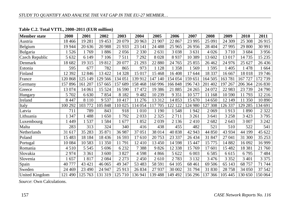| <b>Member state</b>   | 2000      | 2001    | 2002    | 2003    | 2004    | 2005     | 2006    | 2007    | 2008    | 2009     | 2010    | 2011    |
|-----------------------|-----------|---------|---------|---------|---------|----------|---------|---------|---------|----------|---------|---------|
| Austria               | 18 4 66   | 19 281  | 19 453  | 20 079  | 20 963  | 21 907   | 22 867  | 23 9 95 | 25 091  | 24 309   | 25 308  | 26 915  |
| Belgium               | 19 9 44   | 20 636  | 20 988  | 21 933  | 23 141  | 24 4 8 8 | 25 9 65 | 26 956  | 28 404  | 27 9 95  | 29 800  | 30 991  |
| Bulgaria              | 526       | 1769    | 886     | 2056    | 2 3 3 0 | 2631     | 3 0 38  | 3 6 3 1 | 4 0 26  | 3710     | 3 6 8 4 | 3956    |
| <b>Czech Republic</b> | 5 632     | 6 1 4 9 | 7 1 0 6 | 7511    | 7 2 9 2 | 8028     | 8937    | 10 3 89 | 13 602  | 13 017   | 14735   | 15 2 35 |
| Denmark               | 18 682    | 19 3 15 | 19812   | 20 077  | 21 29 3 | 22 880   | 24 7 65 | 25 855  | 26 4 62 | 24 976   | 25 627  | 26 4 36 |
| Estonia               | 595       | 677     | 782     | 865     | 973     | 1 1 2 8  | 1 3 5 8 | 1569    | 1595    | 1 4 0 5  | 1478    | 1 6 6 4 |
| Finland               | 12 392    | 12 846  | 13 4 22 | 14 3 28 | 15 017  | 15468    | 16 408  | 17 644  | 18 3 37 | 16 667   | 18018   | 19746   |
| France                | 120 868   | 125 149 | 129 566 | 134 051 | 139 912 | 147 140  | 154 054 | 159 651 | 164 505 | 163 781  | 167 727 | 172 739 |
| Germany               | 157896    | 161 207 | 157 665 | 157 689 | 158 468 | 160 996  | 166 848 | 196 743 | 201 402 | 197 267  | 206 364 | 216 830 |
| Greece                | 13 074    | 14 061  | 15 5 24 | 16 590  | 17472   | 19 3 8 6 | 21 885  | 24 265  | 24 072  | 22 983   | 23 7 39 | 24 790  |
| Hungary               | 5 702     | 6 6 3 0 | 7854    | 8 1 8 2 | 9482    | 10 239   | 9 3 5 1 | 10 577  | 11 168  | 10 590   | 11793   | 12 216  |
| Ireland               | 8 4 4 7   | 8 1 1 0 | 9537    | 10417   | 11 276  | 13 3 12  | 14 853  | 15 670  | 14 650  | 12 149   | 11 350  | 10 890  |
| Italy                 | 100 292   | 103 772 | 105 848 | 110 025 | 114 054 | 117 705  | 122 122 | 124 980 | 127 308 | 126 337  | 129 285 | 134 691 |
| Latvia                | 711       | 789     | 843     | 918     | 1 0 1 0 | 1 1 9 0  | 1548    | 1942    | 2069    | 913      | 1890    | 2 3 2 2 |
| Lithuania             | 347       | 1488    | 650     | 792     | 2033    | 2 3 2 5  | 2711    | 3 2 6 1 | 3 641   | 3 2 5 8  | 3 4 2 3 | 3795    |
| Luxembourg            | 449       | 1537    | 1584    | 1677    | 1852    | 2039     | 2 1 3 6 | 2410    | 2682    | 2643     | 3 0 0 7 | 3 2 4 2 |
| Malta                 | 283       | 313     | 324     | 340     | 416     | 438      | 455     | 482     | 521     | 510      | 522     | 541     |
| Netherlands           | 31<br>617 | 35 28 3 | 35 871  | 36 987  | 37 051  | 38 014   | 40 838  | 42 943  | 44 850  | 43 9 34  | 44 199  | 45 622  |
| Poland                | 15 4 83   | 18 18 4 | 18 4 36 | 16 5 93 | 17610   | 20753    | 23 337  | 26 4 34 | 31 847  | 27 041   | 31 300  | 35 25 3 |
| Portugal              | 10 0 84   | 10 5 83 | 11 350  | 11791   | 12 4 10 | 13 450   | 14 5 98 | 15 447  | 15 775  | 14 8 8 2 | 16092   | 16 9 99 |
| Romania               | 4510      | 5 5 4 5 | 5 6 9 6 | 6 2 3 2 | 7388    | 9826     | 12 3 38 | 15 769  | 17 601  | 15 4 82  | 18381   | 21 760  |
| Slovakia              | 2974      | 3 3 6 1 | 3 600   | 3827    | 4598    | 4 8 6 6  | 5 6 22  | 6 0 0 3 | 6585    | 6 6 1 5  | 6795    | 7484    |
| Slovenia              | 657       | 1817    | 2084    | 2 2 7 3 | 2 4 5 0 | 2610     | 2783    | 3 1 3 2 | 3476    | 3 3 5 2  | 3 4 0 1 | 3 3 7 5 |
| Spain                 | 40 777    | 43 421  | 46 065  | 49 347  | 53 483  | 58 591   | 64 105  | 68 4 61 | 69 50 6 | 65 143   | 68 757  | 71 744  |
| Sweden                | 24 4 69   | 23 490  | 24 947  | 25 913  | 26 834  | 27937    | 30 002  | 31 794  | 31 830  | 28758    | 34 050  | 37 542  |
| <b>United Kingdom</b> | 121 490   | 125 763 | 131 319 | 125 710 | 136 941 | 139 488  | 149 492 | 156 296 | 137 366 | 105 445  | 130 650 | 150 064 |

**Table C.2. Total VTTL, 2000–2011 (EUR million)**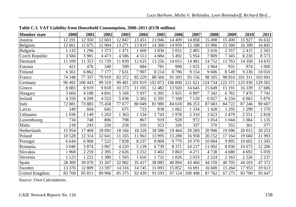| <b>Member state</b>   | 2000    | 2001    | 2002    | 2003    | 2004    | 2005     | 2006    | 2007     | 2008    | 2009    | 2010     | 2011    |
|-----------------------|---------|---------|---------|---------|---------|----------|---------|----------|---------|---------|----------|---------|
| Austria               | 12 191  | 12 350  | 12 603  | 12 847  | 13 451  | 13 946   | 14 409  | 14 8 5 8 | 15 4 98 | 15 400  | 15 9 27  | 16 632  |
| Belgium               | 12 661  | 12 675  | 12 904  | 13 27 1 | 13819   | 14 3 68  | 14 9 59 | 15 188   | 15 966  | 15 560  | 16 309   | 16845   |
| Bulgaria              | 1 1 3 2 | 296     | 373     | 1471    | 1 660   | 1830     | 2 0 5 1 | 2 4 0 5  | 2616    | 2 3 5 7 | 2415     | 2565    |
| Czech Republic        | 3 5 8 4 | 3981    | 4 4 7 3 | 4586    | 4513    | 4 8 8 4  | 5 4 9 2 | 5954     | 7809    | 7 3 4 5 | 8 2 3 0  | 8 5 7 3 |
| Denmark               | 109     | 11 353  | 11729   | 11839   | 12 625  | 13 25 6  | 14 015  | 14 4 8 1 | 14752   | 13763   | 14 3 5 8 | 14 633  |
| Estonia               | 421     | 476     | 540     | 599     | 684     | 781      | 908     | 1 0 25   | 1 0 6 4 | 931     | 974      | 1 0 6 0 |
| Finland               | 6561    | 6862    | 7 1 7 7 | 7631    | 7907    | 8 2 1 4  | 8796    | 9 1 5 4  | 9606    | 8 5 4 9 | 9 2 3 0  | 10 010  |
| France                | 74 348  | 77 337  | 79 919  | 82 372  | 85 229  | 88 560   | 91 593  | 95 156   | 98 505  | 98 816  | 101 311  | 103 691 |
| Germany               | 96 492  | 100 443 | 99 319  | 99 481  | 101 019 | 102 873  | 106 008 | 121 621  | 124 734 | 122 371 | 125 930  | 129 502 |
| Greece                | 8083    | 8919    | 9818    | 10 373  | 11 105  | 12 482   | 13 9 20 | 14 645   | 15 649  | 15 191  | 16 339   | 17 686  |
| Hungary               | 3 604   | 4 1 8 8 | 4841    | 5 1 6 6 | 5937    | 6 3 9 2  | 5925    | 6897     | 7 3 4 2 | 6782    | 7470     | 7741    |
| Ireland               | 4 3 5 0 | 4 2 0 9 | 4522    | 5 0 38  | 5 3 0 2 | 6 3 9 5  | 7 1 6 8 | 7 1 2 0  | 6927    | 6 2 3 4 | 6 0 6 3  | 5 8 7 6 |
| Italy                 | 72 081  | 73 883  | 75 458  | 77 677  | 80 049  | 81 980   | 84 618  | 86 253   | 87 683  | 84 722  | 87 24 6  | 90 607  |
| Latvia                | 549     | 604     | 645     | 675     | 723     | 838      | 1 0 6 2 | 334      | 428     | 1 2 9 5 | 299      | 1570    |
| Lithuania             | 036     | 1 1 4 9 | 263     | 363     | 534     | 743      | 1978    | 2 3 1 0  | 2 6 23  | 2479    | 2551     | 2818    |
| Luxembourg            | 734     | 748     | 806     | 798     | 867     | 919      | 928     | 972      | 054     | 1 044   | 084      | 1 1 3 5 |
| Malta                 | 218     | 243     | 250     | 258     | 310     | 323      | 326     | 337      | 370     | 355     | 361      | 377     |
| Netherlands           | 15 9 54 | 17 4 69 | 18 091  | 18 16 6 | 18 220  | 18 5 8 6 | 19 4 64 | 20 269   | 20 906  | 19 69 6 | 20 015   | 20 25 3 |
| Poland                | 10 5 28 | 12 3 14 | 12 641  | 11 165  | 11 963  | 13 9 95  | 15 288  | 16958    | 20 15 2 | 17 164  | 19 660   | 21 993  |
| Portugal              | 6 644   | 6968    | 7522    | 7828    | 8 2 3 7 | 8868     | 9779    | 10 370   | 10 604  | 9895    | 10 602   | 11 505  |
| Romania               | 3 0 4 6 | 3 8 7 4 | 3 9 6 7 | 4 2 2 9 | 5 1 3 9 | 6739     | 8 3 7 1 | 10 217   | 11 092  | 8936    | 10 675   | 12 20 6 |
| Slovakia              | 1968    | 2 2 5 9 | 2 3 9 5 | 2626    | 3 2 5 2 | 3 4 0 2  | 3863    | 4 2 7 1  | 4738    | 4680    | 4 6 9 2  | 5 0 5 9 |
| Slovenia              | 1 1 2 3 | 222     | 380     | 1 505   | 1616    | 1732     | 1826    | 2033     | 2 2 2 4 | 2 1 6 3 | 2 2 2 6  | 2 2 3 7 |
| Spain                 | 28 309  | 30 070  | 31 267  | 32 982  | 35 417  | 38 085   | 40 894  | 43 4 66  | 44 159  | 40 705  | 44 103   | 47 372  |
| Sweden                | 13 376  | 12 809  | 13 597  | 14 3 16 | 14745   | 15 0 93  | 15 852  | 16 691   | 16 600  | 15 264  | 17953    | 19613   |
| <b>United Kingdom</b> | 83 769  | 85 811  | 89 966  | 85 375  | 92 439  | 93 593   | 97 124  | 100 498  | 87 762  | 67 275  | 83 700   | 95 647  |

**Table C.3. VAT Liability from Household Consumption, 2000–2011 (EUR million)**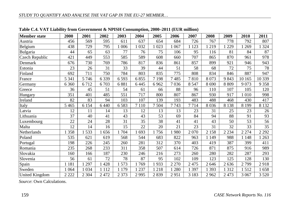| <b>Member</b> state   | 2000    | 2001    | 2002    | 2003    | 2004    | 2005    | 2006    | 2007    | 2008    | 2009    | 2010    | 2011    |
|-----------------------|---------|---------|---------|---------|---------|---------|---------|---------|---------|---------|---------|---------|
| Austria               | 456     | 569     | 595     | 611     | 637     | 654     | 684     | 726     | 767     | 778     | 792     | 807     |
| Belgium               | 438     | 729     | 795     | 1 0 0 6 | 032     | 1 0 23  | 1 0 6 7 | 1 1 2 3 | 1219    | 229     | 269     | 1 3 2 4 |
| Bulgaria              | 44      | 65      | 63      | 77      | 76      | 75      | 106     | 95      | 116     | 81      | 84      | 87      |
| <b>Czech Republic</b> | 421     | 449     | 553     | 585     | 589     | 608     | 660     | 707     | 865     | 870     | 961     | 978     |
| Denmark               | 676     | 730     | 769     | 786     | 817     | 836     | 861     | 857     | 899     | 921     | 946     | 943     |
| Estonia               | 23      | 26      | 31      | 33      | 39      | 44      | 51      | 58      | 68      | 72      | 75      | 78      |
| Finland               | 692     | 711     | 750     | 784     | 803     | 835     | 775     | 808     | 834     | 846     | 887     | 947     |
| France                | 5 3 4 1 | 5746    | 6339    | 6593    | 6855    | 7 1 9 8 | 7485    | 7810    | 8073    | 9843    | 10 165  | 10 339  |
| Germany               | 6 3 6 0 | 6712    | 6703    | 6881    | 6445    | 6962    | 7036    | 8 5 4 7 | 8690    | 8 8 0 9 | 9073    | 9 3 5 8 |
| Greece                | 36      | 45      | 51      | 54      | 61      | 66      | 88      | 96      | 110     | 107     | 105     | 120     |
| Hungary               | 351     | 401     | 485     | 551     | 717     | 800     | 807     | 867     | 930     | 917     | 1 0 1 0 | 998     |
| Ireland               | 82      | 83      | 94      | 103     | 107     | 139     | 193     | 483     | 488     | 468     | 430     | 417     |
| Italy                 | 5465    | 6 1 5 4 | 6 4 4 0 | 6583    | 7 1 1 0 | 7504    | 7743    | 7714    | 8036    | 8 1 3 8 | 8 1 9 9 | 8 1 3 2 |
| Latvia                | 12      | 11      | 14      | 13      | 12      | 13      | 13      | 23      | 31      | 25      | 23      | 26      |
| Lithuania             | 37      | 40      | 41      | 43      | 43      | 53      | 69      | 84      | 94      | 88      | 91      | 93      |
| Luxembourg            | 22      | 24      | 28      | 31      | 35      | 38      | 41      | 41      | 43      | 50      | 53      | 56      |
| Malta                 | 12      | 14      | 16      | 15      | 22      | 20      | 21      | 23      | 31      | 32      | 33      | 35      |
| Netherlands           | 358     | 533     | 656     | 1704    | 693     | 1756    | 1980    | 2070    | 2 1 5 8 | 2 2 3 4 | 2 2 7 4 | 2 2 9 2 |
| Poland                | 535     | 621     | 619     | 568     | 544     | 683     | 822     | 963     | 1 1 4 9 | 988     | 1 1 4 8 | 1 2 6 3 |
| Portugal              | 198     | 226     | 245     | 260     | 281     | 312     | 370     | 403     | 419     | 387     | 399     | 411     |
| Romania               | 235     | 268     | 233     | 311     | 358     | 507     | 614     | 726     | 871     | 875     | 916     | 989     |
| Slovakia              | 160     | 166     | 187     | 230     | 246     | 216     | 273     | 260     | 280     | 282     | 287     | 293     |
| Slovenia              | 56      | 61      | 72      | 78      | 87      | 95      | 102     | 109     | 123     | 125     | 128     | 130     |
| Spain                 | 1 1 8 1 | 297     | 428     | 1573    | 1769    | 1933    | 2 2 7 0 | 2 4 7 5 | 2646    | 2636    | 2799    | 2918    |
| Sweden                | 1 0 6 4 | 1 0 3 4 | 1 1 1 2 | 1 1 7 9 | 1 2 3 7 | 1 2 1 8 | 1 2 8 0 | 397     | 1 3 9 3 | 1312    | 1512    | 1658    |
| <b>United Kingdom</b> | 2 2 2 2 | 2 3 0 4 | 2 4 7 2 | 2 3 7 3 | 2995    | 2839    | 2951    | 3 1 8 3 | 2962    | 2473    | 3 0 6 7 | 3 5 2 0 |

**Table C.4. VAT Liability from Government & NPISH Consumption, 2000–2011 (EUR million)**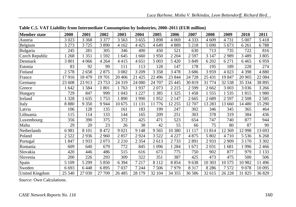| <b>Member state</b>   | 2000    | 2001    | 2002    | 2003    | 2004    | 2005     | 2006    | 2007    | 2008    | 2009     | 2010    | 2011    |
|-----------------------|---------|---------|---------|---------|---------|----------|---------|---------|---------|----------|---------|---------|
| Austria               | 3 0 2 3 | 3 3 6 8 | 3 3 7 7 | 3 5 6 3 | 3655    | 3898     | 4 0 6 9 | 4 3 3 3 | 4 6 0 9 | 4731     | 5 0 0 7 | 5418    |
| Belgium               | 3 2 7 3 | 3725    | 3890    | 4 1 6 2 | 4 4 2 5 | 4 6 4 9  | 4889    | 5 2 1 8 | 5 6 9 0 | 5 6 7 3  | 6 2 6 1 | 6788    |
| Bulgaria              | 245     | 281     | 305     | 346     | 400     | 450      | 521     | 630     | 713     | 735      | 722     | 816     |
| Czech Republic        | 268     | 351     | 592     | 645     | 660     | 950      | 2 2 0 4 | 2597    | 3 1 4 7 | 2989     | 3 4 8 9 | 3805    |
| Denmark               | 3 8 0 1 | 4 0 6 6 | 4 2 6 4 | 4415    | 4651    | 5 0 0 3  | 5 4 20  | 5 8 4 9 | 6 202   | 6 2 7 1  | 6465    | 6959    |
| Estonia               | 83      | 92      | 99      | 111     | 113     | 128      | 147     | 178     | 195     | 189      | 228     | 274     |
| Finland               | 2578    | 2658    | 2875    | 3 0 8 2 | 3 2 0 9 | 3 3 5 8  | 3 4 7 8 | 3686    | 3959    | 4 0 23   | 4 3 9 8 | 4880    |
| France                | 17916   | 18 479  | 19701   | 20 40 6 | 21 4 25 | 22 4 9 6 | 23 844  | 24 7 28 | 25 431  | 19 847   | 20 905  | 22 084  |
| Germany               | 23 608  | 23 913  | 23 7 53 | 24 3 19 | 24 080  | 24 707   | 25 4 45 | 30 819  | 31 774  | 32 538   | 35 334  | 38 895  |
| Greece                | 642     | 1584    | 801     | 763     | 937     | 2073     | 2 2 1 5 | 2599    | 2 6 6 2 | 3 0 0 3  | 3 0 3 6 | 3 2 6 6 |
| Hungary               | 729     | 847     | 999     | 1 0 4 3 | 227     | 385      | 325     | 458     | 1555    | 1535     | 1815    | 1980    |
| Ireland               | 328     | 1635    | 1753    | 1890    | 990     | 952      | 2 1 4 7 | 2665    | 2689    | 2597     | 2508    | 2585    |
| Italy                 | 8880    | 9 3 5 0 | 9 9 4 4 | 10 675  | 11 131  | 11776    | 12 255  | 12 707  | 13 28 3 | 13 660   | 14 480  | 15 290  |
| Latvia                | 106     | 128     | 135     | 161     | 183     | 199      | 247     | 302     | 346     | 345      | 365     | 464     |
| Lithuania             | 115     | 114     | 133     | 144     | 165     | 209      | 251     | 303     | 378     | 319      | 384     | 436     |
| Luxembourg            | 356     | 390     | 375     | 372     | 425     | 471      | 523     | 654     | 747     | 740      | 877     | 944     |
| Malta                 | 29      | 20      | 23      | 26      | 38      | 42       | 55      | 66      | 75      | 80       | 87      | 90      |
| Netherlands           | 6981    | 8 1 0 1 | 8 4 7 2 | 9 0 21  | 9 1 4 8 | 9 5 6 5  | 10 380  | 11 117  | 11814   | 12 3 6 9 | 12 9 98 | 13 693  |
| Poland                | 2 5 2 2 | 2936    | 2960    | 2857    | 2924    | 3 5 2 2  | 4 2 2 7 | 4875    | 5 802   | 4710     | 5 5 3 6 | 6 2 6 8 |
| Portugal              | 1847    | 1933    | 2073    | 2 2 1 0 | 2 3 5 4 | 2613     | 2733    | 2891    | 2933    | 2 9 0 9  | 3 1 7 0 | 3 3 0 2 |
| Romania               | 609     | 640     | 679     | 772     | 845     | 096      | 284     | 1671    | 2031    | 681      | 1 996   | 2466    |
| Slovakia              | 420     | 446     | 486     | 515     | 616     | 673      | 775     | 750     | 902     | 877      | 979     | 1 1 3 3 |
| Slovenia              | 200     | 226     | 293     | 309     | 322     | 351      | 387     | 425     | 473     | 475      | 500     | 506     |
| Spain                 | 5 109   | 5 2 9 9 | 5 8 5 0 | 6 3 9 4 | 7 217   | 8 1 1 2  | 8 8 5 4 | 9638    | 10 30 3 | 10 575   | 10 982  | 11 49 6 |
| Sweden                | 6 6 9 3 | 6448    | 6895    | 7037    | 7 2 4 4 | 7506     | 7979    | 8 3 1 7 | 8 2 8 6 | 7572     | 9078    | 10 095  |
| <b>United Kingdom</b> | 25 540  | 27 030  | 27 709  | 26 4 85 | 28 179  | 32 104   | 34 35 5 | 36 58 6 | 32 615  | 26 228   | 31 825  | 36 829  |

**Table C.5. VAT Liability from Intermediate Consumption by Industries, 2000–2011 (EUR million)**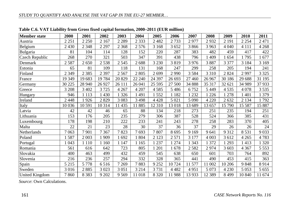| <b>Member state</b>   | 2000    | 2001    | 2002    | 2003    | 2004    | 2005    | 2006    | 2007    | 2008     | 2009    | 2010    | 2011    |
|-----------------------|---------|---------|---------|---------|---------|---------|---------|---------|----------|---------|---------|---------|
| Austria               | 2 2 5 1 | 2 2 5 0 | 2 1 6 7 | 2 2 8 9 | 2 3 3 3 | 2 4 8 2 | 2733    | 2977    | 2932     | 2 1 9 1 | 2 2 5 4 | 2471    |
| Belgium               | 2 4 3 0 | 2 3 4 8 | 2 2 9 7 | 2 3 6 8 | 2576    | 3 1 6 8 | 3 6 5 2 | 3866    | 3 9 6 3  | 4 0 4 0 | 4 1 1 1 | 4 2 6 8 |
| Bulgaria              | 81      | 104     | 114     | 128     | 152     | 220     | 287     | 383     | 482      | 459     | 417     | 422     |
| Czech Republic        | 268     | 270     | 321     | 503     | 347     | 391     | 438     | 796     | 1 409    | 1 654   | 1795    | 1677    |
| Denmark               | 2587    | 2650    | 2538    | 2 5 4 5 | 2688    | 3 2 3 0 | 3819    | 3 9 7 6 | 3887     | 3 3 7 7 | 3 1 8 4 | 3 1 6 9 |
| Estonia               | 65      | 81      | 109     | 118     | 131     | 168     | 247     | 299     | 258      | 205     | 194     | 241     |
| Finland               | 2 3 4 9 | 2 3 8 5 | 2 3 9 7 | 2567    | 2805    | 2699    | 2990    | 3584    | 3 3 1 0  | 2 8 2 4 | 2997    | 3 3 2 5 |
| France                | 19 349  | 19 683  | 19784   | 20 829  | 22 240  | 24 397  | 26 693  | 27 4 60 | 26 967   | 30 186  | 29 688  | 31 195  |
| Germany               | 30 225  | 28 940  | 26 9 27 | 26 111  | 26 041  | 25 5 95 | 27 500  | 34 888  | 35 317   | 32 621  | 34 989  | 37 933  |
| Greece                | 3 2 0 8 | 3 4 0 2 | 3725    | 4 2 6 7 | 4 207   | 4585    | 5486    | 6752    | 5 4 4 9  | 4535    | 4078    | 3 5 3 5 |
| Hungary               | 946     | 1 1 1 3 | 1 4 3 0 | 1 3 2 6 | 491     | 1552    | 1 1 8 2 | 232     | 1 2 2 6  | 1 278   | 1 401   | 1 379   |
| Ireland               | 2448    | 1926    | 2829    | 3 0 8 3 | 3 4 9 8 | 4 4 2 8 | 5 0 2 1 | 5 0 9 0 | 4 2 2 0  | 2632    | 2 1 3 4 | 1792    |
| Italy                 | 10 0 36 | 10 591  | 10 3 14 | 11 435  | 11 885  | 12 3 10 | 13 018  | 13 689  | 13 657   | 15 790  | 15 5 87 | 15 887  |
| Latvia                | 42      | 42      | 46      | 65      | 88      | 134     | 218     | 273     | 251      | 235     | 194     | 251     |
| Lithuania             | 153     | 176     | 205     | 235     | 279     | 306     | 387     | 528     | 524      | 366     | 385     | 431     |
| Luxembourg            | 178     | 198     | 210     | 222     | 233     | 241     | 243     | 278     | 258      | 283     | 370     | 405     |
| Malta                 | 22      | 21      | 23      | 28      | 30      | 37      | 36      | 37      | 29       | 26      | 26      | 24      |
| Netherlands           | 7063    | 7901    | 7 3 6 7 | 7823    | 7693    | 7807    | 8695    | 9 1 6 9 | 9641     | 9312    | 8531    | 9033    |
| Poland                | 587     | 2003    | 1909    | 1692    | 804     | 2 1 2 3 | 2571    | 3 177   | 4 0 0 3  | 3 6 12  | 4 2 6 5 | 4783    |
| Portugal              | 1 0 4 3 | 1 1 1 0 | 1 1 6 0 | 1 1 4 7 | 1 1 6 5 | 1 2 3 7 | 1 274   | 1 3 4 3 | 1 372    | 1 2 9 3 | 1413    | 1 3 2 0 |
| Romania               | 561     | 616     | 642     | 723     | 805     | 1 201   | 1678    | 2582    | 2974     | 3 603   | 4 3 6 7 | 5 5 5 3 |
| Slovakia              | 400     | 463     | 499     | 432     | 459     | 545     | 638     | 650     | 601      | 703     | 764     | 892     |
| Slovenia              | 216     | 236     | 257     | 294     | 332     | 328     | 365     | 441     | 490      | 453     | 415     | 363     |
| Spain                 | 5 2 1 5 | 5 7 7 8 | 6516    | 7 2 6 9 | 7883    | 9 2 5 2 | 10724   | 11 577  | 11 002   | 10 20 6 | 9848    | 8914    |
| Sweden                | 3016    | 2885    | 3 0 2 3 | 3 0 5 1 | 3 2 1 4 | 3731    | 4 4 8 2 | 4951    | 5 0 7 3  | 4 2 3 0 | 5 0 5 3 | 5 6 5 5 |
| <b>United Kingdom</b> | 7860    | 8 3 8 3 | 9 202   | 9 5 6 9 | 11 018  | 8 3 2 0 | 11988   | 13 9 33 | 12 3 8 9 | 8 4 9 9 | 10 840  | 11 674  |

**Table C.6. VAT Liability from Gross fixed capital formation, 2000–2011 (EUR million)**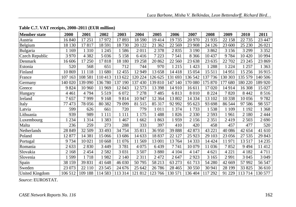| <b>Member state</b>   | 2000    | 2001    | 2002    | 2003     | 2004    | 2005     | 2006     | 2007    | 2008    | 2009    | 2010    | 2011    |
|-----------------------|---------|---------|---------|----------|---------|----------|----------|---------|---------|---------|---------|---------|
| Austria               | 16840   | 17 251  | 17972   | 17893    | 18 590  | 19414    | 19735    | 20 970  | 21 9 35 | 22 158  | 22 7 35 | 23 447  |
| Belgium               | 18 130  | 17817   | 18 591  | 18730    | 20 122  | 21 3 6 2 | 22 5 6 9 | 23 908  | 24 1 26 | 23 600  | 25 230  | 26 021  |
| Bulgaria              | 1 1 6 9 | 1 3 1 0 | 1 2 4 5 | 1586     | 2011    | 2 3 7 8  | 2835     | 3 1 9 0 | 3 8 6 2 | 3 1 5 6 | 3 2 9 9 | 3 3 5 2 |
| Czech Republic        | 3 9 7 0 | 4 3 8 2 | 5 0 3 6 | 5 1 5 8  | 6416    | 7 2 2 3  | 7541     | 8 3 6 6 | 10 437  | 9784    | 10420   | 10 9 94 |
| Denmark               | 16 606  | 17 250  | 17818   | 18 18 0  | 19 258  | 20 862   | 22 560   | 23 638  | 23 635  | 22 702  | 23 24 5 | 23 869  |
| Estonia               | 520     | 568     | 651     | 712      | 744     | 970      | 215      | 423     | 1288    | 224     | 257     | 1 3 6 3 |
| Finland               | 10 869  | 11 118  | 11 680  | 12 4 5 5 | 12 949  | 13 658   | 14418    | 15 0 54 | 15 511  | 14 951  | 15 25 6 | 16915   |
| France                | 107 163 | 108 581 | 110 413 | 113 622  | 120 224 | 126 625  | 131 693  | 136 542 | 137 736 | 130 303 | 135 579 | 140 506 |
| Germany               | 140 020 | 139 090 | 136 780 | 137 190  | 137 430 | 139 810  | 147 140  | 170 080 | 175 870 | 177 680 | 180 220 | 189 920 |
| Greece                | 9824    | 10 960  | 11 969  | 12 043   | 12 573  | 13 3 98  | 14 9 10  | 16 611  | 17 020  | 14 9 14 | 16 308  | 15 027  |
| Hungary               | 4 4 6 1 | 4794    | 5519    | 6 0 72   | 7 2 7 8 | 7485     | 6813     | 8010    | 8 2 2 4 | 7820    | 8 4 4 2 | 8516    |
| Ireland               | 7657    | 7999    | 9 1 6 8 | 9814     | 10 947  | 12 3 6 4 | 13 802   | 14 3 34 | 13 102  | 10 3 38 | 10 0 56 | 9782    |
| Italy                 | 77473   | 78 056  | 80 3 82 | 79 099   | 81 515  | 85 317   | 92 992   | 95 623  | 93 698  | 86 544  | 97 58 6 | 98 557  |
| Latvia                | 599     | 626     | 661     | 720      | 779     | 1011     | 374      | 733     | 1538    | 1 1 0 9 | 1 1 9 2 | 1 3 6 8 |
| Lithuania             | 939     | 989     | 1 1 1 1 | 1 1 1 1  | 1 1 7 5 | 1488     | 1826     | 2 3 3 0 | 2593    | 1961    | 2 1 8 0 | 2 4 4 4 |
| Luxembourg            | 234     | 314     | 1 3 8 3 | 467      | 1 6 6 2 | 863      | 1959     | 2 1 5 6 | 2 3 5 1 | 2419    | 2 5 0 3 | 2690    |
| Malta                 | 236     | 259     | 273     | 288      | 333     | 397      | 410      | 420     | 458     | 457     | 477     | 520     |
| Netherlands           | 28 849  | 32 509  | 33 4 93 | 34 7 54  | 35 811  | 36 950   | 39 888   | 42 873  | 43 221  | 40 086  | 42 654  | 41 610  |
| Poland                | 12877   | 14 381  | 15 066  | 13 686   | 14 633  | 18837    | 22 127   | 25 9 23 | 29 103  | 23 056  | 27 535  | 29 843  |
| Portugal              | 9734    | 10 021  | 10 668  | 11 076   | 11 569  | 13 001   | 13764    | 14 3 33 | 14 4 24 | 11971   | 13 5 17 | 14 2 35 |
| Romania               | 2633    | 2830    | 3 4 4 9 | 3781     | 4 0 7 5 | 6439     | 7741     | 10 0 79 | 11 036  | 7852    | 9494    | 11 412  |
| Slovakia              | 2 1 6 8 | 2 4 5 4 | 2582    | 3 0 3 1  | 3 5 0 7 | 3880     | 4 1 0 4  | 4 1 4 7 | 4 621   | 4 2 2 1 | 4 1 8 2 | 4711    |
| Slovenia              | 599     | 1718    | 982     | 2 1 4 0  | 2 3 1 1 | 2 4 7 2  | 2647     | 2923    | 3 1 6 5 | 2991    | 3 0 4 5 | 3 0 4 9 |
| Spain                 | 38 159  | 39 831  | 41 648  | 46 030   | 50795   | 58 213   | 63 273   | 61 713  | 54 280  | 42 669  | 57992   | 56 547  |
| Sweden                | 23 073  | 22 110  | 23 5 45 | 24 676   | 25 642  | 26 78 6  | 28 4 65  | 30 550  | 30 941  | 28 199  | 33 825  | 36 610  |
| <b>United Kingdom</b> | 106 512 | 109 188 | 114 583 | 113 314  | 121 812 | 123 766  | 130 571  | 136 404 | 117 292 | 91 229  | 113714  | 130 577 |

### **Table C.7. VAT receipts, 2000–2011 (EUR million)**

*Source*: EUROSTAT.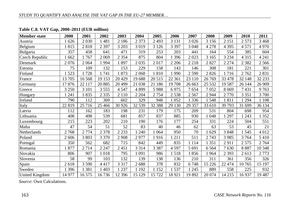| <b>Member state</b>   | 2000    | 2001    | 2002     | 2003     | 2004    | 2005    | 2006    | 2007    | 2008    | 2009     | 2010    | 2011    |
|-----------------------|---------|---------|----------|----------|---------|---------|---------|---------|---------|----------|---------|---------|
| Austria               | 626     | 2 0 3 0 | 481      | 2 1 8 6  | 2 3 7 3 | 2 4 9 3 | 3 1 3 1 | 3 0 2 6 | 3 1 5 6 | 2 1 5 1  | 2573    | 3 4 6 8 |
| Belgium               | 815     | 2818    | 2 3 9 7  | 3 2 0 3  | 3019    | 3 1 2 6 | 3 3 9 7 | 3 0 4 8 | 4 2 7 8 | 4 3 9 5  | 4571    | 4 9 7 0 |
| Bulgaria              | 357     | 458     | 641      | 471      | 319     | 253     | 203     | 441     | 164     | 554      | 385     | 604     |
| Czech Republic        | 662     | 767     | 2069     | 2 3 5 4  | 875     | 804     | 396     | 2023    | 3 1 6 5 | 3 2 3 4  | 4315    | 4 2 4 1 |
| Denmark               | 2076    | 2064    | 1994     | 1897     | 2035    | 2017    | 2 2 0 6 | 2 2 1 8 | 2827    | 2 2 7 4  | 2 3 8 2 | 2566    |
| Estonia               | 75      | 109     | 132      | 153      | 229     | 158     | 143     | 146     | 308     | 181      | 221     | 301     |
| Finland               | 523     | 728     | 741      | 1873     | 2068    | 1810    | 990     | 2590    | 2826    | 1716     | 2762    | 2831    |
| France                | 13 705  | 16 5 68 | 19 153   | 20429    | 19688   | 20 5 15 | 22 361  | 23 110  | 26 769  | 33 478   | 32 148  | 32 233  |
| Germany               | 17876   | 22 117  | 20885    | 20 499   | 21 038  | 21 186  | 19708   | 26 663  | 25 5 32 | 19587    | 26 144  | 26 909  |
| Greece                | 3 2 5 0 | 3 1 0 1 | 3 5 5 5  | 4547     | 4899    | 5988    | 6975    | 7654    | 7052    | 8 0 6 9  | 7431    | 9763    |
| Hungary               | 241     | 1835    | 2 3 3 5  | 2 1 1 0  | 2 2 0 4 | 2754    | 2538    | 2567    | 2944    | 2 7 7 0  | 3 3 5 1 | 3700    |
| Ireland               | 790     | 112     | 369      | 602      | 329     | 948     | 1 0 5 2 | 1 3 3 6 | 1548    | 1811     | 1 294   | 1 1 0 8 |
| Italy                 | 22 819  | 25 716  | 25 4 6 6 | 30 9 26  | 32 539  | 32 388  | 29 130  | 29 357  | 33 610  | 39 793   | 31 699  | 36 134  |
| Latvia                | 112     | 162     | 183      | 198      | 231     | 179     | 175     | 209     | 531     | 804      | 698     | 954     |
| Lithuania             | 408     | 498     | 539      | 681      | 857     | 837     | 885     | 930     | 1 0 4 8 | 297      | 1243    | 1 3 5 2 |
| Luxembourg            | 215     | 223     | 202      | 210      | 190     | 176     | 177     | 254     | 331     | 224      | 504     | 551     |
| Malta                 | 47      | 54      | 51       | 52       | 83      | 40      | 46      | 62      | 63      | 53       | 45      | 21      |
| Netherlands           | 2768    | 2 7 7 4 | 2 3 7 8  | 2 2 3 3  | 240     | 064     | 950     | 70      | 629     | 3848     | 1545    | 4 0 1 2 |
| Poland                | 2606    | 3 803   | 3 3 7 0  | 2 9 0 8  | 2977    | 1916    | 211     | 511     | 2743    | 3 9 8 5  | 3764    | 5410    |
| Portugal              | 350     | 562     | 682      | 715      | 842     | 449     | 835     | 1 1 1 4 | 1 351   | 2911     | 2575    | 2764    |
| Romania               | 877     | 2714    | 2 2 4 7  | 2451     | 3 3 1 4 | 3 3 8 7 | 4597    | 5 6 9 1 | 6564    | 7630     | 8887    | 10 348  |
| Slovakia              | 806     | 907     | 1018     | 795      | .091    | 986     | 518     | 1856    | 1964    | 2 3 9 3  | 2613    | 2 7 7 3 |
| Slovenia              | 58      | 99      | 103      | 132      | 139     | 138     | 136     | 210     | 311     | 361      | 356     | 326     |
| Spain                 | 2618    | 3 5 9 0 | 4417     | 3 3 1 7  | 2688    | 378     | 832     | 6748    | 15 2 26 | 22 4 7 4 | 10765   | 15 197  |
| Sweden                | 396     | 1 381   | 1 403    | 1 2 3 7  | 1 1 9 2 | 1 1 5 2 | 537     | 1 2 4 5 | 889     | 558      | 225     | 932     |
| <b>United Kingdom</b> | 14 977  | 16 575  | 16736    | 12 3 9 6 | 15 129  | 15 722  | 18 9 21 | 19892   | 20 074  | 14 215   | 16937   | 19487   |

**Table C.8. VAT Gap, 2000–2011 (EUR million)**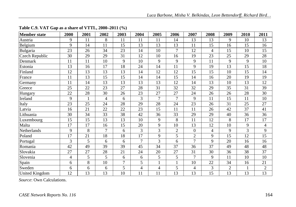| <b>Member state</b>   | 2000           | 2001            | 2002           | 2003           | 2004                     | 2005           | 2006           | 2007           | 2008 | 2009           | 2010 | 2011            |
|-----------------------|----------------|-----------------|----------------|----------------|--------------------------|----------------|----------------|----------------|------|----------------|------|-----------------|
| Austria               | 9              | 11              | 8              | 11             | 11                       | 11             | 14             | 13             | 13   | 9              | 10   | 13              |
| Belgium               | 9              | 14              | 11             | 15             | 13                       | 13             | 13             | 11             | 15   | 16             | 15   | 16              |
| Bulgaria              | 23             | 26              | 34             | 23             | 14                       | 10             | $\overline{7}$ | 12             | 4    | 15             | 10   | 15              |
| <b>Czech Republic</b> | 30             | 29              | 29             | 31             | 12                       | 10             | 16             | 19             | 23   | 25             | 29   | 28              |
| Denmark               | 11             | 11              | 10             | 9              | 10                       | 9              | 9              | 9              | 11   | 9              | 9    | 10              |
| Estonia               | 13             | 16              | 17             | 18             | 24                       | 14             | 11             | 9              | 19   | 13             | 15   | 18              |
| Finland               | 12             | 13              | 13             | 13             | 14                       | 12             | 12             | 15             | 15   | 10             | 15   | 14              |
| France                | 11             | 13              | 15             | 15             | 14                       | 14             | 15             | 14             | 16   | 20             | 19   | 19              |
| Germany               | 11             | 14              | 13             | 13             | 13                       | 13             | 12             | 14             | 13   | 10             | 13   | 12              |
| Greece                | 25             | 22              | 23             | 27             | 28                       | 31             | 32             | 32             | 29   | 35             | 31   | 39              |
| Hungary               | 22             | 28              | 30             | 26             | 23                       | 27             | 27             | 24             | 26   | 26             | 28   | 30              |
| Ireland               | 9              | $\mathbf{1}$    | $\overline{4}$ | 6              | 3                        | 7              | $\tau$         | 9              | 11   | 15             | 11   | 10              |
| Italy                 | 23             | 25              | 24             | 28             | 29                       | 28             | 24             | 23             | 26   | 31             | 25   | 27              |
| Latvia                | 16             | 21              | 22             | 22             | 23                       | 15             | 11             | 11             | 26   | 42             | 37   | 41              |
| Lithuania             | 30             | 34              | 33             | 38             | 42                       | 36             | 33             | 29             | 29   | 40             | 36   | 36              |
| Luxembourg            | 15             | 15              | 13             | 13             | 10                       | 9              | 8              | 11             | 12   | 8              | 17   | 17              |
| Malta                 | 17             | 17              | 16             | 15             | 20                       | 9              | 10             | 13             | 12   | 10             | 9    | $\overline{4}$  |
| Netherlands           | 9              | 8               | 7              | 6              | 3                        | 3              | 2              | $\theta$       | 4    | 9              | 3    | 9               |
| Poland                | 17             | 21              | 18             | 18             | 17                       | 9              | 5              | 2              | 9    | 15             | 12   | 15              |
| Portugal              | 3              | 5               | 6              | 6              | 7                        | 3              | 6              | $\tau$         | 9    | 20             | 16   | 16              |
| Romania               | 42             | 49              | 39             | 39             | 45                       | 34             | 37             | 36             | 37   | 49             | 48   | 48              |
| Slovakia              | 27             | 27              | 28             | 21             | 24                       | 20             | 27             | 31             | 30   | 36             | 38   | 37              |
| Slovenia              | $\overline{4}$ | 5               | 5              | 6              | 6                        | $\overline{5}$ | 5              | $\overline{7}$ | 9    | 11             | 10   | 10              |
| Spain                 | 6              | 8               | 10             | $\overline{7}$ | 5                        | $\mathbf{1}$   | $\mathbf{1}$   | 10             | 22   | 34             | 16   | 21              |
| Sweden                | 6              | 6               | 6              | 5              | $\overline{\mathcal{L}}$ | 4              | 5              | 4              | 3    | $\overline{2}$ |      | $\overline{2}$  |
| <b>United Kingdom</b> | 12             | $\overline{13}$ | 13             | 10             | 11                       | 11             | 13             | 13             | 15   | 13             | 13   | $\overline{13}$ |

## **Table C.9. VAT Gap as a share of VTTL, 2000–2011 (%)**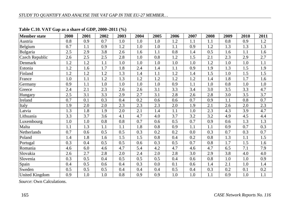| <b>Member state</b>   | 2000 | 2001    | 2002 | 2003 | 2004 | 2005 | 2006    | 2007 | 2008 | 2009    | 2010 | 2011 |
|-----------------------|------|---------|------|------|------|------|---------|------|------|---------|------|------|
| Austria               | 0.8  | 0.9     | 0.7  | 1.0  | 1.0  | 1.0  | 1.2     | 1.1  | 1.1  | 0.8     | 0.9  | 1.2  |
| Belgium               | 0.7  | 1.1     | 0.9  | 1.2  | 1.0  | 1.0  | 1.1     | 0.9  | 1.2  | 1.3     | 1.3  | 1.3  |
| Bulgaria              | 2.5  | 2.9     | 3.8  | 2.6  | 1.6  | 1.1  | 0.8     | 1.4  | 0.5  | 1.6     | 1.1  | 1.6  |
| Czech Republic        | 2.6  | 2.5     | 2.5  | 2.8  | 1.0  | 0.8  | 1.2     | 1.5  | 2.1  | 2.3     | 2.9  | 2.7  |
| Denmark               | 1.2  | 1.2     | 1.1  | 1.0  | 1.0  | 1.0  | 1.0     | 1.0  | 1.2  | 1.0     | 1.0  | 1.1  |
| Estonia               | 1.2  | 1.6     | 1.7  | 1.8  | 2.4  | 1.4  | 1.1     | 0.9  | 1.9  | 1.3     | 1.5  | 1.9  |
| Finland               | 1.2  | 1.2     | 1.2  | 1.3  | 1.4  | 1.1  | 1.2     | 1.4  | 1.5  | 1.0     | 1.5  | 1.5  |
| France                | 1.0  | 1.1     | 1.2  | 1.3  | 1.2  | 1.2  | 1.2     | 1.2  | 1.4  | 1.8     | 1.7  | 1.6  |
| Germany               | 0.9  | 1.1     | 1.0  | 1.0  | 1.0  | 1.0  | 0.9     | 1.1  | 1.0  | 0.8     | 1.0  | 1.0  |
| Greece                | 2.4  | 2.1     | 2.3  | 2.6  | 2.6  | 3.1  | 3.3     | 3.4  | 3.0  | 3.5     | 3.3  | 4.7  |
| Hungary               | 2.5  | 3.1     | 3.3  | 2.9  | 2.7  | 3.1  | 2.8     | 2.6  | 2.8  | 3.0     | 3.5  | 3.7  |
| Ireland               | 0.7  | 0.1     | 0.3  | 0.4  | 0.2  | 0.6  | 0.6     | 0.7  | 0.9  | 1.1     | 0.8  | 0.7  |
| Italy                 | 1.9  | 2.0     | 2.0  | 2.3  | 2.3  | 2.3  | 2.0     | 1.9  | 2.1  | 2.6     | 2.0  | 2.3  |
| Latvia                | 1.3  | 1.8     | 1.9  | 2.0  | 2.1  | 1.4  | 1.1     | 1.0  | 2.3  | 4.3     | 3.9  | 4.7  |
| Lithuania             | 3.3  | 3.7     | 3.6  | 4.1  | 4.7  | 4.0  | 3.7     | 3.2  | 3.2  | 4.9     | 4.5  | 4.4  |
| Luxembourg            | 1.0  | 1.0     | 0.8  | 0.8  | 0.7  | 0.6  | 0.5     | 0.7  | 0.9  | 0.6     | 1.3  | 1.3  |
| Malta                 | 1.1  | 1.3     | 1.1  | 1.1  | 1.8  | 0.8  | 0.9     | 1.1  | 1.1  | 0.9     | 0.7  | 0.3  |
| Netherlands           | 0.7  | 0.6     | 0.5  | 0.5  | 0.3  | 0.2  | 0.2     | 0.0  | 0.3  | 0.7     | 0.3  | 0.7  |
| Poland                | 1.4  | 1.8     | 1.6  | 1.5  | 1.5  | 0.8  | 0.4     | 0.2  | 0.8  | 1.3     | 1.1  | 1.5  |
| Portugal              | 0.3  | 0.4     | 0.5  | 0.5  | 0.6  | 0.3  | 0.5     | 0.7  | 0.8  | 1.7     | 1.5  | 1.6  |
| Romania               | 4.6  | 6.0     | 4.6  | 4.7  | 5.4  | 4.2  | 4.7     | 4.6  | 4.7  | 6.5     | 7.1  | 7.9  |
| Slovakia              | 2.6  | 2.7     | 2.8  | 2.0  | 2.4  | 2.0  | 2.8     | 3.0  | 2.9  | 3.8     | 4.0  | 4.0  |
| Slovenia              | 0.3  | 0.5     | 0.4  | 0.5  | 0.5  | 0.5  | 0.4     | 0.6  | 0.8  | $1.0\,$ | 1.0  | 0.9  |
| Spain                 | 0.4  | 0.5     | 0.6  | 0.4  | 0.3  | 0.0  | 0.1     | 0.6  | 1.4  | 2.1     | 1.0  | 1.4  |
| Sweden                | 0.5  | 0.5     | 0.5  | 0.4  | 0.4  | 0.4  | 0.5     | 0.4  | 0.3  | 0.2     | 0.1  | 0.2  |
| <b>United Kingdom</b> | 0.9  | $1.0\,$ | 1.0  | 0.8  | 0.9  | 0.9  | $1.0\,$ | 1.0  | 1.1  | 0.9     | 1.0  | 1.1  |

**Table C.10. VAT Gap as a share of GDP, 2000–2011 (%)**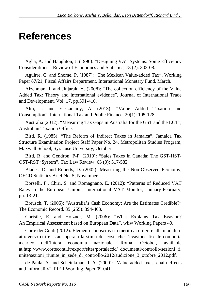# **References**

Agha, A. and Haughton, J. (1996): "Designing VAT Systems: Some Efficiency Considerations", Review of Economics and Statistics, 78 (2): 303-08.

Aguirre, C. and Shome, P. (1987): "The Mexican Value-added Tax", Working Paper 87/21, Fiscal Affairs Department, International Monetary Fund, March.

Aizenman, J. and Jinjarak, Y. (2008): "The collection efficiency of the Value Added Tax: Theory and international evidence", Journal of International Trade and Development, Vol. 17, pp.391-410.

Alm, J. and El-Ganainy, A. (2013): "Value Added Taxation and Consumption", International Tax and Public Finance, 20(1): 105-128.

Australia (2012): "Measuring Tax Gaps in Australia for the GST and the LCT", Australian Taxation Office.

Bird, R. (1985): "The Reform of Indirect Taxes in Jamaica", Jamaica Tax Structure Examination Project Staff Paper No. 24, Metropolitan Studies Program, Maxwell School, Syracuse University, October.

Bird, R. and Gendron, P-P. (2010): "Sales Taxes in Canada: The GST-HST-QST-RST 'System", Tax Law Review, 63 (3): 517-582.

Blades, D. and Roberts, D. (2002): Measuring the Non-Observed Economy, OECD Statistics Brief No. 5, November.

Borselli, F., Chiri, S. and Romagnano, E. (2012): "Patterns of Reduced VAT Rates in the European Union", International VAT Monitor, January-February, pp. 13-21.

Breusch, T. (2005): "Australia's Cash Economy: Are the Estimates Credible?" The Economic Record, 85 (255): 394-403.

Christie, E. and Holzner, M. (2006): "What Explains Tax Evasion? An Empirical Assessment based on European Data", wiiw Working Papers 40.

Corte dei Conti (2012): Elementi conoscitivi in merito ai criteri e alle modalita' attraverso cui e' stata operata la stima dei costi che l'evasione fiscale comporta a carico dell'intera economia nazionale, Roma, October, available at http://www.corteconti.it/export/sites/portalecdc/\_documenti/controllo/sezioni\_ri unite/sezioni\_riunite\_in\_sede\_di\_controllo/2012/audizione\_3\_ottobre\_2012.pdf.

de Paula, A. and Scheinkman, J. A. (2009): "Value added taxes, chain effects and informality", PIER Working Paper 09-041.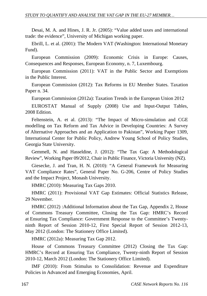Desai, M. A. and Hines, J. R. Jr. (2005): "Value added taxes and international trade: the evidence", University of Michigan working paper.

Ebrill, L. et al. (2001): The Modern VAT (Washington: International Monetary Fund).

European Commission (2009): Economic Crisis in Europe: Causes, Consequences and Responses, European Economy, n. 7, Luxembourg.

European Commission (2011): VAT in the Public Sector and Exemptions in the Public Interest.

European Commission (2012): Tax Reforms in EU Member States. Taxation Paper n. 34.

European Commission (2012a): Taxation Trends in the European Union 2012

EUROSTAT Manual of Supply (2008) Use and Input-Output Tables, 2008 Edition.

Feltenstein, A. et al. (2013): "The Impact of Micro-simulation and CGE modelling on Tax Reform and Tax Advice in Developing Countries: A Survey of Alternative Approaches and an Application to Pakistan", Working Paper 1309, International Center for Public Policy, Andrew Young School of Policy Studies, Georgia State University.

Gemmell, N. and Hasseldine, J. (2012): "The Tax Gap: A Methodological Review", Working Paper 09/2012, Chair in Public Finance, Victoria University (NZ).

Giesecke, J. and Tran, H. N. (2010): "A General Framework for Measuring VAT Compliance Rates", General Paper No. G-206, Centre of Policy Studies and the Impact Project, Monash University.

HMRC (2010): Measuring Tax Gaps 2010.

HMRC (2011): Provisional VAT Gap Estimates: Official Statistics Release, 29 November.

HMRC (2012) :Additional Information about the Tax Gap, Appendix 2, House of Commons Treasury Committee, Closing the Tax Gap: HMRC's Record at Ensuring Tax Compliance: Government Response to the Committee's Twentyninth Report of Session 2010-12, First Special Report of Session 2012-13, May 2012 (London: The Stationery Office Limited).

HMRC (2012a): Measuring Tax Gap 2012.

House of Commons Treasury Committee (2012) Closing the Tax Gap: HMRC's Record at Ensuring Tax Compliance, Twenty-ninth Report of Session 2010-12, March 2012 (London: The Stationery Office Limited).

IMF (2010): From Stimulus to Consolidation: Revenue and Expenditure Policies in Advanced and Emerging Economies, April.